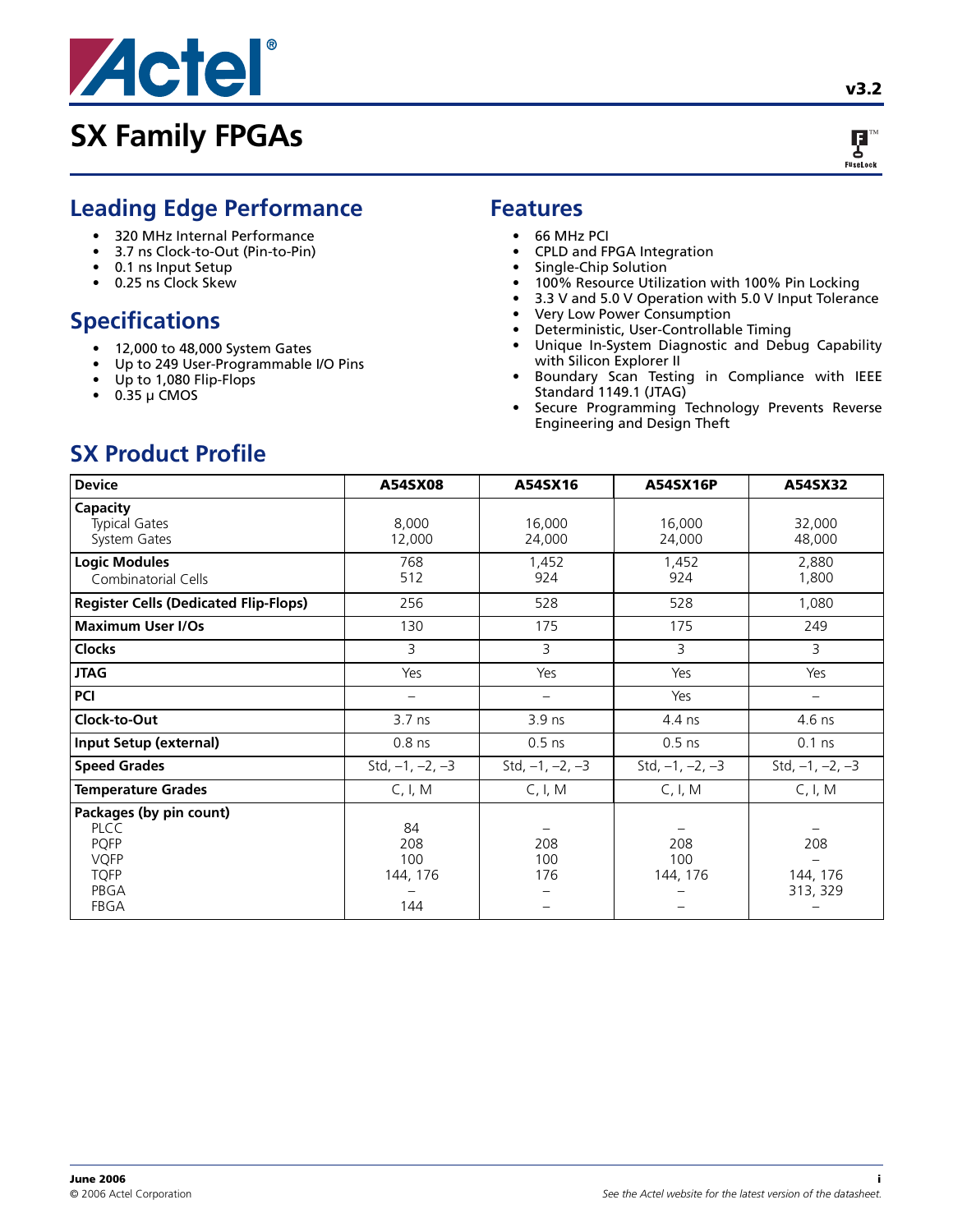



## **Leading Edge Performance**

- 320 MHz Internal Performance
- 3.7 ns Clock-to-Out (Pin-to-Pin)
- 0.1 ns Input Setup
- 0.25 ns Clock Skew

## **Specifications**

- 12,000 to 48,000 System Gates
- Up to 249 User-Programmable I/O Pins
- Up to 1,080 Flip-Flops
- $\bullet$  0.35 µ CMOS

### **Features**

- 66 MHz PCI
- CPLD and FPGA Integration
- Single-Chip Solution
- 100% Resource Utilization with 100% Pin Locking
- 3.3 V and 5.0 V Operation with 5.0 V Input Tolerance
- Very Low Power Consumption
- Deterministic, User-Controllable Timing
- Unique In-System Diagnostic and Debug Capability with Silicon Explorer II
- Boundary Scan Testing in Compliance with IEEE Standard 1149.1 (JTAG)
- Secure Programming Technology Prevents Reverse Engineering and Design Theft

## **SX Product Profile**

| <b>Device</b>                                                                                              | A54SX08                             | A54SX16           | A54SX16P                | A54SX32                     |
|------------------------------------------------------------------------------------------------------------|-------------------------------------|-------------------|-------------------------|-----------------------------|
| Capacity<br><b>Typical Gates</b><br>System Gates                                                           | 8,000<br>12,000                     | 16,000<br>24,000  | 16,000<br>24,000        | 32,000<br>48,000            |
| <b>Logic Modules</b><br>Combinatorial Cells                                                                | 768<br>512                          | 1,452<br>924      | 1,452<br>924            | 2,880<br>1,800              |
| <b>Register Cells (Dedicated Flip-Flops)</b>                                                               | 256                                 | 528               | 528                     | 1,080                       |
| <b>Maximum User I/Os</b>                                                                                   | 130                                 | 175               | 175                     | 249                         |
| <b>Clocks</b>                                                                                              | 3                                   | 3                 | 3                       | 3                           |
| <b>JTAG</b>                                                                                                | Yes                                 | Yes               | Yes                     | Yes                         |
| <b>PCI</b>                                                                                                 |                                     |                   | Yes                     |                             |
| Clock-to-Out                                                                                               | $3.7$ ns                            | 3.9 ns            | 4.4 ns                  | 4.6 ns                      |
| Input Setup (external)                                                                                     | $0.8$ ns                            | $0.5$ ns          | $0.5$ ns                | $0.1$ ns                    |
| <b>Speed Grades</b>                                                                                        | Std, $-1$ , $-2$ , $-3$             | Std, $-1, -2, -3$ | Std, $-1$ , $-2$ , $-3$ | Std, $-1$ , $-2$ , $-3$     |
| <b>Temperature Grades</b>                                                                                  | C, I, M                             | C, I, M           | C, I, M                 | C, I, M                     |
| Packages (by pin count)<br><b>PLCC</b><br><b>PQFP</b><br><b>VQFP</b><br><b>TQFP</b><br>PBGA<br><b>FBGA</b> | 84<br>208<br>100<br>144, 176<br>144 | 208<br>100<br>176 | 208<br>100<br>144, 176  | 208<br>144, 176<br>313, 329 |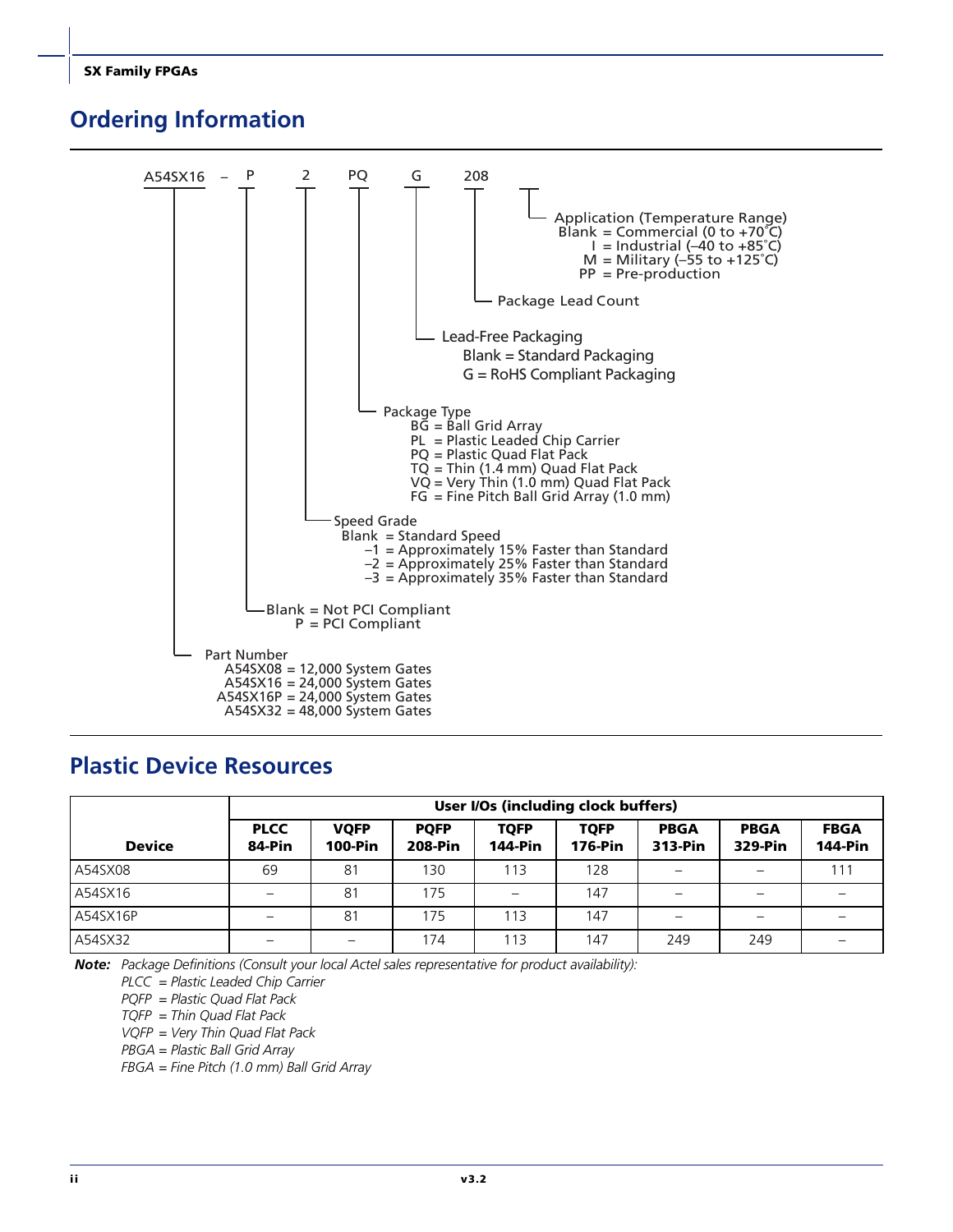## <span id="page-1-0"></span>**Ordering Information**



### **Plastic Device Resources**

|               |                          |                               |                               |                               | User I/Os (including clock buffers) |                        |                        |                               |
|---------------|--------------------------|-------------------------------|-------------------------------|-------------------------------|-------------------------------------|------------------------|------------------------|-------------------------------|
| <b>Device</b> | <b>PLCC</b><br>84-Pin    | <b>VQFP</b><br><b>100-Pin</b> | <b>PQFP</b><br><b>208-Pin</b> | <b>TQFP</b><br><b>144-Pin</b> | <b>TOFP</b><br><b>176-Pin</b>       | <b>PBGA</b><br>313-Pin | <b>PBGA</b><br>329-Pin | <b>FBGA</b><br><b>144-Pin</b> |
| A54SX08       | 69                       | 81                            | 130                           | 113                           | 128                                 |                        | -                      | 111                           |
| A54SX16       |                          | 81                            | 175                           |                               | 147                                 |                        |                        |                               |
| A54SX16P      |                          | 81                            | 175                           | 113                           | 147                                 |                        | -                      |                               |
| A54SX32       | $\overline{\phantom{0}}$ |                               | 174                           | 113                           | 147                                 | 249                    | 249                    |                               |

*Note: Package Definitions (Consult your local Actel sales representative for product availability):*

*PLCC = Plastic Leaded Chip Carrier*

*PQFP = Plastic Quad Flat Pack*

*TQFP = Thin Quad Flat Pack*

*VQFP = Very Thin Quad Flat Pack*

*PBGA = Plastic Ball Grid Array*

*FBGA = Fine Pitch (1.0 mm) Ball Grid Array*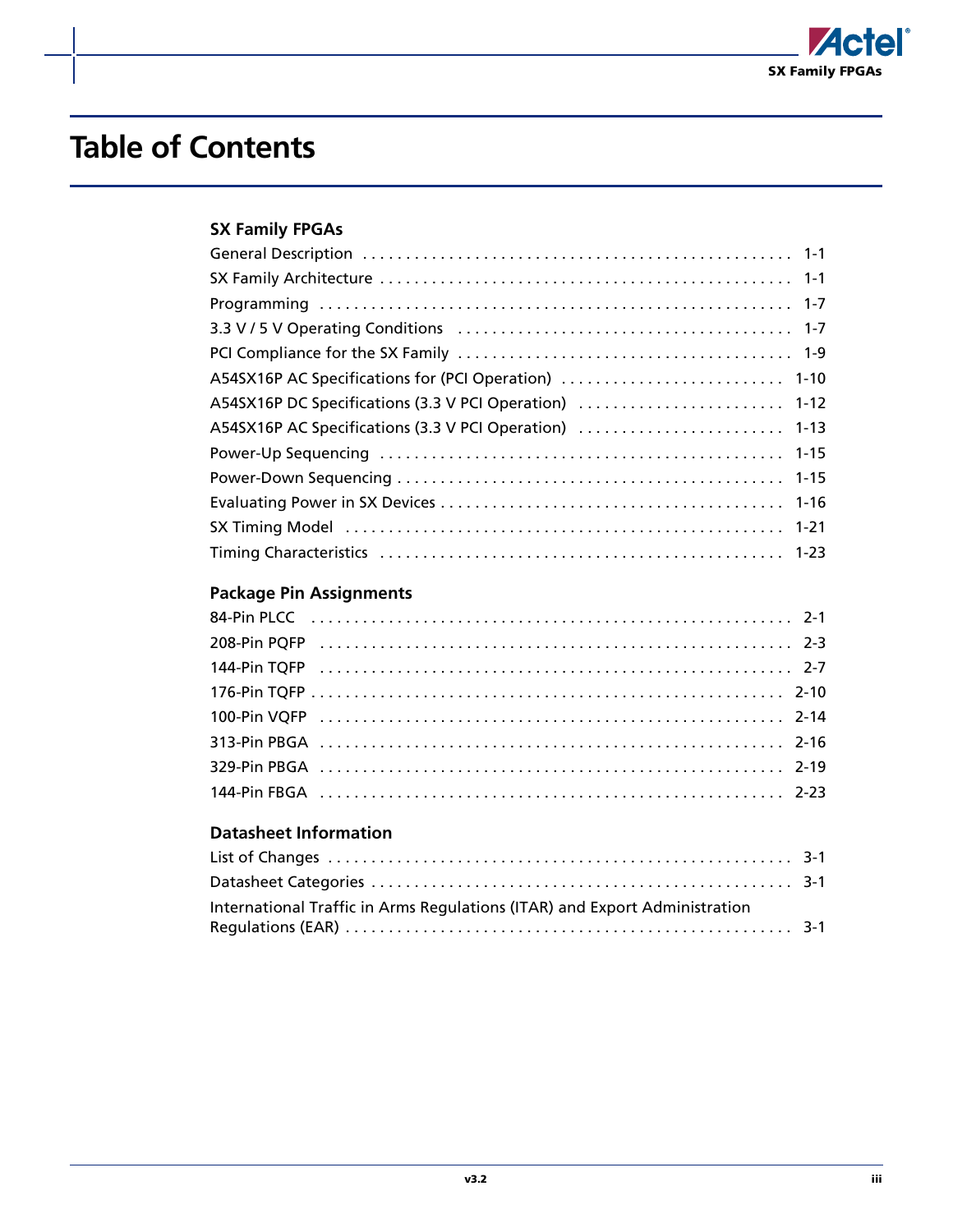

# **Table of Contents**

### **[SX Family FPGAs](#page-4-0)**

| A54SX16P DC Specifications (3.3 V PCI Operation)  1-12 |
|--------------------------------------------------------|
| A54SX16P AC Specifications (3.3 V PCI Operation)  1-13 |
|                                                        |
|                                                        |
|                                                        |
|                                                        |
|                                                        |

### **[Package Pin Assignments](#page-38-0)**

### **[Datasheet Information](#page-62-0)**

| International Traffic in Arms Regulations (ITAR) and Export Administration |  |
|----------------------------------------------------------------------------|--|
|                                                                            |  |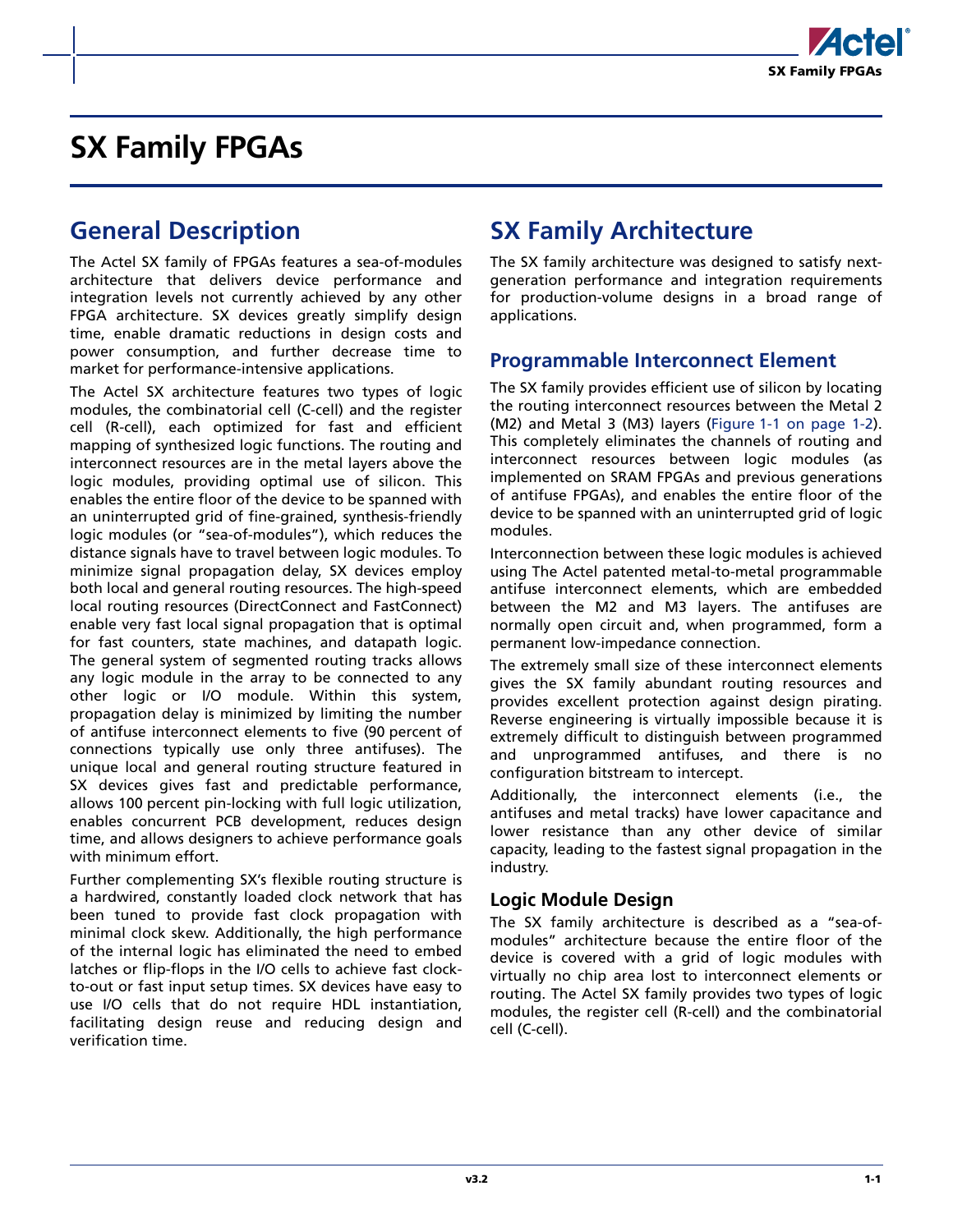

## <span id="page-4-1"></span><span id="page-4-0"></span>**General Description**

The Actel SX family of FPGAs features a sea-of-modules architecture that delivers device performance and integration levels not currently achieved by any other FPGA architecture. SX devices greatly simplify design time, enable dramatic reductions in design costs and power consumption, and further decrease time to market for performance-intensive applications.

The Actel SX architecture features two types of logic modules, the combinatorial cell (C-cell) and the register cell (R-cell), each optimized for fast and efficient mapping of synthesized logic functions. The routing and interconnect resources are in the metal layers above the logic modules, providing optimal use of silicon. This enables the entire floor of the device to be spanned with an uninterrupted grid of fine-grained, synthesis-friendly logic modules (or "sea-of-modules"), which reduces the distance signals have to travel between logic modules. To minimize signal propagation delay, SX devices employ both local and general routing resources. The high-speed local routing resources (DirectConnect and FastConnect) enable very fast local signal propagation that is optimal for fast counters, state machines, and datapath logic. The general system of segmented routing tracks allows any logic module in the array to be connected to any other logic or I/O module. Within this system, propagation delay is minimized by limiting the number of antifuse interconnect elements to five (90 percent of connections typically use only three antifuses). The unique local and general routing structure featured in SX devices gives fast and predictable performance, allows 100 percent pin-locking with full logic utilization, enables concurrent PCB development, reduces design time, and allows designers to achieve performance goals with minimum effort.

Further complementing SX's flexible routing structure is a hardwired, constantly loaded clock network that has been tuned to provide fast clock propagation with minimal clock skew. Additionally, the high performance of the internal logic has eliminated the need to embed latches or flip-flops in the I/O cells to achieve fast clockto-out or fast input setup times. SX devices have easy to use I/O cells that do not require HDL instantiation, facilitating design reuse and reducing design and verification time.

## <span id="page-4-2"></span>**SX Family Architecture**

The SX family architecture was designed to satisfy nextgeneration performance and integration requirements for production-volume designs in a broad range of applications.

### **Programmable Interconnect Element**

The SX family provides efficient use of silicon by locating the routing interconnect resources between the Metal 2 (M2) and Metal 3 (M3) layers [\(Figure 1-1 on page 1-2](#page-5-0)). This completely eliminates the channels of routing and interconnect resources between logic modules (as implemented on SRAM FPGAs and previous generations of antifuse FPGAs), and enables the entire floor of the device to be spanned with an uninterrupted grid of logic modules.

Interconnection between these logic modules is achieved using The Actel patented metal-to-metal programmable antifuse interconnect elements, which are embedded between the M2 and M3 layers. The antifuses are normally open circuit and, when programmed, form a permanent low-impedance connection.

The extremely small size of these interconnect elements gives the SX family abundant routing resources and provides excellent protection against design pirating. Reverse engineering is virtually impossible because it is extremely difficult to distinguish between programmed and unprogrammed antifuses, and there is no configuration bitstream to intercept.

Additionally, the interconnect elements (i.e., the antifuses and metal tracks) have lower capacitance and lower resistance than any other device of similar capacity, leading to the fastest signal propagation in the industry.

#### **Logic Module Design**

The SX family architecture is described as a "sea-ofmodules" architecture because the entire floor of the device is covered with a grid of logic modules with virtually no chip area lost to interconnect elements or routing. The Actel SX family provides two types of logic modules, the register cell (R-cell) and the combinatorial cell (C-cell).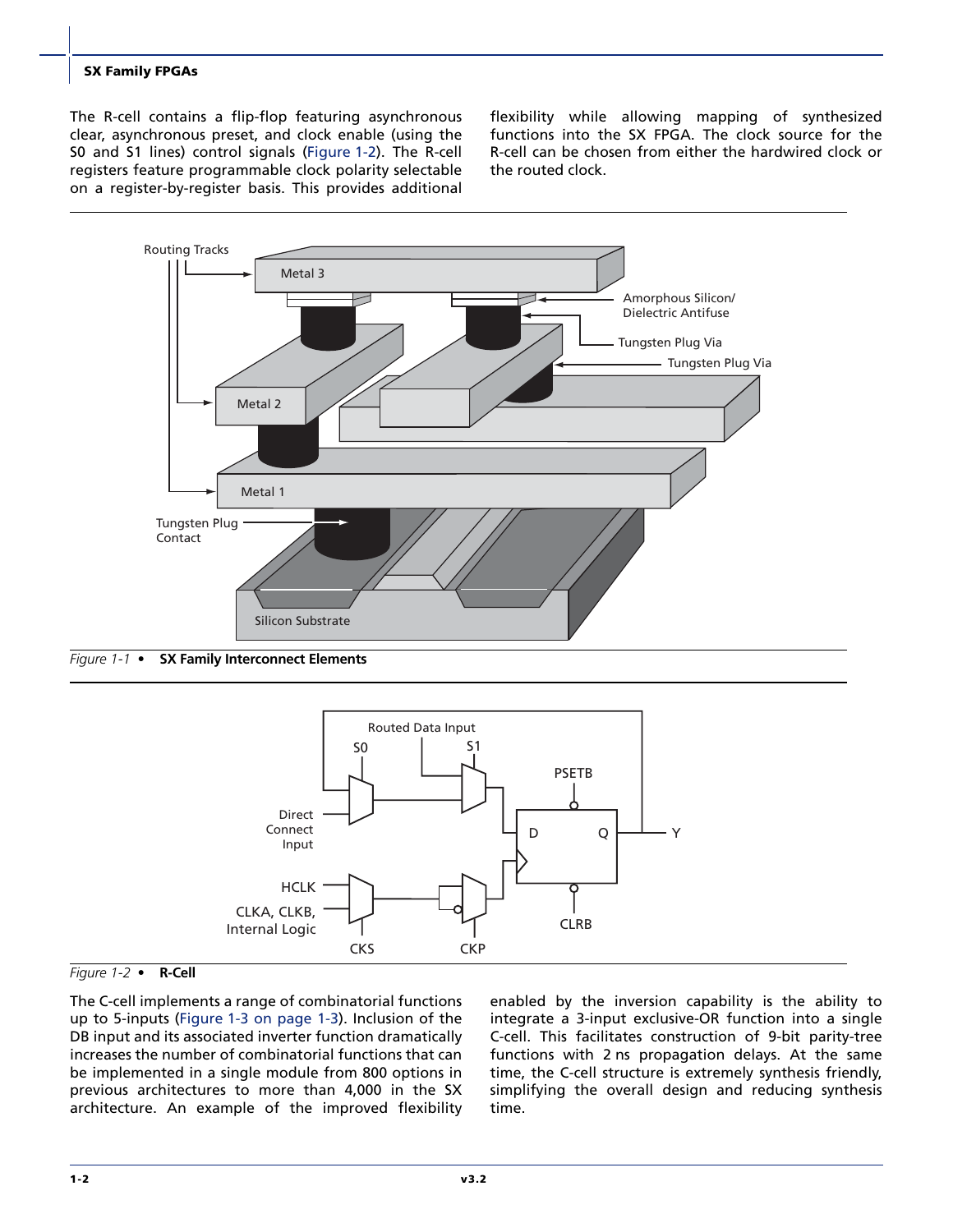The R-cell contains a flip-flop featuring asynchronous clear, asynchronous preset, and clock enable (using the S0 and S1 lines) control signals [\(Figure 1-2\)](#page-5-1). The R-cell registers feature programmable clock polarity selectable on a register-by-register basis. This provides additional flexibility while allowing mapping of synthesized functions into the SX FPGA. The clock source for the R-cell can be chosen from either the hardwired clock or the routed clock.



<span id="page-5-0"></span>*Figure 1-1 •* **SX Family Interconnect Elements**



<span id="page-5-1"></span>*Figure 1-2 •* **R-Cell**

The C-cell implements a range of combinatorial functions up to 5-inputs [\(Figure 1-3 on page 1-3\)](#page-6-0). Inclusion of the DB input and its associated inverter function dramatically increases the number of combinatorial functions that can be implemented in a single module from 800 options in previous architectures to more than 4,000 in the SX architecture. An example of the improved flexibility

enabled by the inversion capability is the ability to integrate a 3-input exclusive-OR function into a single C-cell. This facilitates construction of 9-bit parity-tree functions with 2 ns propagation delays. At the same time, the C-cell structure is extremely synthesis friendly, simplifying the overall design and reducing synthesis time.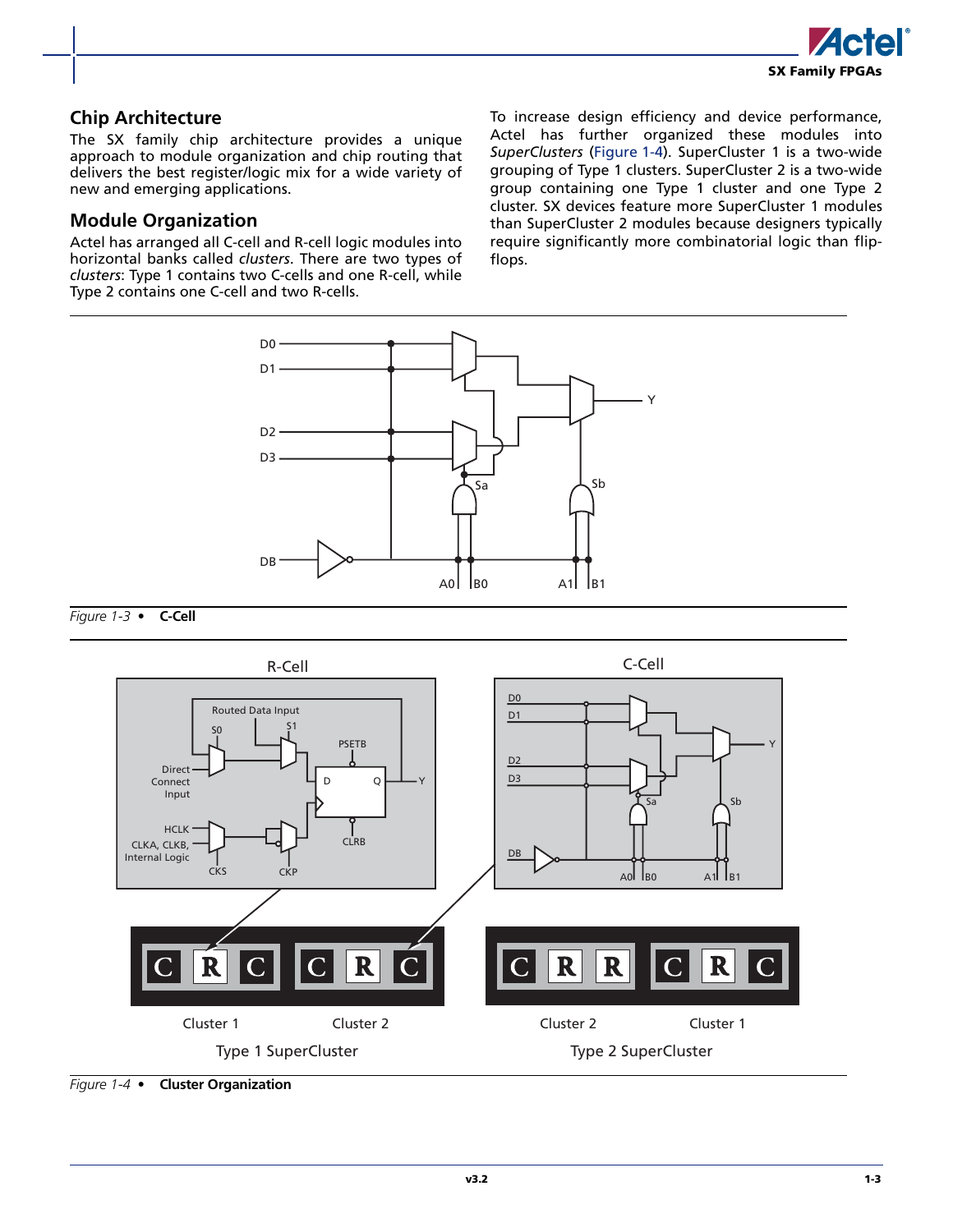

#### **Chip Architecture**

The SX family chip architecture provides a unique approach to module organization and chip routing that delivers the best register/logic mix for a wide variety of new and emerging applications.

#### **Module Organization**

Actel has arranged all C-cell and R-cell logic modules into horizontal banks called *clusters*. There are two types of *clusters*: Type 1 contains two C-cells and one R-cell, while Type 2 contains one C-cell and two R-cells.

To increase design efficiency and device performance, Actel has further organized these modules into *SuperClusters* ([Figure 1-4](#page-6-1)). SuperCluster 1 is a two-wide grouping of Type 1 clusters. SuperCluster 2 is a two-wide group containing one Type 1 cluster and one Type 2 cluster. SX devices feature more SuperCluster 1 modules than SuperCluster 2 modules because designers typically require significantly more combinatorial logic than flipflops.



<span id="page-6-0"></span>*Figure 1-3 •* **C-Cell**



<span id="page-6-1"></span>*Figure 1-4 •* **Cluster Organization**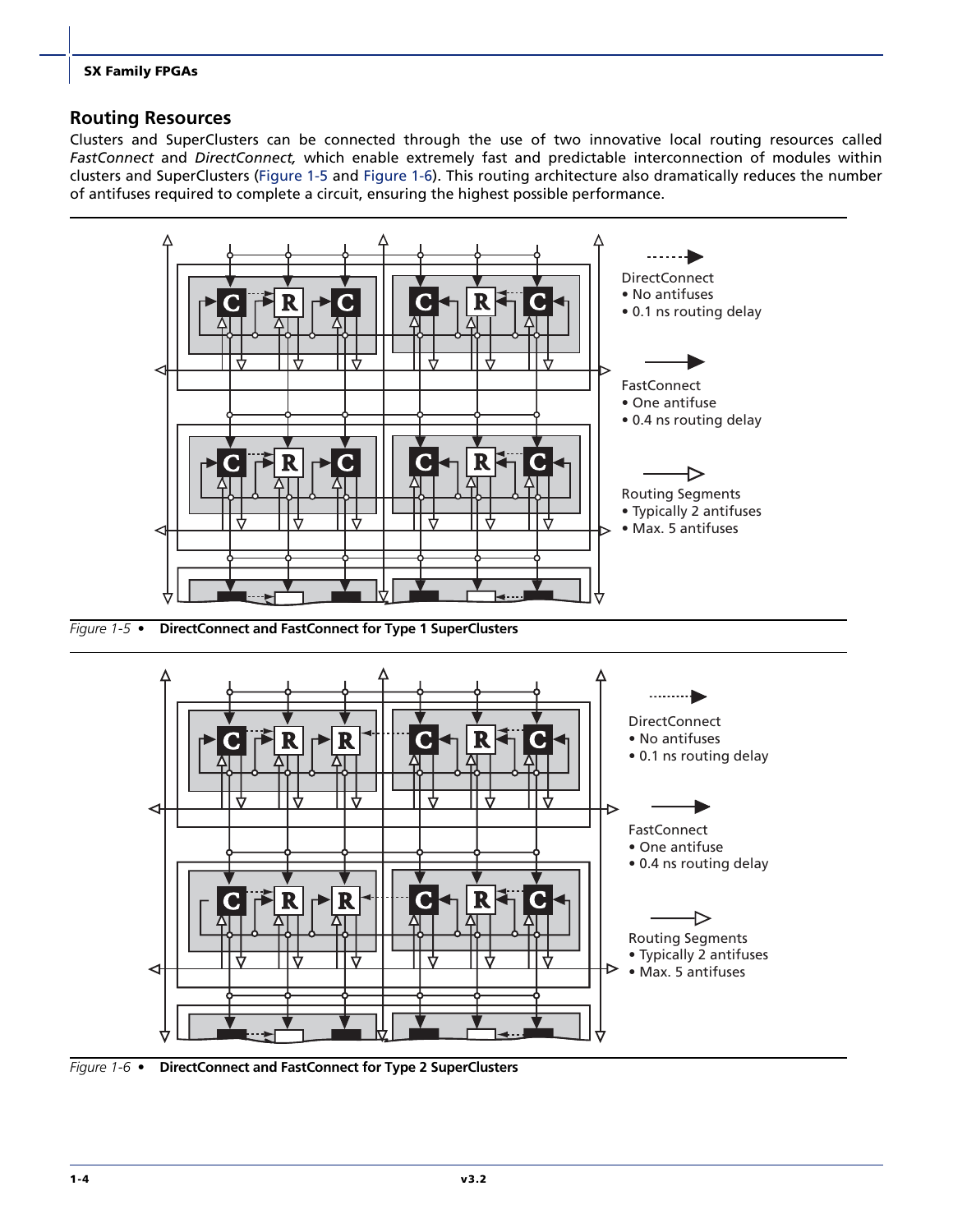#### **Routing Resources**

Clusters and SuperClusters can be connected through the use of two innovative local routing resources called *FastConnect* and *DirectConnect,* which enable extremely fast and predictable interconnection of modules within clusters and SuperClusters [\(Figure 1-5](#page-7-0) and [Figure 1-6\)](#page-7-1). This routing architecture also dramatically reduces the number of antifuses required to complete a circuit, ensuring the highest possible performance.



<span id="page-7-0"></span>*Figure 1-5 •* **DirectConnect and FastConnect for Type 1 SuperClusters**



<span id="page-7-1"></span>*Figure 1-6 •* **DirectConnect and FastConnect for Type 2 SuperClusters**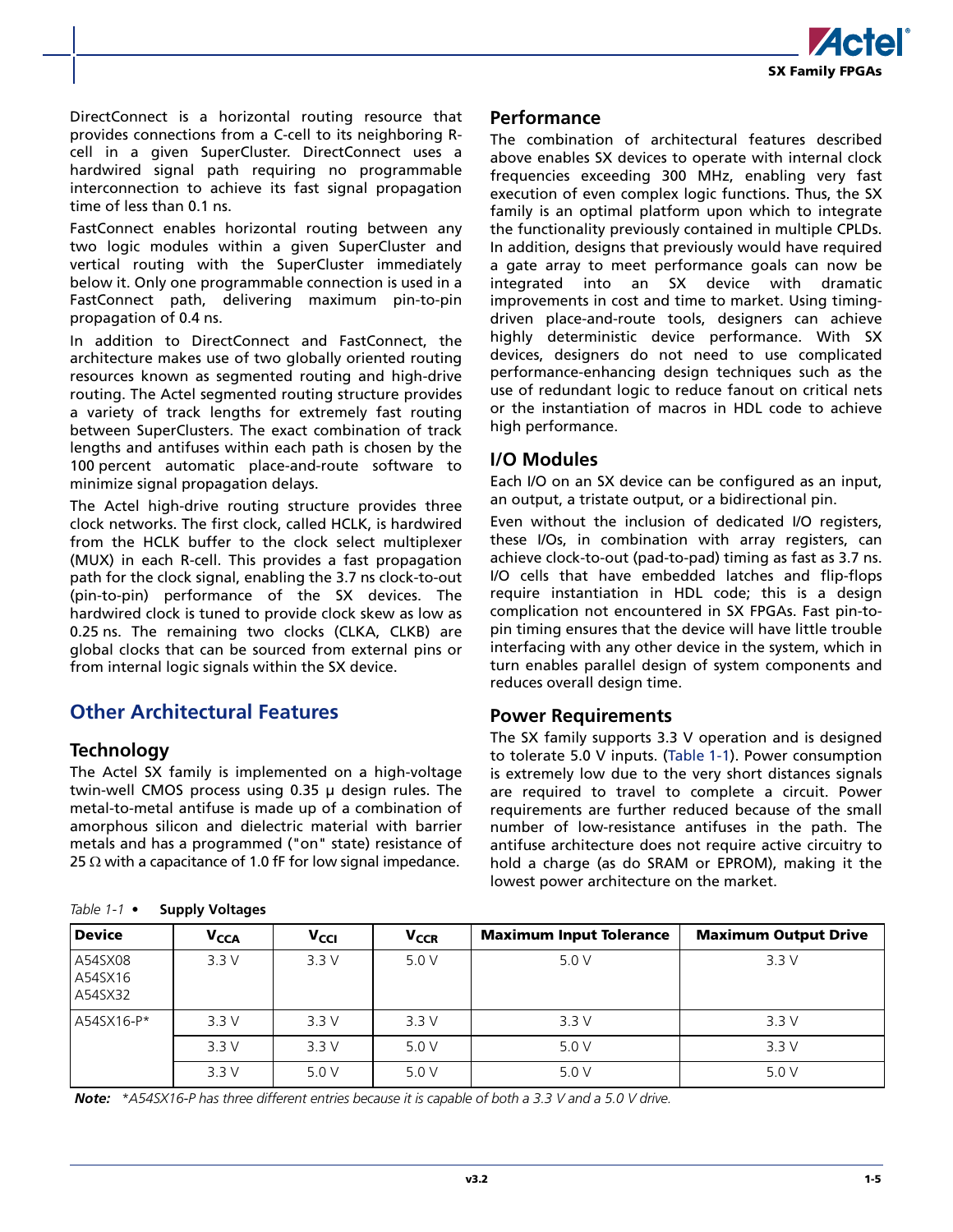

DirectConnect is a horizontal routing resource that provides connections from a C-cell to its neighboring Rcell in a given SuperCluster. DirectConnect uses a hardwired signal path requiring no programmable interconnection to achieve its fast signal propagation time of less than 0.1 ns.

FastConnect enables horizontal routing between any two logic modules within a given SuperCluster and vertical routing with the SuperCluster immediately below it. Only one programmable connection is used in a FastConnect path, delivering maximum pin-to-pin propagation of 0.4 ns.

In addition to DirectConnect and FastConnect, the architecture makes use of two globally oriented routing resources known as segmented routing and high-drive routing. The Actel segmented routing structure provides a variety of track lengths for extremely fast routing between SuperClusters. The exact combination of track lengths and antifuses within each path is chosen by the 100 percent automatic place-and-route software to minimize signal propagation delays.

The Actel high-drive routing structure provides three clock networks. The first clock, called HCLK, is hardwired from the HCLK buffer to the clock select multiplexer (MUX) in each R-cell. This provides a fast propagation path for the clock signal, enabling the 3.7 ns clock-to-out (pin-to-pin) performance of the SX devices. The hardwired clock is tuned to provide clock skew as low as 0.25 ns. The remaining two clocks (CLKA, CLKB) are global clocks that can be sourced from external pins or from internal logic signals within the SX device.

### **Other Architectural Features**

#### **Technology**

The Actel SX family is implemented on a high-voltage twin-well CMOS process using 0.35 µ design rules. The metal-to-metal antifuse is made up of a combination of amorphous silicon and dielectric material with barrier metals and has a programmed ("on" state) resistance of 25  $\Omega$  with a capacitance of 1.0 fF for low signal impedance.

<span id="page-8-1"></span><span id="page-8-0"></span>

| Table 1-1 $\bullet$ |  | <b>Supply Voltages</b> |
|---------------------|--|------------------------|
|---------------------|--|------------------------|

#### **Performance**

The combination of architectural features described above enables SX devices to operate with internal clock frequencies exceeding 300 MHz, enabling very fast execution of even complex logic functions. Thus, the SX family is an optimal platform upon which to integrate the functionality previously contained in multiple CPLDs. In addition, designs that previously would have required a gate array to meet performance goals can now be integrated into an SX device with dramatic improvements in cost and time to market. Using timingdriven place-and-route tools, designers can achieve highly deterministic device performance. With SX devices, designers do not need to use complicated performance-enhancing design techniques such as the use of redundant logic to reduce fanout on critical nets or the instantiation of macros in HDL code to achieve high performance.

#### **I/O Modules**

Each I/O on an SX device can be configured as an input, an output, a tristate output, or a bidirectional pin.

Even without the inclusion of dedicated I/O registers, these I/Os, in combination with array registers, can achieve clock-to-out (pad-to-pad) timing as fast as 3.7 ns. I/O cells that have embedded latches and flip-flops require instantiation in HDL code; this is a design complication not encountered in SX FPGAs. Fast pin-topin timing ensures that the device will have little trouble interfacing with any other device in the system, which in turn enables parallel design of system components and reduces overall design time.

#### **Power Requirements**

The SX family supports 3.3 V operation and is designed to tolerate 5.0 V inputs. [\(Table 1-1](#page-8-0)). Power consumption is extremely low due to the very short distances signals are required to travel to complete a circuit. Power requirements are further reduced because of the small number of low-resistance antifuses in the path. The antifuse architecture does not require active circuitry to hold a charge (as do SRAM or EPROM), making it the lowest power architecture on the market.

| <b>Device</b>                 | <b>V<sub>CCA</sub></b> | <b>V<sub>CCI</sub></b> | <b>V<sub>CCR</sub></b> | <b>Maximum Input Tolerance</b> | <b>Maximum Output Drive</b> |
|-------------------------------|------------------------|------------------------|------------------------|--------------------------------|-----------------------------|
| A54SX08<br>A54SX16<br>A54SX32 | 3.3V                   | 3.3V                   | 5.0 V                  | 5.0 V                          | 3.3V                        |
| A54SX16-P*                    | 3.3V                   | 3.3V                   | 3.3V                   | 3.3V                           | 3.3V                        |
|                               | 3.3V                   | 3.3V                   | 5.0 V                  | 5.0 V                          | 3.3V                        |
|                               | 3.3V                   | 5.0V                   | 5.0V                   | 5.0 V                          | 5.0 V                       |

*Note: \*A54SX16-P has three different entries because it is capable of both a 3.3 V and a 5.0 V drive.*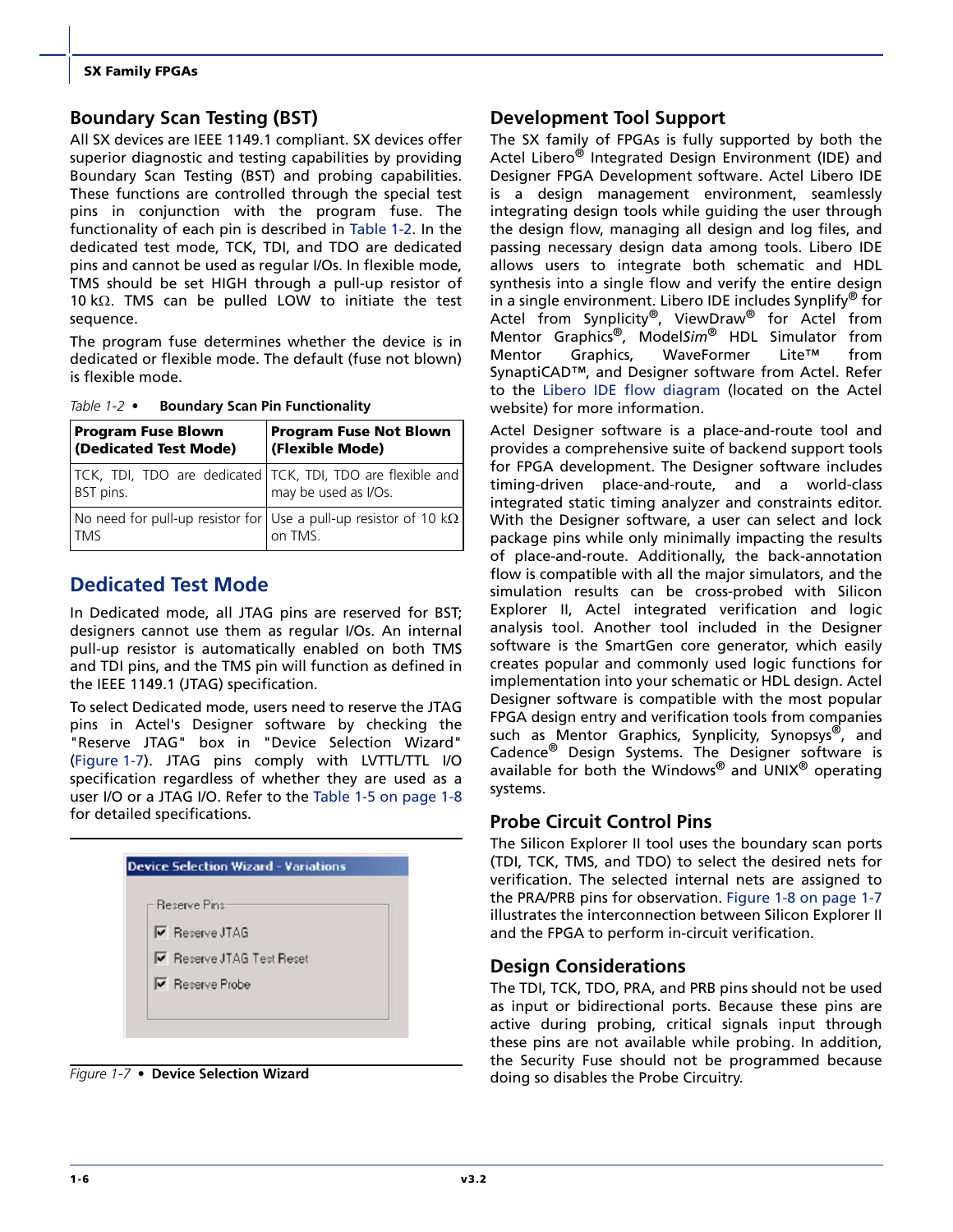#### **Boundary Scan Testing (BST)**

All SX devices are IEEE 1149.1 compliant. SX devices offer superior diagnostic and testing capabilities by providing Boundary Scan Testing (BST) and probing capabilities. These functions are controlled through the special test pins in conjunction with the program fuse. The functionality of each pin is described in [Table 1-2.](#page-9-0) In the dedicated test mode, TCK, TDI, and TDO are dedicated pins and cannot be used as regular I/Os. In flexible mode, TMS should be set HIGH through a pull-up resistor of 10 kΩ. TMS can be pulled LOW to initiate the test sequence.

The program fuse determines whether the device is in dedicated or flexible mode. The default (fuse not blown) is flexible mode.

| <b>Program Fuse Blown</b><br>(Dedicated Test Mode)                                     | <b>Program Fuse Not Blown</b><br>(Flexible Mode) |
|----------------------------------------------------------------------------------------|--------------------------------------------------|
| TCK, TDI, TDO are dedicated TCK, TDI, TDO are flexible and<br>BST pins.                | may be used as I/Os.                             |
| No need for pull-up resistor for Use a pull-up resistor of 10 k $\Omega$<br><b>TMS</b> | on TMS.                                          |

<span id="page-9-0"></span>*Table 1-2 •* **Boundary Scan Pin Functionality**

### <span id="page-9-2"></span>**Dedicated Test Mode**

In Dedicated mode, all JTAG pins are reserved for BST; designers cannot use them as regular I/Os. An internal pull-up resistor is automatically enabled on both TMS and TDI pins, and the TMS pin will function as defined in the IEEE 1149.1 (JTAG) specification.

To select Dedicated mode, users need to reserve the JTAG pins in Actel's Designer software by checking the "Reserve JTAG" box in "Device Selection Wizard" [\(Figure 1-7](#page-9-1)). JTAG pins comply with LVTTL/TTL I/O specification regardless of whether they are used as a user I/O or a JTAG I/O. Refer to the [Table 1-5 on page 1-8](#page-11-0) for detailed specifications.



<span id="page-9-1"></span>*Figure 1-7 •* **Device Selection Wizard**

#### **Development Tool Support**

The SX family of FPGAs is fully supported by both the Actel Libero<sup>®</sup> Integrated Design Environment (IDE) and Designer FPGA Development software. Actel Libero IDE is a design management environment, seamlessly integrating design tools while guiding the user through the design flow, managing all design and log files, and passing necessary design data among tools. Libero IDE allows users to integrate both schematic and HDL synthesis into a single flow and verify the entire design in a single environment. Libero IDE includes Synplify<sup>®</sup> for Actel from Synplicity<sup>®</sup>, ViewDraw<sup>®</sup> for Actel from Mentor Graphics®, Model*Sim*® HDL Simulator from Mentor Graphics, WaveFormer Lite™ from SynaptiCAD™, and Designer software from Actel. Refer to the [Libero IDE flow diagram](http://www.actel.com/products/tools/libero/flow.html) (located on the Actel website) for more information.

Actel Designer software is a place-and-route tool and provides a comprehensive suite of backend support tools for FPGA development. The Designer software includes timing-driven place-and-route, and a world-class integrated static timing analyzer and constraints editor. With the Designer software, a user can select and lock package pins while only minimally impacting the results of place-and-route. Additionally, the back-annotation flow is compatible with all the major simulators, and the simulation results can be cross-probed with Silicon Explorer II, Actel integrated verification and logic analysis tool. Another tool included in the Designer software is the SmartGen core generator, which easily creates popular and commonly used logic functions for implementation into your schematic or HDL design. Actel Designer software is compatible with the most popular FPGA design entry and verification tools from companies such as Mentor Graphics, Synplicity, Synopsys<sup>®</sup>, and Cadence® Design Systems. The Designer software is available for both the Windows® and UNIX® operating systems.

#### <span id="page-9-3"></span>**Probe Circuit Control Pins**

The Silicon Explorer II tool uses the boundary scan ports (TDI, TCK, TMS, and TDO) to select the desired nets for verification. The selected internal nets are assigned to the PRA/PRB pins for observation. [Figure 1-8 on page 1-7](#page-10-2) illustrates the interconnection between Silicon Explorer II and the FPGA to perform in-circuit verification.

#### **Design Considerations**

The TDI, TCK, TDO, PRA, and PRB pins should not be used as input or bidirectional ports. Because these pins are active during probing, critical signals input through these pins are not available while probing. In addition, the Security Fuse should not be programmed because doing so disables the Probe Circuitry.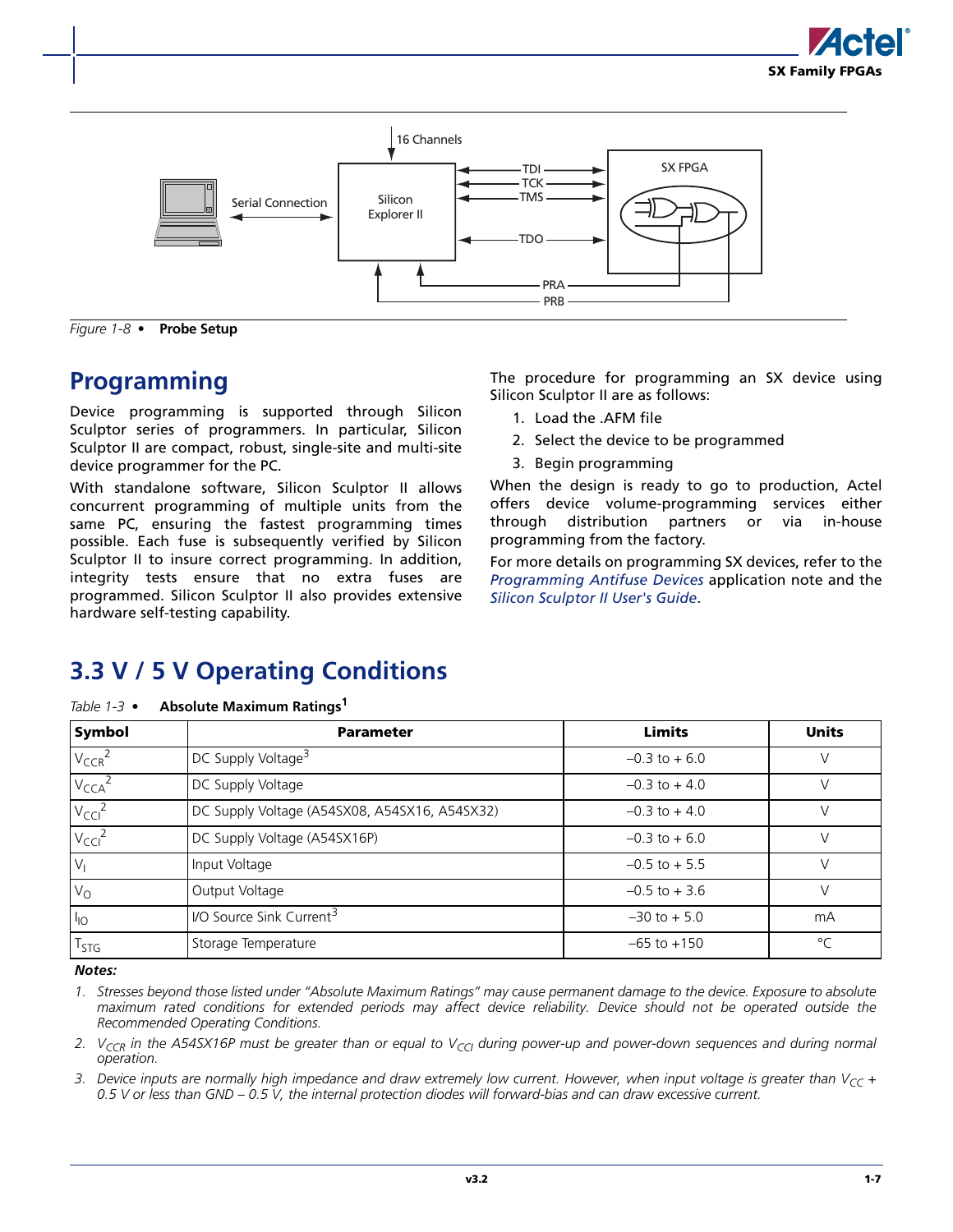



<span id="page-10-2"></span>*Figure 1-8 •* **Probe Setup**

## <span id="page-10-4"></span><span id="page-10-0"></span>**Programming**

Device programming is supported through Silicon Sculptor series of programmers. In particular, Silicon Sculptor II are compact, robust, single-site and multi-site device programmer for the PC.

With standalone software, Silicon Sculptor II allows concurrent programming of multiple units from the same PC, ensuring the fastest programming times possible. Each fuse is subsequently verified by Silicon Sculptor II to insure correct programming. In addition, integrity tests ensure that no extra fuses are programmed. Silicon Sculptor II also provides extensive hardware self-testing capability.

The procedure for programming an SX device using Silicon Sculptor II are as follows:

- 1. Load the .AFM file
- 2. Select the device to be programmed
- 3. Begin programming

When the design is ready to go to production, Actel offers device volume-programming services either through distribution partners or via in-house programming from the factory.

For more details on programming SX devices, refer to the *[Programming Antifuse Devices](http://www.actel.com/documents/AntifuseProgram_AN.pdf)* application note and the *[Silicon Sculptor II User's Guide](http://www.actel.com/documents/SiliSculptII_WIN_ug.pdf)*.

## <span id="page-10-1"></span>**3.3 V / 5 V Operating Conditions**

| <b>Symbol</b>      | <b>Parameter</b>                              | <b>Limits</b>    | <b>Units</b> |
|--------------------|-----------------------------------------------|------------------|--------------|
| $V_{CCR}^2$        | DC Supply Voltage <sup>3</sup>                | $-0.3$ to $+6.0$ |              |
| $V_{\text{CCA}}^2$ | DC Supply Voltage                             | $-0.3$ to $+4.0$ |              |
| $V_{\text{CCI}}^2$ | DC Supply Voltage (A54SX08, A54SX16, A54SX32) | $-0.3$ to $+4.0$ |              |
| $V_{\text{CCI}}^2$ | DC Supply Voltage (A54SX16P)                  | $-0.3$ to $+6.0$ |              |
| $V_1$              | Input Voltage                                 | $-0.5$ to $+5.5$ |              |
| $V_{\rm O}$        | Output Voltage                                | $-0.5$ to $+3.6$ |              |
| $I_{10}$           | I/O Source Sink Current <sup>3</sup>          | $-30$ to $+5.0$  | mA           |
| T <sub>STG</sub>   | Storage Temperature                           | $-65$ to $+150$  | $\circ$      |

<span id="page-10-3"></span>*Table 1-3 •* **Absolute Maximum Ratings1**

*Notes:*

*1. Stresses beyond those listed under "Absolute Maximum Ratings" may cause permanent damage to the device. Exposure to absolute maximum rated conditions for extended periods may affect device reliability. Device should not be operated outside the Recommended Operating Conditions.*

2. V<sub>CCR</sub> in the A54SX16P must be greater than or equal to V<sub>CCI</sub> during power-up and power-down sequences and during normal *operation.*

3. Device inputs are normally high impedance and draw extremely low current. However, when input voltage is greater than  $V_{CC}$  + *0.5 V or less than GND – 0.5 V, the internal protection diodes will forward-bias and can draw excessive current.*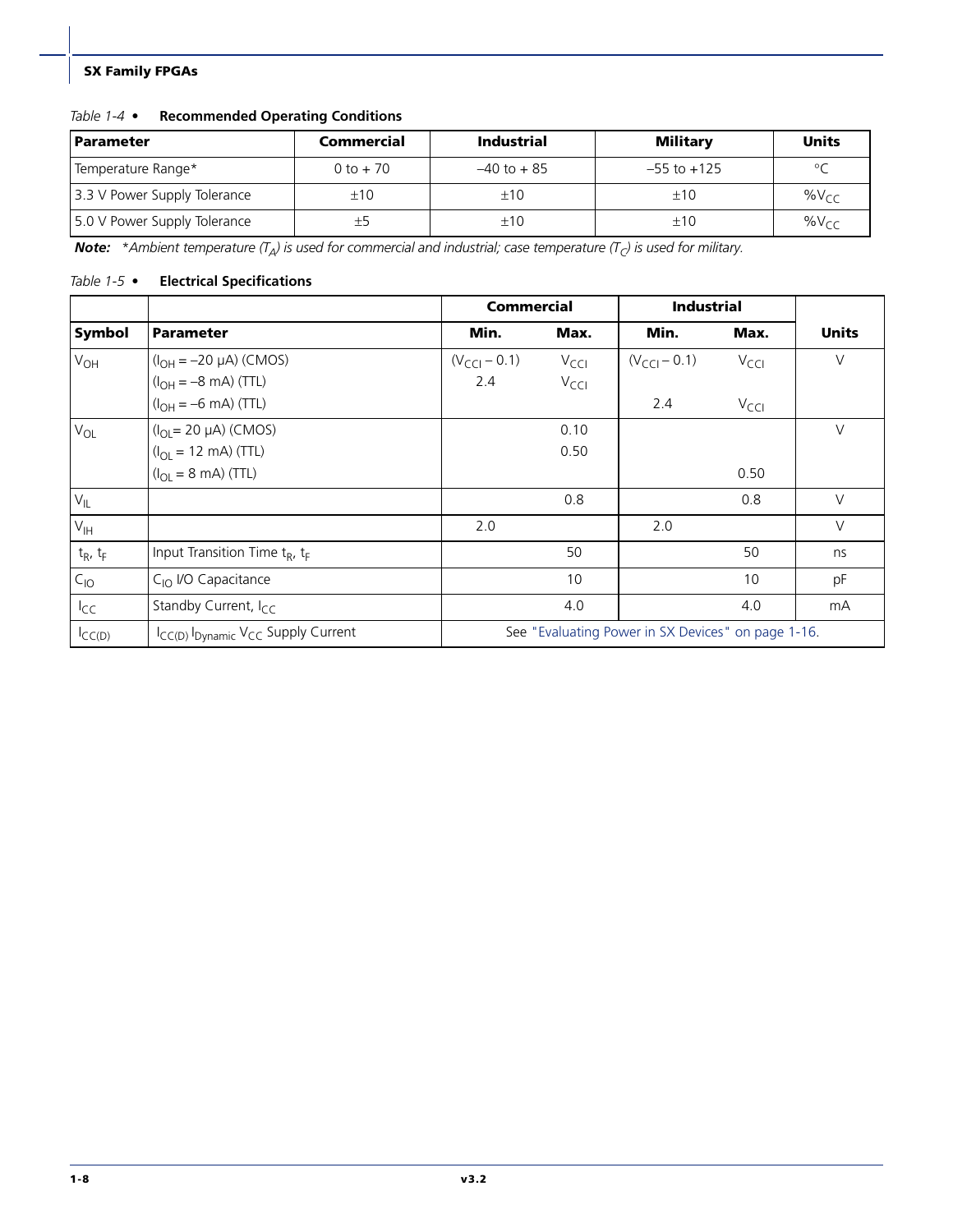#### *Table 1-4 •* **Recommended Operating Conditions**

| <b>Parameter</b>             | Commercial  | <b>Industrial</b> | <b>Military</b> | <b>Units</b> |
|------------------------------|-------------|-------------------|-----------------|--------------|
| Temperature Range*           | $0 to + 70$ | $-40$ to $+85$    | $-55$ to $+125$ | $\circ$      |
| 3.3 V Power Supply Tolerance | ±10         | ±10               | ±10             | $\%V_{CC}$   |
| 5.0 V Power Supply Tolerance |             | ±10               | ±10             | $\%V_{CC}$   |

**Note:** \*Ambient temperature  $(T_A)$  is used for commercial and industrial; case temperature  $(T_C)$  is used for military.

#### <span id="page-11-0"></span>*Table 1-5 •* **Electrical Specifications**

|               |                                                                        | <b>Commercial</b><br><b>Industrial</b> |                  |                                                    |                  |              |
|---------------|------------------------------------------------------------------------|----------------------------------------|------------------|----------------------------------------------------|------------------|--------------|
| Symbol        | <b>Parameter</b>                                                       | Min.                                   | Max.             | Min.                                               | Max.             | <b>Units</b> |
| $V_{OH}$      | $(I_{OH} = -20 \mu A)$ (CMOS)                                          | $(V_{\text{CCI}} - 0.1)$               | $V_{\text{CCl}}$ | $(V_{\text{CCI}} - 0.1)$                           | $V_{\text{CCI}}$ | $\vee$       |
|               | $(I_{OH} = -8 \text{ mA})$ (TTL)                                       | 2.4                                    | $V_{\text{CC}}$  |                                                    |                  |              |
|               | $(I_{OH} = -6 \text{ mA})$ (TTL)                                       |                                        |                  | 2.4                                                | $V_{\text{CC}}$  |              |
| $V_{OL}$      | $(I_{OL} = 20 \mu A)$ (CMOS)                                           |                                        | 0.10             |                                                    |                  | $\vee$       |
|               | $(I_{OL} = 12 \text{ mA})$ (TTL)                                       |                                        | 0.50             |                                                    |                  |              |
|               | $(I_{\text{OI}} = 8 \text{ mA})$ (TTL)                                 |                                        |                  |                                                    | 0.50             |              |
| $V_{IL}$      |                                                                        |                                        | 0.8              |                                                    | 0.8              | $\vee$       |
| $V_{IH}$      |                                                                        | 2.0                                    |                  | 2.0                                                |                  | $\vee$       |
| $t_R$ , $t_F$ | Input Transition Time $t_R$ , $t_F$                                    |                                        | 50               |                                                    | 50               | ns           |
| $C_{10}$      | C <sub>IO</sub> I/O Capacitance                                        |                                        | 10               |                                                    | 10               | pF           |
| $I_{CC}$      | Standby Current, I <sub>CC</sub>                                       |                                        | 4.0              |                                                    | 4.0              | mA           |
| $I_{CC(D)}$   | I <sub>CC(D)</sub> I <sub>Dynamic</sub> V <sub>CC</sub> Supply Current |                                        |                  | See "Evaluating Power in SX Devices" on page 1-16. |                  |              |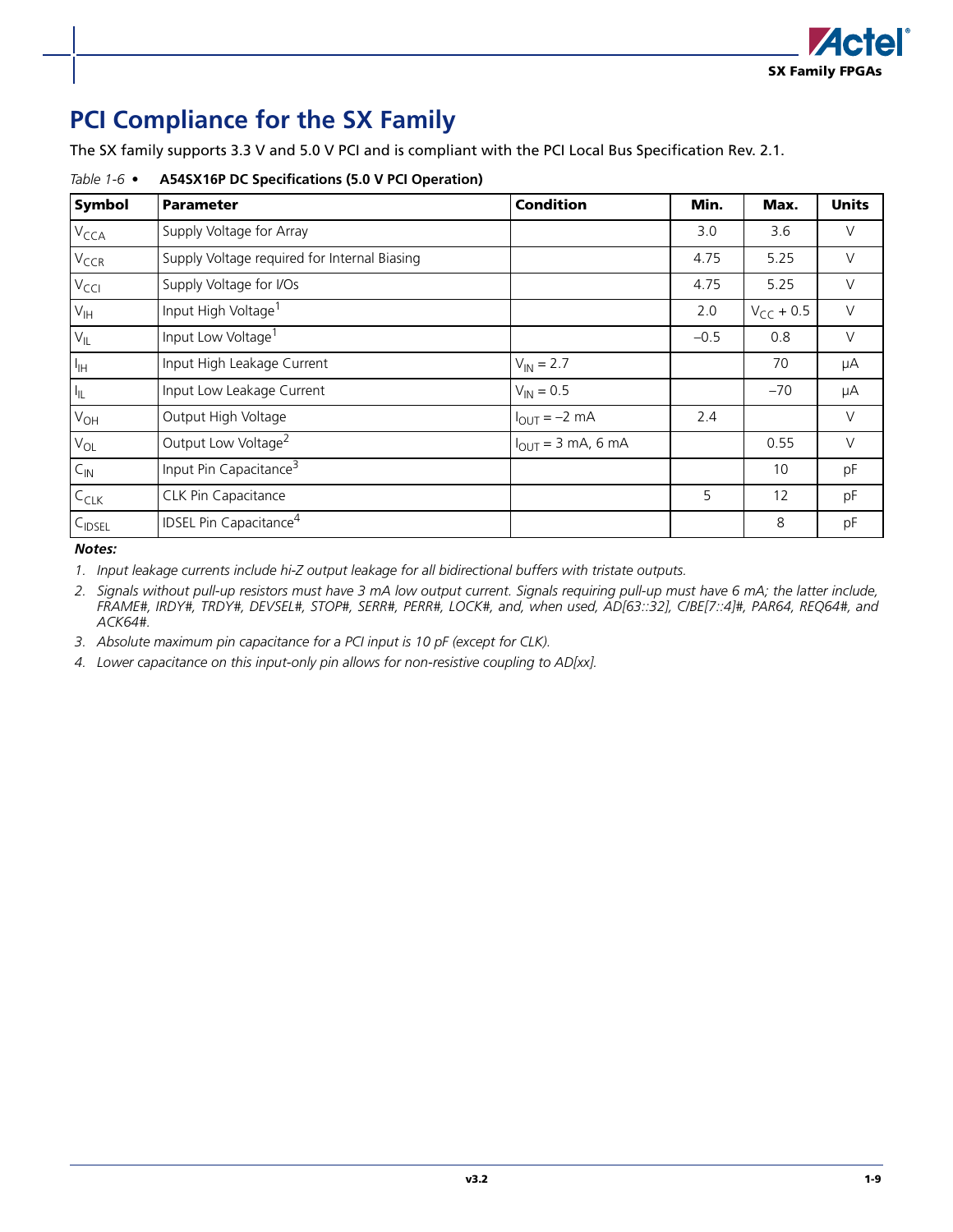

## <span id="page-12-0"></span>**PCI Compliance for the SX Family**

The SX family supports 3.3 V and 5.0 V PCI and is compliant with the PCI Local Bus Specification Rev. 2.1.

| Symbol                     | <b>Parameter</b>                             | <b>Condition</b>                 | Min.   | Max.           | <b>Units</b> |
|----------------------------|----------------------------------------------|----------------------------------|--------|----------------|--------------|
| $V_{\text{CCA}}$           | Supply Voltage for Array                     |                                  | 3.0    | 3.6            | $\vee$       |
| V <sub>CCR</sub>           | Supply Voltage required for Internal Biasing |                                  | 4.75   | 5.25           | $\vee$       |
| $V_{\text{CCI}}$           | Supply Voltage for I/Os                      |                                  | 4.75   | 5.25           | $\vee$       |
| $V_{\text{IH}}$            | Input High Voltage <sup>1</sup>              |                                  | 2.0    | $V_{CC}$ + 0.5 | $\vee$       |
| $V_{IL}$                   | Input Low Voltage <sup>1</sup>               |                                  | $-0.5$ | 0.8            | $\vee$       |
| $I_{\rm IH}$               | Input High Leakage Current                   | $V_{IN} = 2.7$                   |        | 70             | μA           |
| $I_{\parallel L}$          | Input Low Leakage Current                    | $V_{IN} = 0.5$                   |        | $-70$          | μA           |
| $V_{OH}$                   | Output High Voltage                          | $I_{\text{OUT}} = -2 \text{ mA}$ | 2.4    |                | $\vee$       |
| $V_{OL}$                   | Output Low Voltage <sup>2</sup>              | $I_{OUT} = 3$ mA, 6 mA           |        | 0.55           | $\vee$       |
| $\mathsf{C}_{\mathsf{IN}}$ | Input Pin Capacitance <sup>3</sup>           |                                  |        | 10             | pF           |
| $C_{CLK}$                  | CLK Pin Capacitance                          |                                  | 5      | 12             | pF           |
| C <sub>IDSEL</sub>         | <b>IDSEL Pin Capacitance<sup>4</sup></b>     |                                  |        | 8              | pF           |

#### *Table 1-6 •* **A54SX16P DC Specifications (5.0 V PCI Operation)**

*Notes:*

*1. Input leakage currents include hi-Z output leakage for all bidirectional buffers with tristate outputs.*

*2. Signals without pull-up resistors must have 3 mA low output current. Signals requiring pull-up must have 6 mA; the latter include, FRAME#, IRDY#, TRDY#, DEVSEL#, STOP#, SERR#, PERR#, LOCK#, and, when used, AD[63::32], C/BE[7::4]#, PAR64, REQ64#, and ACK64#.*

*3. Absolute maximum pin capacitance for a PCI input is 10 pF (except for CLK).*

*4. Lower capacitance on this input-only pin allows for non-resistive coupling to AD[xx].*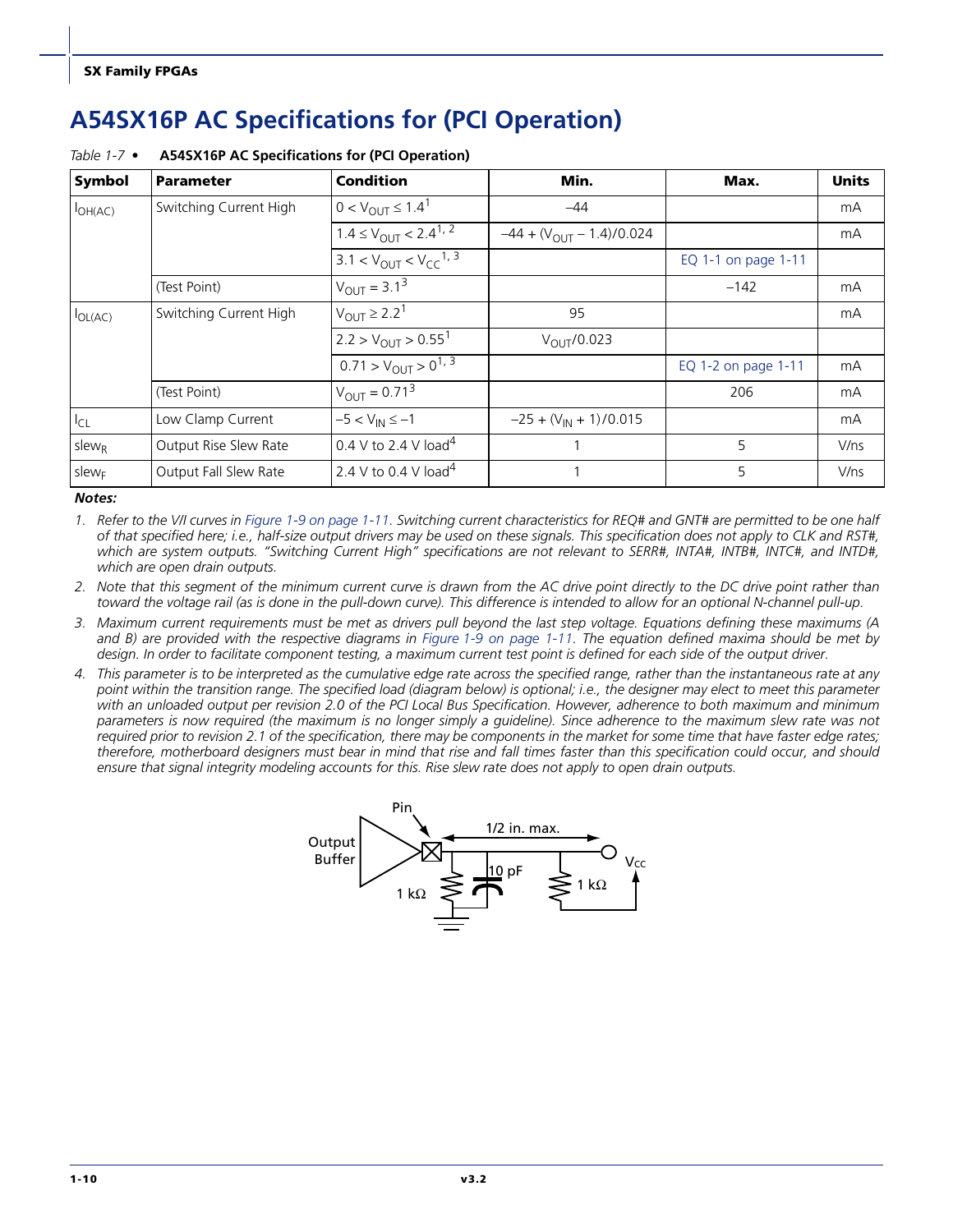## <span id="page-13-0"></span>**A54SX16P AC Specifications for (PCI Operation)**

| Symbol            | <b>Parameter</b>       | <b>Condition</b>                             | Min.                           | Max.                | <b>Units</b> |
|-------------------|------------------------|----------------------------------------------|--------------------------------|---------------------|--------------|
| $I_{OH(AC)}$      | Switching Current High | $0 < V_{OUIT} \le 1.4^1$                     | $-44$                          |                     | mA           |
|                   |                        | $1.4 \leq V_{\text{OUT}} < 2.4^{1.2}$        | $-44 + (V_{OUIT} - 1.4)/0.024$ |                     | mA           |
|                   |                        | $3.1 < V_{\text{OUT}} < V_{\text{CC}}^{1,3}$ |                                | EQ 1-1 on page 1-11 |              |
|                   | (Test Point)           | $V_{OUT} = 3.1^{3}$                          |                                | $-142$              | mA           |
| $I_{OL(AC)}$      | Switching Current High | $V_{OUT} \ge 2.2^1$                          | 95                             |                     | mA           |
|                   |                        | $2.2 > V_{\text{OUT}} > 0.55^1$              | $V_{\text{OUT}}/0.023$         |                     |              |
|                   |                        | $0.71 > V_{\text{OUT}} > 0^{1,3}$            |                                | EQ 1-2 on page 1-11 | mA           |
|                   | (Test Point)           | $V_{\text{OUT}} = 0.71^3$                    |                                | 206                 | mA           |
| $I_{CL}$          | Low Clamp Current      | $-5 < V_{IN} \le -1$                         | $-25 + (V_{IN} + 1)/0.015$     |                     | mA           |
| $s$ lew $R$       | Output Rise Slew Rate  | 0.4 V to 2.4 V load <sup>4</sup>             |                                | 5                   | V/ns         |
| slew <sub>F</sub> | Output Fall Slew Rate  | 2.4 V to 0.4 V load <sup>4</sup>             |                                | 5                   | V/ns         |

#### *Table 1-7 •* **A54SX16P AC Specifications for (PCI Operation)**

*Notes:*

*1. Refer to the V/I curves in [Figure 1-9 on page 1-11](#page-14-2). Switching current characteristics for REQ# and GNT# are permitted to be one half of that specified here; i.e., half-size output drivers may be used on these signals. This specification does not apply to CLK and RST#, which are system outputs. "Switching Current High" specifications are not relevant to SERR#, INTA#, INTB#, INTC#, and INTD#, which are open drain outputs.*

*2. Note that this segment of the minimum current curve is drawn from the AC drive point directly to the DC drive point rather than toward the voltage rail (as is done in the pull-down curve). This difference is intended to allow for an optional N-channel pull-up.*

*3. Maximum current requirements must be met as drivers pull beyond the last step voltage. Equations defining these maximums (A* and B) are provided with the respective diagrams in [Figure 1-9 on page 1-11](#page-14-2). The equation defined maxima should be met by *design. In order to facilitate component testing, a maximum current test point is defined for each side of the output driver.*

*4. This parameter is to be interpreted as the cumulative edge rate across the specified range, rather than the instantaneous rate at any point within the transition range. The specified load (diagram below) is optional; i.e., the designer may elect to meet this parameter with an unloaded output per revision 2.0 of the PCI Local Bus Specification. However, adherence to both maximum and minimum parameters is now required (the maximum is no longer simply a guideline). Since adherence to the maximum slew rate was not required prior to revision 2.1 of the specification, there may be components in the market for some time that have faster edge rates; therefore, motherboard designers must bear in mind that rise and fall times faster than this specification could occur, and should ensure that signal integrity modeling accounts for this. Rise slew rate does not apply to open drain outputs.*

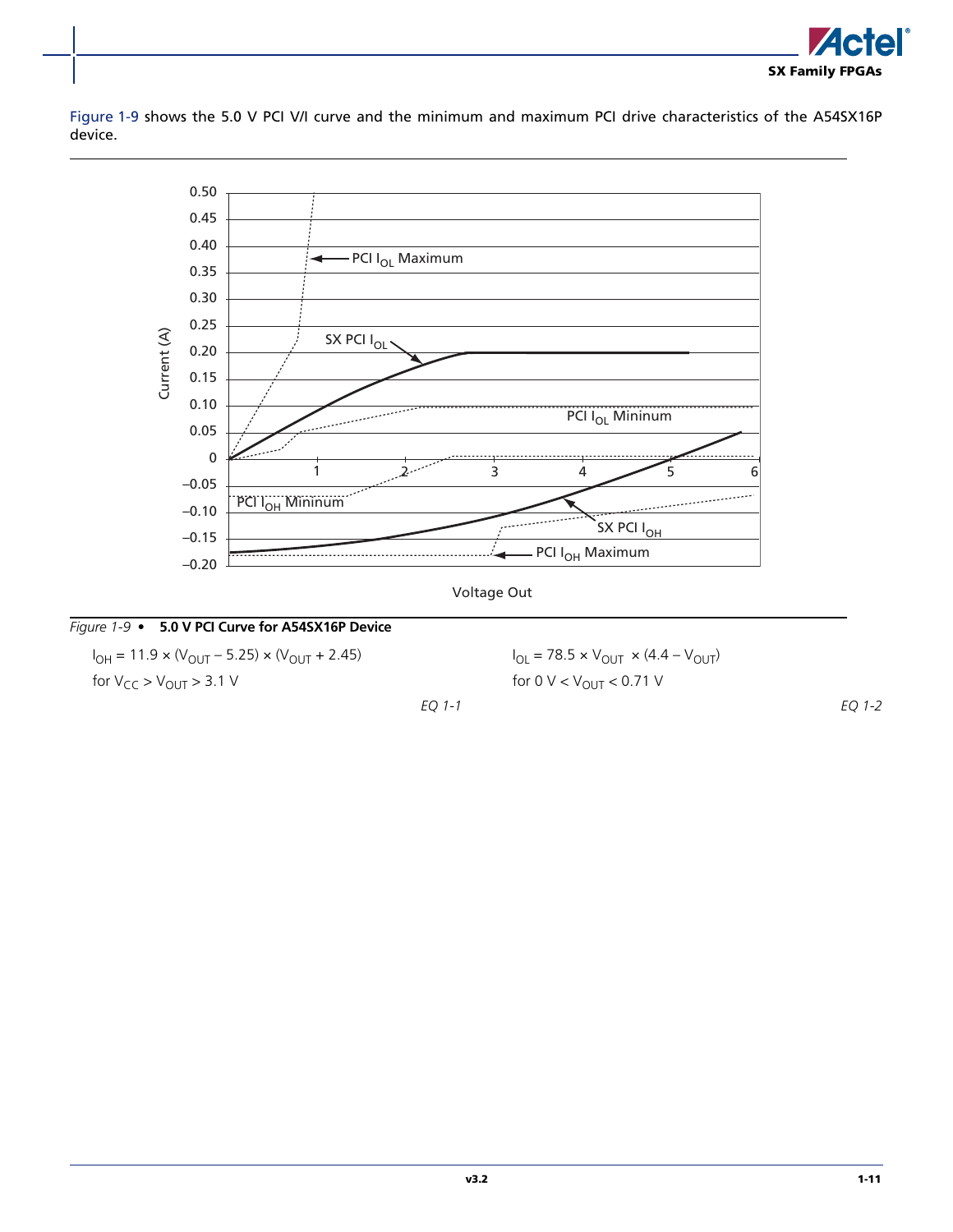

[Figure 1-9](#page-14-2) shows the 5.0 V PCI V/I curve and the minimum and maximum PCI drive characteristics of the A54SX16P device.



### <span id="page-14-2"></span>*Figure 1-9 •* **5.0 V PCI Curve for A54SX16P Device**

<span id="page-14-0"></span>I<sub>OH</sub> = 11.9 × (V<sub>OUT</sub> – 5.25) × (V<sub>OUT</sub> + 2.45) for  $V_{CC}$  >  $V_{OUT}$  > 3.1 V

<span id="page-14-1"></span> $I_{OL}$  = 78.5 × V<sub>OUT</sub> × (4.4 – V<sub>OUT</sub>) for 0  $V < V_{OUT} < 0.71 V$ 

*EQ 1-1*

*EQ 1-2*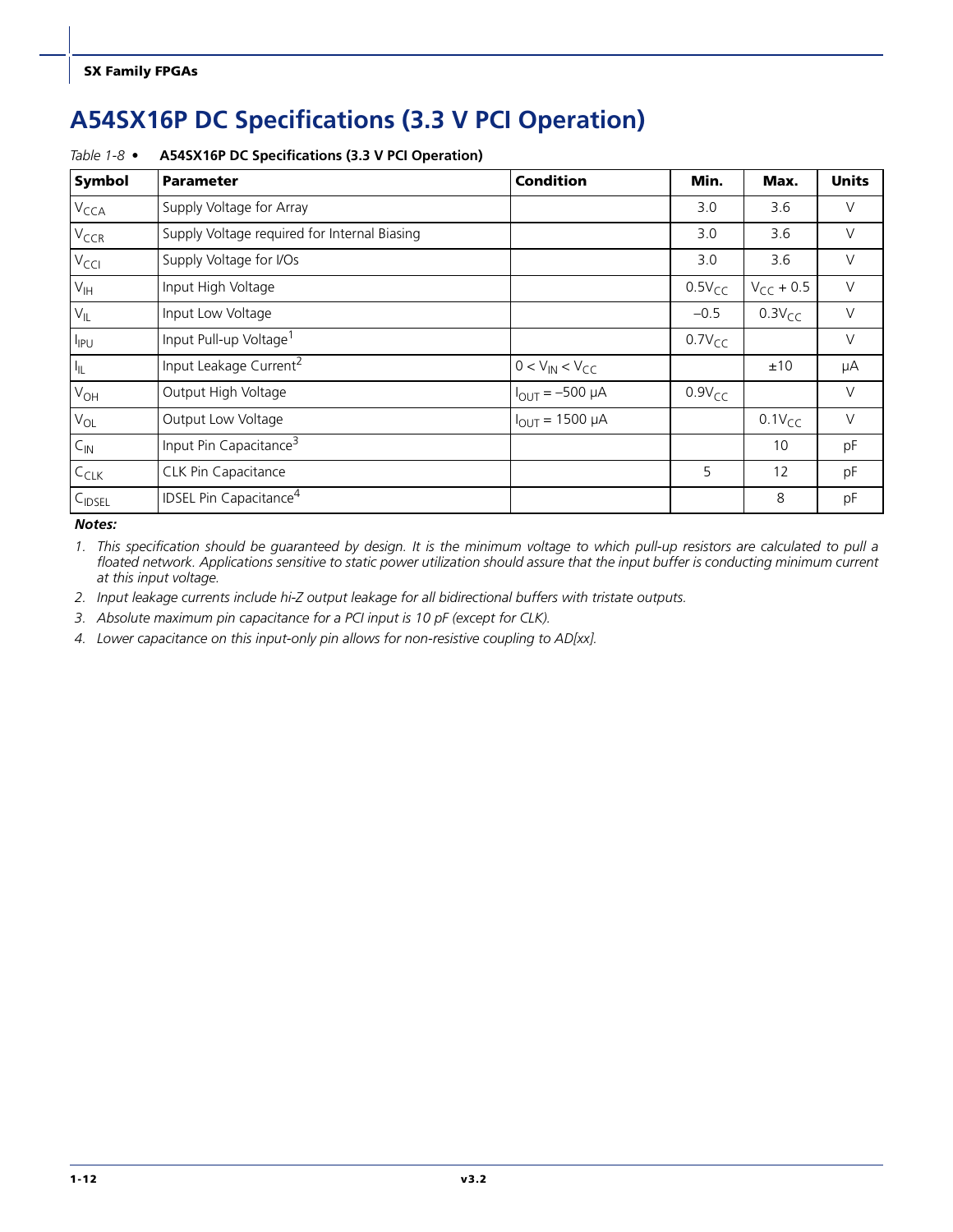## <span id="page-15-0"></span>**A54SX16P DC Specifications (3.3 V PCI Operation)**

| Symbol             | <b>Parameter</b>                             | <b>Condition</b>       | Min.        | Max.           | <b>Units</b> |
|--------------------|----------------------------------------------|------------------------|-------------|----------------|--------------|
| V <sub>CCA</sub>   | Supply Voltage for Array                     |                        | 3.0         | 3.6            | $\vee$       |
| V <sub>CCR</sub>   | Supply Voltage required for Internal Biasing |                        | 3.0         | 3.6            | $\vee$       |
| V <sub>CCI</sub>   | Supply Voltage for I/Os                      |                        | 3.0         | 3.6            | $\vee$       |
| $V_{\text{IH}}$    | Input High Voltage                           |                        | $0.5V_{CC}$ | $V_{CC}$ + 0.5 | $\vee$       |
| $V_{IL}$           | Input Low Voltage                            |                        | $-0.5$      | $0.3V_{CC}$    | $\vee$       |
| $I_{IPU}$          | Input Pull-up Voltage <sup>1</sup>           |                        | $0.7V_{CC}$ |                | $\vee$       |
| $I_{\parallel L}$  | Input Leakage Current <sup>2</sup>           | $0 < V_{IN} < V_{CC}$  |             | ±10            | μA           |
| $V_{OH}$           | Output High Voltage                          | $I_{OUT} = -500 \mu A$ | $0.9V_{CC}$ |                | $\vee$       |
| $V_{OL}$           | Output Low Voltage                           | $I_{OUT} = 1500 \mu A$ |             | $0.1V_{CC}$    | $\vee$       |
| $C_{\text{IN}}$    | Input Pin Capacitance <sup>3</sup>           |                        |             | 10             | pF           |
| $C_{CLK}$          | CLK Pin Capacitance                          |                        | 5           | 12             | pF           |
| C <sub>IDSEL</sub> | <b>IDSEL Pin Capacitance<sup>4</sup></b>     |                        |             | 8              | pF           |

#### *Table 1-8 •* **A54SX16P DC Specifications (3.3 V PCI Operation)**

*Notes:*

*1. This specification should be guaranteed by design. It is the minimum voltage to which pull-up resistors are calculated to pull a floated network. Applications sensitive to static power utilization should assure that the input buffer is conducting minimum current at this input voltage.*

*2. Input leakage currents include hi-Z output leakage for all bidirectional buffers with tristate outputs.*

*3. Absolute maximum pin capacitance for a PCI input is 10 pF (except for CLK).* 

*4. Lower capacitance on this input-only pin allows for non-resistive coupling to AD[xx].*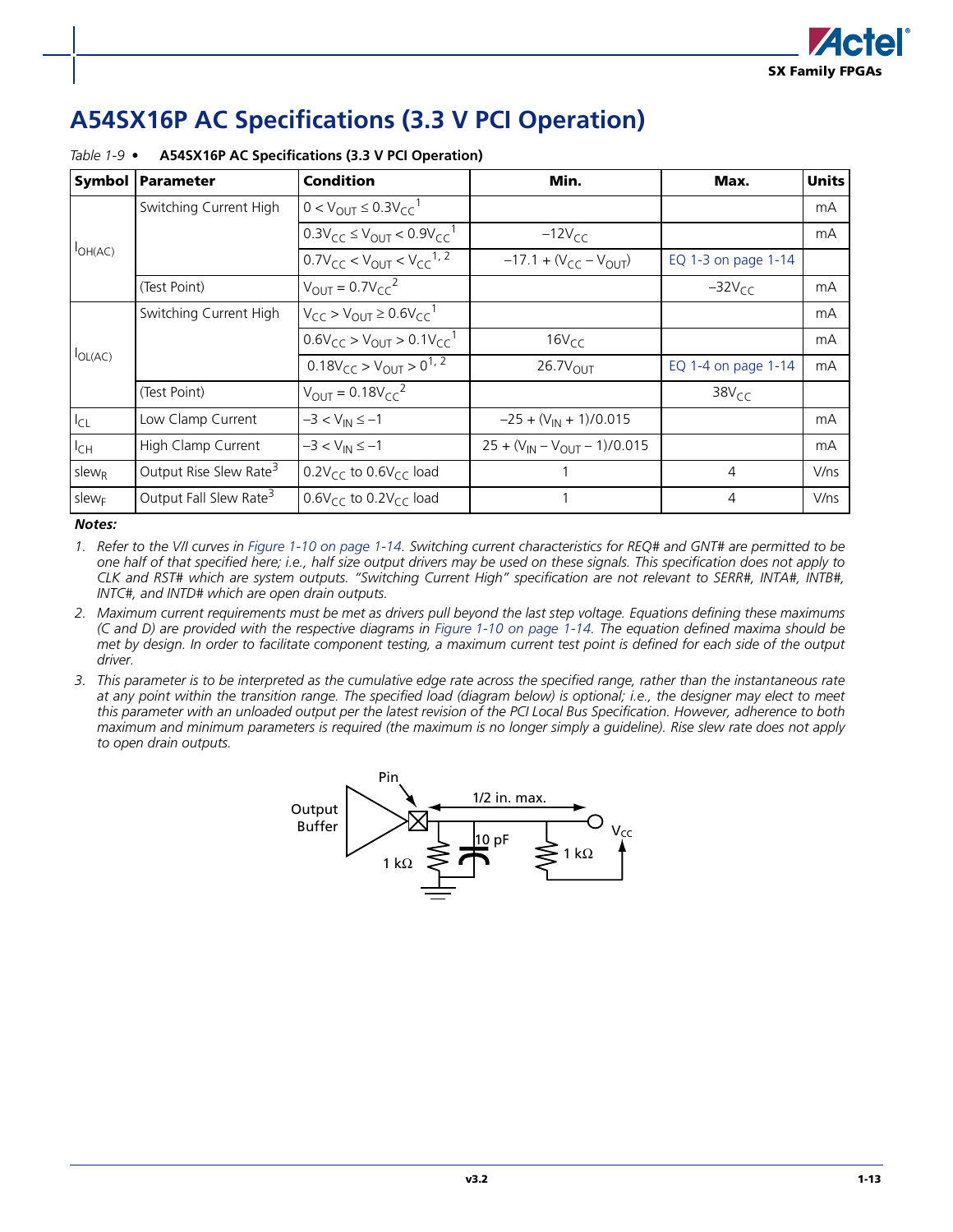## <span id="page-16-0"></span>**A54SX16P AC Specifications (3.3 V PCI Operation)**

| <b>Symbol</b>     | <b>Parameter</b>                   | <b>Condition</b>                                 | Min.                                 | Max.                | <b>Units</b> |
|-------------------|------------------------------------|--------------------------------------------------|--------------------------------------|---------------------|--------------|
|                   | Switching Current High             | $0 < V_{\text{OUT}} \leq 0.3 V_{\text{CC}}^{-1}$ |                                      |                     | mA           |
|                   |                                    | $0.3V_{CC} \le V_{OUT} < 0.9V_{CC}^{-1}$         | $-12V_{CC}$                          |                     | mA           |
| $I_{OH(AC)}$      |                                    | $0.7V_{CC}$ < $V_{OUT}$ < $V_{CC}^{1,2}$         | $-17.1 + (V_{CC} - V_{OUT})$         | EQ 1-3 on page 1-14 |              |
|                   | (Test Point)                       | $V_{\text{OUT}} = 0.7 V_{\text{CC}}^2$           |                                      | $-32VCC$            | mA           |
|                   | Switching Current High             | $V_{CC} > V_{OUIT} \geq 0.6V_{CC}^{-1}$          |                                      |                     | mA           |
|                   |                                    | $0.6V_{CC} > V_{OIII} > 0.1V_{CC}^{-1}$          | $16V_{CC}$                           |                     | mA           |
| $I_{OL(AC)}$      |                                    | $0.18V_{CC}$ > $V_{OUIT}$ > $0^{1, 2}$           | $26.7V_{\text{OUT}}$                 | EQ 1-4 on page 1-14 | mA           |
|                   | (Test Point)                       | $V_{OUT} = 0.18V_{CC}^2$                         |                                      | 38V <sub>CC</sub>   |              |
| $I_{CL}$          | Low Clamp Current                  | $-3 < V_{IN} \le -1$                             | $-25 + (V_{IN} + 1)/0.015$           |                     | mA           |
| $I_{CH}$          | High Clamp Current                 | $-3 < V_{IN} \le -1$                             | $25 + (V_{IN} - V_{OUIT} - 1)/0.015$ |                     | mA           |
| $s$ lew $R$       | Output Rise Slew Rate <sup>3</sup> | $0.2V_{\text{CC}}$ to $0.6V_{\text{CC}}$ load    |                                      | 4                   | V/ns         |
| slew <sub>F</sub> | Output Fall Slew Rate <sup>3</sup> | $0.6V_{CC}$ to $0.2V_{CC}$ load                  |                                      | 4                   | V/ns         |

#### *Table 1-9 •* **A54SX16P AC Specifications (3.3 V PCI Operation)**

*Notes:*

- *1. Refer to the V/I curves in [Figure 1-10 on page 1-14](#page-17-2). Switching current characteristics for REQ# and GNT# are permitted to be one half of that specified here; i.e., half size output drivers may be used on these signals. This specification does not apply to CLK and RST# which are system outputs. "Switching Current High" specification are not relevant to SERR#, INTA#, INTB#, INTC#, and INTD# which are open drain outputs.*
- *2. Maximum current requirements must be met as drivers pull beyond the last step voltage. Equations defining these maximums (C and D) are provided with the respective diagrams in [Figure 1-10 on page 1-14.](#page-17-2) The equation defined maxima should be met by design. In order to facilitate component testing, a maximum current test point is defined for each side of the output driver.*
- *3. This parameter is to be interpreted as the cumulative edge rate across the specified range, rather than the instantaneous rate at any point within the transition range. The specified load (diagram below) is optional; i.e., the designer may elect to meet this parameter with an unloaded output per the latest revision of the PCI Local Bus Specification. However, adherence to both maximum and minimum parameters is required (the maximum is no longer simply a guideline). Rise slew rate does not apply to open drain outputs.*

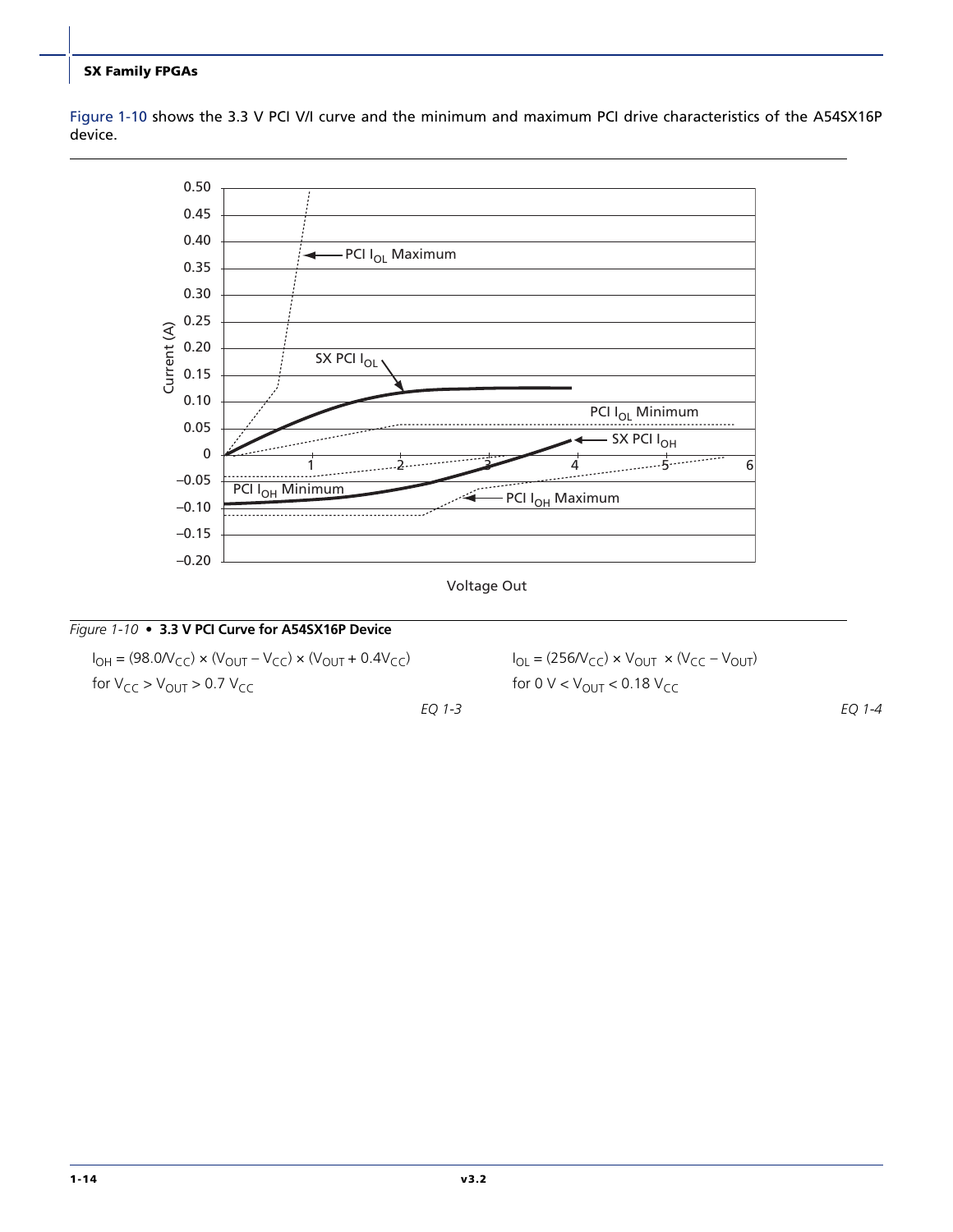[Figure 1-10](#page-17-2) shows the 3.3 V PCI V/I curve and the minimum and maximum PCI drive characteristics of the A54SX16P device.





*EQ 1-3*

#### <span id="page-17-2"></span>*Figure 1-10 •* **3.3 V PCI Curve for A54SX16P Device**

<span id="page-17-0"></span> $I_{\text{OH}} = (98.0 \text{V}_{\text{CC}}) \times (V_{\text{OUT}} - V_{\text{CC}}) \times (V_{\text{OUT}} + 0.4 V_{\text{CC}})$ for  $V_{CC}$  >  $V_{OUT}$  > 0.7  $V_{CC}$ 

<span id="page-17-1"></span> $I_{OL} = (256/V_{CC}) \times V_{OUT} \times (V_{CC} - V_{OUT})$ for 0  $V < V_{\text{OUT}} < 0.18 V_{\text{CC}}$ 

*EQ 1-4*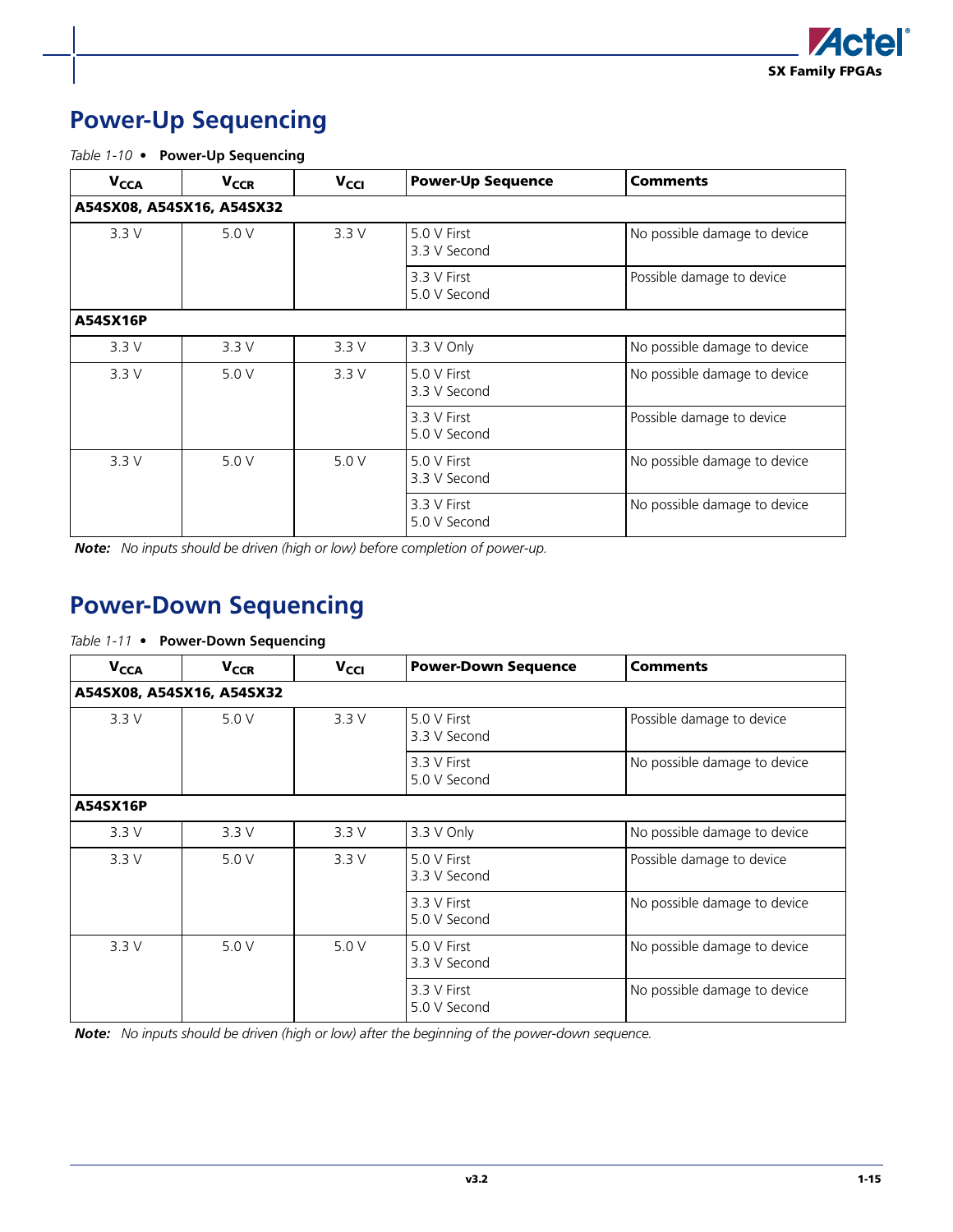

## <span id="page-18-3"></span><span id="page-18-0"></span>**Power-Up Sequencing**

*Table 1-10 •* **Power-Up Sequencing**

| <b>V<sub>CCA</sub></b>    | <b>V<sub>CCR</sub></b> | V <sub>CCI</sub> | <b>Power-Up Sequence</b>    | <b>Comments</b>              |
|---------------------------|------------------------|------------------|-----------------------------|------------------------------|
| A54SX08, A54SX16, A54SX32 |                        |                  |                             |                              |
| 3.3V                      | 5.0 V                  | 3.3 V            | 5.0 V First<br>3.3 V Second | No possible damage to device |
|                           |                        |                  | 3.3 V First<br>5.0 V Second | Possible damage to device    |
| A54SX16P                  |                        |                  |                             |                              |
| 3.3V                      | 3.3V                   | 3.3V             | 3.3 V Only                  | No possible damage to device |
| 3.3V                      | 5.0V                   | 3.3V             | 5.0 V First<br>3.3 V Second | No possible damage to device |
|                           |                        |                  | 3.3 V First<br>5.0 V Second | Possible damage to device    |
| 3.3V                      | 5.0 V                  | 5.0 V            | 5.0 V First<br>3.3 V Second | No possible damage to device |
|                           |                        |                  | 3.3 V First<br>5.0 V Second | No possible damage to device |

*Note: No inputs should be driven (high or low) before completion of power-up.*

## <span id="page-18-2"></span><span id="page-18-1"></span>**Power-Down Sequencing**

#### *Table 1-11 •* **Power-Down Sequencing**

| <b>V<sub>CCA</sub></b> | <b>V<sub>CCR</sub></b>    | $V_{\text{CG}}$ | <b>Power-Down Sequence</b>  | <b>Comments</b>              |  |  |  |
|------------------------|---------------------------|-----------------|-----------------------------|------------------------------|--|--|--|
|                        | A54SX08, A54SX16, A54SX32 |                 |                             |                              |  |  |  |
| 3.3V                   | 5.0 V                     | 3.3V            | 5.0 V First<br>3.3 V Second | Possible damage to device    |  |  |  |
|                        |                           |                 | 3.3 V First<br>5.0 V Second | No possible damage to device |  |  |  |
| A54SX16P               |                           |                 |                             |                              |  |  |  |
| 3.3V                   | 3.3V                      | 3.3V            | 3.3 V Only                  | No possible damage to device |  |  |  |
| 3.3V                   | 5.0 V                     | 3.3V            | 5.0 V First<br>3.3 V Second | Possible damage to device    |  |  |  |
|                        |                           |                 | 3.3 V First<br>5.0 V Second | No possible damage to device |  |  |  |
| 3.3V                   | 5.0V                      | 5.0V            | 5.0 V First<br>3.3 V Second | No possible damage to device |  |  |  |
|                        |                           |                 | 3.3 V First<br>5.0 V Second | No possible damage to device |  |  |  |

*Note: No inputs should be driven (high or low) after the beginning of the power-down sequence.*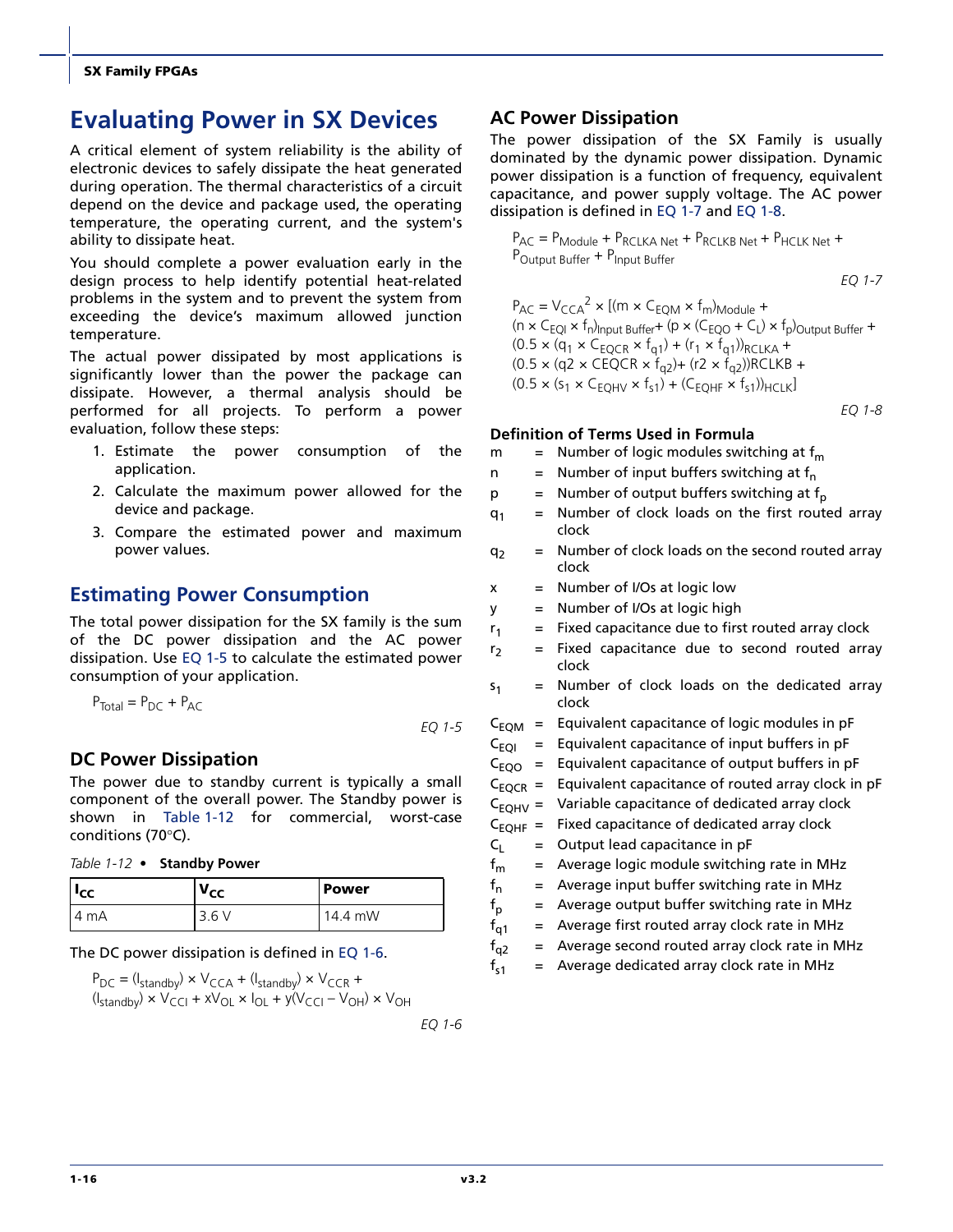## <span id="page-19-0"></span>**Evaluating Power in SX Devices**

A critical element of system reliability is the ability of electronic devices to safely dissipate the heat generated during operation. The thermal characteristics of a circuit depend on the device and package used, the operating temperature, the operating current, and the system's ability to dissipate heat.

You should complete a power evaluation early in the design process to help identify potential heat-related problems in the system and to prevent the system from exceeding the device's maximum allowed junction temperature.

The actual power dissipated by most applications is significantly lower than the power the package can dissipate. However, a thermal analysis should be performed for all projects. To perform a power evaluation, follow these steps:

- 1. Estimate the power consumption of the application.
- 2. Calculate the maximum power allowed for the device and package.
- 3. Compare the estimated power and maximum power values.

### **Estimating Power Consumption**

The total power dissipation for the SX family is the sum of the DC power dissipation and the AC power dissipation. Use [EQ 1-5](#page-19-1) to calculate the estimated power consumption of your application.

<span id="page-19-1"></span>
$$
P_{\text{Total}} = P_{\text{DC}} + P_{\text{AC}}
$$
\n
$$
EQ \ 1-5
$$

**DC Power Dissipation**

The power due to standby current is typically a small component of the overall power. The Standby power is shown in [Table 1-12](#page-19-2) for commercial, worst-case conditions (70°C).

<span id="page-19-2"></span>

| Table 1-12 • Standby Power |  |  |
|----------------------------|--|--|
|----------------------------|--|--|

| l lcc | V <sub>CC</sub> | <b>Power</b> |
|-------|-----------------|--------------|
| ` m⊥  | ∍<br>3.b        | mW<br>Δ      |

#### The DC power dissipation is defined in [EQ 1-6](#page-19-3).

<span id="page-19-3"></span> $P_{DC} = (I_{\text{standby}}) \times V_{CCA} + (I_{\text{standby}}) \times V_{CCR} +$  $(I<sub>standby</sub>) \times V<sub>CCI</sub> + xV<sub>OL</sub> \times I<sub>OL</sub> + y(V<sub>CCI</sub> - V<sub>OH</sub>) \times V<sub>OH</sub>$ 

*EQ 1-6*

#### **AC Power Dissipation**

The power dissipation of the SX Family is usually dominated by the dynamic power dissipation. Dynamic power dissipation is a function of frequency, equivalent capacitance, and power supply voltage. The AC power dissipation is defined in [EQ 1-7](#page-19-4) and [EQ 1-8](#page-19-5).

PAC = PModule + PRCLKA Net + PRCLKB Net + PHCLK Net + POutput Buffer + PInput Buffer

*EQ 1-7*

<span id="page-19-4"></span> $P_{AC} = V_{CCA}^2 \times [(m \times C_{EQM} \times f_m)_{Module} +$  $(n \times C_{EOI} \times f_{n})_{Input}$  Buffer +  $(p \times (C_{EOO} + C_{I}) \times f_{n})_{OutBut}$  Buffer +  $(0.5 \times (q_1 \times C_{EQCR} \times f_{q1}) + (r_1 \times f_{q1}))_{RCLKA} +$  $(0.5 \times (q2 \times \text{CEQCR} \times f_{q2}) + (r2 \times f_{q2}))$ RCLKB +  $(0.5 \times (s_1 \times C_{EOHV} \times f_{s1}) + (C_{EOHF} \times f_{s1}))_{HCLK}]$ 

*EQ 1-8*

#### <span id="page-19-5"></span>**Definition of Terms Used in Formula**

| Number of logic modules switching at $f_m$<br>m |  |
|-------------------------------------------------|--|
|-------------------------------------------------|--|

- n = Number of input buffers switching at  $f_n$
- $p =$  Number of output buffers switching at  $f_p$
- $q_1$  = Number of clock loads on the first routed array clock
- $q_2$  = Number of clock loads on the second routed array clock
- $x =$  Number of I/Os at logic low
- y = Number of I/Os at logic high
- $r_1$  = Fixed capacitance due to first routed array clock
- $r_2$  = Fixed capacitance due to second routed array clock
- $s_1$  = Number of clock loads on the dedicated array clock

$$
C_{EQM}
$$
 = Equivalent capacitance of logic modules in pF

- $C_{EOI}$  = Equivalent capacitance of input buffers in pF
- $C_{EOO}$  = Equivalent capacitance of output buffers in pF
- $C_{FOR}$  = Equivalent capacitance of routed array clock in pF
- $C_{EOHV}$  = Variable capacitance of dedicated array clock
- $C_{EOHF}$  = Fixed capacitance of dedicated array clock
- $C_1$  = Output lead capacitance in pF
- $f_m$  = Average logic module switching rate in MHz
- $f_n$  = Average input buffer switching rate in MHz
- $f_p$  = Average output buffer switching rate in MHz
- $f_{\alpha1}$  = Average first routed array clock rate in MHz
- $f_{q2}$  = Average second routed array clock rate in MHz
- $f_{s1}$  = Average dedicated array clock rate in MHz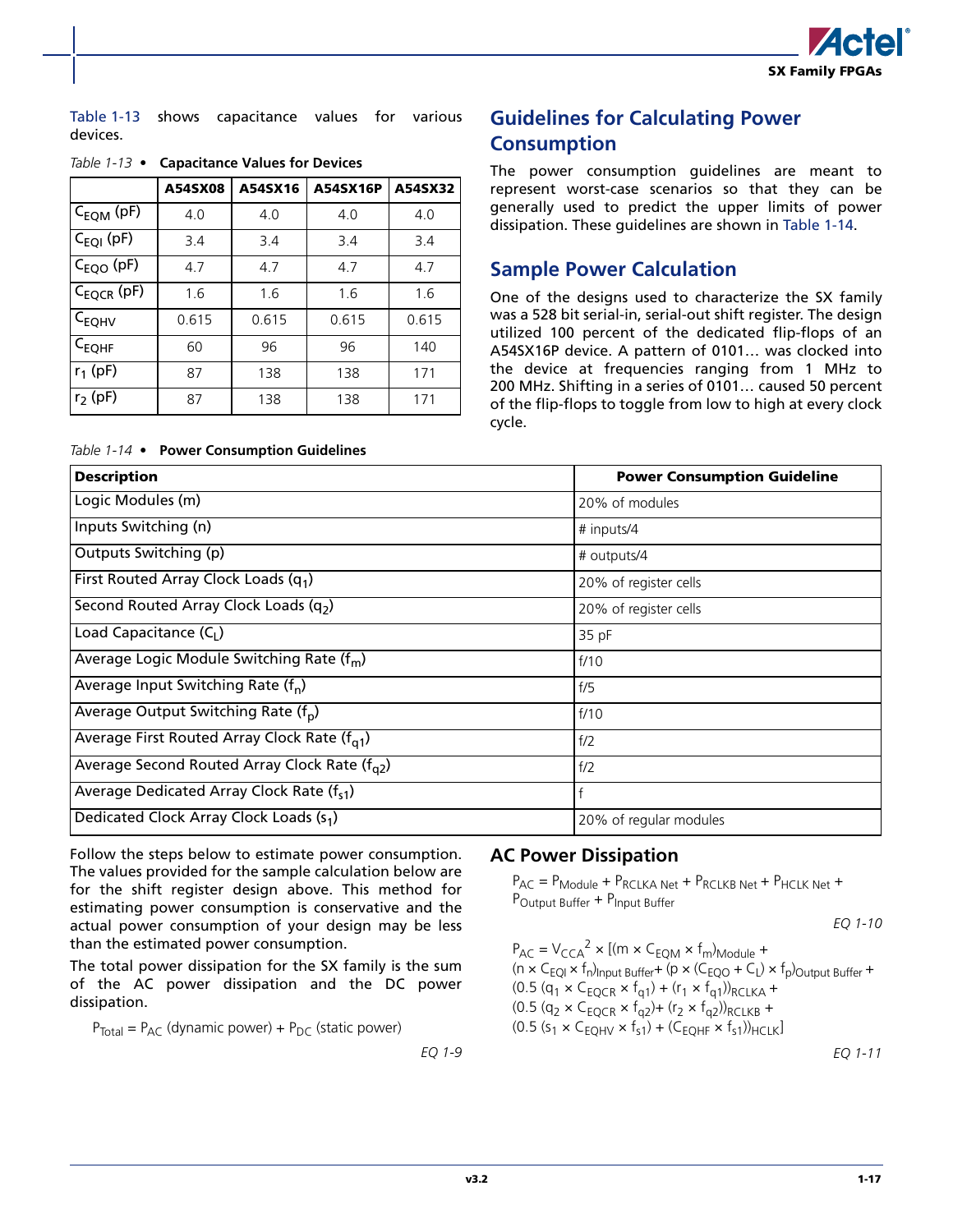

[Table 1-13](#page-20-0) shows capacitance values for various Table 1-13 shows capacitance values for various **Guidelines for Calculating Power** devices.

|                        | A54SX08 | A54SX16 | <b>A54SX16P</b> | A54SX32 |
|------------------------|---------|---------|-----------------|---------|
| $C_{EQM}$ (pF)         | 4.0     | 4.0     | 4.0             | 4.0     |
| $C_{EQI}$ (pF)         | 3.4     | 3.4     | 3.4             | 3.4     |
| C <sub>EQO</sub> (pF)  | 4.7     | 4.7     | 4.7             | 4.7     |
| C <sub>EQCR</sub> (pF) | 1.6     | 1.6     | 1.6             | 1.6     |
| C <sub>EQHV</sub>      | 0.615   | 0.615   | 0.615           | 0.615   |
| $C_{EQHF}$             | 60      | 96      | 96              | 140     |
| $r_1$ (pF)             | 87      | 138     | 138             | 171     |
| $r_2$ (pF)             | 87      | 138     | 138             | 171     |

#### <span id="page-20-0"></span>*Table 1-13 •* **Capacitance Values for Devices**

<span id="page-20-1"></span>*Table 1-14 •* **Power Consumption Guidelines**

# **Consumption**

The power consumption guidelines are meant to represent worst-case scenarios so that they can be generally used to predict the upper limits of power dissipation. These guidelines are shown in [Table 1-14.](#page-20-1)

### **Sample Power Calculation**

One of the designs used to characterize the SX family was a 528 bit serial-in, serial-out shift register. The design utilized 100 percent of the dedicated flip-flops of an A54SX16P device. A pattern of 0101… was clocked into the device at frequencies ranging from 1 MHz to 200 MHz. Shifting in a series of 0101… caused 50 percent of the flip-flops to toggle from low to high at every clock cycle.

| <b>Description</b>                                        | <b>Power Consumption Guideline</b> |
|-----------------------------------------------------------|------------------------------------|
| Logic Modules (m)                                         | 20% of modules                     |
| Inputs Switching (n)                                      | # inputs/4                         |
| Outputs Switching (p)                                     | # outputs/4                        |
| First Routed Array Clock Loads $(q_1)$                    | 20% of register cells              |
| Second Routed Array Clock Loads (q2)                      | 20% of register cells              |
| Load Capacitance $(C1)$                                   | 35 pF                              |
| Average Logic Module Switching Rate (f <sub>m</sub> )     | f/10                               |
| Average Input Switching Rate $(f_n)$                      | f/5                                |
| Average Output Switching Rate $(f_n)$                     | f/10                               |
| Average First Routed Array Clock Rate $(f_{01})$          | f/2                                |
| Average Second Routed Array Clock Rate ( $f_{\alpha 2}$ ) | f/2                                |
| Average Dedicated Array Clock Rate (fs1)                  | f                                  |
| Dedicated Clock Array Clock Loads (s <sub>1</sub> )       | 20% of regular modules             |

Follow the steps below to estimate power consumption. The values provided for the sample calculation below are for the shift register design above. This method for estimating power consumption is conservative and the actual power consumption of your design may be less than the estimated power consumption.

The total power dissipation for the SX family is the sum of the AC power dissipation and the DC power dissipation.

 $P_{\text{Total}} = P_{\text{AC}}$  (dynamic power) +  $P_{\text{DC}}$  (static power)

*EQ 1-9*

#### **AC Power Dissipation**

 $P_{AC} = P_{Module} + P_{RCLKA Net} + P_{RCLKB Net} + P_{HCLK Net}$ P<sub>Output</sub> Buffer + P<sub>Input</sub> Buffer

*EQ 1-10*

$$
P_{AC} = V_{CCA}^2 \times [(m \times C_{EQM} \times f_m)_{Module} + (n \times C_{EQI} \times f_n)_{Input Buffer} + (p \times (C_{EOO} + C_I) \times f_p)_{Output\ Buffer} + (0.5 (q_1 \times C_{EQCR} \times f_{q1}) + (r_1 \times f_{q1})_{RCLKA} + (0.5 (q_2 \times C_{EQCR} \times f_{q2}) + (r_2 \times f_{q2})_{RCLKB} + (0.5 (s_1 \times C_{EQHV} \times f_{s1}) + (C_{EQHF} \times f_{s1})_{HCLK}]
$$
  
\n
$$
EQ 1-11
$$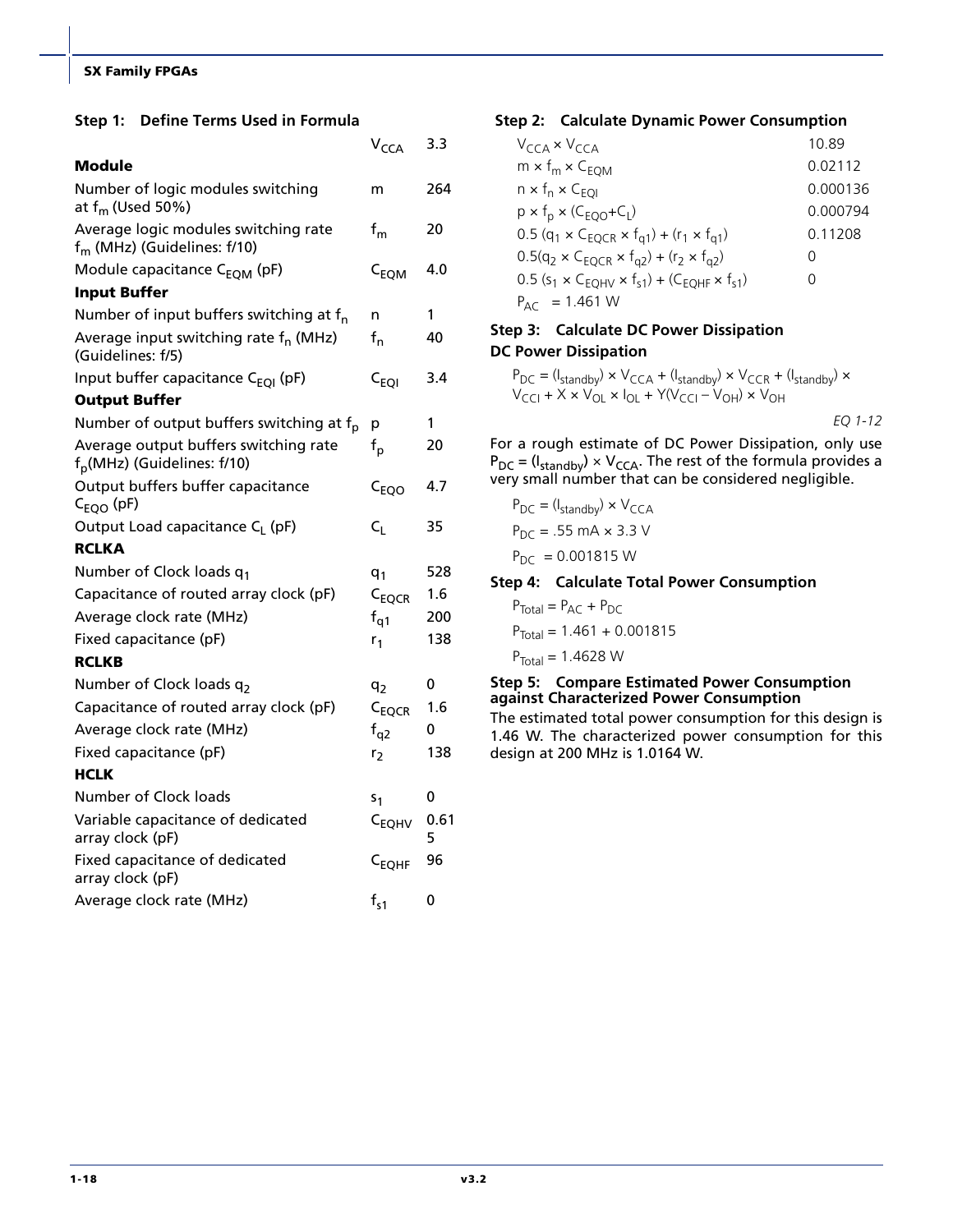#### **Step 1: Define Terms Used in Formula**

|                                                                                  | V <sub>CCA</sub>          | 3.3       |
|----------------------------------------------------------------------------------|---------------------------|-----------|
| Module                                                                           |                           |           |
| Number of logic modules switching<br>at $f_m$ (Used 50%)                         | m                         | 264       |
| Average logic modules switching rate<br>$f_m$ (MHz) (Guidelines: $f/10$ )        | $f_m$                     | 20        |
| Module capacitance C <sub>EOM</sub> (pF)                                         | $C_{EQM}$                 | 4.0       |
| <b>Input Buffer</b>                                                              |                           |           |
| Number of input buffers switching at $f_n$                                       | n                         | 1         |
| Average input switching rate f <sub>n</sub> (MHz)<br>(Guidelines: f/5)           | $f_{n}$                   | 40        |
| Input buffer capacitance C <sub>EQI</sub> (pF)                                   | $\mathsf{c}_\mathsf{EOI}$ | 3.4       |
| <b>Output Buffer</b>                                                             |                           |           |
| Number of output buffers switching at f <sub>p</sub>                             | р                         | 1         |
| Average output buffers switching rate<br>f <sub>p</sub> (MHz) (Guidelines: f/10) | $f_{\sf p}$               | 20        |
| Output buffers buffer capacitance<br>$C_{EQO}$ (pF)                              | $C_{EQO}$                 | 4.7       |
| Output Load capacitance C <sub>I</sub> (pF)                                      | $C_L$                     | 35        |
| <b>RCLKA</b>                                                                     |                           |           |
| Number of Clock loads q1                                                         | $q_1$                     | 528       |
| Capacitance of routed array clock (pF)                                           | C <sub>EQCR</sub>         | 1.6       |
| Average clock rate (MHz)                                                         | $f_{q1}$                  | 200       |
| Fixed capacitance (pF)                                                           | $r_1$                     | 138       |
| <b>RCLKB</b>                                                                     |                           |           |
| Number of Clock loads q2                                                         | q <sub>2</sub>            | 0         |
| Capacitance of routed array clock (pF)                                           | C <sub>EQCR</sub>         | 1.6       |
| Average clock rate (MHz)                                                         | $f_{q2}$                  | 0         |
| Fixed capacitance (pF)                                                           | r,                        | 138       |
| <b>HCLK</b>                                                                      |                           |           |
| Number of Clock loads                                                            | S1                        | 0         |
| Variable capacitance of dedicated<br>array clock (pF)                            | C <sub>EQHV</sub>         | 0.61<br>5 |
| Fixed capacitance of dedicated<br>array clock (pF)                               | $C_{EQHF}$                | 96        |
| Average clock rate (MHz)                                                         | $f_{s1}$                  | 0         |

#### **Step 2: Calculate Dynamic Power Consumption**

| $V_{CCA} \times V_{CCA}$                                                                               | 10.89            |
|--------------------------------------------------------------------------------------------------------|------------------|
| $m \times f_m \times C_{EOM}$                                                                          | 0.02112          |
| $n \times f_n \times C_{EOL}$                                                                          | 0.000136         |
| $p \times f_p \times (C_{EQO} + C_l)$                                                                  | 0.000794         |
| $0.5$ (q <sub>1</sub> × C <sub>EQCR</sub> × f <sub>q1</sub> ) + (r <sub>1</sub> × f <sub>q1</sub> )    | 0.11208          |
| $0.5(q_2 \times C_{EQCR} \times f_{q2}) + (r_2 \times f_{q2})$                                         | $\left( \right)$ |
| $0.5$ (s <sub>1</sub> × C <sub>EQHV</sub> × f <sub>s1</sub> ) + (C <sub>EOHF</sub> × f <sub>s1</sub> ) | 0                |
| $P_{\Delta\text{C}} = 1.461 \text{ W}$                                                                 |                  |

#### **Step 3: Calculate DC Power Dissipation DC Power Dissipation**

 $P_{DC} = (I_{\text{standby}}) \times V_{CCA} + (I_{\text{standby}}) \times V_{CCR} + (I_{\text{standby}}) \times$ V<sub>CCI</sub> + X × V<sub>OL</sub> × I<sub>OL</sub> + Y(V<sub>CCI</sub> – V<sub>OH</sub>) × V<sub>OH</sub>

*EQ 1-12*

For a rough estimate of DC Power Dissipation, only use  $P_{DC} = (I_{standby}) \times V_{CCA}$ . The rest of the formula provides a very small number that can be considered negligible.

$$
P_{DC} = (I_{standby}) \times V_{CCA}
$$

$$
P_{DC} = .55 \text{ mA} \times 3.3 \text{ V}
$$

$$
P_{DC} = 0.001815 \text{ W}
$$

#### **Step 4: Calculate Total Power Consumption**

 $P_{\text{Total}} = P_{\text{AC}} + P_{\text{DC}}$  $P_{\text{Total}} = 1.461 + 0.001815$  $P_{\text{Total}} = 1.4628 \text{ W}$ 

#### **Step 5: Compare Estimated Power Consumption against Characterized Power Consumption**

The estimated total power consumption for this design is 1.46 W. The characterized power consumption for this design at 200 MHz is 1.0164 W.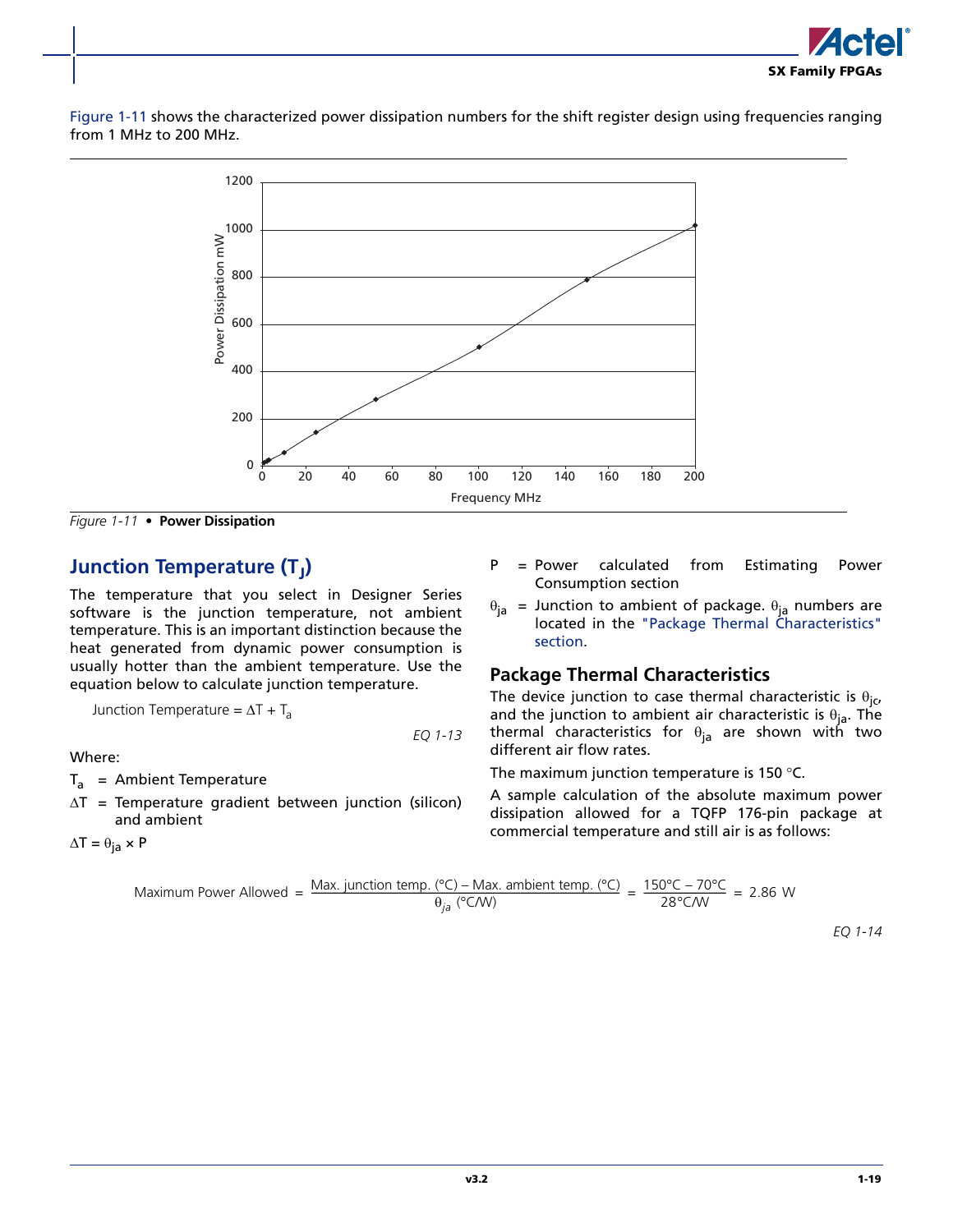

[Figure 1-11](#page-22-0) shows the characterized power dissipation numbers for the shift register design using frequencies ranging from 1 MHz to 200 MHz.



<span id="page-22-0"></span>*Figure 1-11 •* **Power Dissipation**

### **Junction Temperature (T<sub>I</sub>)**

The temperature that you select in Designer Series software is the junction temperature, not ambient temperature. This is an important distinction because the heat generated from dynamic power consumption is usually hotter than the ambient temperature. Use the equation below to calculate junction temperature.

Junction Temperature = 
$$
\Delta T + T_a
$$

Where:

 $T_a$  = Ambient Temperature

 $\Delta T$  = Temperature gradient between junction (silicon) and ambient

 $\Delta T = \theta_{ja} \times P$ 

- P = Power calculated from Estimating Power Consumption section
- located in [the "Package Thermal Characteristics"](#page-22-1) [section.](#page-22-1)

#### <span id="page-22-1"></span>**Package Thermal Characteristics**

The device junction to case thermal characteristic is  $\theta_{jc}$ , and the junction to ambient air characteristic is  $\theta_{ia}$ . The thermal characteristics for  $\theta_{ia}$  are shown with two different air flow rates.

The maximum junction temperature is 150 °C.

A sample calculation of the absolute maximum power dissipation allowed for a TQFP 176-pin package at commercial temperature and still air is as follows:

Maximum Power Allowed = 
$$
\frac{\text{Max. junction temp. (^cC) - Max. ambient temp. (^cC)}}{\theta_{ja} (^cC/W)}
$$
 =  $\frac{150^{\circ}\text{C} - 70^{\circ}\text{C}}{28^{\circ}\text{C/W}}$  = 2.86 W

*EQ 1-13*

*EQ 1-14*

$$
\theta_{ja}
$$
 = Junction to ambient of package.  $\theta_{ja}$  numbers are located in the "Package Thermal Characteristics"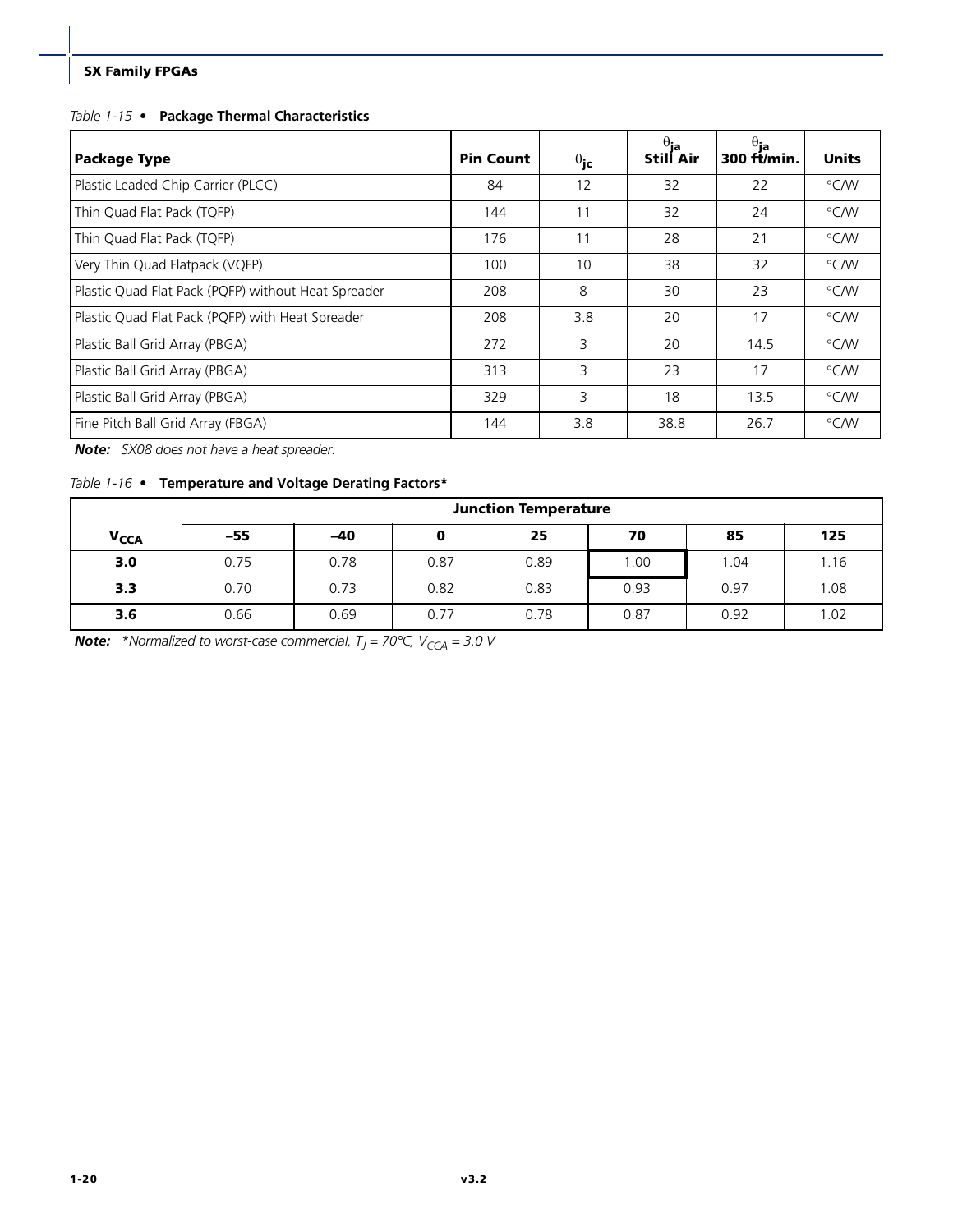#### *Table 1-15 •* **Package Thermal Characteristics**

| <b>Package Type</b>                                 | <b>Pin Count</b> | $\theta_{\rm jc}$ | $\overset{\theta_{\textsf{ja}}}{\textsf{Still Air}}$ | $\theta_{\mathbf{ja}}$<br>300 ft/min. | <b>Units</b> |
|-----------------------------------------------------|------------------|-------------------|------------------------------------------------------|---------------------------------------|--------------|
| Plastic Leaded Chip Carrier (PLCC)                  | 84               | 12                | 32                                                   | 22                                    | °C⁄W         |
| Thin Quad Flat Pack (TQFP)                          | 144              | 11                | 32                                                   | 24                                    | °C⁄W         |
| Thin Quad Flat Pack (TQFP)                          | 176              | 11                | 28                                                   | 21                                    | °C⁄W         |
| Very Thin Quad Flatpack (VQFP)                      | 100              | 10                | 38                                                   | 32                                    | °C⁄W         |
| Plastic Quad Flat Pack (PQFP) without Heat Spreader | 208              | 8                 | 30                                                   | 23                                    | °C⁄W         |
| Plastic Quad Flat Pack (PQFP) with Heat Spreader    | 208              | 3.8               | 20                                                   | 17                                    | °C⁄W         |
| Plastic Ball Grid Array (PBGA)                      | 272              | 3                 | 20                                                   | 14.5                                  | °C⁄W         |
| Plastic Ball Grid Array (PBGA)                      | 313              | 3                 | 23                                                   | 17                                    | °C⁄W         |
| Plastic Ball Grid Array (PBGA)                      | 329              | 3                 | 18                                                   | 13.5                                  | °C⁄W         |
| Fine Pitch Ball Grid Array (FBGA)                   | 144              | 3.8               | 38.8                                                 | 26.7                                  | $\degree$ CM |

*Note: SX08 does not have a heat spreader.*

#### *Table 1-16 •* **Temperature and Voltage Derating Factors\***

|                        |       | <b>Junction Temperature</b> |      |      |      |      |      |  |  |  |  |  |  |
|------------------------|-------|-----------------------------|------|------|------|------|------|--|--|--|--|--|--|
| <b>V<sub>CCA</sub></b> | $-55$ | $-40$                       | 0    | 25   | 70   | 85   | 125  |  |  |  |  |  |  |
| 3.0                    | 0.75  | 0.78                        | 0.87 | 0.89 | 1.00 | 1.04 | 1.16 |  |  |  |  |  |  |
| 3.3                    | 0.70  | 0.73                        | 0.82 | 0.83 | 0.93 | 0.97 | 1.08 |  |  |  |  |  |  |
| 3.6                    | 0.66  | 0.69                        | 0.77 | 0.78 | 0.87 | 0.92 | 1.02 |  |  |  |  |  |  |

*Note: \*Normalized to worst-case commercial, T<sub>J</sub> = 70°C, V<sub>CCA</sub> = 3.0 V*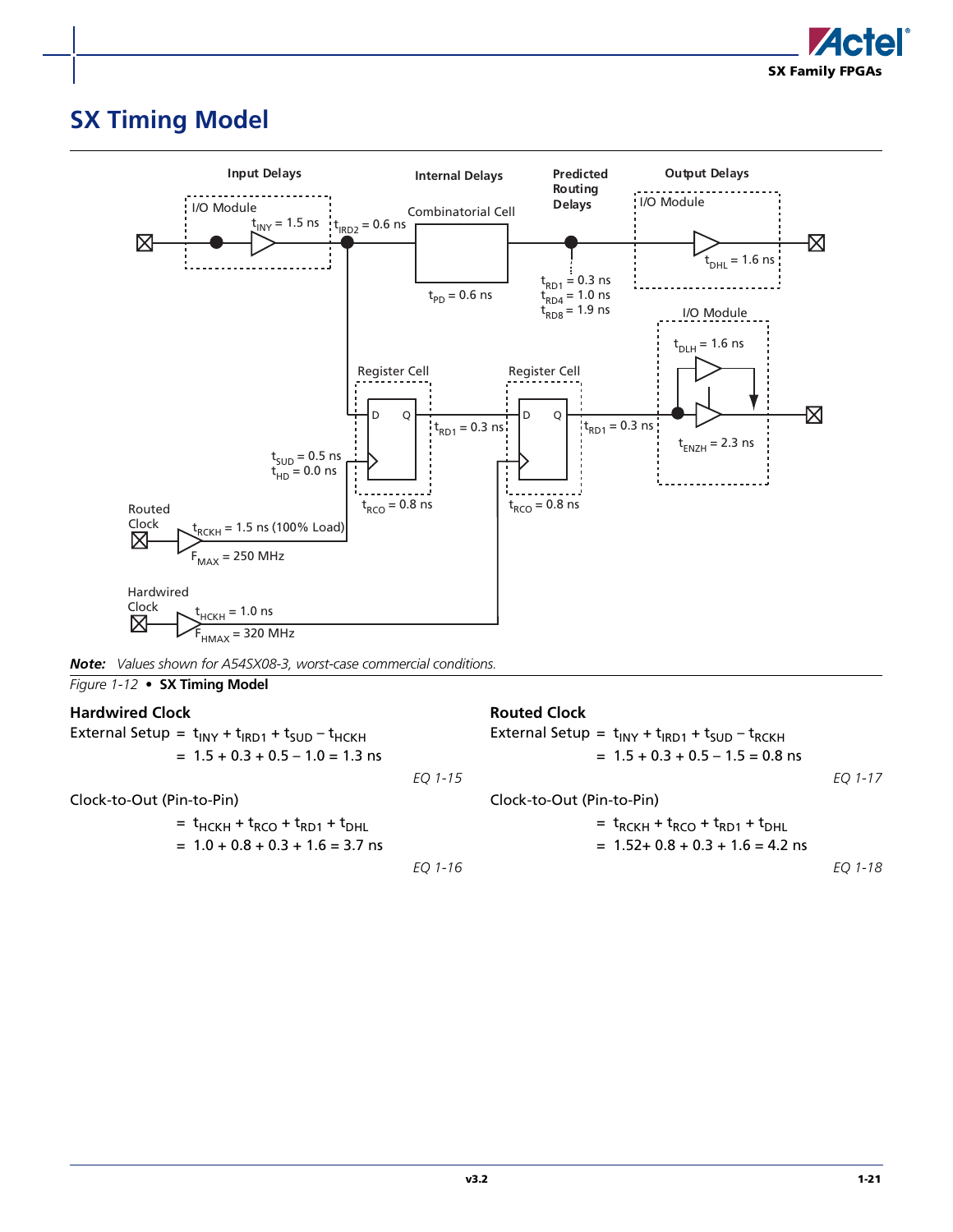

## <span id="page-24-0"></span>**SX Timing Model**



| Note: Values shown for A54SX08-3, worst-case commercial conditions. |  |  |  |
|---------------------------------------------------------------------|--|--|--|
|---------------------------------------------------------------------|--|--|--|

*Figure 1-12 •* **SX Timing Model**

#### **Hardwired Clock**

External Setup =  $t_{\text{INV}} + t_{\text{RD1}} + t_{\text{SUB}} - t_{\text{HCKH}}$  $= 1.5 + 0.3 + 0.5 - 1.0 = 1.3$  ns

Clock-to-Out (Pin-to-Pin)

$$
= t_{HCKH} + t_{RCO} + t_{RD1} + t_{DHL}
$$

$$
= 1.0 + 0.8 + 0.3 + 1.6 = 3.7
$$
ns

*EQ 1-16*

#### **Routed Clock**

|           | External Setup = $t_{INT} + t_{RDI} + t_{SUD} - t_{RCKH}$<br>$= 1.5 + 0.3 + 0.5 - 1.5 = 0.8$ ns |         |
|-----------|-------------------------------------------------------------------------------------------------|---------|
| EQ 1-15   |                                                                                                 | EO 1-17 |
|           | Clock-to-Out (Pin-to-Pin)                                                                       |         |
|           | $= t_{RCKH} + t_{RCO} + t_{RD1} + t_{DHI}$                                                      |         |
|           | $= 1.52 + 0.8 + 0.3 + 1.6 = 4.2$ ns                                                             |         |
| $FO 1-16$ |                                                                                                 | FO 1-18 |

*EQ 1-18*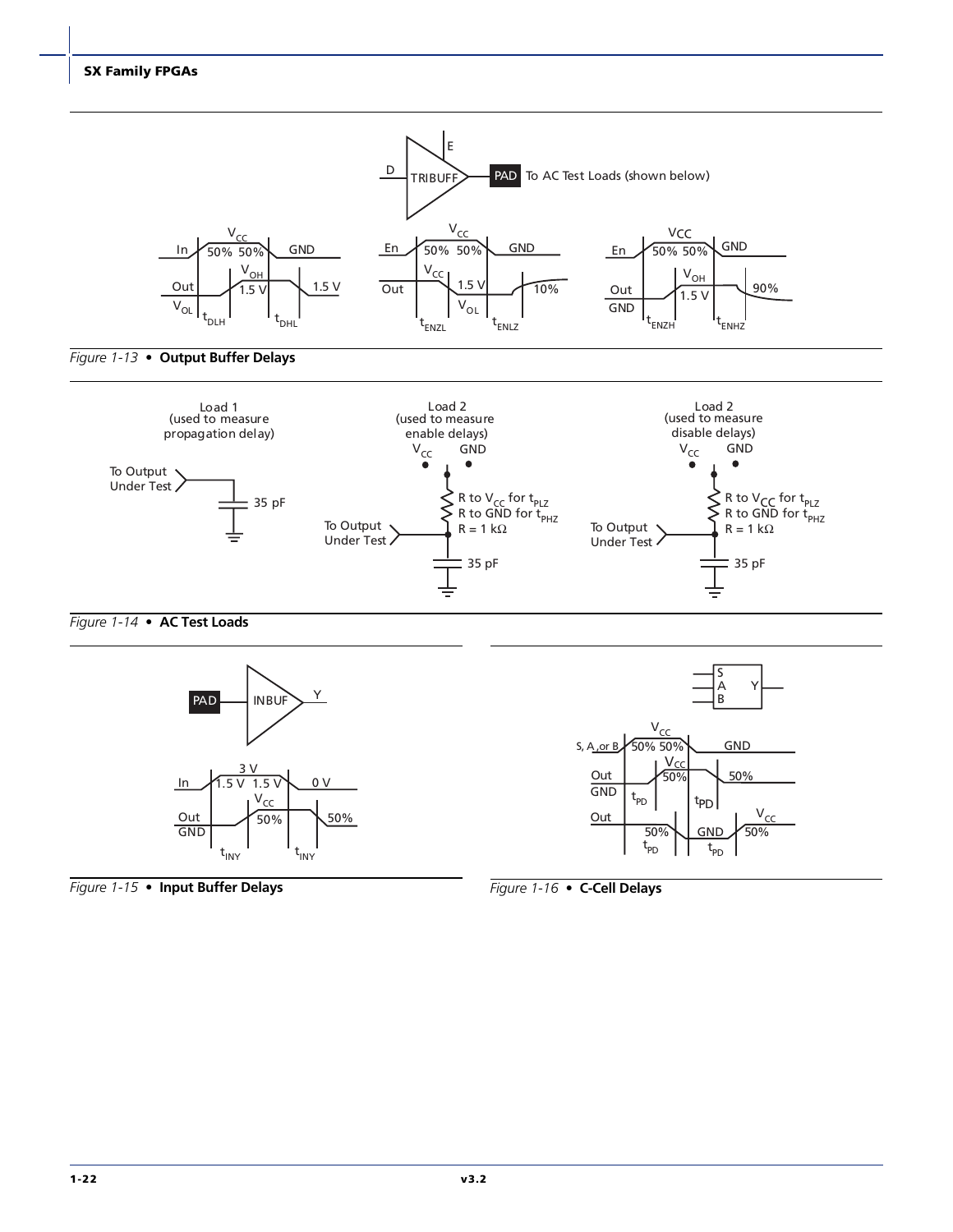









*Figure 1-15 •* **Input Buffer Delays**

*Figure 1-16 •* **C-Cell Delays**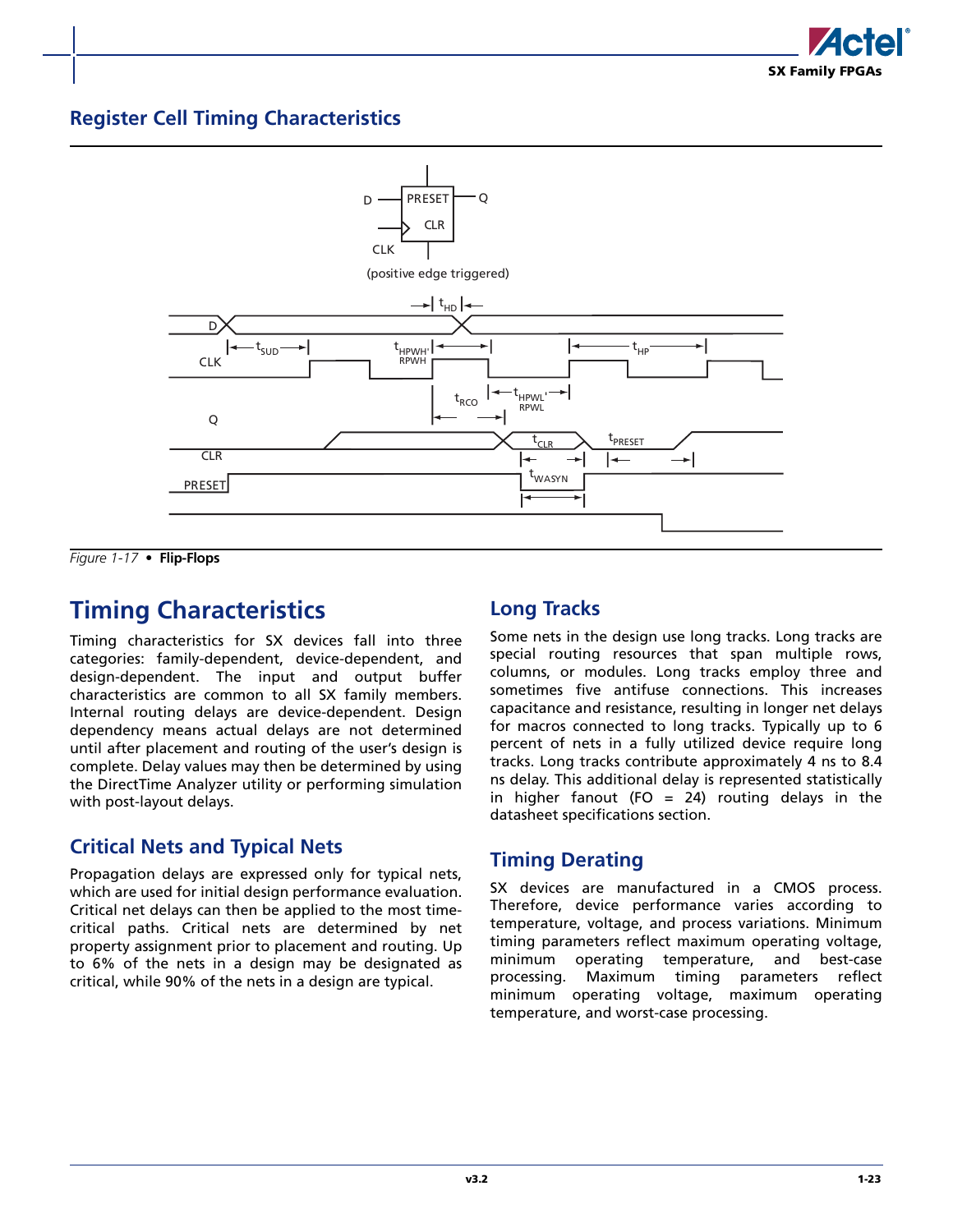### **Register Cell Timing Characteristics**



*Figure 1-17 •* **Flip-Flops**

## <span id="page-26-0"></span>**Timing Characteristics**

Timing characteristics for SX devices fall into three categories: family-dependent, device-dependent, and design-dependent. The input and output buffer characteristics are common to all SX family members. Internal routing delays are device-dependent. Design dependency means actual delays are not determined until after placement and routing of the user's design is complete. Delay values may then be determined by using the DirectTime Analyzer utility or performing simulation with post-layout delays.

### **Critical Nets and Typical Nets**

Propagation delays are expressed only for typical nets, which are used for initial design performance evaluation. Critical net delays can then be applied to the most timecritical paths. Critical nets are determined by net property assignment prior to placement and routing. Up to 6% of the nets in a design may be designated as critical, while 90% of the nets in a design are typical.

### **Long Tracks**

Some nets in the design use long tracks. Long tracks are special routing resources that span multiple rows, columns, or modules. Long tracks employ three and sometimes five antifuse connections. This increases capacitance and resistance, resulting in longer net delays for macros connected to long tracks. Typically up to 6 percent of nets in a fully utilized device require long tracks. Long tracks contribute approximately 4 ns to 8.4 ns delay. This additional delay is represented statistically in higher fanout (FO = 24) routing delays in the datasheet specifications section.

### **Timing Derating**

SX devices are manufactured in a CMOS process. Therefore, device performance varies according to temperature, voltage, and process variations. Minimum timing parameters reflect maximum operating voltage, minimum operating temperature, and best-case processing. Maximum timing parameters reflect minimum operating voltage, maximum operating temperature, and worst-case processing.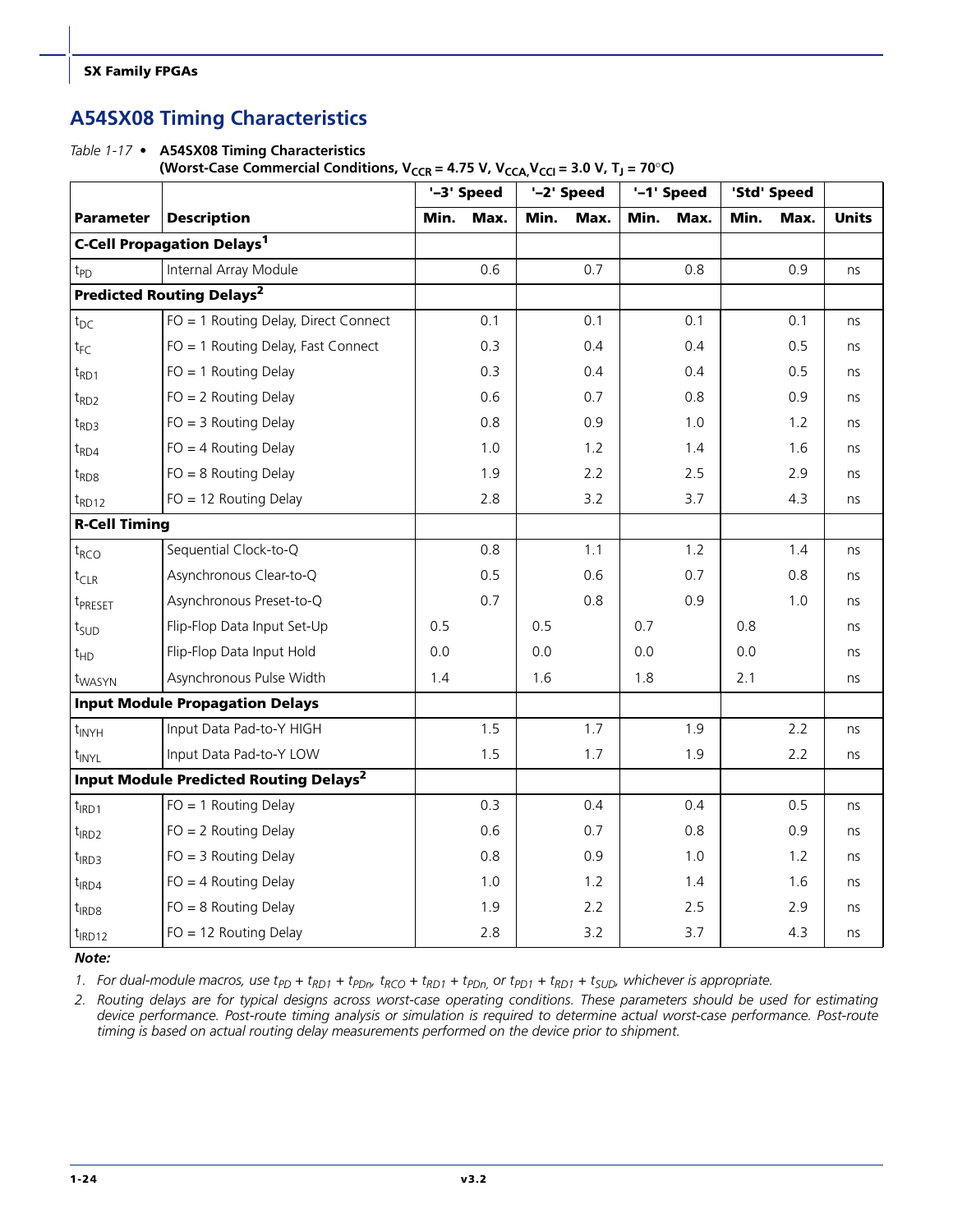### **A54SX08 Timing Characteristics**

*Table 1-17 •* **A54SX08 Timing Characteristics** 

(Worst-Case Commercial Conditions,  $V_{CCR} = 4.75 V$ ,  $V_{CCA}V_{CCA} = 3.0 V$ ,  $T_J = 70°C$ )

|                      |                                                          |      | '-3' Speed |      | '-2' Speed |      | '-1' Speed | 'Std' Speed |      |              |
|----------------------|----------------------------------------------------------|------|------------|------|------------|------|------------|-------------|------|--------------|
| <b>Parameter</b>     | <b>Description</b>                                       | Min. | Max.       | Min. | Max.       | Min. | Max.       | Min.        | Max. | <b>Units</b> |
|                      | <b>C-Cell Propagation Delays<sup>1</sup></b>             |      |            |      |            |      |            |             |      |              |
| t <sub>PD</sub>      | Internal Array Module                                    |      | 0.6        |      | 0.7        |      | 0.8        |             | 0.9  | ns           |
|                      | <b>Predicted Routing Delays<sup>2</sup></b>              |      |            |      |            |      |            |             |      |              |
| $t_{DC}$             | FO = 1 Routing Delay, Direct Connect                     |      | 0.1        |      | 0.1        |      | 0.1        |             | 0.1  | ns           |
| $t_{FC}$             | FO = 1 Routing Delay, Fast Connect                       |      | 0.3        |      | 0.4        |      | 0.4        |             | 0.5  | ns           |
| $t_{RD1}$            | $FO = 1$ Routing Delay                                   |      | 0.3        |      | 0.4        |      | 0.4        |             | 0.5  | ns           |
| $t_{RD2}$            | $FO = 2$ Routing Delay                                   |      | 0.6        |      | 0.7        |      | 0.8        |             | 0.9  | ns           |
| $t_{RD3}$            | $FO = 3$ Routing Delay                                   |      | 0.8        |      | 0.9        |      | 1.0        |             | 1.2  | ns           |
| $t_{RDA}$            | $FO = 4$ Routing Delay                                   |      | 1.0        |      | 1.2        |      | 1.4        |             | 1.6  | ns           |
| $t_{RDS}$            | $FO = 8$ Routing Delay                                   |      | 1.9        |      | 2.2        |      | 2.5        |             | 2.9  | ns           |
| $t_{RD12}$           | $FO = 12$ Routing Delay                                  |      | 2.8        |      | 3.2        |      | 3.7        |             | 4.3  | ns           |
| <b>R-Cell Timing</b> |                                                          |      |            |      |            |      |            |             |      |              |
| t <sub>RCO</sub>     | Sequential Clock-to-Q                                    |      | 0.8        |      | 1.1        |      | 1.2        |             | 1.4  | ns           |
| $t_{CLR}$            | Asynchronous Clear-to-Q                                  |      | 0.5        |      | 0.6        |      | 0.7        |             | 0.8  | ns           |
| t <sub>PRESET</sub>  | Asynchronous Preset-to-Q                                 |      | 0.7        |      | 0.8        |      | 0.9        |             | 1.0  | ns           |
| t <sub>SUD</sub>     | Flip-Flop Data Input Set-Up                              | 0.5  |            | 0.5  |            | 0.7  |            | 0.8         |      | ns           |
| $t_{HD}$             | Flip-Flop Data Input Hold                                | 0.0  |            | 0.0  |            | 0.0  |            | 0.0         |      | ns           |
| t <sub>WASYN</sub>   | Asynchronous Pulse Width                                 | 1.4  |            | 1.6  |            | 1.8  |            | 2.1         |      | ns           |
|                      | <b>Input Module Propagation Delays</b>                   |      |            |      |            |      |            |             |      |              |
| $t_{\text{INYH}}$    | Input Data Pad-to-Y HIGH                                 |      | 1.5        |      | 1.7        |      | 1.9        |             | 2.2  | ns           |
| t <sub>INYL</sub>    | Input Data Pad-to-Y LOW                                  |      | 1.5        |      | 1.7        |      | 1.9        |             | 2.2  | ns           |
|                      | <b>Input Module Predicted Routing Delays<sup>2</sup></b> |      |            |      |            |      |            |             |      |              |
| $t_{IRD1}$           | $FO = 1$ Routing Delay                                   |      | 0.3        |      | 0.4        |      | 0.4        |             | 0.5  | ns           |
| $t$ <sub>IRD2</sub>  | $FO = 2$ Routing Delay                                   |      | 0.6        |      | 0.7        |      | 0.8        |             | 0.9  | ns           |
| t <sub>IRD3</sub>    | $FO = 3$ Routing Delay                                   |      | 0.8        |      | 0.9        |      | 1.0        |             | 1.2  | ns           |
| $t_{IRD4}$           | $FO = 4$ Routing Delay                                   |      | 1.0        |      | 1.2        |      | 1.4        |             | 1.6  | ns           |
| $t_{IRD8}$           | $FO = 8$ Routing Delay                                   |      | 1.9        |      | 2.2        |      | 2.5        |             | 2.9  | ns           |
| $t_{IRD12}$          | $FO = 12$ Routing Delay                                  |      | 2.8        |      | 3.2        |      | 3.7        |             | 4.3  | ns           |

*Note:*

1. For dual-module macros, use  $t_{PD}$  +  $t_{RD1}$  +  $t_{PDr}$ ,  $t_{RCO}$  +  $t_{RD1}$  +  $t_{PDn}$ , or  $t_{PD1}$  +  $t_{RD1}$  +  $t_{SUD}$ , whichever is appropriate.

*2. Routing delays are for typical designs across worst-case operating conditions. These parameters should be used for estimating device performance. Post-route timing analysis or simulation is required to determine actual worst-case performance. Post-route timing is based on actual routing delay measurements performed on the device prior to shipment.*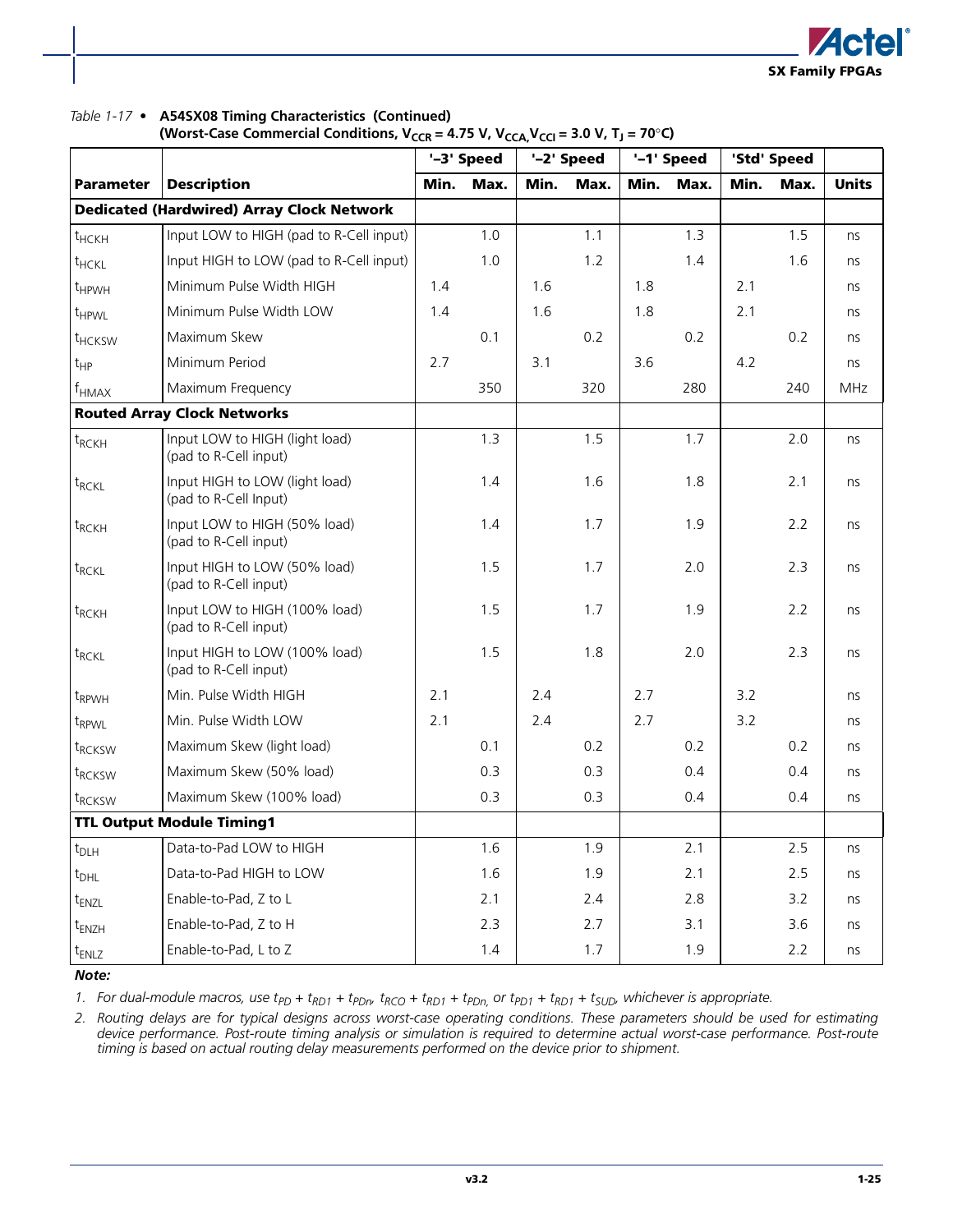

#### *Table 1-17 •* **A54SX08 Timing Characteristics (Continued)**

(Worst-Case Commercial Conditions,  $V_{CCR} = 4.75 V$ ,  $V_{CCA}V_{CCA} = 3.0 V$ ,  $T_J = 70°C$ )

|                    |                                                         |      | '-3' Speed |      | '-2' Speed |      | '-1' Speed |      | 'Std' Speed |              |
|--------------------|---------------------------------------------------------|------|------------|------|------------|------|------------|------|-------------|--------------|
| <b>Parameter</b>   | <b>Description</b>                                      | Min. | Max.       | Min. | Max.       | Min. | Max.       | Min. | Max.        | <b>Units</b> |
|                    | <b>Dedicated (Hardwired) Array Clock Network</b>        |      |            |      |            |      |            |      |             |              |
| $t$ HCKH           | Input LOW to HIGH (pad to R-Cell input)                 |      | 1.0        |      | 1.1        |      | 1.3        |      | 1.5         | ns           |
| $t$ HCKL           | Input HIGH to LOW (pad to R-Cell input)                 |      | 1.0        |      | 1.2        |      | 1.4        |      | 1.6         | ns           |
| t <sub>HPWH</sub>  | Minimum Pulse Width HIGH                                | 1.4  |            | 1.6  |            | 1.8  |            | 2.1  |             | ns           |
| t <sub>HPWL</sub>  | Minimum Pulse Width LOW                                 | 1.4  |            | 1.6  |            | 1.8  |            | 2.1  |             | ns           |
| t <sub>HCKSW</sub> | Maximum Skew                                            |      | 0.1        |      | 0.2        |      | 0.2        |      | 0.2         | ns           |
| $t_{HP}$           | Minimum Period                                          | 2.7  |            | 3.1  |            | 3.6  |            | 4.2  |             | ns           |
| $f_{HMAX}$         | Maximum Frequency                                       |      | 350        |      | 320        |      | 280        |      | 240         | <b>MHz</b>   |
|                    | <b>Routed Array Clock Networks</b>                      |      |            |      |            |      |            |      |             |              |
| $t_{RCKH}$         | Input LOW to HIGH (light load)<br>(pad to R-Cell input) |      | 1.3        |      | 1.5        |      | 1.7        |      | 2.0         | ns           |
| $t_{RCKL}$         | Input HIGH to LOW (light load)<br>(pad to R-Cell Input) |      | 1.4        |      | 1.6        |      | 1.8        |      | 2.1         | ns           |
| $t_{RCKH}$         | Input LOW to HIGH (50% load)<br>(pad to R-Cell input)   |      | 1.4        |      | 1.7        |      | 1.9        |      | 2.2         | ns           |
| $t_{RCKL}$         | Input HIGH to LOW (50% load)<br>(pad to R-Cell input)   |      | 1.5        |      | 1.7        |      | 2.0        |      | 2.3         | ns           |
| $t_{RCKH}$         | Input LOW to HIGH (100% load)<br>(pad to R-Cell input)  |      | 1.5        |      | 1.7        |      | 1.9        |      | 2.2         | ns           |
| $t_{RCKL}$         | Input HIGH to LOW (100% load)<br>(pad to R-Cell input)  |      | 1.5        |      | 1.8        |      | 2.0        |      | 2.3         | ns           |
| t <sub>RPWH</sub>  | Min. Pulse Width HIGH                                   | 2.1  |            | 2.4  |            | 2.7  |            | 3.2  |             | ns           |
| $t_{RPWL}$         | Min. Pulse Width LOW                                    | 2.1  |            | 2.4  |            | 2.7  |            | 3.2  |             | ns           |
| t <sub>RCKSW</sub> | Maximum Skew (light load)                               |      | 0.1        |      | 0.2        |      | 0.2        |      | 0.2         | ns           |
| $t_{RCKSW}$        | Maximum Skew (50% load)                                 |      | 0.3        |      | 0.3        |      | 0.4        |      | 0.4         | ns           |
| $t_{RCKSW}$        | Maximum Skew (100% load)                                |      | 0.3        |      | 0.3        |      | 0.4        |      | 0.4         | ns           |
|                    | <b>TTL Output Module Timing1</b>                        |      |            |      |            |      |            |      |             |              |
| $t_{\sf D LH}$     | Data-to-Pad LOW to HIGH                                 |      | 1.6        |      | 1.9        |      | 2.1        |      | 2.5         | ns           |
| $t_{DHL}$          | Data-to-Pad HIGH to LOW                                 |      | 1.6        |      | 1.9        |      | 2.1        |      | 2.5         | ns           |
| t <sub>ENZL</sub>  | Enable-to-Pad, Z to L                                   |      | 2.1        |      | 2.4        |      | 2.8        |      | 3.2         | ns           |
| $t_{ENZH}$         | Enable-to-Pad, Z to H                                   |      | 2.3        |      | 2.7        |      | 3.1        |      | 3.6         | ns           |
| t <sub>ENLZ</sub>  | Enable-to-Pad, L to Z                                   |      | 1.4        |      | 1.7        |      | 1.9        |      | 2.2         | ns           |

#### *Note:*

1. For dual-module macros, use  $t_{PD}$  +  $t_{RD1}$  +  $t_{PDn}$ ,  $t_{RCO}$  +  $t_{RD1}$  +  $t_{PDn}$ , or  $t_{PD1}$  +  $t_{RD1}$  +  $t_{SUD}$ , whichever is appropriate.

*2. Routing delays are for typical designs across worst-case operating conditions. These parameters should be used for estimating device performance. Post-route timing analysis or simulation is required to determine actual worst-case performance. Post-route timing is based on actual routing delay measurements performed on the device prior to shipment.*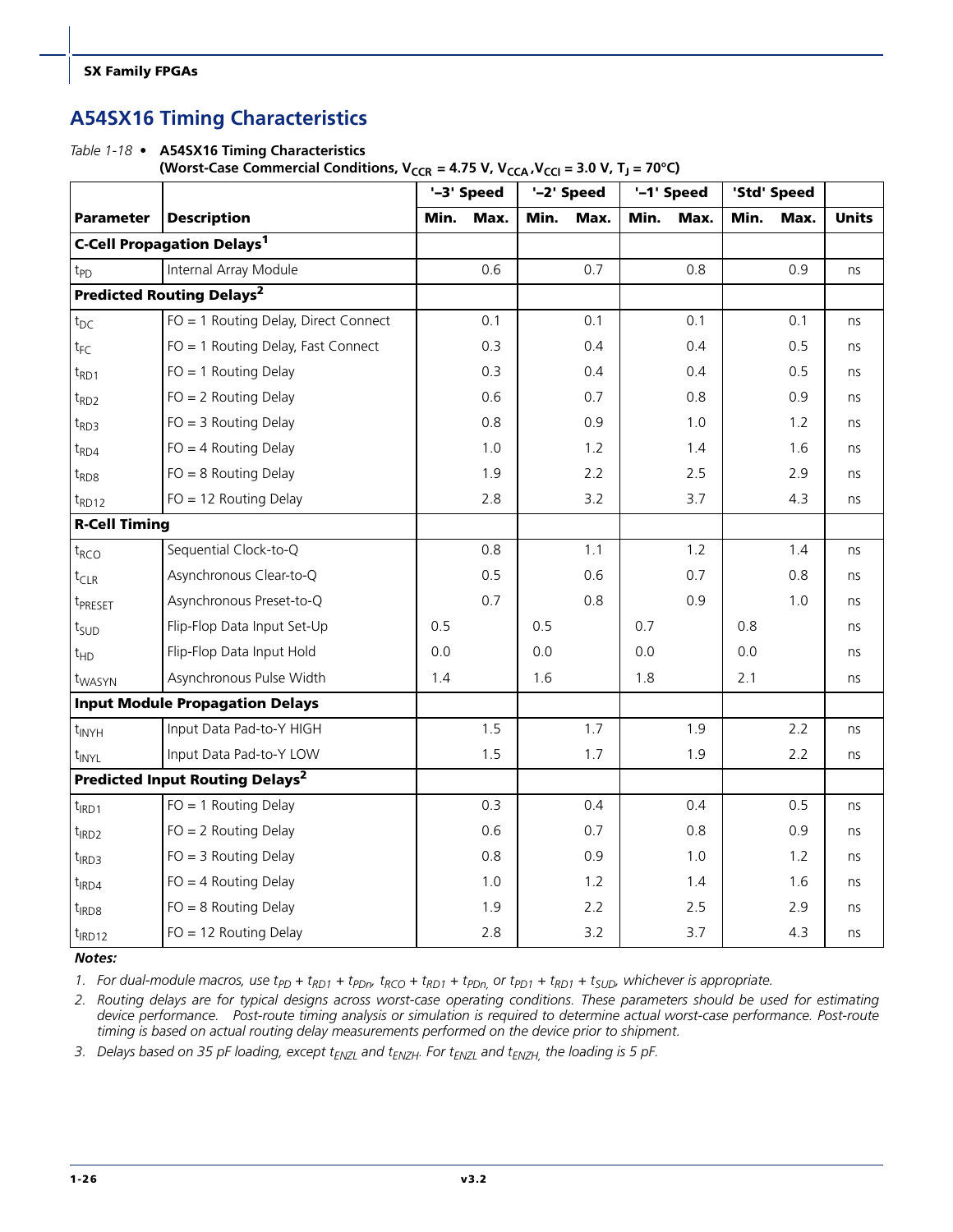### **A54SX16 Timing Characteristics**

*Table 1-18 •* **A54SX16 Timing Characteristics**  (Worst-Case Commercial Conditions,  $V_{CCR} = 4.75 V$ ,  $V_{CCA}$ ,  $V_{CCA} = 3.0 V$ ,  $T_J = 70°C$ )

|                      |                                                   |      | '-3' Speed |      | '-2' Speed |      | '-1' Speed |      | 'Std' Speed |              |
|----------------------|---------------------------------------------------|------|------------|------|------------|------|------------|------|-------------|--------------|
| <b>Parameter</b>     | <b>Description</b>                                | Min. | Max.       | Min. | Max.       | Min. | Max.       | Min. | Max.        | <b>Units</b> |
|                      | <b>C-Cell Propagation Delays<sup>1</sup></b>      |      |            |      |            |      |            |      |             |              |
| t <sub>PD</sub>      | Internal Array Module                             |      | 0.6        |      | 0.7        |      | 0.8        |      | 0.9         | ns           |
|                      | <b>Predicted Routing Delays<sup>2</sup></b>       |      |            |      |            |      |            |      |             |              |
| $t_{DC}$             | FO = 1 Routing Delay, Direct Connect              |      | 0.1        |      | 0.1        |      | 0.1        |      | 0.1         | ns           |
| $t_{FC}$             | FO = 1 Routing Delay, Fast Connect                |      | 0.3        |      | 0.4        |      | 0.4        |      | 0.5         | ns           |
| $t_{RD1}$            | $FO = 1$ Routing Delay                            |      | 0.3        |      | 0.4        |      | 0.4        |      | 0.5         | ns           |
| $t_{RD2}$            | $FO = 2$ Routing Delay                            |      | 0.6        |      | 0.7        |      | 0.8        |      | 0.9         | ns           |
| $t_{RD3}$            | $FO = 3$ Routing Delay                            |      | 0.8        |      | 0.9        |      | 1.0        |      | 1.2         | ns           |
| $t_{RD4}$            | $FO = 4$ Routing Delay                            |      | 1.0        |      | 1.2        |      | 1.4        |      | 1.6         | ns           |
| $t_{RDS}$            | $FO = 8$ Routing Delay                            |      | 1.9        |      | 2.2        |      | 2.5        |      | 2.9         | ns           |
| $t_{RD12}$           | $FO = 12$ Routing Delay                           |      | 2.8        |      | 3.2        |      | 3.7        |      | 4.3         | ns           |
| <b>R-Cell Timing</b> |                                                   |      |            |      |            |      |            |      |             |              |
| $t_{RCO}$            | Sequential Clock-to-Q                             |      | 0.8        |      | 1.1        |      | 1.2        |      | 1.4         | ns           |
| $t_{CLR}$            | Asynchronous Clear-to-Q                           |      | 0.5        |      | 0.6        |      | 0.7        |      | 0.8         | ns           |
| t <sub>PRESET</sub>  | Asynchronous Preset-to-Q                          |      | 0.7        |      | 0.8        |      | 0.9        |      | 1.0         | ns           |
| t <sub>SUD</sub>     | Flip-Flop Data Input Set-Up                       | 0.5  |            | 0.5  |            | 0.7  |            | 0.8  |             | ns           |
| t <sub>HD</sub>      | Flip-Flop Data Input Hold                         | 0.0  |            | 0.0  |            | 0.0  |            | 0.0  |             | ns           |
| t <sub>WASYN</sub>   | Asynchronous Pulse Width                          | 1.4  |            | 1.6  |            | 1.8  |            | 2.1  |             | ns           |
|                      | <b>Input Module Propagation Delays</b>            |      |            |      |            |      |            |      |             |              |
| $t_{\text{INYH}}$    | Input Data Pad-to-Y HIGH                          |      | 1.5        |      | 1.7        |      | 1.9        |      | 2.2         | ns           |
| t <sub>INYL</sub>    | Input Data Pad-to-Y LOW                           |      | 1.5        |      | 1.7        |      | 1.9        |      | 2.2         | ns           |
|                      | <b>Predicted Input Routing Delays<sup>2</sup></b> |      |            |      |            |      |            |      |             |              |
| $t_{IRD1}$           | $FO = 1$ Routing Delay                            |      | 0.3        |      | 0.4        |      | 0.4        |      | 0.5         | ns           |
| $t_{IRD2}$           | $FO = 2$ Routing Delay                            |      | 0.6        |      | 0.7        |      | 0.8        |      | 0.9         | ns           |
| $t_{IRD3}$           | $FO = 3$ Routing Delay                            |      | 0.8        |      | 0.9        |      | 1.0        |      | 1.2         | ns           |
| $t_{IRD4}$           | $FO = 4$ Routing Delay                            |      | 1.0        |      | 1.2        |      | 1.4        |      | 1.6         | ns           |
| $t_{IRD8}$           | $FO = 8$ Routing Delay                            |      | 1.9        |      | 2.2        |      | 2.5        |      | 2.9         | ns           |
| $t_{IRD12}$          | $FO = 12$ Routing Delay                           |      | 2.8        |      | 3.2        |      | 3.7        |      | 4.3         | ns           |

#### *Notes:*

1. For dual-module macros, use  $t_{PD}$  +  $t_{RD1}$  +  $t_{PDn}$ ,  $t_{RO1}$  +  $t_{PDn}$ , or  $t_{PD1}$  +  $t_{RD1}$  +  $t_{SUD}$ , whichever is appropriate.

*2. Routing delays are for typical designs across worst-case operating conditions. These parameters should be used for estimating device performance. Post-route timing analysis or simulation is required to determine actual worst-case performance. Post-route timing is based on actual routing delay measurements performed on the device prior to shipment.*

3. Delays based on 35 pF loading, except t<sub>ENZL</sub> and t<sub>ENZH</sub>. For t<sub>ENZL</sub> and t<sub>ENZH,</sub> the loading is 5 pF.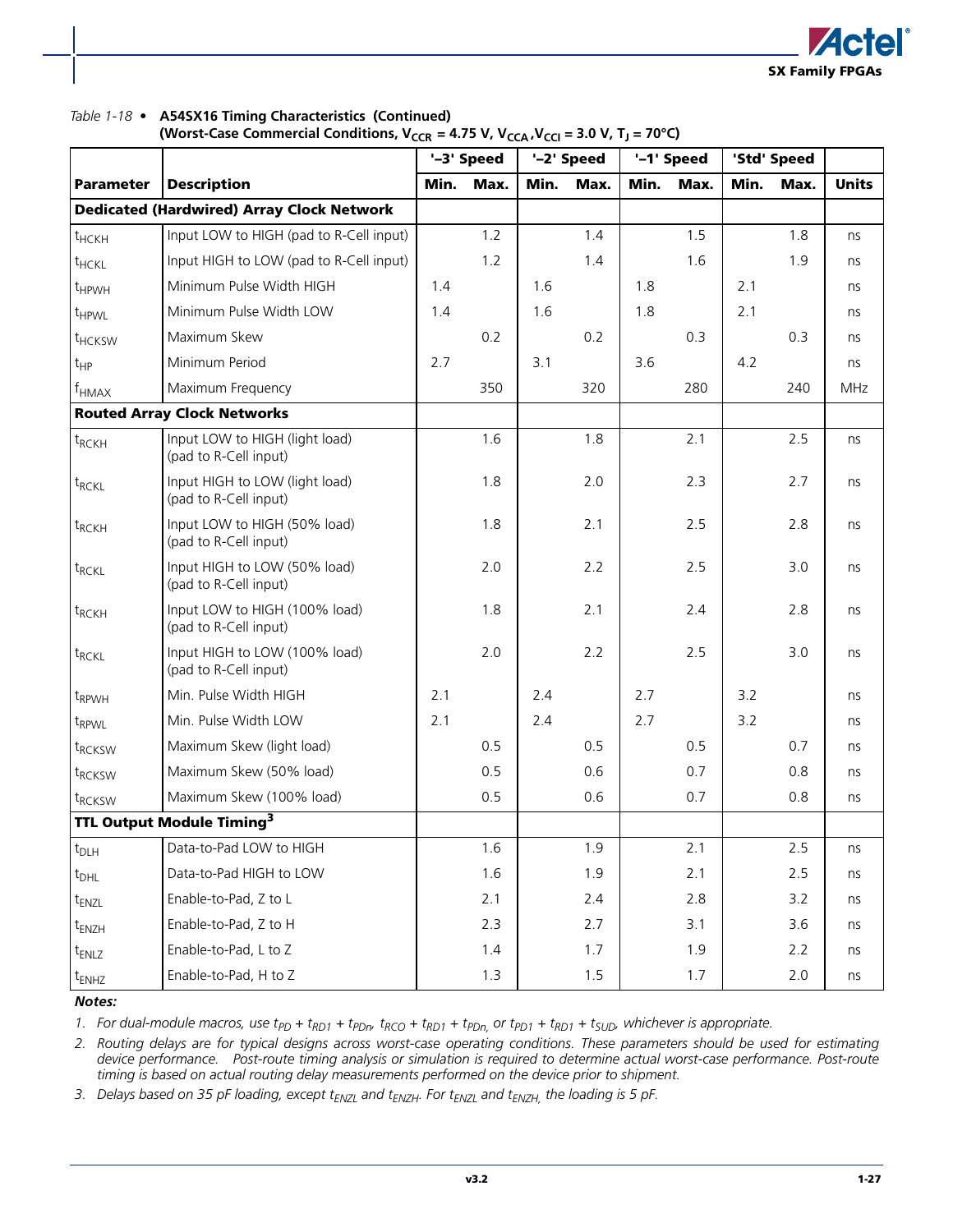

#### *Table 1-18 •* **A54SX16 Timing Characteristics (Continued)**

|                     |                                                         |      | '-3' Speed |      | '-2' Speed |      | '-1' Speed |      | 'Std' Speed |              |
|---------------------|---------------------------------------------------------|------|------------|------|------------|------|------------|------|-------------|--------------|
| <b>Parameter</b>    | <b>Description</b>                                      | Min. | Max.       | Min. | Max.       | Min. | Max.       | Min. | Max.        | <b>Units</b> |
|                     | <b>Dedicated (Hardwired) Array Clock Network</b>        |      |            |      |            |      |            |      |             |              |
| $t$ HCKH            | Input LOW to HIGH (pad to R-Cell input)                 |      | 1.2        |      | 1.4        |      | 1.5        |      | 1.8         | ns           |
| $t$ HCKL            | Input HIGH to LOW (pad to R-Cell input)                 |      | 1.2        |      | 1.4        |      | 1.6        |      | 1.9         | ns           |
| $t_{HPWH}$          | Minimum Pulse Width HIGH                                | 1.4  |            | 1.6  |            | 1.8  |            | 2.1  |             | ns           |
| $t$ <sub>HPWL</sub> | Minimum Pulse Width LOW                                 | 1.4  |            | 1.6  |            | 1.8  |            | 2.1  |             | ns           |
| t <sub>HCKSW</sub>  | Maximum Skew                                            |      | 0.2        |      | 0.2        |      | 0.3        |      | 0.3         | ns           |
| $t_{HP}$            | Minimum Period                                          | 2.7  |            | 3.1  |            | 3.6  |            | 4.2  |             | ns           |
| $f_{HMAX}$          | Maximum Frequency                                       |      | 350        |      | 320        |      | 280        |      | 240         | <b>MHz</b>   |
|                     | <b>Routed Array Clock Networks</b>                      |      |            |      |            |      |            |      |             |              |
| $t_{RCKH}$          | Input LOW to HIGH (light load)<br>(pad to R-Cell input) |      | 1.6        |      | 1.8        |      | 2.1        |      | 2.5         | ns           |
| $t_{RCKL}$          | Input HIGH to LOW (light load)<br>(pad to R-Cell input) |      | 1.8        |      | 2.0        |      | 2.3        |      | 2.7         | ns           |
| $t_{RCKH}$          | Input LOW to HIGH (50% load)<br>(pad to R-Cell input)   |      | 1.8        |      | 2.1        |      | 2.5        |      | 2.8         | ns           |
| $t_{RCKL}$          | Input HIGH to LOW (50% load)<br>(pad to R-Cell input)   |      | 2.0        |      | 2.2        |      | 2.5        |      | 3.0         | ns           |
| $t_{RCKH}$          | Input LOW to HIGH (100% load)<br>(pad to R-Cell input)  |      | 1.8        |      | 2.1        |      | 2.4        |      | 2.8         | ns           |
| $t_{RCKL}$          | Input HIGH to LOW (100% load)<br>(pad to R-Cell input)  |      | 2.0        |      | 2.2        |      | 2.5        |      | 3.0         | ns           |
| t <sub>RPWH</sub>   | Min. Pulse Width HIGH                                   | 2.1  |            | 2.4  |            | 2.7  |            | 3.2  |             | ns           |
| t <sub>RPWL</sub>   | Min. Pulse Width LOW                                    | 2.1  |            | 2.4  |            | 2.7  |            | 3.2  |             | ns           |
| t <sub>RCKSW</sub>  | Maximum Skew (light load)                               |      | 0.5        |      | 0.5        |      | 0.5        |      | 0.7         | ns           |
| $t_{RCKSW}$         | Maximum Skew (50% load)                                 |      | 0.5        |      | 0.6        |      | 0.7        |      | 0.8         | ns           |
| $t_{RCKSW}$         | Maximum Skew (100% load)                                |      | 0.5        |      | 0.6        |      | 0.7        |      | 0.8         | ns           |
|                     | TTL Output Module Timing <sup>3</sup>                   |      |            |      |            |      |            |      |             |              |
| $t_{D LH}$          | Data-to-Pad LOW to HIGH                                 |      | 1.6        |      | 1.9        |      | 2.1        |      | 2.5         | ns           |
| $t_{DHL}$           | Data-to-Pad HIGH to LOW                                 |      | 1.6        |      | 1.9        |      | 2.1        |      | 2.5         | ns           |
| t <sub>ENZL</sub>   | Enable-to-Pad, Z to L                                   |      | 2.1        |      | 2.4        |      | 2.8        |      | 3.2         | ns           |
| t <sub>ENZH</sub>   | Enable-to-Pad, Z to H                                   |      | 2.3        |      | 2.7        |      | 3.1        |      | 3.6         | ns           |
| t <sub>ENLZ</sub>   | Enable-to-Pad, L to Z                                   |      | 1.4        |      | 1.7        |      | 1.9        |      | 2.2         | ns           |
| t <sub>ENHZ</sub>   | Enable-to-Pad, H to Z                                   |      | 1.3        |      | 1.5        |      | 1.7        |      | 2.0         | ns           |

*Notes:*

1. For dual-module macros, use  $t_{PD}$  +  $t_{RD1}$  +  $t_{PDn}$ ,  $t_{RCO}$  +  $t_{RD1}$  +  $t_{PDn}$ , or  $t_{PD1}$  +  $t_{RD1}$  +  $t_{SUD}$ , whichever is appropriate.

*2. Routing delays are for typical designs across worst-case operating conditions. These parameters should be used for estimating device performance. Post-route timing analysis or simulation is required to determine actual worst-case performance. Post-route timing is based on actual routing delay measurements performed on the device prior to shipment.*

3. Delays based on 35 pF loading, except t<sub>ENZL</sub> and t<sub>ENZH</sub>. For t<sub>ENZL</sub> and t<sub>ENZH,</sub> the loading is 5 pF.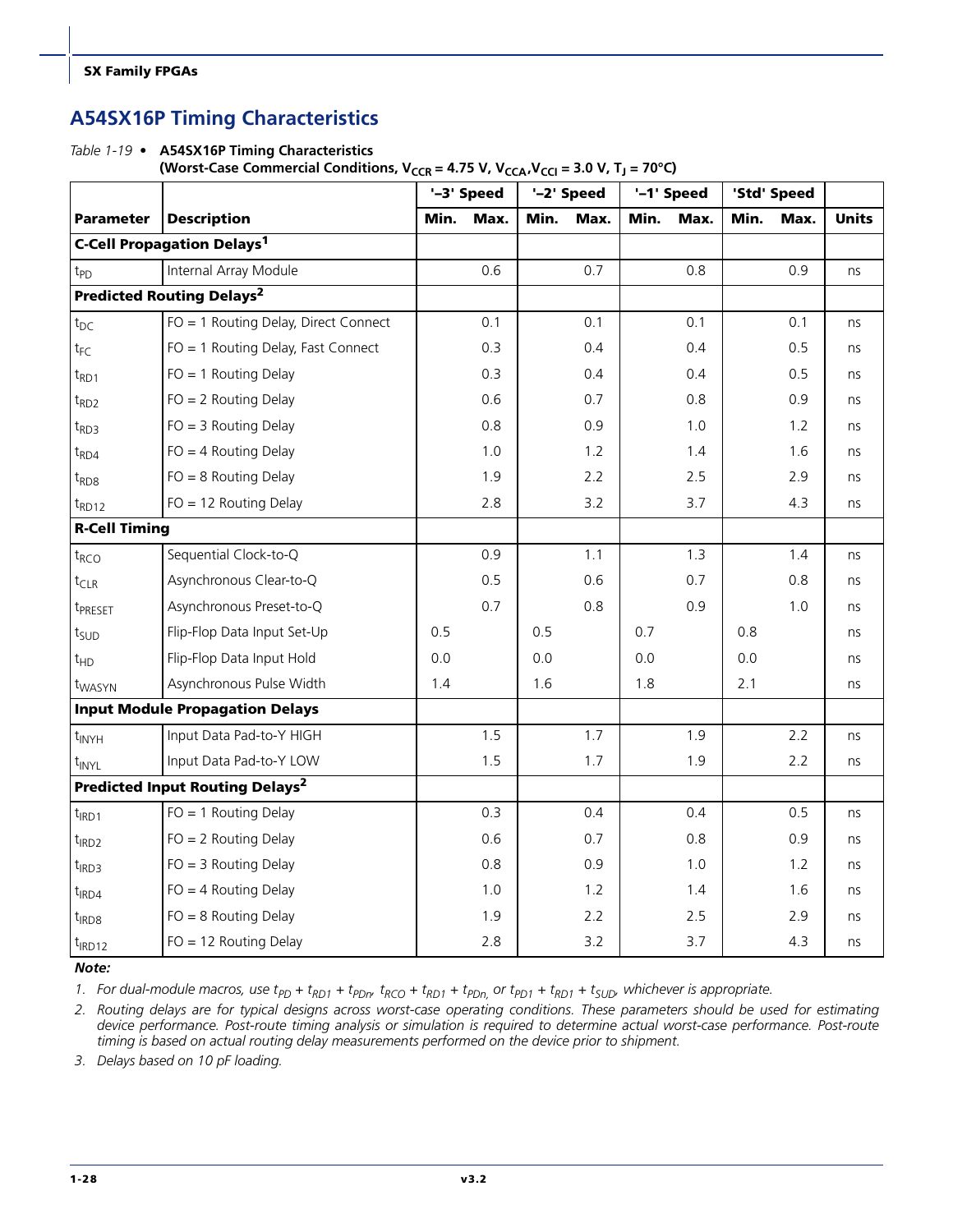### **A54SX16P Timing Characteristics**

*Table 1-19 •* **A54SX16P Timing Characteristics** 

(Worst-Case Commercial Conditions,  $V_{CCR} = 4.75 V$ ,  $V_{CCA}$ ,  $V_{CCA} = 3.0 V$ ,  $T_J = 70°C$ )

|                      | '-2' Speed<br>'-1' Speed<br>'-3' Speed<br>'Std' Speed |      |      |      |      |      |      |      |      |              |
|----------------------|-------------------------------------------------------|------|------|------|------|------|------|------|------|--------------|
| <b>Parameter</b>     | <b>Description</b>                                    | Min. | Max. | Min. | Max. | Min. | Max. | Min. | Max. | <b>Units</b> |
|                      | <b>C-Cell Propagation Delays<sup>1</sup></b>          |      |      |      |      |      |      |      |      |              |
| t <sub>PD</sub>      | Internal Array Module                                 |      | 0.6  |      | 0.7  |      | 0.8  |      | 0.9  | ns           |
|                      | <b>Predicted Routing Delays<sup>2</sup></b>           |      |      |      |      |      |      |      |      |              |
| $t_{DC}$             | FO = 1 Routing Delay, Direct Connect                  |      | 0.1  |      | 0.1  |      | 0.1  |      | 0.1  | ns           |
| $t_{\mathsf{FC}}$    | FO = 1 Routing Delay, Fast Connect                    |      | 0.3  |      | 0.4  |      | 0.4  |      | 0.5  | ns           |
| $t_{RD1}$            | $FO = 1$ Routing Delay                                |      | 0.3  |      | 0.4  |      | 0.4  |      | 0.5  | ns           |
| $t_{RD2}$            | $FO = 2$ Routing Delay                                |      | 0.6  |      | 0.7  |      | 0.8  |      | 0.9  | ns           |
| $t_{RD3}$            | $FO = 3$ Routing Delay                                |      | 0.8  |      | 0.9  |      | 1.0  |      | 1.2  | ns           |
| $t_{RD4}$            | $FO = 4$ Routing Delay                                |      | 1.0  |      | 1.2  |      | 1.4  |      | 1.6  | ns           |
| $t_{RDS}$            | $FO = 8$ Routing Delay                                |      | 1.9  |      | 2.2  |      | 2.5  |      | 2.9  | ns           |
| $t_{RD12}$           | $FO = 12$ Routing Delay                               |      | 2.8  |      | 3.2  |      | 3.7  |      | 4.3  | ns           |
| <b>R-Cell Timing</b> |                                                       |      |      |      |      |      |      |      |      |              |
| $t_{RCO}$            | Sequential Clock-to-Q                                 |      | 0.9  |      | 1.1  |      | 1.3  |      | 1.4  | ns           |
| $t_{CLR}$            | Asynchronous Clear-to-Q                               |      | 0.5  |      | 0.6  |      | 0.7  |      | 0.8  | ns           |
| t <sub>PRESET</sub>  | Asynchronous Preset-to-Q                              |      | 0.7  |      | 0.8  |      | 0.9  |      | 1.0  | ns           |
| t <sub>SUD</sub>     | Flip-Flop Data Input Set-Up                           | 0.5  |      | 0.5  |      | 0.7  |      | 0.8  |      | ns           |
| $t_{HD}$             | Flip-Flop Data Input Hold                             | 0.0  |      | 0.0  |      | 0.0  |      | 0.0  |      | ns           |
| t <sub>WASYN</sub>   | Asynchronous Pulse Width                              | 1.4  |      | 1.6  |      | 1.8  |      | 2.1  |      | ns           |
|                      | <b>Input Module Propagation Delays</b>                |      |      |      |      |      |      |      |      |              |
| $t_{\text{INYH}}$    | Input Data Pad-to-Y HIGH                              |      | 1.5  |      | 1.7  |      | 1.9  |      | 2.2  | ns           |
| $t_{\text{INV}L}$    | Input Data Pad-to-Y LOW                               |      | 1.5  |      | 1.7  |      | 1.9  |      | 2.2  | ns           |
|                      | <b>Predicted Input Routing Delays<sup>2</sup></b>     |      |      |      |      |      |      |      |      |              |
| $t_{IRD1}$           | $FO = 1$ Routing Delay                                |      | 0.3  |      | 0.4  |      | 0.4  |      | 0.5  | ns           |
| $t_{IRD2}$           | $FO = 2$ Routing Delay                                |      | 0.6  |      | 0.7  |      | 0.8  |      | 0.9  | ns           |
| $t_{IRD3}$           | $FO = 3$ Routing Delay                                |      | 0.8  |      | 0.9  |      | 1.0  |      | 1.2  | ns           |
| $t_{IRD4}$           | $FO = 4$ Routing Delay                                |      | 1.0  |      | 1.2  |      | 1.4  |      | 1.6  | ns           |
| $t_{IRD8}$           | $FO = 8$ Routing Delay                                |      | 1.9  |      | 2.2  |      | 2.5  |      | 2.9  | ns           |
| $t_{IRD12}$          | $FO = 12$ Routing Delay                               |      | 2.8  |      | 3.2  |      | 3.7  |      | 4.3  | ns           |

*Note:*

1. For dual-module macros, use  $t_{PD}$  +  $t_{RD1}$  +  $t_{PDn}$ ,  $t_{RCO}$  +  $t_{RD1}$  +  $t_{PDn}$ , or  $t_{PD1}$  +  $t_{RD1}$  +  $t_{SUD}$ , whichever is appropriate.

*2. Routing delays are for typical designs across worst-case operating conditions. These parameters should be used for estimating device performance. Post-route timing analysis or simulation is required to determine actual worst-case performance. Post-route timing is based on actual routing delay measurements performed on the device prior to shipment.*

*3. Delays based on 10 pF loading.*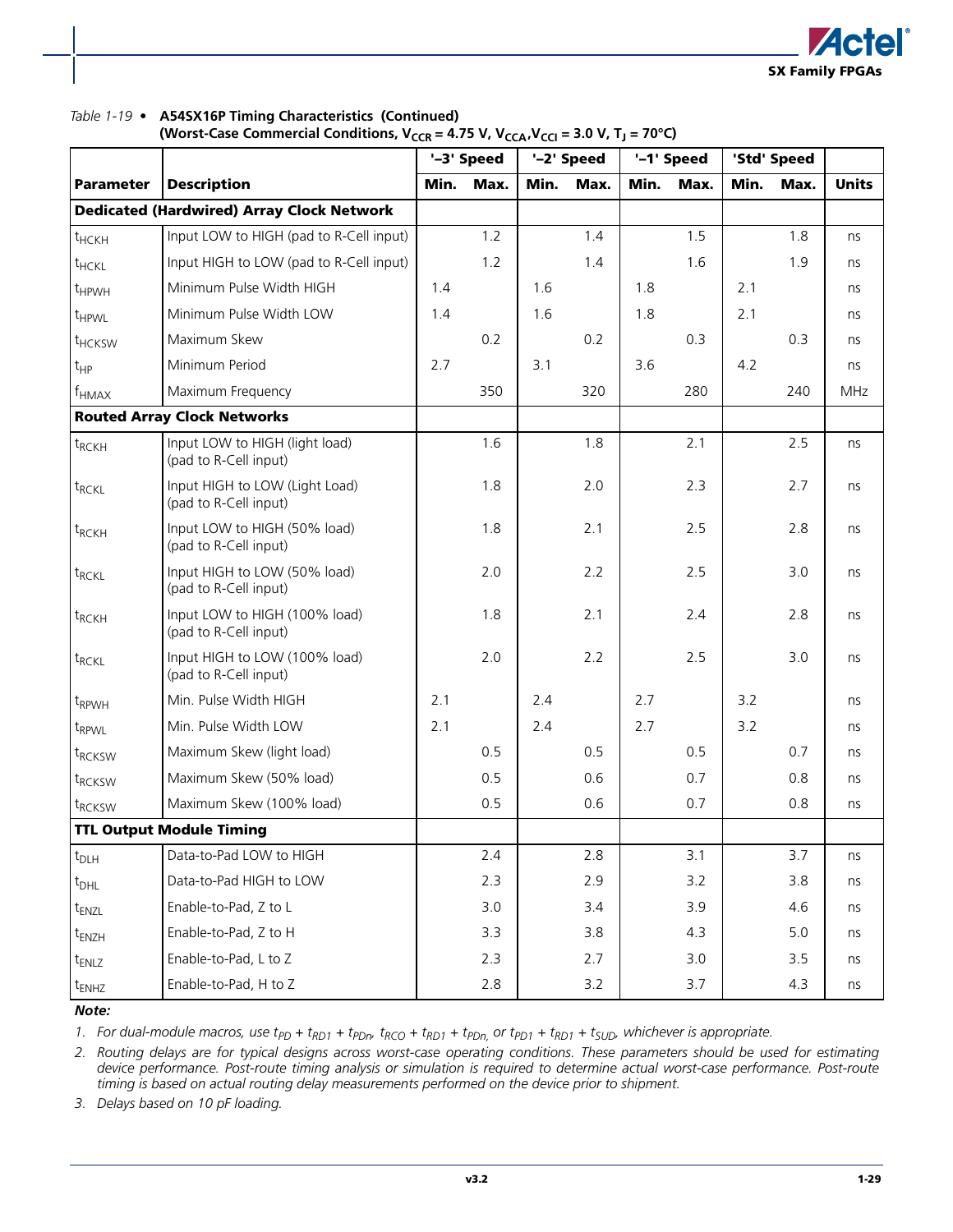

#### *Table 1-19 •* **A54SX16P Timing Characteristics (Continued)**

|                     |                                                         |      | '-3' Speed |      | '-2' Speed |      | '-1' Speed |      | 'Std' Speed |              |
|---------------------|---------------------------------------------------------|------|------------|------|------------|------|------------|------|-------------|--------------|
| <b>Parameter</b>    | <b>Description</b>                                      | Min. | Max.       | Min. | Max.       | Min. | Max.       | Min. | Max.        | <b>Units</b> |
|                     | <b>Dedicated (Hardwired) Array Clock Network</b>        |      |            |      |            |      |            |      |             |              |
| $t$ <sub>HCKH</sub> | Input LOW to HIGH (pad to R-Cell input)                 |      | 1.2        |      | 1.4        |      | 1.5        |      | 1.8         | ns           |
| t <sub>HCKL</sub>   | Input HIGH to LOW (pad to R-Cell input)                 |      | 1.2        |      | 1.4        |      | 1.6        |      | 1.9         | ns           |
| $t_{HPWH}$          | Minimum Pulse Width HIGH                                | 1.4  |            | 1.6  |            | 1.8  |            | 2.1  |             | ns           |
| $t_{HPWL}$          | Minimum Pulse Width LOW                                 | 1.4  |            | 1.6  |            | 1.8  |            | 2.1  |             | ns           |
| $t$ HCKSW           | Maximum Skew                                            |      | 0.2        |      | 0.2        |      | 0.3        |      | 0.3         | ns           |
| $t_{HP}$            | Minimum Period                                          | 2.7  |            | 3.1  |            | 3.6  |            | 4.2  |             | ns           |
| $f_{HMAX}$          | Maximum Frequency                                       |      | 350        |      | 320        |      | 280        |      | 240         | <b>MHz</b>   |
|                     | <b>Routed Array Clock Networks</b>                      |      |            |      |            |      |            |      |             |              |
| $t_{RCKH}$          | Input LOW to HIGH (light load)<br>(pad to R-Cell input) |      | 1.6        |      | 1.8        |      | 2.1        |      | 2.5         | ns           |
| $t_{RCKL}$          | Input HIGH to LOW (Light Load)<br>(pad to R-Cell input) |      | 1.8        |      | 2.0        |      | 2.3        |      | 2.7         | ns           |
| $t_{RCKH}$          | Input LOW to HIGH (50% load)<br>(pad to R-Cell input)   |      | 1.8        |      | 2.1        |      | 2.5        |      | 2.8         | ns           |
| $t_{RCKL}$          | Input HIGH to LOW (50% load)<br>(pad to R-Cell input)   |      | 2.0        |      | 2.2        |      | 2.5        |      | 3.0         | ns           |
| $t_{RCKH}$          | Input LOW to HIGH (100% load)<br>(pad to R-Cell input)  |      | 1.8        |      | 2.1        |      | 2.4        |      | 2.8         | ns           |
| $t_{RCKL}$          | Input HIGH to LOW (100% load)<br>(pad to R-Cell input)  |      | 2.0        |      | 2.2        |      | 2.5        |      | 3.0         | ns           |
| t <sub>RPWH</sub>   | Min. Pulse Width HIGH                                   | 2.1  |            | 2.4  |            | 2.7  |            | 3.2  |             | ns           |
| $t_{RPWL}$          | Min. Pulse Width LOW                                    | 2.1  |            | 2.4  |            | 2.7  |            | 3.2  |             | ns           |
| t <sub>RCKSW</sub>  | Maximum Skew (light load)                               |      | 0.5        |      | 0.5        |      | 0.5        |      | 0.7         | ns           |
| t <sub>RCKSW</sub>  | Maximum Skew (50% load)                                 |      | 0.5        |      | 0.6        |      | 0.7        |      | 0.8         | ns           |
| t <sub>RCKSW</sub>  | Maximum Skew (100% load)                                |      | 0.5        |      | 0.6        |      | 0.7        |      | 0.8         | ns           |
|                     | <b>TTL Output Module Timing</b>                         |      |            |      |            |      |            |      |             |              |
| $t_{DLH}$           | Data-to-Pad LOW to HIGH                                 |      | 2.4        |      | 2.8        |      | 3.1        |      | 3.7         | ns           |
| $t_{DHL}$           | Data-to-Pad HIGH to LOW                                 |      | 2.3        |      | 2.9        |      | 3.2        |      | 3.8         | ns           |
| $t_{ENZL}$          | Enable-to-Pad, Z to L                                   |      | 3.0        |      | 3.4        |      | 3.9        |      | 4.6         | ns           |
| t <sub>ENZH</sub>   | Enable-to-Pad, Z to H                                   |      | 3.3        |      | 3.8        |      | 4.3        |      | 5.0         | ns           |
| $t_{ENLZ}$          | Enable-to-Pad, L to Z                                   |      | 2.3        |      | 2.7        |      | 3.0        |      | 3.5         | ns           |
| t <sub>ENHZ</sub>   | Enable-to-Pad, H to Z                                   |      | 2.8        |      | 3.2        |      | 3.7        |      | 4.3         | ns           |

*Note:*

1. For dual-module macros, use  $t_{PD}$  +  $t_{RD1}$  +  $t_{PDn}$ ,  $t_{RCD}$  +  $t_{RD1}$  +  $t_{PD1}$  +  $t_{RD1}$  +  $t_{SUD}$ , whichever is appropriate.

*2. Routing delays are for typical designs across worst-case operating conditions. These parameters should be used for estimating device performance. Post-route timing analysis or simulation is required to determine actual worst-case performance. Post-route timing is based on actual routing delay measurements performed on the device prior to shipment.*

*3. Delays based on 10 pF loading.*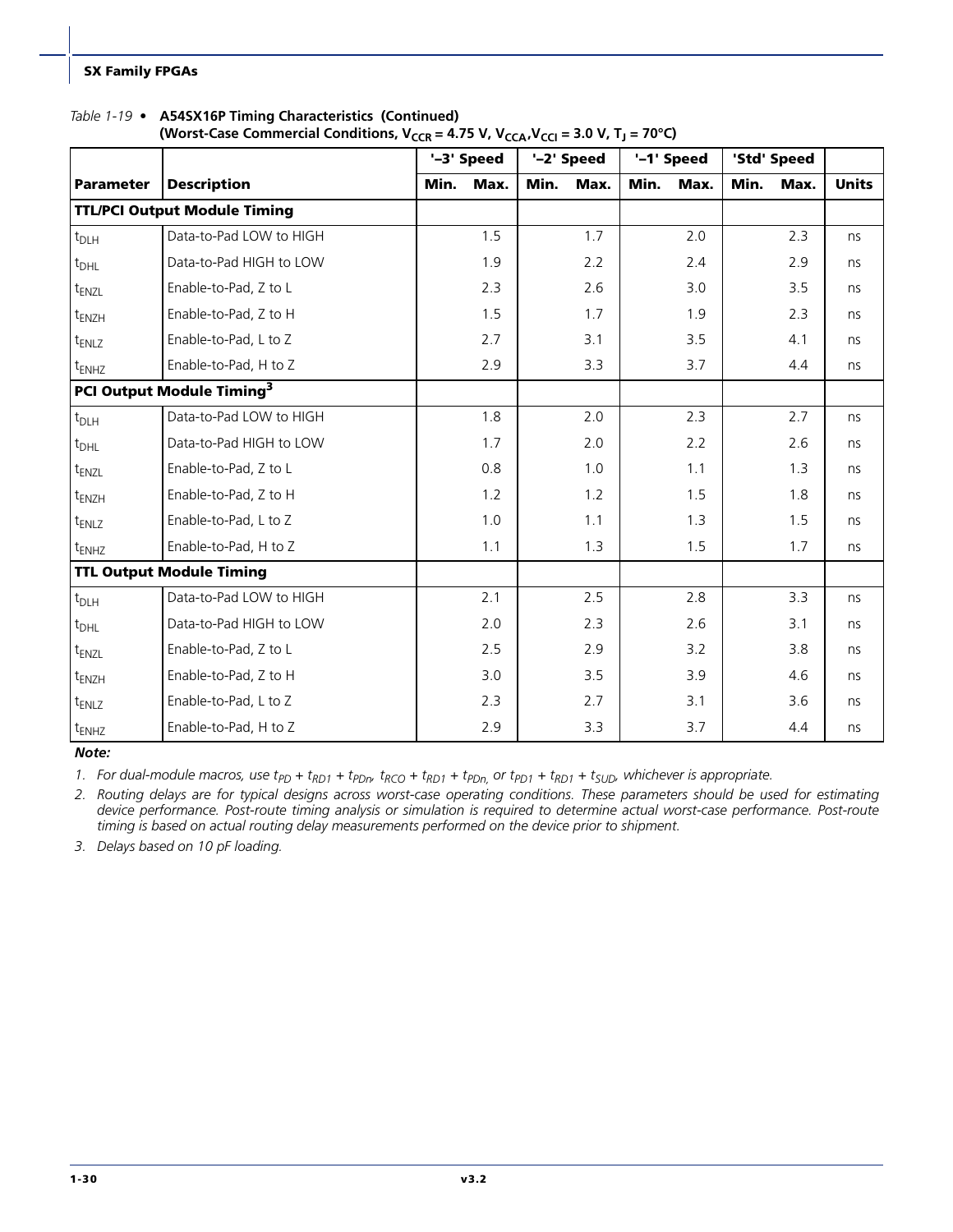#### *Table 1-19 •* **A54SX16P Timing Characteristics (Continued)**

| (Worst-Case Commercial Conditions, $V_{CCR} = 4.75 V$ , $V_{CCA}$ , $V_{CCA} = 3.0 V$ , $T_J = 70^{\circ}C$ ) |  |  |
|---------------------------------------------------------------------------------------------------------------|--|--|
|---------------------------------------------------------------------------------------------------------------|--|--|

|                                     |                                       |      | '-3' Speed |      | '-2' Speed | '-1' Speed |      | 'Std' Speed |      |              |
|-------------------------------------|---------------------------------------|------|------------|------|------------|------------|------|-------------|------|--------------|
| <b>Parameter</b>                    | <b>Description</b>                    | Min. | Max.       | Min. | Max.       | Min.       | Max. | Min.        | Max. | <b>Units</b> |
| <b>TTL/PCI Output Module Timing</b> |                                       |      |            |      |            |            |      |             |      |              |
| $t_{DLH}$                           | Data-to-Pad LOW to HIGH               |      | 1.5        |      | 1.7        |            | 2.0  |             | 2.3  | ns           |
| $t_{DHL}$                           | Data-to-Pad HIGH to LOW               |      | 1.9        |      | 2.2        |            | 2.4  |             | 2.9  | ns           |
| t <sub>ENZL</sub>                   | Enable-to-Pad, Z to L                 |      | 2.3        |      | 2.6        |            | 3.0  |             | 3.5  | ns           |
| $t_{ENZH}$                          | Enable-to-Pad, Z to H                 |      | 1.5        |      | 1.7        |            | 1.9  |             | 2.3  | ns           |
| t <sub>ENLZ</sub>                   | Enable-to-Pad, L to Z                 |      | 2.7        |      | 3.1        |            | 3.5  |             | 4.1  | ns           |
| $t_{ENHZ}$                          | Enable-to-Pad, H to Z                 |      | 2.9        |      | 3.3        |            | 3.7  |             | 4.4  | ns           |
|                                     | PCI Output Module Timing <sup>3</sup> |      |            |      |            |            |      |             |      |              |
| t <sub>DLH</sub>                    | Data-to-Pad LOW to HIGH               |      | 1.8        |      | 2.0        |            | 2.3  |             | 2.7  | ns           |
| $t_{DHL}$                           | Data-to-Pad HIGH to LOW               |      | 1.7        |      | 2.0        |            | 2.2  |             | 2.6  | ns           |
| t <sub>ENZL</sub>                   | Enable-to-Pad, Z to L                 |      | 0.8        |      | 1.0        |            | 1.1  |             | 1.3  | ns           |
| $t_{ENZH}$                          | Enable-to-Pad, Z to H                 |      | 1.2        |      | 1.2        |            | 1.5  |             | 1.8  | ns           |
| t <sub>ENLZ</sub>                   | Enable-to-Pad, L to Z                 |      | 1.0        |      | 1.1        |            | 1.3  |             | 1.5  | ns           |
| $t_{ENHZ}$                          | Enable-to-Pad, H to Z                 |      | 1.1        |      | 1.3        |            | 1.5  |             | 1.7  | ns           |
|                                     | <b>TTL Output Module Timing</b>       |      |            |      |            |            |      |             |      |              |
| $t_{DLH}$                           | Data-to-Pad LOW to HIGH               |      | 2.1        |      | 2.5        |            | 2.8  |             | 3.3  | ns           |
| $t_{DHL}$                           | Data-to-Pad HIGH to LOW               |      | 2.0        |      | 2.3        |            | 2.6  |             | 3.1  | ns           |
| t <sub>ENZL</sub>                   | Enable-to-Pad, Z to L                 |      | 2.5        |      | 2.9        |            | 3.2  |             | 3.8  | ns           |
| $t_{ENZH}$                          | Enable-to-Pad, Z to H                 |      | 3.0        |      | 3.5        |            | 3.9  |             | 4.6  | ns           |
| t <sub>ENLZ</sub>                   | Enable-to-Pad, L to Z                 |      | 2.3        |      | 2.7        |            | 3.1  |             | 3.6  | ns           |
| $t_{ENHZ}$                          | Enable-to-Pad, H to Z                 |      | 2.9        |      | 3.3        |            | 3.7  |             | 4.4  | ns           |

*Note:*

1. For dual-module macros, use  $t_{PD}$  +  $t_{RD1}$  +  $t_{PDn}$ ,  $t_{RCD}$  +  $t_{RD1}$  +  $t_{PDn}$ , or  $t_{PD1}$  +  $t_{RD1}$  +  $t_{SUD}$ , whichever is appropriate.

*2. Routing delays are for typical designs across worst-case operating conditions. These parameters should be used for estimating device performance. Post-route timing analysis or simulation is required to determine actual worst-case performance. Post-route timing is based on actual routing delay measurements performed on the device prior to shipment.*

*3. Delays based on 10 pF loading.*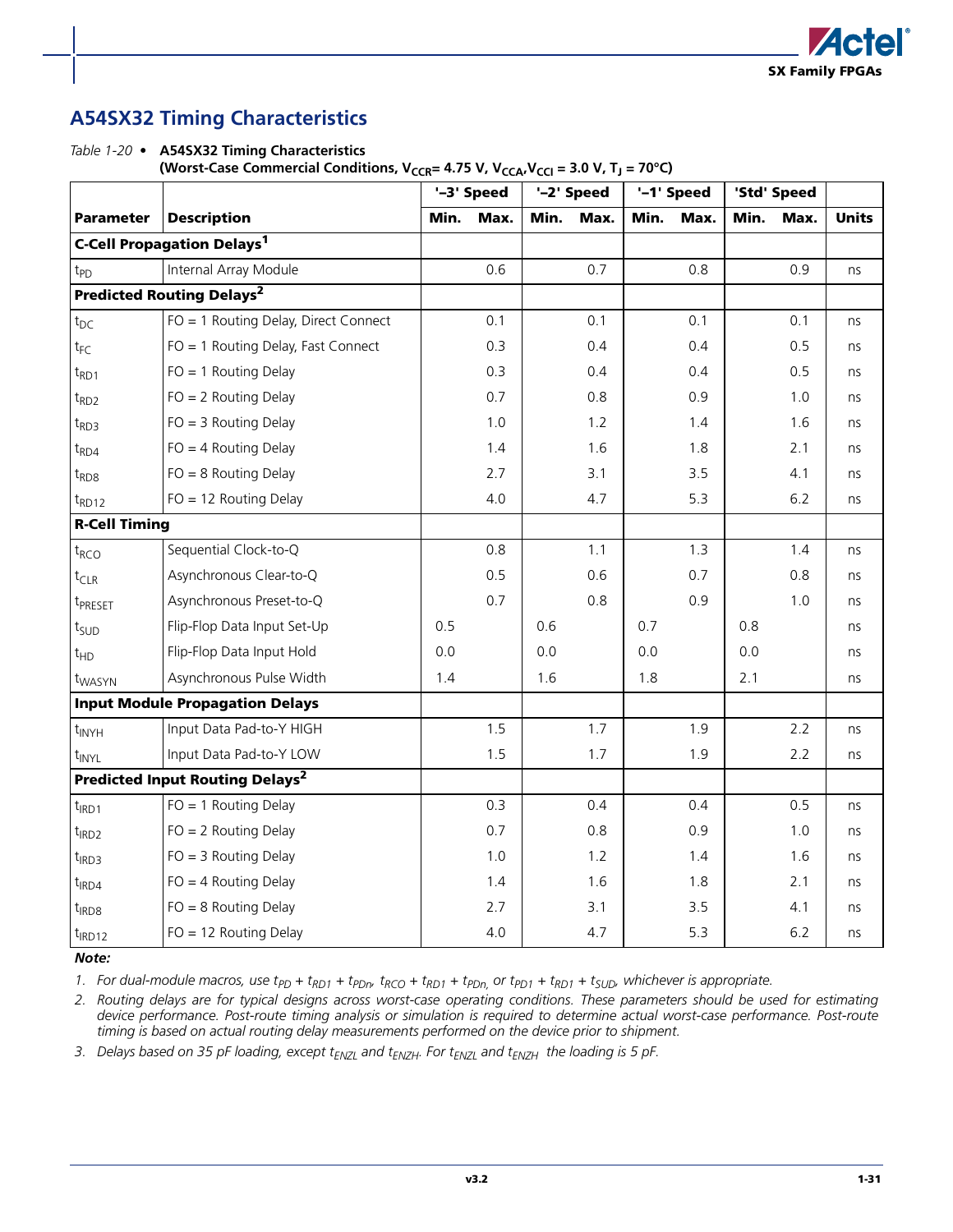

### **A54SX32 Timing Characteristics**

*Table 1-20 •* **A54SX32 Timing Characteristics**  (Worst-Case Commercial Conditions,  $V_{CCR} = 4.75 V$ ,  $V_{CCA}$ ,  $V_{CCA}$ ,  $V_{CCI} = 3.0 V$ ,  $T_J = 70°C$ )

|                                             |                                                   |      | '-3' Speed |      | '-2' Speed |      | '-1' Speed | 'Std' Speed |       |              |
|---------------------------------------------|---------------------------------------------------|------|------------|------|------------|------|------------|-------------|-------|--------------|
| <b>Parameter</b>                            | <b>Description</b>                                | Min. | Max.       | Min. | Max.       | Min. | Max.       | Min.        | Max.  | <b>Units</b> |
|                                             | <b>C-Cell Propagation Delays<sup>1</sup></b>      |      |            |      |            |      |            |             |       |              |
| t <sub>PD</sub>                             | Internal Array Module                             |      | 0.6        |      | 0.7        |      | 0.8        |             | 0.9   | ns           |
| <b>Predicted Routing Delays<sup>2</sup></b> |                                                   |      |            |      |            |      |            |             |       |              |
| $t_{DC}$                                    | FO = 1 Routing Delay, Direct Connect              |      | 0.1        |      | 0.1        |      | 0.1        |             | 0.1   | ns           |
| $t_{FC}$                                    | FO = 1 Routing Delay, Fast Connect                |      | 0.3        |      | 0.4        |      | 0.4        |             | 0.5   | ns           |
| $t_{RD1}$                                   | $FO = 1$ Routing Delay                            |      | 0.3        |      | 0.4        |      | 0.4        |             | 0.5   | ns           |
| $t_{RD2}$                                   | $FO = 2$ Routing Delay                            |      | 0.7        |      | 0.8        |      | 0.9        |             | 1.0   | ns           |
| $t_{RD3}$                                   | $FO = 3$ Routing Delay                            |      | 1.0        |      | 1.2        |      | 1.4        |             | 1.6   | ns           |
| $t_{RDA}$                                   | $FO = 4$ Routing Delay                            |      | 1.4        |      | 1.6        |      | 1.8        |             | 2.1   | ns           |
| $t_{RDS}$                                   | $FO = 8$ Routing Delay                            |      | 2.7        |      | 3.1        |      | 3.5        |             | 4.1   | ns           |
| $t_{RD12}$                                  | $FO = 12$ Routing Delay                           |      | 4.0        |      | 4.7        |      | 5.3        |             | 6.2   | ns           |
| <b>R-Cell Timing</b>                        |                                                   |      |            |      |            |      |            |             |       |              |
| $t_{RCO}$                                   | Sequential Clock-to-Q                             |      | 0.8        |      | 1.1        |      | 1.3        |             | 1.4   | ns           |
| $t_{CLR}$                                   | Asynchronous Clear-to-Q                           |      | 0.5        |      | 0.6        |      | 0.7        |             | 0.8   | ns           |
| t <sub>PRESET</sub>                         | Asynchronous Preset-to-Q                          |      | 0.7        |      | 0.8        |      | 0.9        |             | 1.0   | ns           |
| t <sub>SUD</sub>                            | Flip-Flop Data Input Set-Up                       | 0.5  |            | 0.6  |            | 0.7  |            | 0.8         |       | ns           |
| $t_{HD}$                                    | Flip-Flop Data Input Hold                         | 0.0  |            | 0.0  |            | 0.0  |            | 0.0         |       | ns           |
| t <sub>WASYN</sub>                          | Asynchronous Pulse Width                          | 1.4  |            | 1.6  |            | 1.8  |            | 2.1         |       | ns           |
|                                             | <b>Input Module Propagation Delays</b>            |      |            |      |            |      |            |             |       |              |
| $t_{\text{INYH}}$                           | Input Data Pad-to-Y HIGH                          |      | 1.5        |      | 1.7        |      | 1.9        |             | $2.2$ | ns           |
| t <sub>INYL</sub>                           | Input Data Pad-to-Y LOW                           |      | 1.5        |      | 1.7        |      | 1.9        |             | 2.2   | ns           |
|                                             | <b>Predicted Input Routing Delays<sup>2</sup></b> |      |            |      |            |      |            |             |       |              |
| $t_{IRD1}$                                  | $FO = 1$ Routing Delay                            |      | 0.3        |      | 0.4        |      | 0.4        |             | 0.5   | ns           |
| $t_{IRD2}$                                  | $FO = 2$ Routing Delay                            |      | 0.7        |      | 0.8        |      | 0.9        |             | 1.0   | ns           |
| $t_{IRD3}$                                  | $FO = 3$ Routing Delay                            |      | 1.0        |      | 1.2        |      | 1.4        |             | 1.6   | ns           |
| $t_{IRD4}$                                  | $FO = 4$ Routing Delay                            |      | 1.4        |      | 1.6        |      | 1.8        |             | 2.1   | ns           |
| $t_{IRD8}$                                  | $FO = 8$ Routing Delay                            |      | 2.7        |      | 3.1        |      | 3.5        |             | 4.1   | ns           |
| $t_{IRD12}$                                 | $FO = 12$ Routing Delay                           |      | 4.0        |      | 4.7        |      | 5.3        |             | 6.2   | ns           |

#### *Note:*

1. For dual-module macros, use  $t_{PD}$  +  $t_{RD1}$  +  $t_{PDn}$ ,  $t_{RCO}$  +  $t_{RD1}$  +  $t_{PDn}$ , or  $t_{PD1}$  +  $t_{RD1}$  +  $t_{SUD}$ , whichever is appropriate.

*2. Routing delays are for typical designs across worst-case operating conditions. These parameters should be used for estimating device performance. Post-route timing analysis or simulation is required to determine actual worst-case performance. Post-route timing is based on actual routing delay measurements performed on the device prior to shipment.*

3. Delays based on 35 pF loading, except t<sub>ENZL</sub> and t<sub>ENZH</sub>. For t<sub>ENZL</sub> and t<sub>ENZH</sub> the loading is 5 pF.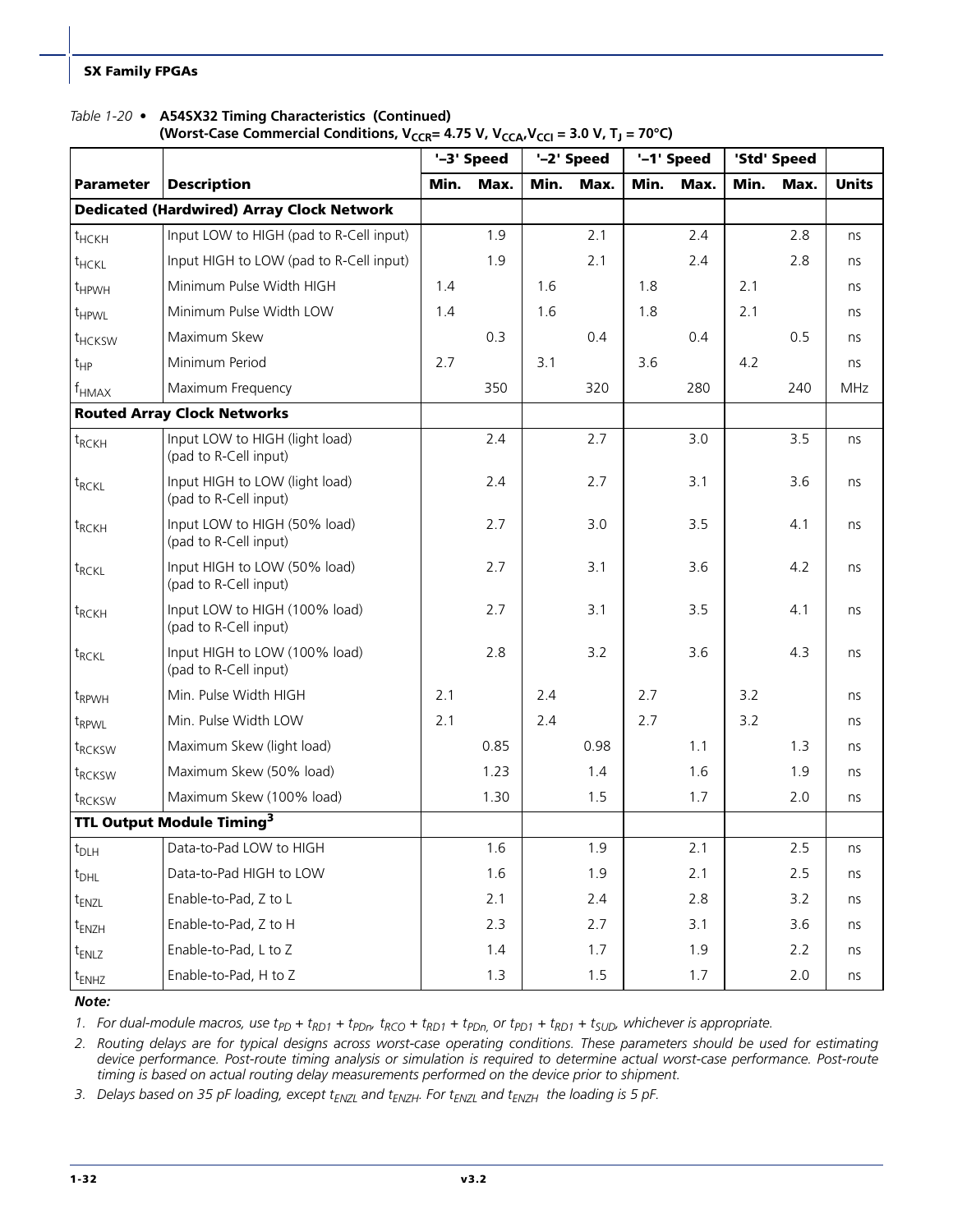#### *Table 1-20 •* **A54SX32 Timing Characteristics (Continued)**

#### (Worst-Case Commercial Conditions,  $V_{CCR}$ = 4.75 V,  $V_{CCA}$ ,  $V_{CCl}$  = 3.0 V, T<sub>1</sub> = 70°C)

|                                                  |                                                         |      | '-3' Speed |      | '-2' Speed |      | '-1' Speed |      | 'Std' Speed |              |
|--------------------------------------------------|---------------------------------------------------------|------|------------|------|------------|------|------------|------|-------------|--------------|
| <b>Parameter</b>                                 | <b>Description</b>                                      | Min. | Max.       | Min. | Max.       | Min. | Max.       | Min. | Max.        | <b>Units</b> |
| <b>Dedicated (Hardwired) Array Clock Network</b> |                                                         |      |            |      |            |      |            |      |             |              |
| t <sub>HCKH</sub>                                | Input LOW to HIGH (pad to R-Cell input)                 |      | 1.9        |      | 2.1        |      | 2.4        |      | 2.8         | ns           |
| t <sub>HCKL</sub>                                | Input HIGH to LOW (pad to R-Cell input)                 |      | 1.9        |      | 2.1        |      | 2.4        |      | 2.8         | ns           |
| t <sub>HPWH</sub>                                | Minimum Pulse Width HIGH                                | 1.4  |            | 1.6  |            | 1.8  |            | 2.1  |             | ns           |
| t <sub>HPWL</sub>                                | Minimum Pulse Width LOW                                 | 1.4  |            | 1.6  |            | 1.8  |            | 2.1  |             | ns           |
| t <sub>HCKSW</sub>                               | Maximum Skew                                            |      | 0.3        |      | 0.4        |      | 0.4        |      | 0.5         | ns           |
| $t_{HP}$                                         | Minimum Period                                          | 2.7  |            | 3.1  |            | 3.6  |            | 4.2  |             | ns           |
| $f_{HMAX}$                                       | Maximum Frequency                                       |      | 350        |      | 320        |      | 280        |      | 240         | <b>MHz</b>   |
|                                                  | <b>Routed Array Clock Networks</b>                      |      |            |      |            |      |            |      |             |              |
| $t_{RCKH}$                                       | Input LOW to HIGH (light load)<br>(pad to R-Cell input) |      | 2.4        |      | 2.7        |      | 3.0        |      | 3.5         | ns           |
| $t_{RCKL}$                                       | Input HIGH to LOW (light load)<br>(pad to R-Cell input) |      | 2.4        |      | 2.7        |      | 3.1        |      | 3.6         | ns           |
| $t_{RCKH}$                                       | Input LOW to HIGH (50% load)<br>(pad to R-Cell input)   |      | 2.7        |      | 3.0        |      | 3.5        |      | 4.1         | ns           |
| $t_{RCKL}$                                       | Input HIGH to LOW (50% load)<br>(pad to R-Cell input)   |      | 2.7        |      | 3.1        |      | 3.6        |      | 4.2         | ns           |
| t <sub>RCKH</sub>                                | Input LOW to HIGH (100% load)<br>(pad to R-Cell input)  |      | 2.7        |      | 3.1        |      | 3.5        |      | 4.1         | ns           |
| t <sub>RCKL</sub>                                | Input HIGH to LOW (100% load)<br>(pad to R-Cell input)  |      | 2.8        |      | 3.2        |      | 3.6        |      | 4.3         | ns           |
| t <sub>RPWH</sub>                                | Min. Pulse Width HIGH                                   | 2.1  |            | 2.4  |            | 2.7  |            | 3.2  |             | ns           |
| t <sub>RPWL</sub>                                | Min. Pulse Width LOW                                    | 2.1  |            | 2.4  |            | 2.7  |            | 3.2  |             | ns           |
| t <sub>RCKSW</sub>                               | Maximum Skew (light load)                               |      | 0.85       |      | 0.98       |      | 1.1        |      | 1.3         | ns           |
| t <sub>RCKSW</sub>                               | Maximum Skew (50% load)                                 |      | 1.23       |      | 1.4        |      | 1.6        |      | 1.9         | ns           |
| t <sub>RCKSW</sub>                               | Maximum Skew (100% load)                                |      | 1.30       |      | 1.5        |      | 1.7        |      | 2.0         | ns           |
| TTL Output Module Timing <sup>3</sup>            |                                                         |      |            |      |            |      |            |      |             |              |
| $t_{\sf D LH}$                                   | Data-to-Pad LOW to HIGH                                 |      | 1.6        |      | 1.9        |      | 2.1        |      | 2.5         | ns           |
| $t_{DHL}$                                        | Data-to-Pad HIGH to LOW                                 |      | 1.6        |      | 1.9        |      | 2.1        |      | 2.5         | ns           |
| t <sub>ENZL</sub>                                | Enable-to-Pad, Z to L                                   |      | 2.1        |      | 2.4        |      | 2.8        |      | 3.2         | ns           |
| t <sub>ENZH</sub>                                | Enable-to-Pad, Z to H                                   |      | 2.3        |      | 2.7        |      | 3.1        |      | 3.6         | ns           |
| t <sub>ENLZ</sub>                                | Enable-to-Pad, L to Z                                   |      | 1.4        |      | 1.7        |      | 1.9        |      | 2.2         | ns           |
| t <sub>ENHZ</sub>                                | Enable-to-Pad, H to Z                                   |      | 1.3        |      | 1.5        |      | 1.7        |      | 2.0         | ns           |

#### *Note:*

1. For dual-module macros, use  $t_{PD}$  +  $t_{RD1}$  +  $t_{PDn}$ ,  $t_{RCO}$  +  $t_{RD1}$  +  $t_{PDn}$ , or  $t_{PD1}$  +  $t_{RD1}$  +  $t_{SUD}$ , whichever is appropriate.

*2. Routing delays are for typical designs across worst-case operating conditions. These parameters should be used for estimating device performance. Post-route timing analysis or simulation is required to determine actual worst-case performance. Post-route timing is based on actual routing delay measurements performed on the device prior to shipment.*

3. Delays based on 35 pF loading, except t<sub>ENZL</sub> and t<sub>ENZH</sub>. For t<sub>ENZL</sub> and t<sub>ENZH</sub> the loading is 5 pF.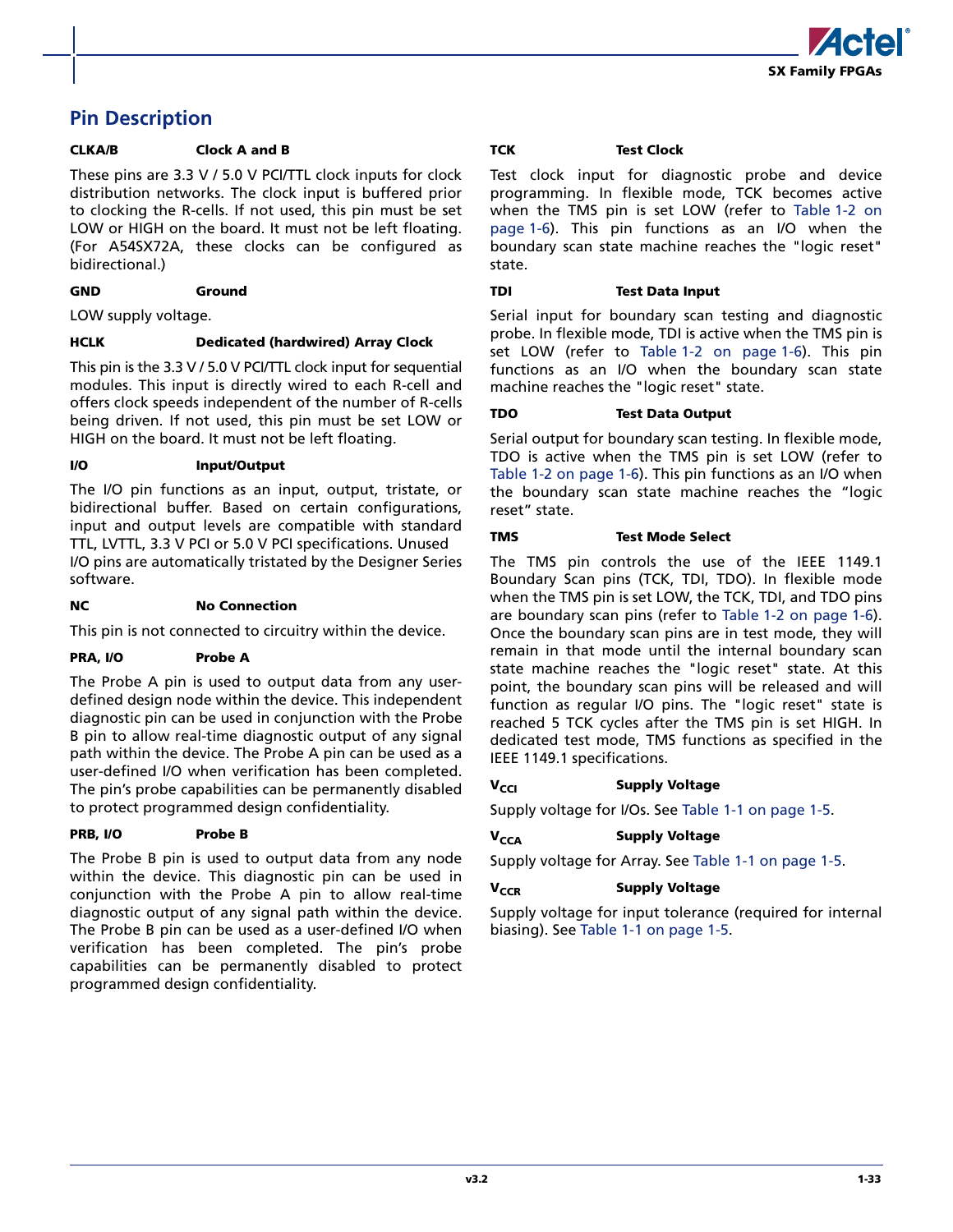

### **Pin Description**

#### **CLKA/B Clock A and B**

These pins are 3.3 V / 5.0 V PCI/TTL clock inputs for clock distribution networks. The clock input is buffered prior to clocking the R-cells. If not used, this pin must be set LOW or HIGH on the board. It must not be left floating. (For A54SX72A, these clocks can be configured as bidirectional.)

#### **GND Ground**

LOW supply voltage.

#### **HCLK Dedicated (hardwired) Array Clock**

This pin is the 3.3 V / 5.0 V PCI/TTL clock input for sequential modules. This input is directly wired to each R-cell and offers clock speeds independent of the number of R-cells being driven. If not used, this pin must be set LOW or HIGH on the board. It must not be left floating.

#### **I/O Input/Output**

The I/O pin functions as an input, output, tristate, or bidirectional buffer. Based on certain configurations, input and output levels are compatible with standard TTL, LVTTL, 3.3 V PCI or 5.0 V PCI specifications. Unused I/O pins are automatically tristated by the Designer Series software.

#### **NC** No Connection

This pin is not connected to circuitry within the device.

#### **PRA, I/O Probe A**

The Probe A pin is used to output data from any userdefined design node within the device. This independent diagnostic pin can be used in conjunction with the Probe B pin to allow real-time diagnostic output of any signal path within the device. The Probe A pin can be used as a user-defined I/O when verification has been completed. The pin's probe capabilities can be permanently disabled to protect programmed design confidentiality.

#### **PRB, I/O Probe B**

The Probe B pin is used to output data from any node within the device. This diagnostic pin can be used in conjunction with the Probe A pin to allow real-time diagnostic output of any signal path within the device. The Probe B pin can be used as a user-defined I/O when verification has been completed. The pin's probe capabilities can be permanently disabled to protect programmed design confidentiality.

#### **TCK Test Clock**

Test clock input for diagnostic probe and device programming. In flexible mode, TCK becomes active when the TMS pin is set LOW (refer to [Table 1-2 on](#page-9-0) [page 1-6\)](#page-9-0). This pin functions as an I/O when the boundary scan state machine reaches the "logic reset" state.

#### **TDI Test Data Input**

Serial input for boundary scan testing and diagnostic probe. In flexible mode, TDI is active when the TMS pin is set LOW (refer to [Table 1-2 on page 1-6\)](#page-9-0). This pin functions as an I/O when the boundary scan state machine reaches the "logic reset" state.

#### **TDO Test Data Output**

Serial output for boundary scan testing. In flexible mode, TDO is active when the TMS pin is set LOW (refer to [Table 1-2 on page 1-6\)](#page-9-0). This pin functions as an I/O when the boundary scan state machine reaches the "logic reset" state.

#### **TMS Test Mode Select**

The TMS pin controls the use of the IEEE 1149.1 Boundary Scan pins (TCK, TDI, TDO). In flexible mode when the TMS pin is set LOW, the TCK, TDI, and TDO pins are boundary scan pins (refer to [Table 1-2 on page 1-6](#page-9-0)). Once the boundary scan pins are in test mode, they will remain in that mode until the internal boundary scan state machine reaches the "logic reset" state. At this point, the boundary scan pins will be released and will function as regular I/O pins. The "logic reset" state is reached 5 TCK cycles after the TMS pin is set HIGH. In dedicated test mode, TMS functions as specified in the IEEE 1149.1 specifications.

#### **V<sub>CCI</sub> Supply Voltage**

Supply voltage for I/Os. See [Table 1-1 on page 1-5.](#page-8-0)

#### **V<sub>CCA</sub> Supply Voltage**

Supply voltage for Array. See [Table 1-1 on page 1-5.](#page-8-0)

#### **V<sub>CCR</sub> Supply Voltage**

Supply voltage for input tolerance (required for internal biasing). See [Table 1-1 on page 1-5](#page-8-0).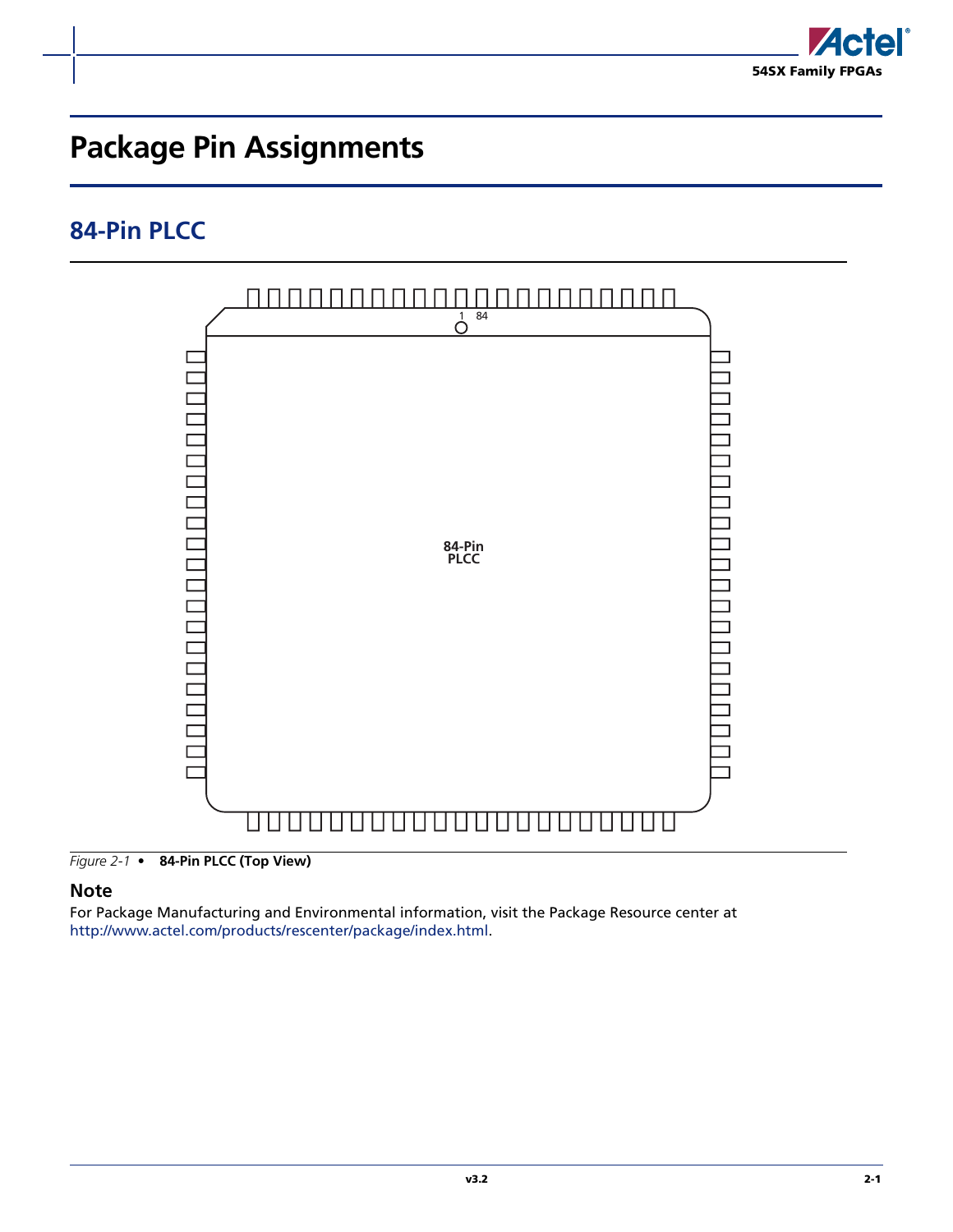

# <span id="page-38-0"></span>**Package Pin Assignments**

## <span id="page-38-1"></span>**84-Pin PLCC**



*Figure 2-1 •* **84-Pin PLCC (Top View)**

#### **Note**

For Package Manufacturing and Environmental information, visit the Package Resource center at [http://www.actel.com/products/rescenter/package/index.html.](http://www.actel.com/products/rescenter/package/index.html)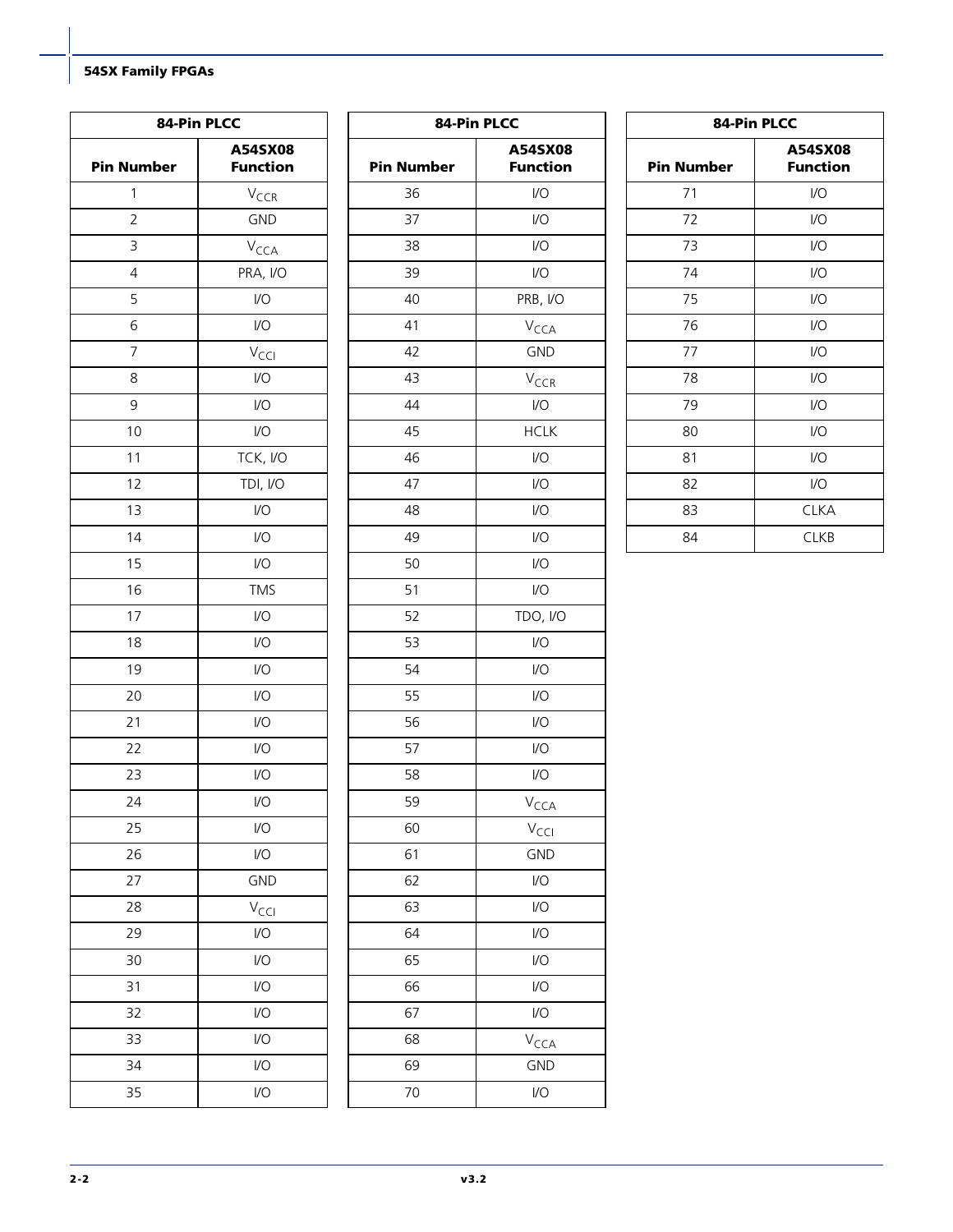| 84-Pin PLCC       |                             |  |  |  |  |  |  |  |
|-------------------|-----------------------------|--|--|--|--|--|--|--|
| <b>Pin Number</b> | A54SX08<br><b>Function</b>  |  |  |  |  |  |  |  |
| 1                 | V <sub>CCR</sub>            |  |  |  |  |  |  |  |
| $\overline{2}$    | GND                         |  |  |  |  |  |  |  |
| 3                 | V <sub>CCA</sub>            |  |  |  |  |  |  |  |
| $\overline{4}$    | PRA, I/O                    |  |  |  |  |  |  |  |
| 5                 | I/O                         |  |  |  |  |  |  |  |
| 6                 | I/O                         |  |  |  |  |  |  |  |
| 7                 | V <sub>CCI</sub>            |  |  |  |  |  |  |  |
| 8                 | I/O                         |  |  |  |  |  |  |  |
| 9                 | I/O                         |  |  |  |  |  |  |  |
| 10                | I/O                         |  |  |  |  |  |  |  |
| 11                | TCK, I/O                    |  |  |  |  |  |  |  |
| 12                | TDI, I/O                    |  |  |  |  |  |  |  |
| 13                | I/O                         |  |  |  |  |  |  |  |
| 14                | I/O                         |  |  |  |  |  |  |  |
| 15                | $\overline{1}/\overline{O}$ |  |  |  |  |  |  |  |
| 16                | <b>TMS</b>                  |  |  |  |  |  |  |  |
| 17                | I/O                         |  |  |  |  |  |  |  |
| 18                | I/O                         |  |  |  |  |  |  |  |
| 19                | I/O                         |  |  |  |  |  |  |  |
| 20                | I/O                         |  |  |  |  |  |  |  |
| 21                | I/O                         |  |  |  |  |  |  |  |
| 22                | I/O                         |  |  |  |  |  |  |  |
| 23                | I/O                         |  |  |  |  |  |  |  |
| 24                | I/O                         |  |  |  |  |  |  |  |
| 25                | I/O                         |  |  |  |  |  |  |  |
| 26                | I/O                         |  |  |  |  |  |  |  |
| 27                | GND                         |  |  |  |  |  |  |  |
| 28                | V <sub>CCI</sub>            |  |  |  |  |  |  |  |
| 29                | I/O                         |  |  |  |  |  |  |  |
| 30                | I/O                         |  |  |  |  |  |  |  |
| 31                | I/O                         |  |  |  |  |  |  |  |
| 32                | I/O                         |  |  |  |  |  |  |  |
| 33                | I/O                         |  |  |  |  |  |  |  |
| 34                | I/O                         |  |  |  |  |  |  |  |
| 35                | I/O                         |  |  |  |  |  |  |  |

| A54SX08<br><b>Pin Number</b><br><b>Function</b><br>36<br>$\overline{1}/\overline{O}$<br>37<br>$\overline{1}/\overline{O}$<br>38<br>I/O<br>39<br>I/O<br>PRB, I/O<br>40<br>41<br>V <sub>CCA</sub><br>42<br><b>GND</b><br>43<br>V <sub>CCR</sub><br>44<br>I/O<br><b>HCLK</b><br>45<br>46<br>$\mathsf{U}\mathsf{O}$<br>47<br>I/O<br>48<br>$\overline{1}/\overline{O}$<br>49<br>$\overline{1}/\overline{O}$<br>50<br>I/O<br>51<br>$\overline{1}/\overline{O}$<br>52<br>TDO, I/O<br>53<br>I/O<br>54<br>$\overline{1}/\overline{O}$<br>55<br>$\overline{1}/\overline{O}$<br>56<br>$\overline{1}/\overline{O}$<br>57<br>$\overline{1}/\overline{O}$<br>58<br>$\overline{1}/\overline{O}$<br>59<br><b>V</b> <sub>CCA</sub><br>60<br>V <sub>CCI</sub><br>61<br><b>GND</b><br>I/O<br>62<br>63<br>I/O<br>64<br>$\overline{U}$<br>65<br>$\overline{1}/\overline{O}$<br>66<br>I/O |    | 84-Pin PLCC |
|---------------------------------------------------------------------------------------------------------------------------------------------------------------------------------------------------------------------------------------------------------------------------------------------------------------------------------------------------------------------------------------------------------------------------------------------------------------------------------------------------------------------------------------------------------------------------------------------------------------------------------------------------------------------------------------------------------------------------------------------------------------------------------------------------------------------------------------------------------------------|----|-------------|
|                                                                                                                                                                                                                                                                                                                                                                                                                                                                                                                                                                                                                                                                                                                                                                                                                                                                     |    |             |
|                                                                                                                                                                                                                                                                                                                                                                                                                                                                                                                                                                                                                                                                                                                                                                                                                                                                     |    |             |
|                                                                                                                                                                                                                                                                                                                                                                                                                                                                                                                                                                                                                                                                                                                                                                                                                                                                     |    |             |
|                                                                                                                                                                                                                                                                                                                                                                                                                                                                                                                                                                                                                                                                                                                                                                                                                                                                     |    |             |
|                                                                                                                                                                                                                                                                                                                                                                                                                                                                                                                                                                                                                                                                                                                                                                                                                                                                     |    |             |
|                                                                                                                                                                                                                                                                                                                                                                                                                                                                                                                                                                                                                                                                                                                                                                                                                                                                     |    |             |
|                                                                                                                                                                                                                                                                                                                                                                                                                                                                                                                                                                                                                                                                                                                                                                                                                                                                     |    |             |
|                                                                                                                                                                                                                                                                                                                                                                                                                                                                                                                                                                                                                                                                                                                                                                                                                                                                     |    |             |
|                                                                                                                                                                                                                                                                                                                                                                                                                                                                                                                                                                                                                                                                                                                                                                                                                                                                     |    |             |
|                                                                                                                                                                                                                                                                                                                                                                                                                                                                                                                                                                                                                                                                                                                                                                                                                                                                     |    |             |
|                                                                                                                                                                                                                                                                                                                                                                                                                                                                                                                                                                                                                                                                                                                                                                                                                                                                     |    |             |
|                                                                                                                                                                                                                                                                                                                                                                                                                                                                                                                                                                                                                                                                                                                                                                                                                                                                     |    |             |
|                                                                                                                                                                                                                                                                                                                                                                                                                                                                                                                                                                                                                                                                                                                                                                                                                                                                     |    |             |
|                                                                                                                                                                                                                                                                                                                                                                                                                                                                                                                                                                                                                                                                                                                                                                                                                                                                     |    |             |
|                                                                                                                                                                                                                                                                                                                                                                                                                                                                                                                                                                                                                                                                                                                                                                                                                                                                     |    |             |
|                                                                                                                                                                                                                                                                                                                                                                                                                                                                                                                                                                                                                                                                                                                                                                                                                                                                     |    |             |
|                                                                                                                                                                                                                                                                                                                                                                                                                                                                                                                                                                                                                                                                                                                                                                                                                                                                     |    |             |
|                                                                                                                                                                                                                                                                                                                                                                                                                                                                                                                                                                                                                                                                                                                                                                                                                                                                     |    |             |
|                                                                                                                                                                                                                                                                                                                                                                                                                                                                                                                                                                                                                                                                                                                                                                                                                                                                     |    |             |
|                                                                                                                                                                                                                                                                                                                                                                                                                                                                                                                                                                                                                                                                                                                                                                                                                                                                     |    |             |
|                                                                                                                                                                                                                                                                                                                                                                                                                                                                                                                                                                                                                                                                                                                                                                                                                                                                     |    |             |
|                                                                                                                                                                                                                                                                                                                                                                                                                                                                                                                                                                                                                                                                                                                                                                                                                                                                     |    |             |
|                                                                                                                                                                                                                                                                                                                                                                                                                                                                                                                                                                                                                                                                                                                                                                                                                                                                     |    |             |
|                                                                                                                                                                                                                                                                                                                                                                                                                                                                                                                                                                                                                                                                                                                                                                                                                                                                     |    |             |
|                                                                                                                                                                                                                                                                                                                                                                                                                                                                                                                                                                                                                                                                                                                                                                                                                                                                     |    |             |
|                                                                                                                                                                                                                                                                                                                                                                                                                                                                                                                                                                                                                                                                                                                                                                                                                                                                     |    |             |
|                                                                                                                                                                                                                                                                                                                                                                                                                                                                                                                                                                                                                                                                                                                                                                                                                                                                     |    |             |
|                                                                                                                                                                                                                                                                                                                                                                                                                                                                                                                                                                                                                                                                                                                                                                                                                                                                     |    |             |
|                                                                                                                                                                                                                                                                                                                                                                                                                                                                                                                                                                                                                                                                                                                                                                                                                                                                     |    |             |
|                                                                                                                                                                                                                                                                                                                                                                                                                                                                                                                                                                                                                                                                                                                                                                                                                                                                     |    |             |
|                                                                                                                                                                                                                                                                                                                                                                                                                                                                                                                                                                                                                                                                                                                                                                                                                                                                     |    |             |
|                                                                                                                                                                                                                                                                                                                                                                                                                                                                                                                                                                                                                                                                                                                                                                                                                                                                     |    |             |
|                                                                                                                                                                                                                                                                                                                                                                                                                                                                                                                                                                                                                                                                                                                                                                                                                                                                     | 67 | I/O         |
| 68<br><b>V</b> <sub>CCA</sub>                                                                                                                                                                                                                                                                                                                                                                                                                                                                                                                                                                                                                                                                                                                                                                                                                                       |    |             |
| 69<br><b>GND</b>                                                                                                                                                                                                                                                                                                                                                                                                                                                                                                                                                                                                                                                                                                                                                                                                                                                    |    |             |
| 70<br>I/O                                                                                                                                                                                                                                                                                                                                                                                                                                                                                                                                                                                                                                                                                                                                                                                                                                                           |    |             |

| 84-Pin PLCC       |                            |  |  |  |  |  |  |  |
|-------------------|----------------------------|--|--|--|--|--|--|--|
| <b>Pin Number</b> | A54SX08<br><b>Function</b> |  |  |  |  |  |  |  |
| 71                | 1/O                        |  |  |  |  |  |  |  |
| 72                | I/O                        |  |  |  |  |  |  |  |
| 73                | I/O                        |  |  |  |  |  |  |  |
| 74                | I/O                        |  |  |  |  |  |  |  |
| 75                | 1/O                        |  |  |  |  |  |  |  |
| 76                | I/O                        |  |  |  |  |  |  |  |
| 77                | I/O                        |  |  |  |  |  |  |  |
| 78                | I/O                        |  |  |  |  |  |  |  |
| 79                | I/O                        |  |  |  |  |  |  |  |
| 80                | I/O                        |  |  |  |  |  |  |  |
| 81                | I/O                        |  |  |  |  |  |  |  |
| 82                | 1/O                        |  |  |  |  |  |  |  |
| 83                | <b>CLKA</b>                |  |  |  |  |  |  |  |
| 84                | <b>CLKB</b>                |  |  |  |  |  |  |  |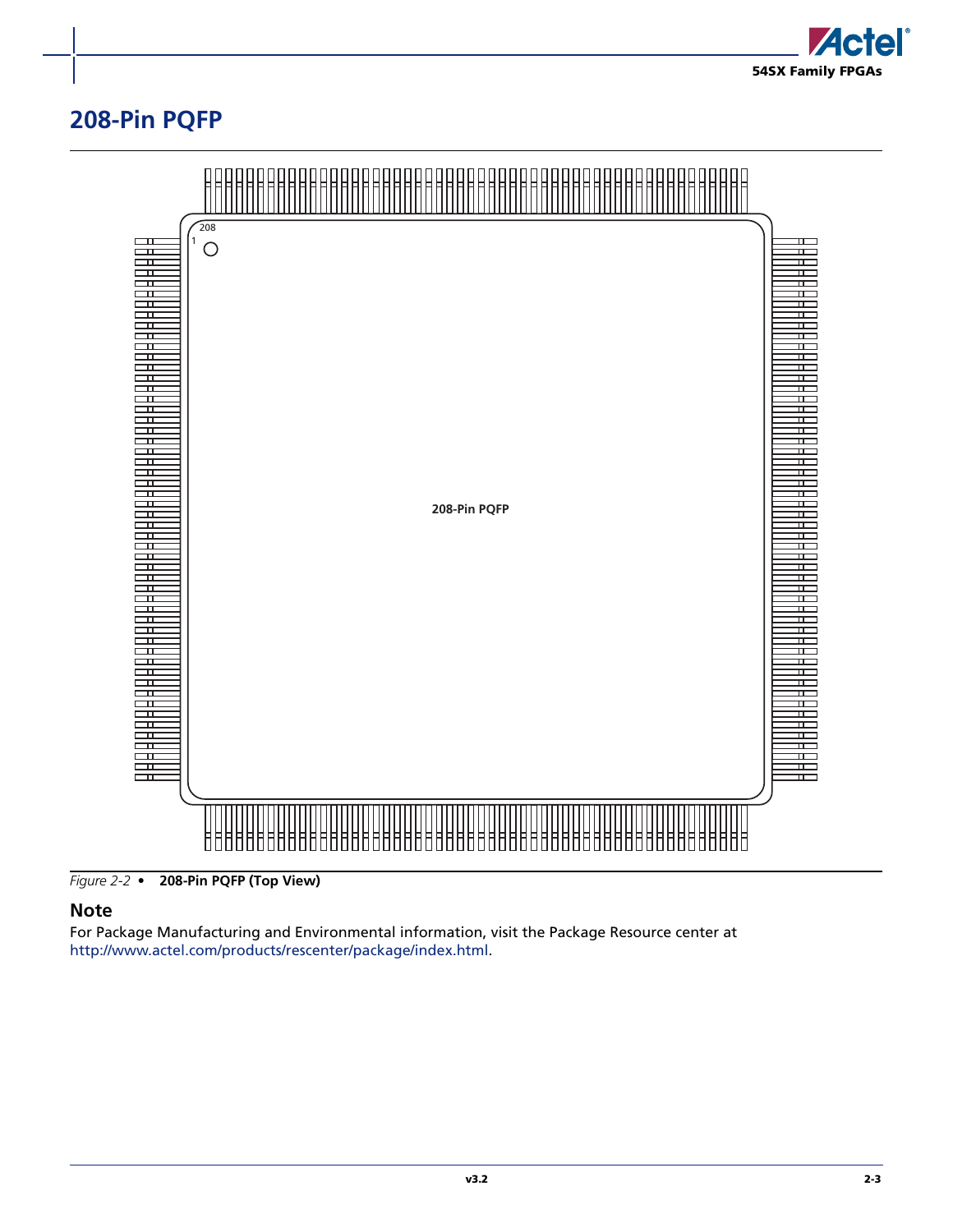

## <span id="page-40-0"></span>**208-Pin PQFP**



*Figure 2-2 •* **208-Pin PQFP (Top View)**

#### **Note**

For Package Manufacturing and Environmental information, visit the Package Resource center at [http://www.actel.com/products/rescenter/package/index.html.](http://www.actel.com/products/rescenter/package/index.html)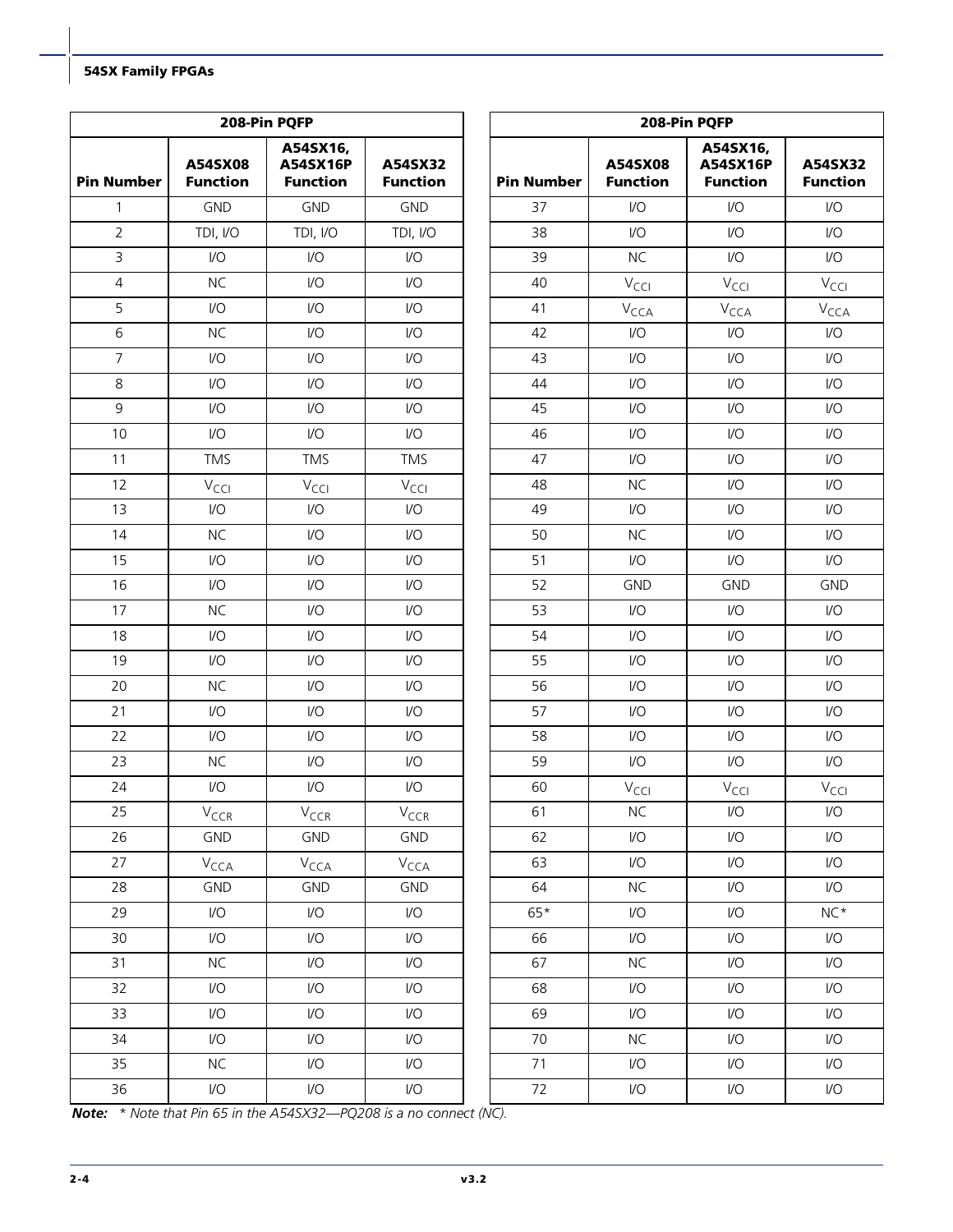|                   |                            | 208-Pin PQFP                            |                            | 208-Pin PQFP      |                             |                                         |                             |  |
|-------------------|----------------------------|-----------------------------------------|----------------------------|-------------------|-----------------------------|-----------------------------------------|-----------------------------|--|
| <b>Pin Number</b> | A54SX08<br><b>Function</b> | A54SX16,<br>A54SX16P<br><b>Function</b> | A54SX32<br><b>Function</b> | <b>Pin Number</b> | A54SX08<br><b>Function</b>  | A54SX16,<br>A54SX16P<br><b>Function</b> | A54SX32<br><b>Function</b>  |  |
| $\mathbf{1}$      | <b>GND</b>                 | <b>GND</b>                              | <b>GND</b>                 | 37                | $\mathsf{I}/\mathsf{O}$     | $\mathsf{U}\mathsf{O}$                  | I/O                         |  |
| $\overline{2}$    | TDI, I/O                   | TDI, I/O                                | TDI, I/O                   | 38                | $\mathsf{U}\mathsf{O}$      | $\mathsf{U}\mathsf{O}$                  | I/O                         |  |
| $\overline{3}$    | $\mathsf{U}\mathsf{O}$     | $\mathsf{U}\mathsf{O}$                  | I/O                        | 39                | <b>NC</b>                   | $\mathsf{U}\mathsf{O}$                  | I/O                         |  |
| $\overline{4}$    | <b>NC</b>                  | $\mathsf{U}\mathsf{O}$                  | I/O                        | 40                | $V_{\text{CCl}}$            | $V_{\text{CCl}}$                        | $V_{\text{CCI}}$            |  |
| 5                 | $\mathsf{I}/\mathsf{O}$    | $\mathsf{U}\mathsf{O}$                  | $\mathsf{U}\mathsf{O}$     | 41                | $\mathsf{V}_{\mathsf{CCA}}$ | $V_{\text{CCA}}$                        | $\mathsf{V}_{\mathsf{CCA}}$ |  |
| 6                 | <b>NC</b>                  | I/O                                     | I/O                        | 42                | $\mathsf{I}/\mathsf{O}$     | $\mathsf{U}\mathsf{O}$                  | I/O                         |  |
| $\overline{7}$    | $\mathsf{I}/\mathsf{O}$    | $\mathsf{U}\mathsf{O}$                  | $\mathsf{U}\mathsf{O}$     | 43                | $\mathsf{I}/\mathsf{O}$     | $\mathsf{U}\mathsf{O}$                  | $\mathsf{U}\mathsf{O}$      |  |
| 8                 | $\mathsf{I}/\mathsf{O}$    | I/O                                     | $\mathsf{U}\mathsf{O}$     | 44                | $\mathsf{I}/\mathsf{O}$     | $\mathsf{U}\mathsf{O}$                  | $\mathsf{U}\mathsf{O}$      |  |
| 9                 | $\mathsf{I}/\mathsf{O}$    | $\mathsf{U}\mathsf{O}$                  | $\mathsf{U}\mathsf{O}$     | 45                | $\mathsf{U}\mathsf{O}$      | $\mathsf{U}\mathsf{O}$                  | I/O                         |  |
| 10                | $\mathsf{I}/\mathsf{O}$    | I/O                                     | I/O                        | 46                | $\mathsf{I}/\mathsf{O}$     | $\mathsf{U}\mathsf{O}$                  | $\mathsf{U}\mathsf{O}$      |  |
| 11                | <b>TMS</b>                 | <b>TMS</b>                              | <b>TMS</b>                 | 47                | $\mathsf{I}/\mathsf{O}$     | I/O                                     | $\mathsf{VO}$               |  |
| 12                | $V_{\text{CC}}$            | $V_{\text{CCl}}$                        | $V_{\text{CCl}}$           | 48                | <b>NC</b>                   | $\mathsf{U}\mathsf{O}$                  | I/O                         |  |
| 13                | $\mathsf{I}/\mathsf{O}$    | $\mathsf{U}\mathsf{O}$                  | I/O                        | 49                | $\mathsf{U}\mathsf{O}$      | $\mathsf{U}\mathsf{O}$                  | I/O                         |  |
| 14                | <b>NC</b>                  | I/O                                     | $\mathsf{U}\mathsf{O}$     | 50                | <b>NC</b>                   | $\mathsf{U}\mathsf{O}$                  | I/O                         |  |
| 15                | $\mathsf{I}/\mathsf{O}$    | $\mathsf{I}/\mathsf{O}$                 | $\mathsf{VO}$              | 51                | $\mathsf{I}/\mathsf{O}$     | $\mathsf{U}\mathsf{O}$                  | I/O                         |  |
| 16                | $\mathsf{I}/\mathsf{O}$    | I/O                                     | $\mathsf{VO}$              | 52                | <b>GND</b>                  | <b>GND</b>                              | <b>GND</b>                  |  |
| 17                | <b>NC</b>                  | I/O                                     | $\mathsf{U}\mathsf{O}$     | 53                | $\mathsf{I}/\mathsf{O}$     | $\mathsf{U}\mathsf{O}$                  | $\mathsf{VO}$               |  |
| 18                | $\mathsf{I}/\mathsf{O}$    | $\mathsf{I}/\mathsf{O}$                 | $\mathsf{VO}$              | 54                | $\mathsf{U}\mathsf{O}$      | $\mathsf{U}\mathsf{O}$                  | I/O                         |  |
| 19                | $\mathsf{I}/\mathsf{O}$    | $\mathsf{U}\mathsf{O}$                  | $\mathsf{VO}$              | 55                | $\mathsf{U}\mathsf{O}$      | $\mathsf{U}\mathsf{O}$                  | I/O                         |  |
| 20                | <b>NC</b>                  | $\mathsf{U}\mathsf{O}$                  | $\mathsf{U}\mathsf{O}$     | 56                | $\mathsf{I}/\mathsf{O}$     | $\mathsf{U}\mathsf{O}$                  | $\mathsf{VO}$               |  |
| 21                | $\mathsf{I}/\mathsf{O}$    | 1/O                                     | $\mathsf{VO}$              | 57                | $\mathsf{I}/\mathsf{O}$     | $\mathsf{U}\mathsf{O}$                  | $\mathsf{VO}$               |  |
| 22                | $\mathsf{I}/\mathsf{O}$    | $\mathsf{U}\mathsf{O}$                  | $\mathsf{VO}$              | 58                | $\mathsf{U}\mathsf{O}$      | $\mathsf{U}\mathsf{O}$                  | I/O                         |  |
| 23                | <b>NC</b>                  | I/O                                     | I/O                        | 59                | $\mathsf{U}\mathsf{O}$      | $\mathsf{U}\mathsf{O}$                  | I/O                         |  |
| 24                | $\mathsf{I}/\mathsf{O}$    | 1/O                                     | $\mathsf{VO}$              | 60                | $V_{\text{CCI}}$            | $V_{\text{CCI}}$                        | $V_{\text{CCI}}$            |  |
| 25                | $V_{CCR}$                  | $V_{CCR}$                               | $V_{CCR}$                  | 61                | $NC$                        | $\mathsf{IO}$                           | I/O                         |  |
| 26                | GND                        | GND                                     | GND                        | 62                | $\mathsf{IO}$               | $\mathsf{U}\mathsf{O}$                  | I/O                         |  |
| 27                | $V_{\text{CCA}}$           | $V_{\text{CCA}}$                        | $V_{\text{CCA}}$           | 63                | $\mathsf{U}\mathsf{O}$      | $\mathsf{U}\mathsf{O}$                  | $\mathsf{VO}$               |  |
| 28                | <b>GND</b>                 | <b>GND</b>                              | <b>GND</b>                 | 64                | NC                          | $\mathsf{U}\mathsf{O}$                  | I/O                         |  |
| 29                | I/O                        | $\mathsf{I}/\mathsf{O}$                 | I/O                        | $65*$             | $\mathsf{IO}$               | $\mathsf{U}\mathsf{O}$                  | $NC*$                       |  |
| 30                | I/O                        | I/O                                     | I/O                        | 66                | $\mathsf{U}\mathsf{O}$      | $\mathsf{U}\mathsf{O}$                  | VO                          |  |
| 31                | NC                         | $\mathsf{U}\mathsf{O}$                  | I/O                        | 67                | $NC$                        | $\mathsf{U}\mathsf{O}$                  | $\mathsf{VO}$               |  |
| 32                | I/O                        | $\overline{1}/\overline{O}$             | I/O                        | 68                | $\mathsf{IO}$               | $\mathsf{U}\mathsf{O}$                  | $\mathsf{IO}$               |  |
| 33                | I/O                        | I/O                                     | I/O                        | 69                | $\mathsf{I}/\mathsf{O}$     | $\mathsf{U}\mathsf{O}$                  | I/O                         |  |
| 34                | I/O                        | $\mathsf{I}/\mathsf{O}$                 | I/O                        | 70                | $NC$                        | $\mathsf{U}\mathsf{O}$                  | $\mathsf{U}\mathsf{O}$      |  |
| 35                | NC                         | $\mathsf{I}/\mathsf{O}$                 | I/O                        | 71                | $\mathsf{U}\mathsf{O}$      | I/O                                     | $\mathsf{IO}$               |  |
| 36                | I/O                        | I/O                                     | I/O                        | 72                | $\mathsf{I}/\mathsf{O}$     | $\mathsf{I}/\mathsf{O}$                 | I/O                         |  |

*Note: \* Note that Pin 65 in the A54SX32—PQ208 is a no connect (NC).*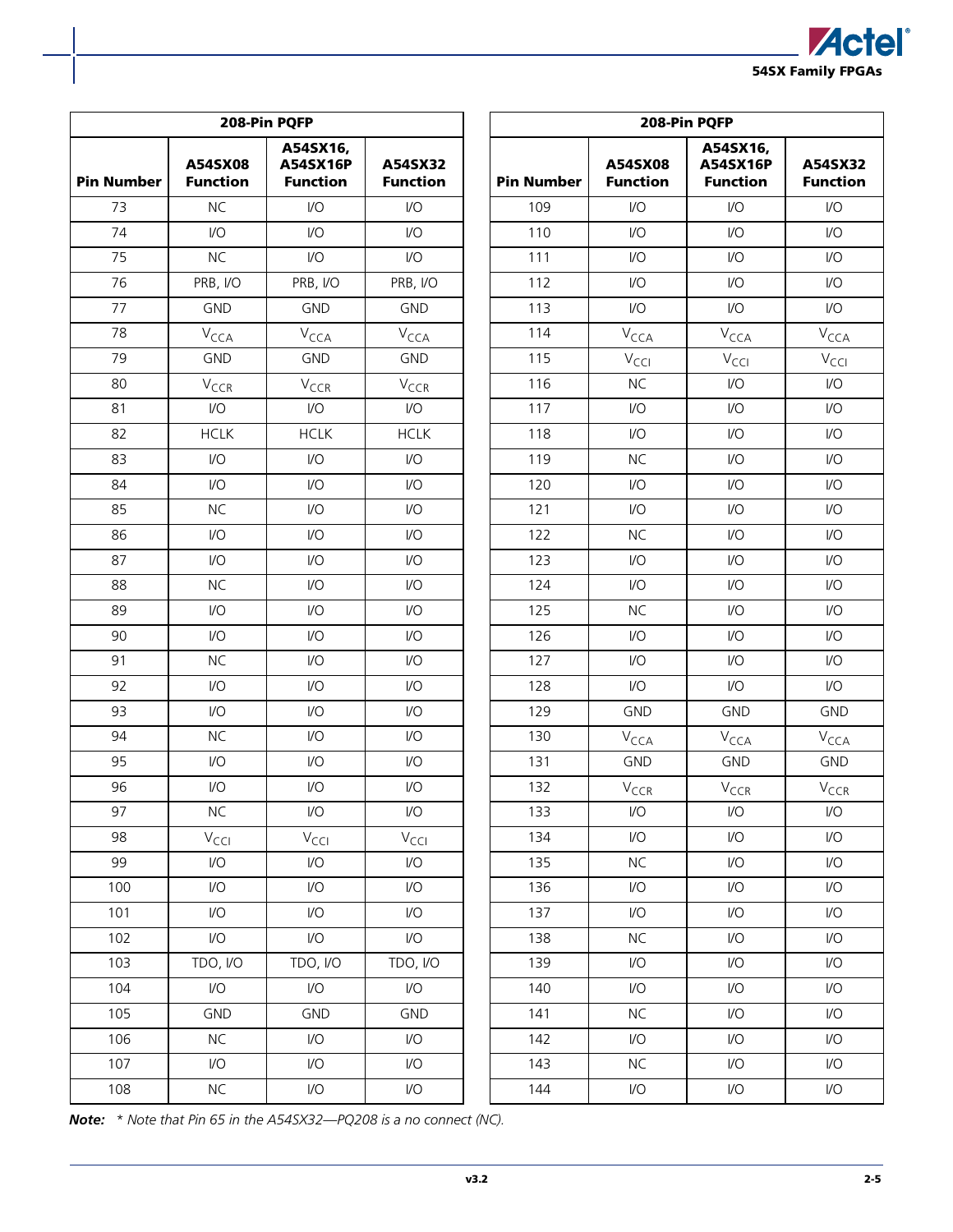

|                   |                             | 208-Pin PQFP                            |                            | 208-Pin PQFP      |                            |                                         |                            |  |
|-------------------|-----------------------------|-----------------------------------------|----------------------------|-------------------|----------------------------|-----------------------------------------|----------------------------|--|
| <b>Pin Number</b> | A54SX08<br><b>Function</b>  | A54SX16,<br>A54SX16P<br><b>Function</b> | A54SX32<br><b>Function</b> | <b>Pin Number</b> | A54SX08<br><b>Function</b> | A54SX16,<br>A54SX16P<br><b>Function</b> | A54SX32<br><b>Function</b> |  |
| 73                | <b>NC</b>                   | $\mathsf{U}\mathsf{O}$                  | I/O                        | 109               | $\mathsf{U}\mathsf{O}$     | $\mathsf{VO}$                           | I/O                        |  |
| 74                | $\mathsf{VO}$               | 1/O                                     | I/O                        | 110               | $\mathsf{U}\mathsf{O}$     | $1/O$                                   | I/O                        |  |
| 75                | NC                          | $\mathsf{U}\mathsf{O}$                  | I/O                        | 111               | $\mathsf{VO}$              | $\mathsf{U}\mathsf{O}$                  | I/O                        |  |
| 76                | PRB, I/O                    | PRB, I/O                                | PRB, I/O                   | 112               | $1/O$                      | $1/O$                                   | I/O                        |  |
| 77                | <b>GND</b>                  | <b>GND</b>                              | <b>GND</b>                 | 113               | $\mathsf{U}\mathsf{O}$     | $\mathsf{U}\mathsf{O}$                  | I/O                        |  |
| 78                | $V_{\text{CCA}}$            | $V_{\text{CCA}}$                        | V <sub>CCA</sub>           | 114               | V <sub>CCA</sub>           | V <sub>CCA</sub>                        | V <sub>CCA</sub>           |  |
| 79                | <b>GND</b>                  | <b>GND</b>                              | <b>GND</b>                 | 115               | $V_{\text{CCl}}$           | $V_{\text{CCl}}$                        | $V_{\text{CCI}}$           |  |
| 80                | $V_{CCR}$                   | $V_{CCR}$                               | V <sub>CCR</sub>           | 116               | <b>NC</b>                  | $\mathsf{VO}$                           | $\mathsf{I}/\mathsf{O}$    |  |
| 81                | $\mathsf{VO}$               | $\mathsf{I}/\mathsf{O}$                 | I/O                        | 117               | $\mathsf{U}\mathsf{O}$     | $1/O$                                   | I/O                        |  |
| 82                | <b>HCLK</b>                 | <b>HCLK</b>                             | <b>HCLK</b>                | 118               | $\mathsf{VO}$              | $1/O$                                   | I/O                        |  |
| 83                | $IVO$                       | 1/O                                     | I/O                        | 119               | <b>NC</b>                  | $1/O$                                   | $\mathsf{U}\mathsf{O}$     |  |
| 84                | $\mathsf{U}\mathsf{O}$      | $\mathsf{I}/\mathsf{O}$                 | I/O                        | 120               | $\mathsf{U}\mathsf{O}$     | $U$                                     | I/O                        |  |
| 85                | <b>NC</b>                   | $\mathsf{U}\mathsf{O}$                  | I/O                        | 121               | $\mathsf{VO}$              | $\mathsf{U}\mathsf{O}$                  | I/O                        |  |
| 86                | $\mathsf{I}/\mathsf{O}$     | $\mathsf{I}/\mathsf{O}$                 | I/O                        | 122               | <b>NC</b>                  | $\mathsf{U}\mathsf{O}$                  | $\mathsf{I}/\mathsf{O}$    |  |
| 87                | $\mathsf{U}\mathsf{O}$      | 1/O                                     | I/O                        | 123               | $\mathsf{U}\mathsf{O}$     | $1/O$                                   | I/O                        |  |
| 88                | <b>NC</b>                   | $\mathsf{U}\mathsf{O}$                  | I/O                        | 124               | I/O                        | $1/O$                                   | I/O                        |  |
| 89                | $\mathsf{I}/\mathsf{O}$     | 1/O                                     | I/O                        | 125               | <b>NC</b>                  | I/O                                     | $\mathsf{I}/\mathsf{O}$    |  |
| 90                | $\mathsf{I}/\mathsf{O}$     | 1/O                                     | $\mathsf{VO}$              | 126               | $\mathsf{U}\mathsf{O}$     | $1/O$                                   | I/O                        |  |
| 91                | <b>NC</b>                   | $\mathsf{U}\mathsf{O}$                  | I/O                        | 127               | $\mathsf{U}\mathsf{O}$     | $1/O$                                   | I/O                        |  |
| 92                | I/O                         | $U$                                     | I/O                        | 128               | I/O                        | $\mathsf{U}\mathsf{O}$                  | I/O                        |  |
| 93                | $\mathsf{I}/\mathsf{O}$     | 1/O                                     | I/O                        | 129               | <b>GND</b>                 | <b>GND</b>                              | <b>GND</b>                 |  |
| 94                | <b>NC</b>                   | 1/O                                     | $\mathsf{U}\mathsf{O}$     | 130               | V <sub>CCA</sub>           | $V_{\text{CCA}}$                        | V <sub>CCA</sub>           |  |
| 95                | $\mathsf{U}\mathsf{O}$      | $\mathsf{U}\mathsf{O}$                  | I/O                        | 131               | <b>GND</b>                 | <b>GND</b>                              | <b>GND</b>                 |  |
| 96                | $\mathsf{I}/\mathsf{O}$     | $\mathsf{I}/\mathsf{O}$                 | I/O                        | 132               | V <sub>CCR</sub>           | $V_{CCR}$                               | $V_{CCR}$                  |  |
| 97                | <b>NC</b>                   | $\mathsf{I}/\mathsf{O}$                 | I/O                        | 133               | $\mathsf{IO}$              | $\mathsf{I}/\mathsf{O}$                 | I/O                        |  |
| 98                | $\mathsf{V}_{\mathsf{CCI}}$ | $V_{\text{CCI}}$                        | $\rm V_{\rm CCl}$          | 134               | $\mathsf{I}/\mathsf{O}$    | $\mathsf{U}\mathsf{O}$                  | I/O                        |  |
| 99                | I/O                         | I/O                                     | I/O                        | 135               | <b>NC</b>                  | I/O                                     | I/O                        |  |
| 100               | $\mathsf{U}\mathsf{O}$      | $\mathsf{I}/\mathsf{O}$                 | I/O                        | 136               | $\mathsf{VO}$              | $\mathsf{U}\mathsf{O}$                  | I/O                        |  |
| 101               | I/O                         | 1/O                                     | I/O                        | 137               | $\mathsf{I}/\mathsf{O}$    | $\mathsf{U}\mathsf{O}$                  | I/O                        |  |
| 102               | $\mathsf{U}\mathsf{O}$      | I/O                                     | I/O                        | 138               | <b>NC</b>                  | $\mathsf{U}\mathsf{O}$                  | $\mathsf{U}\mathsf{O}$     |  |
| 103               | TDO, I/O                    | TDO, I/O                                | TDO, I/O                   | 139               | $\mathsf{I}/\mathsf{O}$    | $\mathsf{U}\mathsf{O}$                  | I/O                        |  |
| 104               | I/O                         | $\mathsf{I}/\mathsf{O}$                 | I/O                        | 140               | $\mathsf{I}/\mathsf{O}$    | I/O                                     | I/O                        |  |
| 105               | <b>GND</b>                  | <b>GND</b>                              | <b>GND</b>                 | 141               | <b>NC</b>                  | $\mathsf{U}\mathsf{O}$                  | $\mathsf{U}\mathsf{O}$     |  |
| 106               | <b>NC</b>                   | $\mathsf{U}\mathsf{O}$                  | $\mathsf{U}\mathsf{O}$     | 142               | $\mathsf{U}\mathsf{O}$     | $\mathsf{U}\mathsf{O}$                  | I/O                        |  |
| 107               | I/O                         | $\mathsf{I}/\mathsf{O}$                 | I/O                        | 143               | <b>NC</b>                  | $\mathsf{U}\mathsf{O}$                  | $\mathsf{U}\mathsf{O}$     |  |
| 108               | NC                          | I/O                                     | $\mathsf{U}\mathsf{O}$     | 144               | $\mathsf{U}\mathsf{O}$     | I/O                                     | I/O                        |  |

*Note: \* Note that Pin 65 in the A54SX32—PQ208 is a no connect (NC).*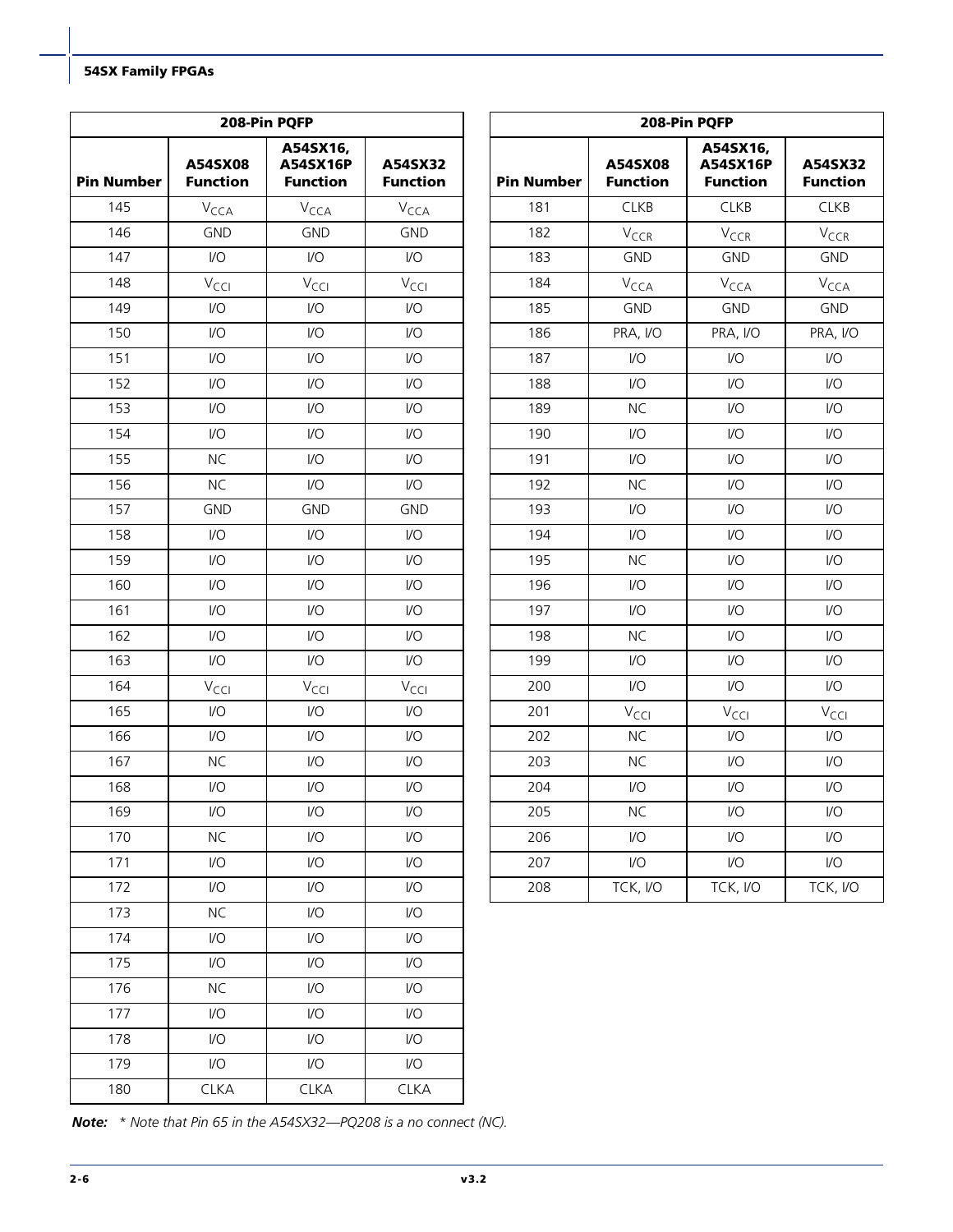|                   |                            | 208-Pin PQFP                            |                            | 208-Pin PQFP      |                            |                                         |                            |  |
|-------------------|----------------------------|-----------------------------------------|----------------------------|-------------------|----------------------------|-----------------------------------------|----------------------------|--|
| <b>Pin Number</b> | A54SX08<br><b>Function</b> | A54SX16,<br>A54SX16P<br><b>Function</b> | A54SX32<br><b>Function</b> | <b>Pin Number</b> | A54SX08<br><b>Function</b> | A54SX16,<br>A54SX16P<br><b>Function</b> | A54SX32<br><b>Function</b> |  |
| 145               | $V_{\text{CCA}}$           | V <sub>CCA</sub>                        | V <sub>CCA</sub>           | 181               | <b>CLKB</b>                | <b>CLKB</b>                             | <b>CLKB</b>                |  |
| 146               | <b>GND</b>                 | <b>GND</b>                              | <b>GND</b>                 | 182               | $V_{CCR}$                  | $V_{CCR}$                               | $V_{CCR}$                  |  |
| 147               | $\mathsf{I}/\mathsf{O}$    | $\mathsf{U}\mathsf{O}$                  | I/O                        | 183               | <b>GND</b>                 | <b>GND</b>                              | <b>GND</b>                 |  |
| 148               | $V_{\text{CCl}}$           | $V_{\text{CCl}}$                        | $V_{\text{CC}}$            | 184               | $V_{\text{CCA}}$           | $V_{\text{CCA}}$                        | $V_{\text{CCA}}$           |  |
| 149               | $\mathsf{I}/\mathsf{O}$    | 1/O                                     | $\mathsf{VO}$              | 185               | <b>GND</b>                 | <b>GND</b>                              | <b>GND</b>                 |  |
| 150               | $\mathsf{I}/\mathsf{O}$    | $\mathsf{I}/\mathsf{O}$                 | I/O                        | 186               | PRA, I/O                   | PRA, I/O                                | PRA, I/O                   |  |
| 151               | $\mathsf{I}/\mathsf{O}$    | $\mathsf{U}\mathsf{O}$                  | I/O                        | 187               | $\mathsf{I}/\mathsf{O}$    | $\mathsf{U}\mathsf{O}$                  | VO                         |  |
| 152               | $\mathsf{I}/\mathsf{O}$    | $\mathsf{I}/\mathsf{O}$                 | I/O                        | 188               | $\mathsf{I}/\mathsf{O}$    | $\mathsf{U}\mathsf{O}$                  | VO                         |  |
| 153               | $\mathsf{I}/\mathsf{O}$    | $\mathsf{I}/\mathsf{O}$                 | I/O                        | 189               | <b>NC</b>                  | $1/O$                                   | $\mathsf{IO}$              |  |
| 154               | $\mathsf{I}/\mathsf{O}$    | $\mathsf{U}\mathsf{O}$                  | I/O                        | 190               | $\mathsf{U}\mathsf{O}$     | $1/O$                                   | V <sub>O</sub>             |  |
| 155               | <b>NC</b>                  | $\mathsf{U}\mathsf{O}$                  | $\mathsf{I}/\mathsf{O}$    | 191               | $\mathsf{VO}$              | $\mathsf{U}\mathsf{O}$                  | VO                         |  |
| 156               | <b>NC</b>                  | $\mathsf{U}\mathsf{O}$                  | $\mathsf{I}/\mathsf{O}$    | 192               | <b>NC</b>                  | $1/O$                                   | $\mathsf{U}\mathsf{O}$     |  |
| 157               | <b>GND</b>                 | <b>GND</b>                              | <b>GND</b>                 | 193               | $\mathsf{I}/\mathsf{O}$    | $\mathsf{U}\mathsf{O}$                  | VO                         |  |
| 158               | $\mathsf{I}/\mathsf{O}$    | $\mathsf{U}\mathsf{O}$                  | $\mathsf{VO}$              | 194               | $\mathsf{I}/\mathsf{O}$    | $\mathsf{U}\mathsf{O}$                  | VO                         |  |
| 159               | $\mathsf{I}/\mathsf{O}$    | 1/O                                     | I/O                        | 195               | <b>NC</b>                  | $\mathsf{VO}$                           | $\mathsf{U}\mathsf{O}$     |  |
| 160               | $\mathsf{I}/\mathsf{O}$    | $\mathsf{I}/\mathsf{O}$                 | I/O                        | 196               | $\mathsf{I}/\mathsf{O}$    | $\mathsf{U}\mathsf{O}$                  | VO                         |  |
| 161               | $\mathsf{I}/\mathsf{O}$    | I/O                                     | $\mathsf{VO}$              | 197               | $\mathsf{I}/\mathsf{O}$    | $\mathsf{U}\mathsf{O}$                  | VO                         |  |
| 162               | $\mathsf{I}/\mathsf{O}$    | $\mathsf{I}/\mathsf{O}$                 | $\mathsf{VO}$              | 198               | <b>NC</b>                  | $\mathsf{U}\mathsf{O}$                  | $\mathsf{U}\mathsf{O}$     |  |
| 163               | $\mathsf{I}/\mathsf{O}$    | $\mathsf{I}/\mathsf{O}$                 | I/O                        | 199               | $\mathsf{I}/\mathsf{O}$    | $\mathsf{U}\mathsf{O}$                  | VO                         |  |
| 164               | $V_{\text{CCI}}$           | $V_{\text{CCl}}$                        | $V_{\text{CCI}}$           | 200               | $\mathsf{U}\mathsf{O}$     | $\mathsf{U}\mathsf{O}$                  | VO                         |  |
| 165               | $\mathsf{I}/\mathsf{O}$    | $\mathsf{U}\mathsf{O}$                  | I/O                        | 201               | $V_{\text{CCl}}$           | $V_{\text{CCl}}$                        | $V_{\text{CCl}}$           |  |
| 166               | $\mathsf{I}/\mathsf{O}$    | $\mathsf{I}/\mathsf{O}$                 | $\mathsf{VO}$              | 202               | <b>NC</b>                  | $\mathsf{U}\mathsf{O}$                  | $\mathsf{U}\mathsf{O}$     |  |
| 167               | <b>NC</b>                  | $\mathsf{U}\mathsf{O}$                  | $\mathsf{I}/\mathsf{O}$    | 203               | <b>NC</b>                  | $\mathsf{U}\mathsf{O}$                  | $\mathsf{U}\mathsf{O}$     |  |
| 168               | $\mathsf{I}/\mathsf{O}$    | $\mathsf{I}/\mathsf{O}$                 | I/O                        | 204               | $\mathsf{I}/\mathsf{O}$    | $\mathsf{VO}$                           | I/O                        |  |
| 169               | $\mathsf{U}\mathsf{O}$     | $\mathsf{I}/\mathsf{O}$                 | I/O                        | 205               | <b>NC</b>                  | $\mathsf{U}\mathsf{O}$                  | $\mathsf{U}\mathsf{O}$     |  |
| 170               | <b>NC</b>                  | $\mathsf{U}\mathsf{O}$                  | $\mathsf{I}/\mathsf{O}$    | 206               | $\mathsf{I}/\mathsf{O}$    | $\mathsf{U}\mathsf{O}$                  | I/O                        |  |
| 171               | $\mathsf{U}\mathsf{O}$     | $\mathsf{I}/\mathsf{O}$                 | I/O                        | 207               | I/O                        | I/O                                     | I/O                        |  |
| 172               | $\mathsf{U}\mathsf{O}$     | $\mathsf{I}/\mathsf{O}$                 | I/O                        | 208               | TCK, I/O                   | TCK, I/O                                | TCK, I/O                   |  |
| 173               | NC                         | $\mathsf{U}\mathsf{O}$                  | $\mathsf{U}\mathsf{O}$     |                   |                            |                                         |                            |  |
| 174               | I/O                        | I/O                                     | I/O                        |                   |                            |                                         |                            |  |
| 175               | $\mathsf{U}\mathsf{O}$     | $\mathsf{I}/\mathsf{O}$                 | I/O                        |                   |                            |                                         |                            |  |
| 176               | NC                         | I/O                                     | $\mathsf{U}\mathsf{O}$     |                   |                            |                                         |                            |  |
| 177               | $\mathsf{U}\mathsf{O}$     | $\mathsf{I}/\mathsf{O}$                 | I/O                        |                   |                            |                                         |                            |  |
| 178               | $\mathsf{U}\mathsf{O}$     | $\mathsf{I}/\mathsf{O}$                 | I/O                        |                   |                            |                                         |                            |  |
| 179               | I/O                        | I/O                                     | I/O                        |                   |                            |                                         |                            |  |
| 180               | <b>CLKA</b>                | <b>CLKA</b>                             | <b>CLKA</b>                |                   |                            |                                         |                            |  |

*Note: \* Note that Pin 65 in the A54SX32—PQ208 is a no connect (NC).*

 $\mathbf l$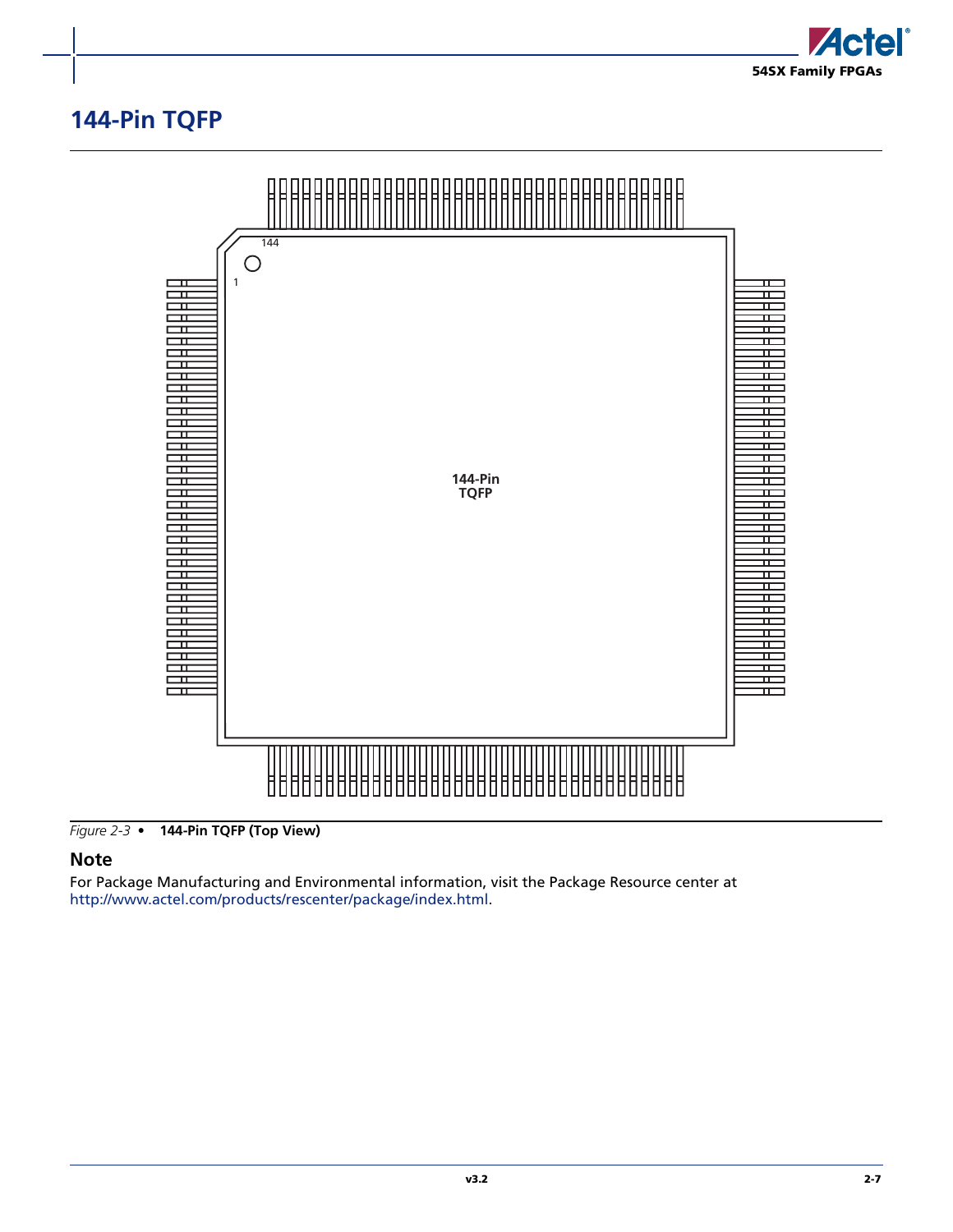

## <span id="page-44-0"></span>**144-Pin TQFP**



*Figure 2-3 •* **144-Pin TQFP (Top View)**

### **Note**

For Package Manufacturing and Environmental information, visit the Package Resource center at [http://www.actel.com/products/rescenter/package/index.html.](http://www.actel.com/products/rescenter/package/index.html)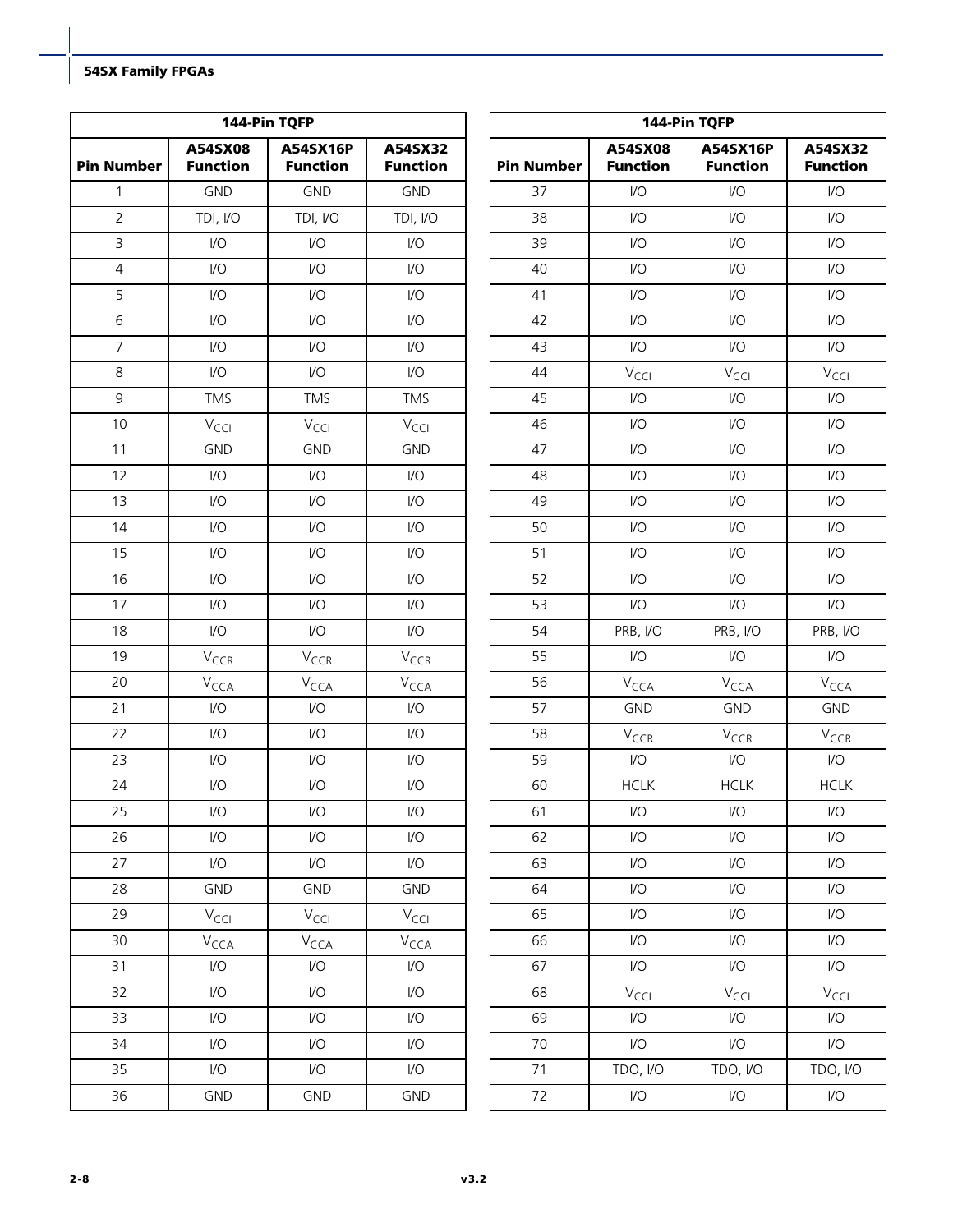|                   |                            | 144-Pin TQFP                |                            | 144-Pin TQFP      |                            |                             |                            |  |
|-------------------|----------------------------|-----------------------------|----------------------------|-------------------|----------------------------|-----------------------------|----------------------------|--|
| <b>Pin Number</b> | A54SX08<br><b>Function</b> | A54SX16P<br><b>Function</b> | A54SX32<br><b>Function</b> | <b>Pin Number</b> | A54SX08<br><b>Function</b> | A54SX16P<br><b>Function</b> | A54SX32<br><b>Function</b> |  |
| $\mathbf{1}$      | <b>GND</b>                 | <b>GND</b>                  | <b>GND</b>                 | 37                | $\mathsf{VO}$              | $\mathsf{I}/\mathsf{O}$     | $\mathsf{I}/\mathsf{O}$    |  |
| $\overline{2}$    | TDI, I/O                   | TDI, I/O                    | TDI, I/O                   | 38                | I/O                        | $\mathsf{U}\mathsf{O}$      | 1/O                        |  |
| 3                 | $\mathsf{U}\mathsf{O}$     | $\mathsf{U}\mathsf{O}$      | $\mathsf{U}\mathsf{O}$     | 39                | I/O                        | $\mathsf{U}\mathsf{O}$      | 1/O                        |  |
| $\overline{4}$    | $\mathsf{U}\mathsf{O}$     | $\mathsf{U}\mathsf{O}$      | $\mathsf{U}\mathsf{O}$     | 40                | $\mathsf{VO}$              | $\mathsf{U}\mathsf{O}$      | $\mathsf{I}/\mathsf{O}$    |  |
| 5                 | $\mathsf{U}\mathsf{O}$     | $IVO$                       | $\mathsf{U}\mathsf{O}$     | 41                | I/O                        | $\mathsf{U}\mathsf{O}$      | 1/O                        |  |
| 6                 | $\mathsf{U}\mathsf{O}$     | $\mathsf{U}\mathsf{O}$      | $\mathsf{U}\mathsf{O}$     | 42                | I/O                        | $\mathsf{U}\mathsf{O}$      | 1/O                        |  |
| $\overline{7}$    | $\mathsf{U}\mathsf{O}$     | I/O                         | $\mathsf{U}\mathsf{O}$     | 43                | $\mathsf{VO}$              | $\mathsf{I}/\mathsf{O}$     | $\mathsf{I}/\mathsf{O}$    |  |
| 8                 | $\mathsf{U}\mathsf{O}$     | $\mathsf{U}\mathsf{O}$      | $\mathsf{U}\mathsf{O}$     | 44                | $V_{\text{CCI}}$           | V <sub>CCI</sub>            | $V_{\text{CCI}}$           |  |
| 9                 | <b>TMS</b>                 | <b>TMS</b>                  | <b>TMS</b>                 | 45                | $\mathsf{VO}$              | $\mathsf{I}/\mathsf{O}$     | 1/O                        |  |
| 10                | $V_{\text{CCI}}$           | $V_{\text{CCI}}$            | $V_{\text{CCI}}$           | 46                | I/O                        | $\mathsf{U}\mathsf{O}$      | $\mathsf{I}/\mathsf{O}$    |  |
| 11                | <b>GND</b>                 | <b>GND</b>                  | <b>GND</b>                 | 47                | $\mathsf{VO}$              | $\mathsf{U}\mathsf{O}$      | 1/O                        |  |
| 12                | $\mathsf{I}/\mathsf{O}$    | $\mathsf{U}\mathsf{O}$      | $\mathsf{U}\mathsf{O}$     | 48                | $\mathsf{VO}$              | $\mathsf{I}/\mathsf{O}$     | $\mathsf{I}/\mathsf{O}$    |  |
| 13                | $\mathsf{I}/\mathsf{O}$    | $\mathsf{U}\mathsf{O}$      | $\mathsf{U}\mathsf{O}$     | 49                | $\mathsf{VO}$              | $\mathsf{U}\mathsf{O}$      | 1/O                        |  |
| 14                | $\mathsf{I}/\mathsf{O}$    | $\mathsf{U}\mathsf{O}$      | $\mathsf{U}\mathsf{O}$     | 50                | $\mathsf{VO}$              | $\mathsf{U}\mathsf{O}$      | $\mathsf{I}/\mathsf{O}$    |  |
| 15                | $\mathsf{I}/\mathsf{O}$    | I/O                         | $\mathsf{U}\mathsf{O}$     | 51                | I/O                        | $\mathsf{U}\mathsf{O}$      | $\mathsf{I}/\mathsf{O}$    |  |
| 16                | $\mathsf{I}/\mathsf{O}$    | $\mathsf{U}\mathsf{O}$      | $\mathsf{U}\mathsf{O}$     | 52                | I/O                        | $\mathsf{U}\mathsf{O}$      | 1/O                        |  |
| 17                | $\mathsf{I}/\mathsf{O}$    | I/O                         | $\mathsf{U}\mathsf{O}$     | 53                | I/O                        | $\mathsf{U}\mathsf{O}$      | 1/O                        |  |
| 18                | $\mathsf{I}/\mathsf{O}$    | $\mathsf{U}\mathsf{O}$      | $\mathsf{U}\mathsf{O}$     | 54                | PRB, I/O                   | PRB, I/O                    | PRB, I/O                   |  |
| 19                | $V_{CCR}$                  | $V_{CCR}$                   | $V_{CCR}$                  | 55                | $\mathsf{VO}$              | $\mathsf{U}\mathsf{O}$      | 1/O                        |  |
| 20                | $V_{\text{CCA}}$           | $V_{\text{CCA}}$            | $V_{\text{CCA}}$           | 56                | $V_{\text{CCA}}$           | $V_{\text{CCA}}$            | $V_{\text{CCA}}$           |  |
| 21                | $\mathsf{I}/\mathsf{O}$    | $\mathsf{U}\mathsf{O}$      | $\mathsf{U}\mathsf{O}$     | 57                | <b>GND</b>                 | <b>GND</b>                  | <b>GND</b>                 |  |
| 22                | $\mathsf{I}/\mathsf{O}$    | I/O                         | $\mathsf{U}\mathsf{O}$     | 58                | $V_{CCR}$                  | $V_{CCR}$                   | $V_{CCR}$                  |  |
| 23                | $\mathsf{I}/\mathsf{O}$    | I/O                         | $\mathsf{U}\mathsf{O}$     | 59                | I/O                        | $\mathsf{U}\mathsf{O}$      | $\mathsf{I}/\mathsf{O}$    |  |
| 24                | $\mathsf{I}/\mathsf{O}$    | $\mathsf{I}/\mathsf{O}$     | $\mathsf{I}/\mathsf{O}$    | 60                | <b>HCLK</b>                | <b>HCLK</b>                 | <b>HCLK</b>                |  |
| 25                | $\mathsf{I}/\mathsf{O}$    | $\mathsf{I}/\mathsf{O}$     | $\mathsf{I}/\mathsf{O}$    | 61                | $\mathsf{IO}$              | 1/O                         | $\mathsf{I}/\mathsf{O}$    |  |
| 26                | $\mathsf{I}/\mathsf{O}$    | $\mathsf{U}\mathsf{O}$      | $\mathsf{I}/\mathsf{O}$    | 62                | $\mathsf{IO}$              | $\mathsf{IO}$               | $\mathsf{I}/\mathsf{O}$    |  |
| 27                | $\mathsf{I}/\mathsf{O}$    | I/O                         | $\mathsf{U}\mathsf{O}$     | 63                | I/O                        | $\mathsf{U}\mathsf{O}$      | $\mathsf{I}/\mathsf{O}$    |  |
| 28                | <b>GND</b>                 | GND                         | <b>GND</b>                 | 64                | $\mathsf{VO}$              | $\mathsf{U}\mathsf{O}$      | 1/O                        |  |
| 29                | $\rm V_{\rm CCl}$          | $\rm V_{\rm CCl}$           | $V_{\text{CCI}}$           | 65                | $\mathsf{VO}$              | $\mathsf{U}\mathsf{O}$      | $\mathsf{I}/\mathsf{O}$    |  |
| $30\,$            | V <sub>CCA</sub>           | $V_{\text{CCA}}$            | $V_{\text{CCA}}$           | 66                | $\mathsf{VO}$              | $\mathsf{U}\mathsf{O}$      | $\mathsf{I}/\mathsf{O}$    |  |
| 31                | $\mathsf{I}/\mathsf{O}$    | I/O                         | $\mathsf{U}\mathsf{O}$     | 67                | $\mathsf{VO}$              | $\mathsf{IO}$               | $\mathsf{I}/\mathsf{O}$    |  |
| 32                | $\mathsf{I}/\mathsf{O}$    | $\mathsf{U}\mathsf{O}$      | $\mathsf{U}\mathsf{O}$     | 68                | $V_{\text{CCI}}$           | $V_{\text{CCI}}$            | $V_{\text{CCI}}$           |  |
| 33                | $\mathsf{I}/\mathsf{O}$    | $\mathsf{U}\mathsf{O}$      | $\mathsf{U}\mathsf{O}$     | 69                | $\mathsf{VO}$              | $\mathsf{VO}$               | $\mathsf{I}/\mathsf{O}$    |  |
| 34                | $\mathsf{I}/\mathsf{O}$    | $\mathsf{U}\mathsf{O}$      | $\mathsf{U}\mathsf{O}$     | 70                | I/O                        | I/O                         | $\mathsf{I}/\mathsf{O}$    |  |
| 35                | $\mathsf{I}/\mathsf{O}$    | $\mathsf{U}\mathsf{O}$      | $\mathsf{U}\mathsf{O}$     | 71                | TDO, I/O                   | TDO, I/O                    | TDO, I/O                   |  |
| 36                | GND                        | GND                         | <b>GND</b>                 | 72                | $\mathsf{IO}$              | $\mathsf{IO}$               | $\mathsf{I}/\mathsf{O}$    |  |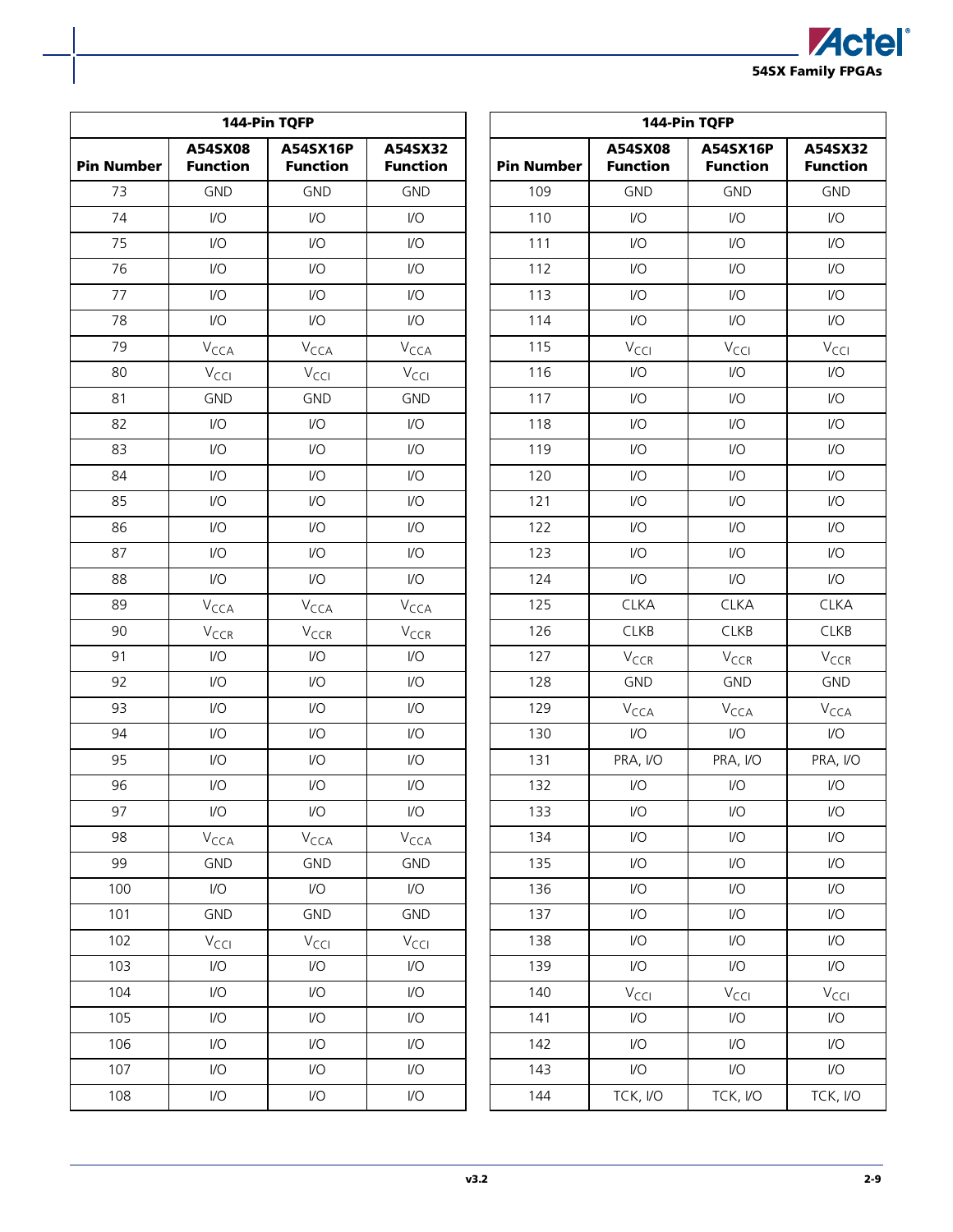

|                   |                             | 144-Pin TQFP                |                             |                   |                            | 144-Pin TQFP                       |                            |
|-------------------|-----------------------------|-----------------------------|-----------------------------|-------------------|----------------------------|------------------------------------|----------------------------|
| <b>Pin Number</b> | A54SX08<br><b>Function</b>  | A54SX16P<br><b>Function</b> | A54SX32<br><b>Function</b>  | <b>Pin Number</b> | A54SX08<br><b>Function</b> | <b>A54SX16P</b><br><b>Function</b> | A54SX32<br><b>Function</b> |
| 73                | <b>GND</b>                  | <b>GND</b>                  | <b>GND</b>                  | 109               | <b>GND</b>                 | <b>GND</b>                         | <b>GND</b>                 |
| 74                | $\mathsf{I}/\mathsf{O}$     | $\mathsf{VO}$               | $\mathsf{I}/\mathsf{O}$     | 110               | $\mathsf{U}\mathsf{O}$     | $\mathsf{I}/\mathsf{O}$            | $\mathsf{I}/\mathsf{O}$    |
| 75                | 1/O                         | $\mathsf{I}/\mathsf{O}$     | $\mathsf{I}/\mathsf{O}$     | 111               | $\mathsf{U}\mathsf{O}$     | $\mathsf{U}\mathsf{O}$             | 1/O                        |
| 76                | 1/O                         | $\mathsf{I}/\mathsf{O}$     | $\mathsf{I}/\mathsf{O}$     | 112               | $\mathsf{U}\mathsf{O}$     | $\mathsf{I}/\mathsf{O}$            | $\mathsf{I}/\mathsf{O}$    |
| 77                | 1/O                         | $\mathsf{U}\mathsf{O}$      | $\mathsf{I}/\mathsf{O}$     | 113               | $\mathsf{U}\mathsf{O}$     | $\mathsf{U}\mathsf{O}$             | 1/O                        |
| 78                | 1/O                         | $\mathsf{U}\mathsf{O}$      | $\mathsf{I}/\mathsf{O}$     | 114               | $\mathsf{U}\mathsf{O}$     | $\mathsf{I}/\mathsf{O}$            | 1/O                        |
| 79                | $V_{\text{CCA}}$            | $V_{\text{CCA}}$            | $V_{\text{CCA}}$            | 115               | $V_{\text{CCI}}$           | $V_{\text{CCI}}$                   | $V_{\text{CCI}}$           |
| 80                | $V_{\text{CCI}}$            | $V_{\text{CCI}}$            | $V_{\text{CCI}}$            | 116               | $\mathsf{U}\mathsf{O}$     | $\mathsf{I}/\mathsf{O}$            | $\mathsf{I}/\mathsf{O}$    |
| 81                | <b>GND</b>                  | <b>GND</b>                  | <b>GND</b>                  | 117               | $\mathsf{U}\mathsf{O}$     | $1/O$                              | 1/O                        |
| 82                | 1/O                         | $\mathsf{U}\mathsf{O}$      | $\mathsf{U}\mathsf{O}$      | 118               | $\mathsf{U}\mathsf{O}$     | $\mathsf{U}\mathsf{O}$             | 1/O                        |
| 83                | 1/O                         | $\mathsf{U}\mathsf{O}$      | $\mathsf{U}\mathsf{O}$      | 119               | $\mathsf{U}\mathsf{O}$     | $\mathsf{U}\mathsf{O}$             | 1/O                        |
| 84                | 1/O                         | I/O                         | $\mathsf{I}/\mathsf{O}$     | 120               | $\mathsf{U}\mathsf{O}$     | $\mathsf{U}\mathsf{O}$             | 1/O                        |
| 85                | 1/O                         | $U$                         | $\mathsf{I}/\mathsf{O}$     | 121               | $\mathsf{U}\mathsf{O}$     | $\mathsf{U}\mathsf{O}$             | 1/O                        |
| 86                | $\mathsf{I}/\mathsf{O}$     | $\mathsf{VO}$               | $\mathsf{I}/\mathsf{O}$     | 122               | $\mathsf{U}\mathsf{O}$     | $\mathsf{U}\mathsf{O}$             | 1/O                        |
| 87                | 1/O                         | I/O                         | $\mathsf{I}/\mathsf{O}$     | 123               | $\mathsf{U}\mathsf{O}$     | $\mathsf{I}/\mathsf{O}$            | 1/O                        |
| 88                | 1/O                         | $\mathsf{I}/\mathsf{O}$     | $\mathsf{I}/\mathsf{O}$     | 124               | $\mathsf{U}\mathsf{O}$     | $\mathsf{I}/\mathsf{O}$            | 1/O                        |
| 89                | $V_{\text{CCA}}$            | V <sub>CCA</sub>            | $V_{\text{CCA}}$            | 125               | <b>CLKA</b>                | <b>CLKA</b>                        | <b>CLKA</b>                |
| 90                | V <sub>CCR</sub>            | $V_{CCR}$                   | $V_{CCR}$                   | 126               | <b>CLKB</b>                | <b>CLKB</b>                        | <b>CLKB</b>                |
| 91                | 1/O                         | $\mathsf{VO}$               | $\mathsf{I}/\mathsf{O}$     | 127               | $V_{CCR}$                  | $V_{CCR}$                          | $V_{CCR}$                  |
| 92                | 1/O                         | $\mathsf{U}\mathsf{O}$      | $\mathsf{I}/\mathsf{O}$     | 128               | <b>GND</b>                 | <b>GND</b>                         | <b>GND</b>                 |
| 93                | 1/O                         | $\mathsf{U}\mathsf{O}$      | $\mathsf{I}/\mathsf{O}$     | 129               | V <sub>CCA</sub>           | V <sub>CCA</sub>                   | $V_{\text{CCA}}$           |
| 94                | $\mathsf{I}/\mathsf{O}$     | $\mathsf{U}\mathsf{O}$      | $\mathsf{I}/\mathsf{O}$     | 130               | $\mathsf{U}\mathsf{O}$     | $\mathsf{VO}$                      | $\mathsf{I}/\mathsf{O}$    |
| 95                | 1/O                         | $\mathsf{U}\mathsf{O}$      | $\mathsf{I}/\mathsf{O}$     | 131               | PRA, I/O                   | PRA, I/O                           | PRA, I/O                   |
| 96                | 1/O                         | $\mathsf{I}/\mathsf{O}$     | $\mathsf{I}/\mathsf{O}$     | 132               | 1/O                        | 1/O                                | $\mathsf{I}/\mathsf{O}$    |
| 97                | I/O                         | $\mathsf{I}/\mathsf{O}$     | $\mathsf{I}/\mathsf{O}$     | 133               | $\mathsf{U}\mathsf{O}$     | 1/O                                | $\mathsf{I}/\mathsf{O}$    |
| 98                | $\mathsf{V}_{\mathsf{CCA}}$ | $V_{\text{CCA}}$            | $\mathsf{V}_{\mathsf{CCA}}$ | 134               | $\mathsf{U}\mathsf{O}$     | $\mathsf{I}/\mathsf{O}$            | $\mathsf{I}/\mathsf{O}$    |
| 99                | GND                         | GND                         | GND                         | 135               | $\mathsf{U}\mathsf{O}$     | $\mathsf{U}\mathsf{O}$             | 1/O                        |
| 100               | $\mathsf{I}/\mathsf{O}$     | $\mathsf{I}/\mathsf{O}$     | $\mathsf{U}\mathsf{O}$      | 136               | $\mathsf{U}\mathsf{O}$     | $\mathsf{I}/\mathsf{O}$            | $\mathsf{I}/\mathsf{O}$    |
| 101               | GND                         | <b>GND</b>                  | GND                         | 137               | $\mathsf{I}/\mathsf{O}$    | $\mathsf{U}\mathsf{O}$             | $\mathsf{I}/\mathsf{O}$    |
| 102               | $V_{\text{CCI}}$            | $V_{\text{CCI}}$            | $V_{\text{CCI}}$            | 138               | $\mathsf{U}\mathsf{O}$     | $\mathsf{U}\mathsf{O}$             | 1/O                        |
| 103               | $\mathsf{I}/\mathsf{O}$     | $\mathsf{I}/\mathsf{O}$     | $\mathsf{U}\mathsf{O}$      | 139               | $\mathsf{U}\mathsf{O}$     | $\mathsf{U}\mathsf{O}$             | $\mathsf{I}/\mathsf{O}$    |
| 104               | $\mathsf{I}/\mathsf{O}$     | $\mathsf{U}\mathsf{O}$      | $\mathsf{U}\mathsf{O}$      | 140               | $V_{\text{CCI}}$           | $V_{\text{CCI}}$                   | $V_{\text{CCI}}$           |
| 105               | $\mathsf{I}/\mathsf{O}$     | $\mathsf{IO}$               | $\mathsf{U}\mathsf{O}$      | 141               | $\mathsf{I}/\mathsf{O}$    | $\mathsf{U}\mathsf{O}$             | $\mathsf{I}/\mathsf{O}$    |
| 106               | $\mathsf{I}/\mathsf{O}$     | $\mathsf{I}/\mathsf{O}$     | $\mathsf{U}\mathsf{O}$      | 142               | $\mathsf{U}\mathsf{O}$     | $\mathsf{U}\mathsf{O}$             | $\mathsf{I}/\mathsf{O}$    |
| 107               | $\mathsf{I}/\mathsf{O}$     | $\mathsf{U}\mathsf{O}$      | $\mathsf{U}\mathsf{O}$      | 143               | $\mathsf{U}\mathsf{O}$     | $\mathsf{U}\mathsf{O}$             | $\mathsf{U}\mathsf{O}$     |
| 108               | $\mathsf{I}/\mathsf{O}$     | $\mathsf{I}/\mathsf{O}$     | $\mathsf{I}/\mathsf{O}$     | 144               | TCK, I/O                   | TCK, I/O                           | TCK, I/O                   |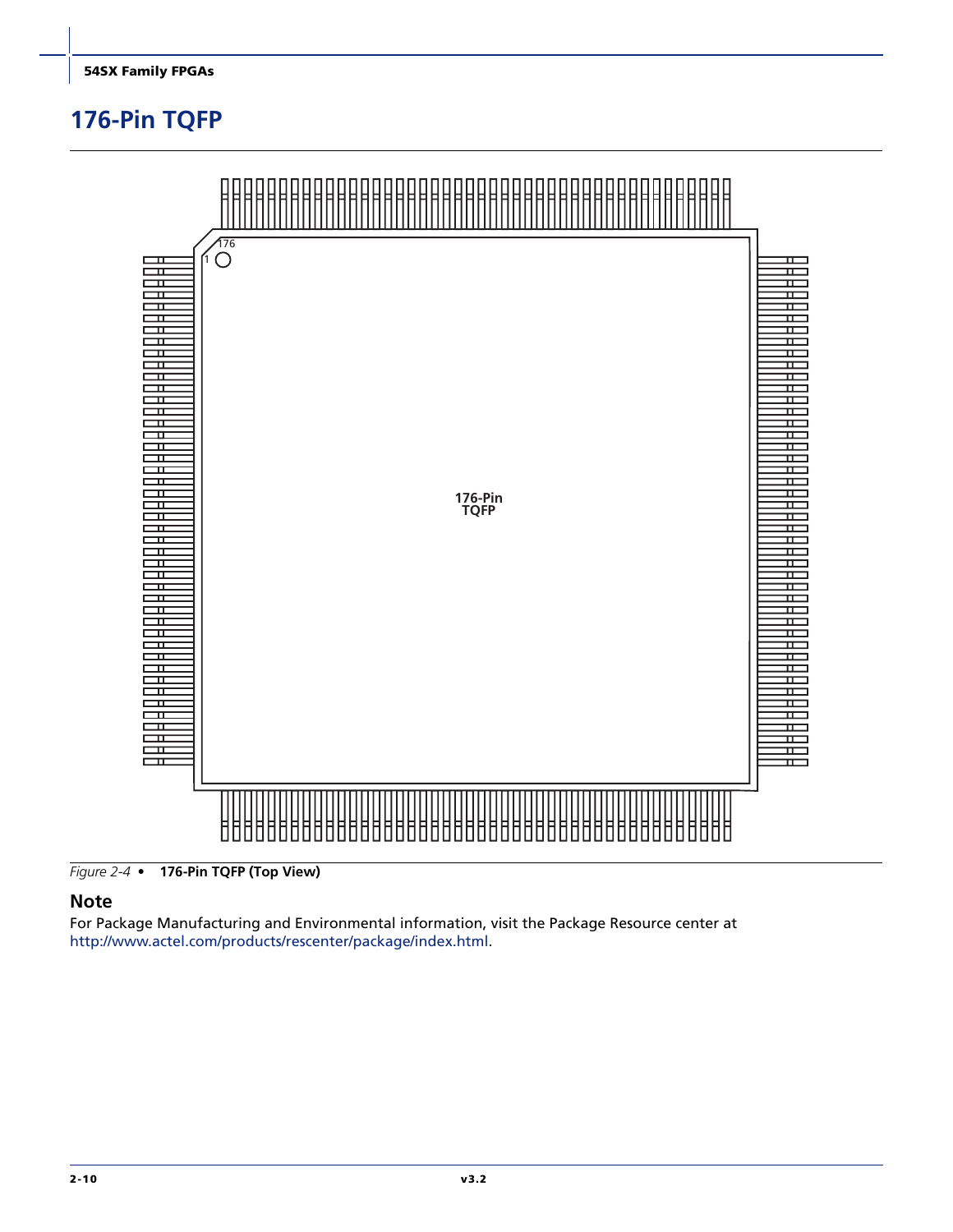## <span id="page-47-0"></span>**176-Pin TQFP**



*Figure 2-4 •* **176-Pin TQFP (Top View)**

#### **Note**

For Package Manufacturing and Environmental information, visit the Package Resource center at [http://www.actel.com/products/rescenter/package/index.html.](http://www.actel.com/products/rescenter/package/index.html)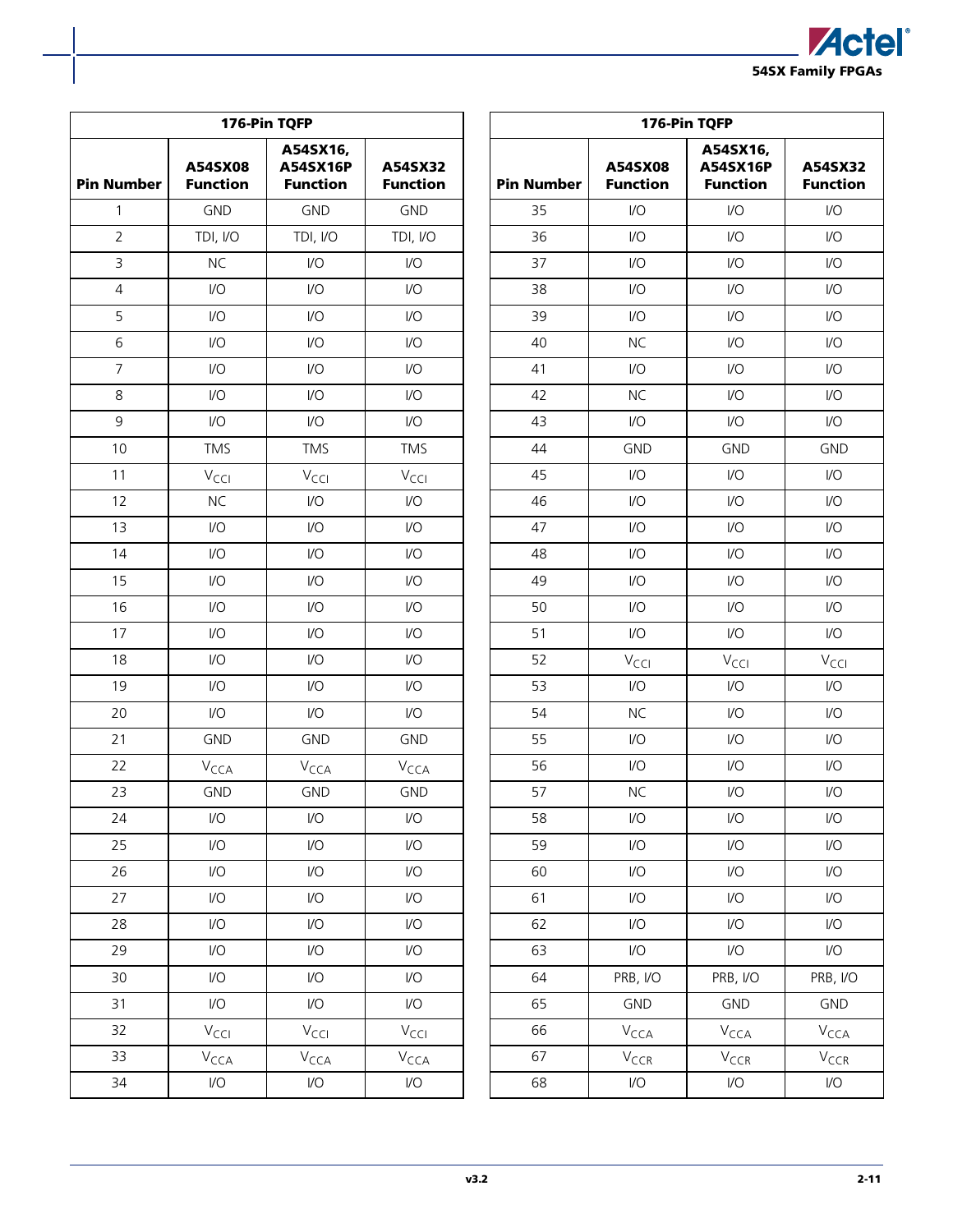

| 176-Pin TQFP<br>A54SX16,<br>A54SX16P<br>A54SX32<br>A54SX08<br><b>Function</b><br><b>Function</b><br><b>Function</b><br>$\mathbf{1}$<br><b>GND</b><br><b>GND</b><br><b>GND</b><br>$\overline{2}$<br>TDI, I/O<br>TDI, I/O<br>TDI, I/O<br><b>NC</b><br>3<br>I/O<br>1/O<br>4<br>1/O<br>I/O<br>I/O<br>5<br>$\mathsf{I}/\mathsf{O}$<br>$VO$<br>$\mathsf{I}/\mathsf{O}$<br>6<br>1/O<br>1/O<br>I/O<br>7<br>1/O<br>I/O<br>I/O<br>8<br>1/O<br>I/O<br>1/O<br>9<br>$IVO$<br>$\mathsf{U}\mathsf{O}$<br>I/O<br>10<br><b>TMS</b><br><b>TMS</b><br><b>TMS</b> |                         |                             |                             |  |  |  |  |  |  |  |
|-----------------------------------------------------------------------------------------------------------------------------------------------------------------------------------------------------------------------------------------------------------------------------------------------------------------------------------------------------------------------------------------------------------------------------------------------------------------------------------------------------------------------------------------------|-------------------------|-----------------------------|-----------------------------|--|--|--|--|--|--|--|
| <b>Pin Number</b>                                                                                                                                                                                                                                                                                                                                                                                                                                                                                                                             |                         |                             |                             |  |  |  |  |  |  |  |
|                                                                                                                                                                                                                                                                                                                                                                                                                                                                                                                                               |                         |                             |                             |  |  |  |  |  |  |  |
|                                                                                                                                                                                                                                                                                                                                                                                                                                                                                                                                               |                         |                             |                             |  |  |  |  |  |  |  |
|                                                                                                                                                                                                                                                                                                                                                                                                                                                                                                                                               |                         |                             |                             |  |  |  |  |  |  |  |
|                                                                                                                                                                                                                                                                                                                                                                                                                                                                                                                                               |                         |                             |                             |  |  |  |  |  |  |  |
|                                                                                                                                                                                                                                                                                                                                                                                                                                                                                                                                               |                         |                             |                             |  |  |  |  |  |  |  |
|                                                                                                                                                                                                                                                                                                                                                                                                                                                                                                                                               |                         |                             |                             |  |  |  |  |  |  |  |
|                                                                                                                                                                                                                                                                                                                                                                                                                                                                                                                                               |                         |                             |                             |  |  |  |  |  |  |  |
|                                                                                                                                                                                                                                                                                                                                                                                                                                                                                                                                               |                         |                             |                             |  |  |  |  |  |  |  |
|                                                                                                                                                                                                                                                                                                                                                                                                                                                                                                                                               |                         |                             |                             |  |  |  |  |  |  |  |
|                                                                                                                                                                                                                                                                                                                                                                                                                                                                                                                                               |                         |                             |                             |  |  |  |  |  |  |  |
| 11                                                                                                                                                                                                                                                                                                                                                                                                                                                                                                                                            | $V_{\text{CCI}}$        | $V_{\text{CCI}}$            | $V_{\text{CCI}}$            |  |  |  |  |  |  |  |
| 12                                                                                                                                                                                                                                                                                                                                                                                                                                                                                                                                            | <b>NC</b>               | $\overline{1}/\overline{O}$ | $\overline{1}/\overline{O}$ |  |  |  |  |  |  |  |
| 13                                                                                                                                                                                                                                                                                                                                                                                                                                                                                                                                            | 1/O                     | I/O                         | I/O                         |  |  |  |  |  |  |  |
| 14                                                                                                                                                                                                                                                                                                                                                                                                                                                                                                                                            | 1/O                     | $VO$                        | $\mathsf{I}/\mathsf{O}$     |  |  |  |  |  |  |  |
| 15                                                                                                                                                                                                                                                                                                                                                                                                                                                                                                                                            | 1/O                     | $\mathsf{U}\mathsf{O}$      | $\mathsf{U}\mathsf{O}$      |  |  |  |  |  |  |  |
| 16                                                                                                                                                                                                                                                                                                                                                                                                                                                                                                                                            | 1/O                     | I/O                         | I/O                         |  |  |  |  |  |  |  |
| 17                                                                                                                                                                                                                                                                                                                                                                                                                                                                                                                                            | $\mathsf{I}/\mathsf{O}$ | I/O                         | $\overline{U}$              |  |  |  |  |  |  |  |
| 18                                                                                                                                                                                                                                                                                                                                                                                                                                                                                                                                            | 1/O                     | I/O                         | 1/O                         |  |  |  |  |  |  |  |
| 19                                                                                                                                                                                                                                                                                                                                                                                                                                                                                                                                            | 1/O                     | I/O                         | I/O                         |  |  |  |  |  |  |  |
| 20                                                                                                                                                                                                                                                                                                                                                                                                                                                                                                                                            | 1/O                     | $\mathsf{I}/\mathsf{O}$     | 1/O                         |  |  |  |  |  |  |  |
| 21                                                                                                                                                                                                                                                                                                                                                                                                                                                                                                                                            | <b>GND</b>              | <b>GND</b>                  | <b>GND</b>                  |  |  |  |  |  |  |  |
| 22                                                                                                                                                                                                                                                                                                                                                                                                                                                                                                                                            | V <sub>CCA</sub>        | V <sub>CCA</sub>            | V <sub>CCA</sub>            |  |  |  |  |  |  |  |
| 23                                                                                                                                                                                                                                                                                                                                                                                                                                                                                                                                            | <b>GND</b>              | <b>GND</b>                  | <b>GND</b>                  |  |  |  |  |  |  |  |
| 24                                                                                                                                                                                                                                                                                                                                                                                                                                                                                                                                            | $\mathsf{U}\mathsf{O}$  | $\overline{U}$              | $\mathsf{U}\mathsf{O}$      |  |  |  |  |  |  |  |
| 25                                                                                                                                                                                                                                                                                                                                                                                                                                                                                                                                            | $\mathsf{U}\mathsf{O}$  | $\overline{U}$              | $\mathsf{U}\mathsf{O}$      |  |  |  |  |  |  |  |
| 26                                                                                                                                                                                                                                                                                                                                                                                                                                                                                                                                            | $\mathsf{U}\mathsf{O}$  | $\overline{1}/\overline{O}$ | $\mathsf{U}\mathsf{O}$      |  |  |  |  |  |  |  |
| 27                                                                                                                                                                                                                                                                                                                                                                                                                                                                                                                                            | $\mathsf{U}\mathsf{O}$  | $\mathsf{U}\mathsf{O}$      | $\mathsf{U}\mathsf{O}$      |  |  |  |  |  |  |  |
| 28                                                                                                                                                                                                                                                                                                                                                                                                                                                                                                                                            | $\mathsf{U}\mathsf{O}$  | $\overline{1}/\overline{O}$ | $\mathsf{U}\mathsf{O}$      |  |  |  |  |  |  |  |
| 29                                                                                                                                                                                                                                                                                                                                                                                                                                                                                                                                            | $\mathsf{U}\mathsf{O}$  | $\overline{1}/\overline{O}$ | $\mathsf{U}\mathsf{O}$      |  |  |  |  |  |  |  |
| 30                                                                                                                                                                                                                                                                                                                                                                                                                                                                                                                                            | $\mathsf{U}\mathsf{O}$  | $\overline{1}/\overline{O}$ | $\mathsf{U}\mathsf{O}$      |  |  |  |  |  |  |  |
| 31                                                                                                                                                                                                                                                                                                                                                                                                                                                                                                                                            | I/O                     | $\overline{U}$              | I/O                         |  |  |  |  |  |  |  |
| 32                                                                                                                                                                                                                                                                                                                                                                                                                                                                                                                                            | $V_{\text{CCI}}$        | $V_{\text{CCI}}$            | $V_{\text{CCI}}$            |  |  |  |  |  |  |  |
| 33                                                                                                                                                                                                                                                                                                                                                                                                                                                                                                                                            | V <sub>CCA</sub>        | $V_{\text{CCA}}$            | V <sub>CCA</sub>            |  |  |  |  |  |  |  |
| 34                                                                                                                                                                                                                                                                                                                                                                                                                                                                                                                                            | $\mathsf{IO}$           | I/O                         | I/O                         |  |  |  |  |  |  |  |

| 176-Pin TQFP      |                             |                                         |                             |  |  |  |  |  |  |  |  |
|-------------------|-----------------------------|-----------------------------------------|-----------------------------|--|--|--|--|--|--|--|--|
| <b>Pin Number</b> | A54SX08<br><b>Function</b>  | A54SX16,<br>A54SX16P<br><b>Function</b> | A54SX32<br><b>Function</b>  |  |  |  |  |  |  |  |  |
| 35                | 1/O                         | I/O                                     | 1/O                         |  |  |  |  |  |  |  |  |
| 36                | I/O                         | I/O                                     | $IVO$                       |  |  |  |  |  |  |  |  |
| 37                | I/O                         | I/O                                     | $IVO$                       |  |  |  |  |  |  |  |  |
| 38                | I/O                         | I/O                                     | I/O                         |  |  |  |  |  |  |  |  |
| 39                | I/O                         | I/O                                     | $IVO$                       |  |  |  |  |  |  |  |  |
| 40                | <b>NC</b>                   | 1/O                                     | I/O                         |  |  |  |  |  |  |  |  |
| 41                | I/O                         | $IVO$                                   | $IVO$                       |  |  |  |  |  |  |  |  |
| 42                | <b>NC</b>                   | $IVO$                                   | $IVO$                       |  |  |  |  |  |  |  |  |
| 43                | I/O                         | I/O                                     | $IVO$                       |  |  |  |  |  |  |  |  |
| 44                | <b>GND</b>                  | <b>GND</b>                              | <b>GND</b>                  |  |  |  |  |  |  |  |  |
| 45                | I/O                         | I/O                                     | $U$                         |  |  |  |  |  |  |  |  |
| 46                | I/O                         | I/O                                     | $IVO$                       |  |  |  |  |  |  |  |  |
| 47                | I/O                         | I/O                                     | $IVO$                       |  |  |  |  |  |  |  |  |
| 48                | I/O                         | $IVO$                                   | $IVO$                       |  |  |  |  |  |  |  |  |
| 49                | I/O                         | I/O                                     | $IVO$                       |  |  |  |  |  |  |  |  |
| 50                | I/O                         | I/O                                     | I/O                         |  |  |  |  |  |  |  |  |
| 51                | I/O                         | I/O                                     | I/O                         |  |  |  |  |  |  |  |  |
| 52                | $V_{\text{CCI}}$            | V <sub>CCI</sub>                        | $V_{\text{CCI}}$            |  |  |  |  |  |  |  |  |
| 53                | I/O                         | I/O                                     | I/O                         |  |  |  |  |  |  |  |  |
| 54                | <b>NC</b>                   | $IVO$                                   | $UO$                        |  |  |  |  |  |  |  |  |
| 55                | 1/O                         | I/O                                     | $IVO$                       |  |  |  |  |  |  |  |  |
| 56                | I/O                         | I/O                                     | I/O                         |  |  |  |  |  |  |  |  |
| 57                | <b>NC</b>                   | 1/O                                     | 1/O                         |  |  |  |  |  |  |  |  |
| 58                | 1/2                         | I/O                                     | I/O                         |  |  |  |  |  |  |  |  |
| 59                | I/O                         | 1/2                                     | $\mathsf{U}\mathsf{O}$      |  |  |  |  |  |  |  |  |
| 60                | 1/2                         | I/O                                     | $\overline{1}/\overline{O}$ |  |  |  |  |  |  |  |  |
| 61                | 1/O                         | 1/2                                     | $\mathsf{U}\mathsf{O}$      |  |  |  |  |  |  |  |  |
| 62                | I/O                         | 1/2                                     | $\mathsf{IO}$               |  |  |  |  |  |  |  |  |
| 63                | $\overline{1}/\overline{O}$ | 1/2                                     | $\mathsf{U}\mathsf{O}$      |  |  |  |  |  |  |  |  |
| 64                | PRB, I/O                    | PRB, I/O                                | PRB, I/O                    |  |  |  |  |  |  |  |  |
| 65                | <b>GND</b>                  | <b>GND</b>                              | <b>GND</b>                  |  |  |  |  |  |  |  |  |
| 66                | V <sub>CCA</sub>            | V <sub>CCA</sub>                        | V <sub>CCA</sub>            |  |  |  |  |  |  |  |  |
| 67                | V <sub>CCR</sub>            | $V_{CCR}$                               | V <sub>CCR</sub>            |  |  |  |  |  |  |  |  |
| 68                | $\overline{1}/\overline{O}$ | I/O                                     | $\sqrt{O}$                  |  |  |  |  |  |  |  |  |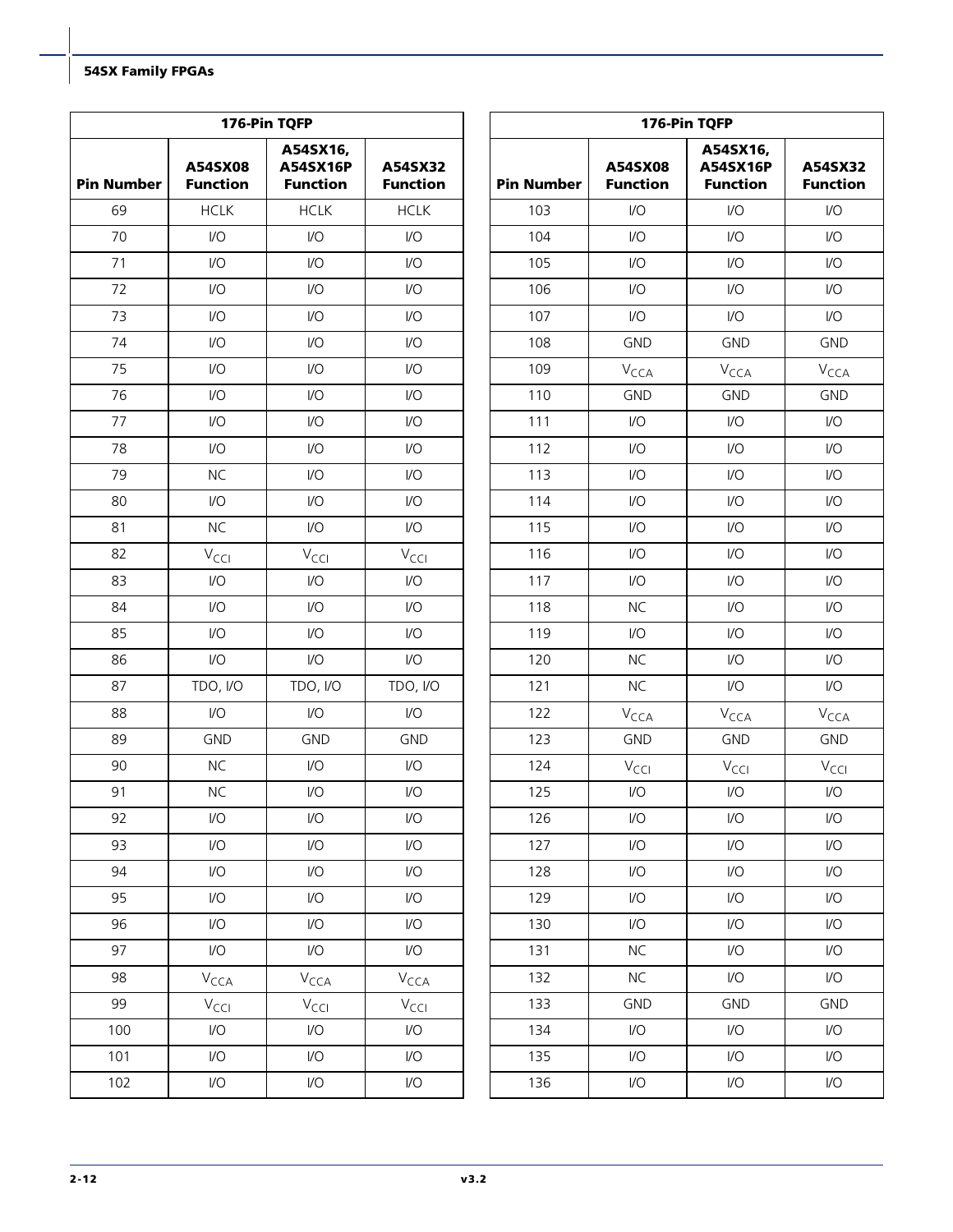|                   |                                                                       | 176-Pin TQFP            |                            | 176-Pin TQFP                  |                            |                                         |                            |  |  |  |  |  |
|-------------------|-----------------------------------------------------------------------|-------------------------|----------------------------|-------------------------------|----------------------------|-----------------------------------------|----------------------------|--|--|--|--|--|
| <b>Pin Number</b> | A54SX16,<br>A54SX08<br>A54SX16P<br><b>Function</b><br><b>Function</b> |                         | A54SX32<br><b>Function</b> | <b>Pin Number</b>             | A54SX08<br><b>Function</b> | A54SX16,<br>A54SX16P<br><b>Function</b> | A54SX32<br><b>Function</b> |  |  |  |  |  |
| 69                | <b>HCLK</b>                                                           | <b>HCLK</b>             | <b>HCLK</b>                | 103                           | $\mathsf{U}\mathsf{O}$     | $\mathsf{U}\mathsf{O}$                  | $\mathsf{U}\mathsf{O}$     |  |  |  |  |  |
| 70                | $\mathsf{VO}$                                                         | $\mathsf{I}/\mathsf{O}$ | $\mathsf{VO}$              | 104                           | $\mathsf{U}\mathsf{O}$     | $\mathsf{U}\mathsf{O}$                  | 1/O                        |  |  |  |  |  |
| 71                | $\mathsf{VO}$                                                         | $\mathsf{I}/\mathsf{O}$ | $\mathsf{U}\mathsf{O}$     | 105                           | $\mathsf{U}\mathsf{O}$     | $\mathsf{I}/\mathsf{O}$                 | 1/O                        |  |  |  |  |  |
| 72                | $\mathsf{VO}$                                                         | 1/O                     | $\mathsf{U}\mathsf{O}$     | 106                           | $\mathsf{U}\mathsf{O}$     | $\mathsf{U}\mathsf{O}$                  | $\mathsf{U}\mathsf{O}$     |  |  |  |  |  |
| 73                | $\mathsf{VO}$                                                         | $\mathsf{I}/\mathsf{O}$ | $\mathsf{U}\mathsf{O}$     | 107                           | $\mathsf{U}\mathsf{O}$     | $\mathsf{I}/\mathsf{O}$                 | $\mathsf{I}/\mathsf{O}$    |  |  |  |  |  |
| 74                | $\mathsf{VO}$                                                         | $\mathsf{I}/\mathsf{O}$ | $\mathsf{U}\mathsf{O}$     | 108                           | <b>GND</b>                 | <b>GND</b>                              | <b>GND</b>                 |  |  |  |  |  |
| 75                | $\mathsf{U}\mathsf{O}$                                                | I/O                     | I/O                        | 109                           | $V_{\text{CCA}}$           | V <sub>CCA</sub>                        | V <sub>CCA</sub>           |  |  |  |  |  |
| 76                | $\mathsf{VO}$                                                         | $\mathsf{I}/\mathsf{O}$ | $\mathsf{U}\mathsf{O}$     | 110                           | <b>GND</b>                 | <b>GND</b>                              | <b>GND</b>                 |  |  |  |  |  |
| 77                | $\mathsf{U}\mathsf{O}$                                                | $\mathsf{I}/\mathsf{O}$ | $\mathsf{U}\mathsf{O}$     | 111                           | $\mathsf{U}\mathsf{O}$     | $\mathsf{U}\mathsf{O}$                  | $\mathsf{I}/\mathsf{O}$    |  |  |  |  |  |
| 78                | $\mathsf{U}\mathsf{O}$                                                | $\mathsf{I}/\mathsf{O}$ | $\mathsf{U}\mathsf{O}$     | 112                           | $1/O$                      | $\mathsf{U}\mathsf{O}$                  | $IV$                       |  |  |  |  |  |
| 79                | <b>NC</b>                                                             | $\mathsf{I}/\mathsf{O}$ | $\mathsf{I}/\mathsf{O}$    | 113                           | $\mathsf{VO}$              | $\mathsf{I}/\mathsf{O}$                 | 1/O                        |  |  |  |  |  |
| 80                | $\mathsf{VO}$                                                         | $\mathsf{I}/\mathsf{O}$ | $\mathsf{U}\mathsf{O}$     | 114                           | $\mathsf{U}\mathsf{O}$     | $\mathsf{I}/\mathsf{O}$                 | $\mathsf{I}/\mathsf{O}$    |  |  |  |  |  |
| 81                | <b>NC</b>                                                             | $\mathsf{I}/\mathsf{O}$ | 1/O                        | 115                           | $\mathsf{U}\mathsf{O}$     | $\mathsf{I}/\mathsf{O}$                 | $\mathsf{I}/\mathsf{O}$    |  |  |  |  |  |
| 82                | $V_{\text{CC}}$                                                       | $V_{\text{CCI}}$        | $V_{\text{CCl}}$           | 116                           | $\mathsf{U}\mathsf{O}$     | $\mathsf{U}\mathsf{O}$                  | $\mathsf{I}/\mathsf{O}$    |  |  |  |  |  |
| 83                | $\mathsf{VO}$                                                         | $\mathsf{I}/\mathsf{O}$ | $\mathsf{U}\mathsf{O}$     | 117<br>$\mathsf{U}\mathsf{O}$ |                            | $\mathsf{I}/\mathsf{O}$                 | $\mathsf{I}/\mathsf{O}$    |  |  |  |  |  |
| 84                | $\mathsf{VO}$                                                         | I/O                     | $\mathsf{U}\mathsf{O}$     | 118                           | <b>NC</b>                  | $\mathsf{I}/\mathsf{O}$                 | $\mathsf{I}/\mathsf{O}$    |  |  |  |  |  |
| 85                | $\mathsf{VO}$                                                         | $\mathsf{I}/\mathsf{O}$ | $\mathsf{U}\mathsf{O}$     | 119                           | $\mathsf{U}\mathsf{O}$     | $\mathsf{I}/\mathsf{O}$                 | 1/O                        |  |  |  |  |  |
| 86                | $\mathsf{VO}$                                                         | $\mathsf{I}/\mathsf{O}$ | $\mathsf{VO}$              | 120                           | <b>NC</b>                  | $\mathsf{I}/\mathsf{O}$                 | $\mathsf{I}/\mathsf{O}$    |  |  |  |  |  |
| 87                | TDO, I/O                                                              | TDO, I/O                | TDO, I/O                   | 121                           | <b>NC</b>                  | $\mathsf{I}/\mathsf{O}$                 | $\mathsf{I}/\mathsf{O}$    |  |  |  |  |  |
| 88                | $\mathsf{VO}$                                                         | $\mathsf{I}/\mathsf{O}$ | $\mathsf{VO}$              | 122                           | $V_{\text{CCA}}$           | $V_{\text{CCA}}$                        | $V_{\text{CCA}}$           |  |  |  |  |  |
| 89                | <b>GND</b>                                                            | <b>GND</b>              | <b>GND</b>                 | 123                           | <b>GND</b>                 | <b>GND</b>                              | <b>GND</b>                 |  |  |  |  |  |
| 90                | <b>NC</b>                                                             | $\mathsf{I}/\mathsf{O}$ | 1/O                        | 124                           | $V_{\text{CCI}}$           | $V_{\text{CCl}}$                        | $V_{\text{CCI}}$           |  |  |  |  |  |
| 91                | <b>NC</b>                                                             | $\mathsf{I}/\mathsf{O}$ | $\mathsf{I}/\mathsf{O}$    | 125                           | $\mathsf{U}\mathsf{O}$     | $\mathsf{U}\mathsf{O}$                  | 1/O                        |  |  |  |  |  |
| 92                | $\mathsf{U}\mathsf{O}$                                                | $\mathsf{I}/\mathsf{O}$ | I/O                        | 126                           | $\mathsf{U}\mathsf{O}$     | $\mathsf{U}\mathsf{O}$                  | $\mathsf{I}/\mathsf{O}$    |  |  |  |  |  |
| 93                | $\mathsf{U}\mathsf{O}$                                                | $\mathsf{U}\mathsf{O}$  | $\mathsf{U}\mathsf{O}$     | 127                           | $\mathsf{U}\mathsf{O}$     | $\mathsf{U}\mathsf{O}$                  | $\mathsf{I}/\mathsf{O}$    |  |  |  |  |  |
| 94                | $\mathsf{I}/\mathsf{O}$                                               | $\mathsf{I}/\mathsf{O}$ | $\mathsf{I}/\mathsf{O}$    | 128                           | $\mathsf{I}/\mathsf{O}$    | $\mathsf{U}\mathsf{O}$                  | $\mathsf{I}/\mathsf{O}$    |  |  |  |  |  |
| 95                | $\mathsf{U}\mathsf{O}$                                                | $\mathsf{U}\mathsf{O}$  | $\mathsf{U}\mathsf{O}$     | 129                           | $\mathsf{U}\mathsf{O}$     | $\mathsf{U}\mathsf{O}$                  | $\mathsf{I}/\mathsf{O}$    |  |  |  |  |  |
| 96                | $\mathsf{U}\mathsf{O}$                                                | $\mathsf{I}/\mathsf{O}$ | $\mathsf{U}\mathsf{O}$     | 130                           | $\mathsf{I}/\mathsf{O}$    | $\mathsf{U}\mathsf{O}$                  | $\mathsf{I}/\mathsf{O}$    |  |  |  |  |  |
| 97                | $\mathsf{IO}$                                                         | $\mathsf{IO}$           | $\mathsf{IO}$              | 131                           | $NC$                       | $\mathsf{U}\mathsf{O}$                  | $\mathsf{IO}$              |  |  |  |  |  |
| 98                | $V_{\text{CCA}}$                                                      | $V_{\text{CCA}}$        | $V_{\text{CCA}}$           | 132                           | NC                         | $\mathsf{U}\mathsf{O}$                  | $\mathsf{I}/\mathsf{O}$    |  |  |  |  |  |
| 99                | $V_{\text{CCI}}$                                                      | $V_{\text{CCI}}$        | $V_{\text{CCI}}$           | 133                           | <b>GND</b>                 | GND                                     | <b>GND</b>                 |  |  |  |  |  |
| 100               | $\mathsf{U}\mathsf{O}$                                                | $\mathsf{U}\mathsf{O}$  | $\mathsf{U}\mathsf{O}$     | 134                           | $\mathsf{U}\mathsf{O}$     | $\mathsf{U}\mathsf{O}$                  | $\mathsf{U}\mathsf{O}$     |  |  |  |  |  |
| 101               | $\mathsf{I}/\mathsf{O}$                                               | $\mathsf{I}/\mathsf{O}$ | $\mathsf{I}/\mathsf{O}$    | 135                           | $\mathsf{U}\mathsf{O}$     | $\mathsf{U}\mathsf{O}$                  | $\mathsf{I}/\mathsf{O}$    |  |  |  |  |  |
| 102               | I/O                                                                   | $\mathsf{I}/\mathsf{O}$ | I/O                        | 136                           | $\mathsf{I}/\mathsf{O}$    | $\mathsf{I}/\mathsf{O}$                 | $\mathsf{IO}$              |  |  |  |  |  |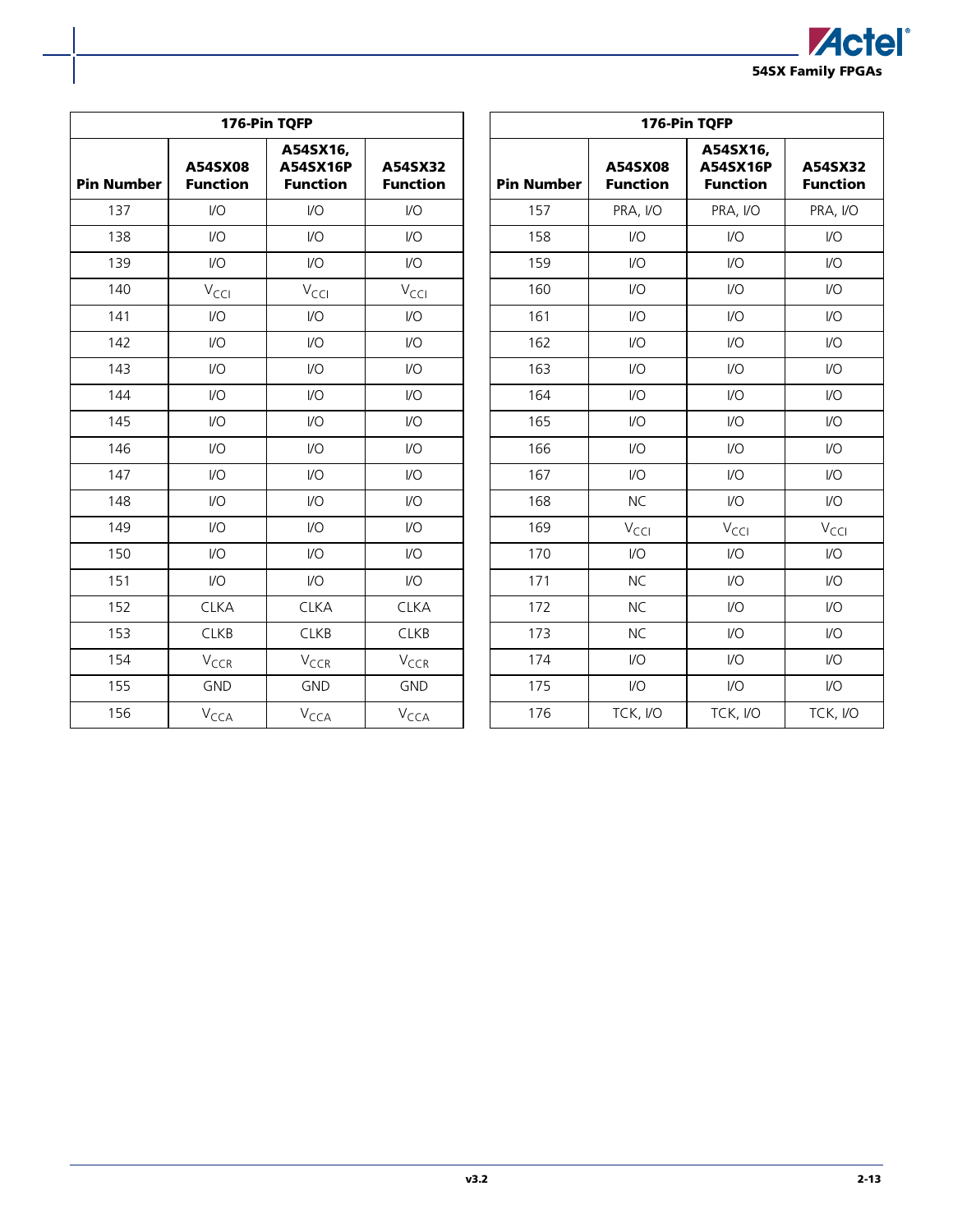

|                   |                                                                       | 176-Pin TQFP            |                            |                   | 176-Pin TQFP               |                                         |                            |  |  |  |  |  |  |
|-------------------|-----------------------------------------------------------------------|-------------------------|----------------------------|-------------------|----------------------------|-----------------------------------------|----------------------------|--|--|--|--|--|--|
| <b>Pin Number</b> | A54SX16,<br>A54SX16P<br>A54SX08<br><b>Function</b><br><b>Function</b> |                         | A54SX32<br><b>Function</b> | <b>Pin Number</b> | A54SX08<br><b>Function</b> | A54SX16,<br>A54SX16P<br><b>Function</b> | A54SX32<br><b>Function</b> |  |  |  |  |  |  |
| 137               | $\mathsf{I}/\mathsf{O}$                                               | $\mathsf{U}\mathsf{O}$  | $\mathsf{U}\mathsf{O}$     | 157               | PRA, I/O                   | PRA, I/O                                | PRA, I/O                   |  |  |  |  |  |  |
| 138               | $\mathsf{U}\mathsf{O}$                                                | $IVO$                   | $\mathsf{U}\mathsf{O}$     | 158               | $VO$                       | $IVO$                                   | $\mathsf{IO}$              |  |  |  |  |  |  |
| 139               | $\mathsf{U}\mathsf{O}$                                                | $\mathsf{U}\mathsf{O}$  | $\mathsf{U}\mathsf{O}$     | 159               | I/O                        | $\mathsf{U}\mathsf{O}$                  | $\mathsf{U}\mathsf{O}$     |  |  |  |  |  |  |
| 140               | $V_{\text{CCI}}$                                                      | $V_{\text{CCI}}$        | $V_{\text{CCI}}$           | 160               | I/O                        | $\mathsf{U}\mathsf{O}$                  | $\mathsf{U}\mathsf{O}$     |  |  |  |  |  |  |
| 141               | $\mathsf{I}/\mathsf{O}$                                               | $\mathsf{I}/\mathsf{O}$ | $\mathsf{I}/\mathsf{O}$    | 161               | $\mathsf{U}\mathsf{O}$     | $\mathsf{I}/\mathsf{O}$                 | $\mathsf{I}/\mathsf{O}$    |  |  |  |  |  |  |
| 142               | $\mathsf{U}\mathsf{O}$                                                | $\mathsf{U}\mathsf{O}$  | $\mathsf{U}\mathsf{O}$     | 162               | $\mathsf{VO}$              | $\mathsf{IO}$                           | $\mathsf{U}\mathsf{O}$     |  |  |  |  |  |  |
| 143               | $\mathsf{U}\mathsf{O}$                                                | $\mathsf{U}\mathsf{O}$  | $\mathsf{U}\mathsf{O}$     | 163               | $\mathsf{U}\mathsf{O}$     | $\mathsf{IO}$                           | $\mathsf{U}\mathsf{O}$     |  |  |  |  |  |  |
| 144               | $\mathsf{U}\mathsf{O}$                                                | $\mathsf{U}\mathsf{O}$  | $\mathsf{U}\mathsf{O}$     | 164               | I/O                        | $\mathsf{U}\mathsf{O}$                  | $\mathsf{U}\mathsf{O}$     |  |  |  |  |  |  |
| 145               | $\mathsf{U}\mathsf{O}$                                                | $\mathsf{U}\mathsf{O}$  | $\mathsf{U}\mathsf{O}$     | 165               | $U$                        | $\mathsf{U}\mathsf{O}$                  | $U$                        |  |  |  |  |  |  |
| 146               | $\mathsf{U}\mathsf{O}$                                                | $\mathsf{U}\mathsf{O}$  | $\mathsf{U}\mathsf{O}$     | 166               | I/O                        | $\mathsf{IO}$                           | $\mathsf{U}\mathsf{O}$     |  |  |  |  |  |  |
| 147               | $\mathsf{I}/\mathsf{O}$                                               | $\mathsf{I}/\mathsf{O}$ | $\mathsf{I}/\mathsf{O}$    | 167               | I/O                        | $\mathsf{U}\mathsf{O}$                  | $\mathsf{U}\mathsf{O}$     |  |  |  |  |  |  |
| 148               | $\mathsf{VO}$                                                         | $\mathsf{U}\mathsf{O}$  | $\mathsf{U}\mathsf{O}$     | 168               | <b>NC</b>                  | $\mathsf{U}\mathsf{O}$                  | $\mathsf{U}\mathsf{O}$     |  |  |  |  |  |  |
| 149               | $\mathsf{U}\mathsf{O}$                                                | $\mathsf{U}\mathsf{O}$  | $\mathsf{U}\mathsf{O}$     | 169               | $V_{\text{CCI}}$           | $V_{\text{CCI}}$                        | $V_{\text{CCI}}$           |  |  |  |  |  |  |
| 150               | $\mathsf{U}\mathsf{O}$                                                | $\mathsf{U}\mathsf{O}$  | $\mathsf{U}\mathsf{O}$     | 170               | I/O                        | $\mathsf{U}\mathsf{O}$                  | $\mathsf{U}\mathsf{O}$     |  |  |  |  |  |  |
| 151               | $\mathsf{VO}$                                                         | $\mathsf{U}\mathsf{O}$  | $\mathsf{U}\mathsf{O}$     | 171               | <b>NC</b>                  | $\mathsf{U}\mathsf{O}$                  | $U$                        |  |  |  |  |  |  |
| 152               | <b>CLKA</b>                                                           | <b>CLKA</b>             | <b>CLKA</b>                | 172               | <b>NC</b>                  | $\mathsf{U}\mathsf{O}$                  | $\mathsf{U}\mathsf{O}$     |  |  |  |  |  |  |
| 153               | <b>CLKB</b>                                                           | <b>CLKB</b>             | <b>CLKB</b>                | 173               | <b>NC</b>                  | $\mathsf{IO}$                           | $\mathsf{U}\mathsf{O}$     |  |  |  |  |  |  |
| 154               | V <sub>CCR</sub>                                                      | V <sub>CCR</sub>        | V <sub>CCR</sub>           | 174               | I/O                        | $\mathsf{IO}$                           | $\mathsf{U}\mathsf{O}$     |  |  |  |  |  |  |
| 155               | <b>GND</b>                                                            | <b>GND</b>              | <b>GND</b>                 | 175               | $\overline{U}$             | $\mathsf{U}\mathsf{O}$                  | $U$                        |  |  |  |  |  |  |
| 156               | $V_{\text{CCA}}$                                                      | $V_{\text{CCA}}$        | <b>V<sub>CCA</sub></b>     | 176               | TCK, I/O                   | TCK, I/O                                | TCK, I/O                   |  |  |  |  |  |  |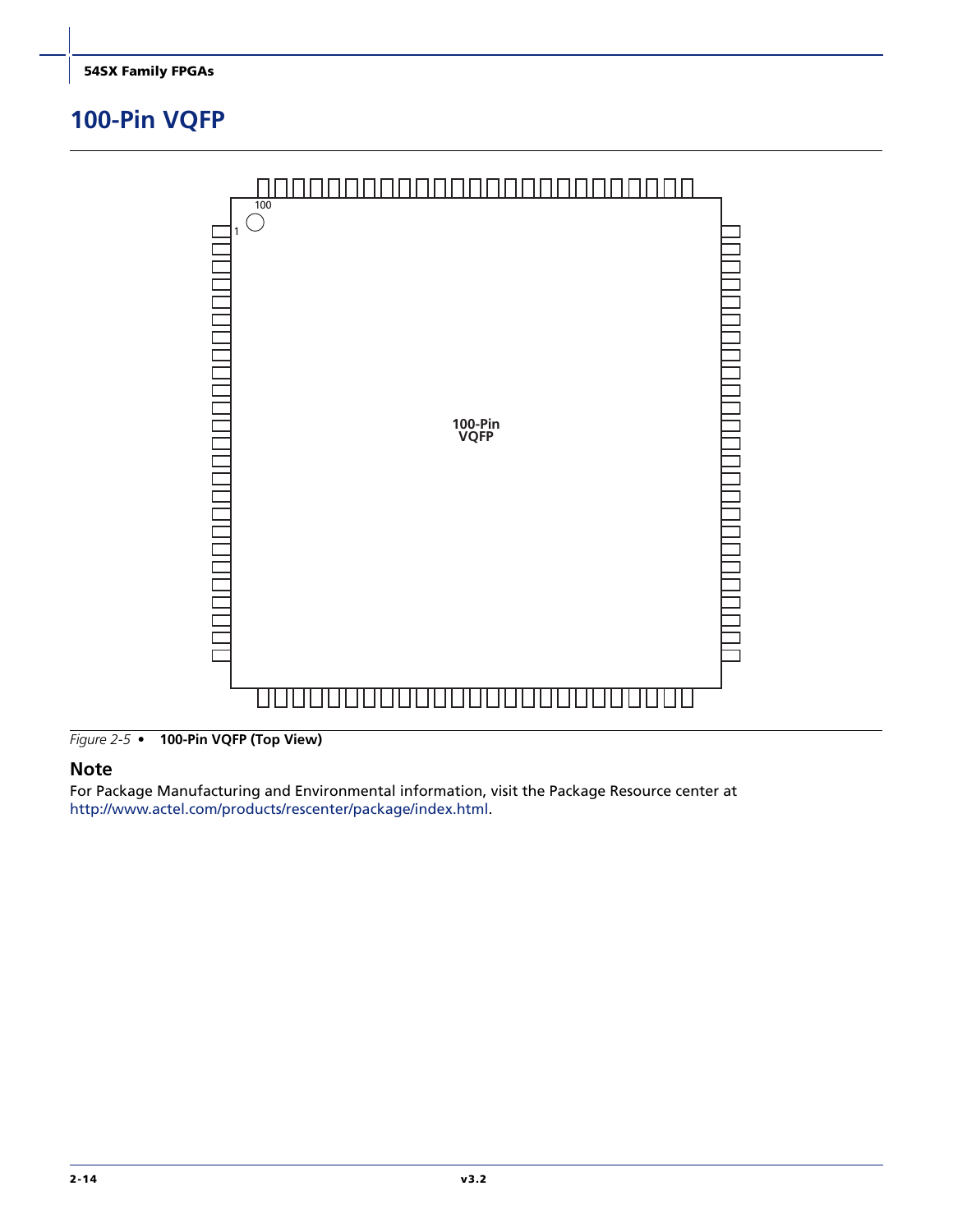## <span id="page-51-0"></span>**100-Pin VQFP**



*Figure 2-5 •* **100-Pin VQFP (Top View)**

#### **Note**

For Package Manufacturing and Environmental information, visit the Package Resource center at [http://www.actel.com/products/rescenter/package/index.html.](http://www.actel.com/products/rescenter/package/index.html)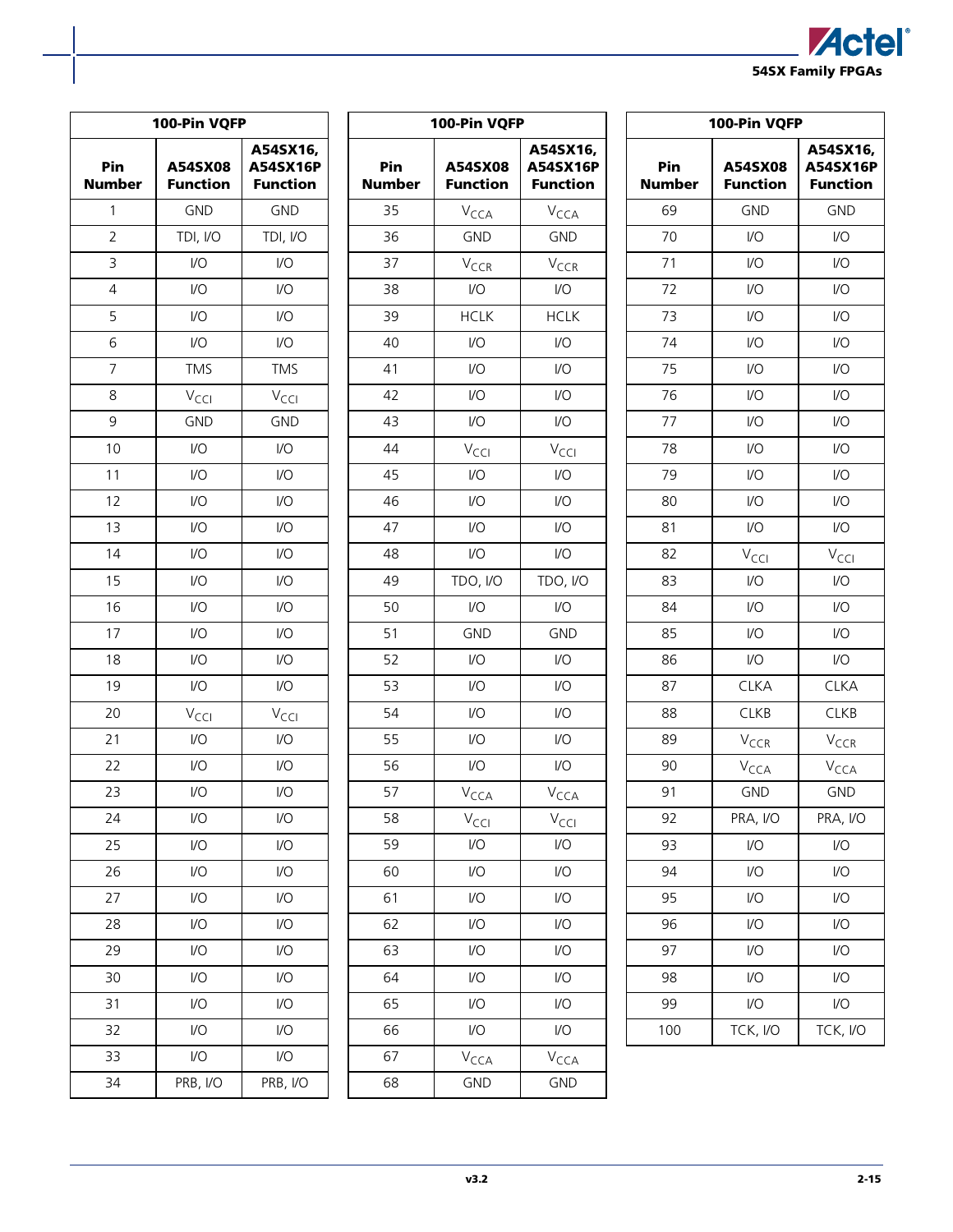| <b>ZActel</b> ®          |  |
|--------------------------|--|
| <b>54SX Family FPGAs</b> |  |

| 100-Pin VQFP   |                             |                                         |  |  |  |  |  |  |  |  |
|----------------|-----------------------------|-----------------------------------------|--|--|--|--|--|--|--|--|
| Pin<br>Number  | A54SX08<br><b>Function</b>  | A54SX16,<br>A54SX16P<br><b>Function</b> |  |  |  |  |  |  |  |  |
| 1              | <b>GND</b>                  | <b>GND</b>                              |  |  |  |  |  |  |  |  |
| 2              | TDI, I/O                    | TDI, I/O                                |  |  |  |  |  |  |  |  |
| 3              | I/O                         | I/O                                     |  |  |  |  |  |  |  |  |
| 4              | I/O                         | I/O                                     |  |  |  |  |  |  |  |  |
| 5              | I/O                         | I/O                                     |  |  |  |  |  |  |  |  |
| 6              | I/O                         | I/O                                     |  |  |  |  |  |  |  |  |
| $\overline{7}$ | <b>TMS</b>                  | <b>TMS</b>                              |  |  |  |  |  |  |  |  |
| 8              | V <sub>CCI</sub>            | V <sub>CCI</sub>                        |  |  |  |  |  |  |  |  |
| 9              | <b>GND</b>                  | <b>GND</b>                              |  |  |  |  |  |  |  |  |
| 10             | I/O                         | I/O                                     |  |  |  |  |  |  |  |  |
| 11             | 1/2                         | I/O                                     |  |  |  |  |  |  |  |  |
| 12             | I/O                         | 1/O                                     |  |  |  |  |  |  |  |  |
| 13             | $\overline{1}/\overline{O}$ | I/O                                     |  |  |  |  |  |  |  |  |
| 14             | I/O                         | I/O                                     |  |  |  |  |  |  |  |  |
| 15             | I/O                         | I/O                                     |  |  |  |  |  |  |  |  |
| 16             | I/O                         | I/O                                     |  |  |  |  |  |  |  |  |
| 17             | I/O                         | I/O                                     |  |  |  |  |  |  |  |  |
| 18             | 1/2                         | I/O                                     |  |  |  |  |  |  |  |  |
| 19             | $\overline{1}/\overline{O}$ | I/O                                     |  |  |  |  |  |  |  |  |
| 20             | V <sub>CCI</sub>            | V <sub>CCI</sub>                        |  |  |  |  |  |  |  |  |
| 21             | I/O                         | 1/O                                     |  |  |  |  |  |  |  |  |
| 22             | I/O                         | I/O                                     |  |  |  |  |  |  |  |  |
| 23             | I/O                         | 1/O                                     |  |  |  |  |  |  |  |  |
| 24             | I/O                         | I/O                                     |  |  |  |  |  |  |  |  |
| 25             | I/O                         | I/O                                     |  |  |  |  |  |  |  |  |
| 26             | I/O                         | I/O                                     |  |  |  |  |  |  |  |  |
| 27             | I/O                         | I/O                                     |  |  |  |  |  |  |  |  |
| 28             | I/O                         | I/O                                     |  |  |  |  |  |  |  |  |
| 29             | I/O                         | I/O                                     |  |  |  |  |  |  |  |  |
| 30             | I/O                         | I/O                                     |  |  |  |  |  |  |  |  |
| 31             | I/O                         | I/O                                     |  |  |  |  |  |  |  |  |
| 32             | I/O                         | I/O                                     |  |  |  |  |  |  |  |  |
| 33             | I/O                         | I/O                                     |  |  |  |  |  |  |  |  |
| 34             | PRB, I/O                    | PRB, I/O                                |  |  |  |  |  |  |  |  |

| 100-Pin VQFP  |                             |                                         |  |  |  |  |  |  |  |  |
|---------------|-----------------------------|-----------------------------------------|--|--|--|--|--|--|--|--|
| Pin<br>Number | A54SX08<br><b>Function</b>  | A54SX16,<br>A54SX16P<br><b>Function</b> |  |  |  |  |  |  |  |  |
| 35            | V <sub>CCA</sub>            | V <sub>CCA</sub>                        |  |  |  |  |  |  |  |  |
| 36            | <b>GND</b>                  | <b>GND</b>                              |  |  |  |  |  |  |  |  |
| 37            | V <sub>CCR</sub>            | V <sub>CCR</sub>                        |  |  |  |  |  |  |  |  |
| 38            | I/O                         | I/O                                     |  |  |  |  |  |  |  |  |
| 39            | <b>HCLK</b>                 | <b>HCLK</b>                             |  |  |  |  |  |  |  |  |
| 40            | I/O                         | 1/O                                     |  |  |  |  |  |  |  |  |
| 41            | $\mathsf{U}\mathsf{O}$      | 1/O                                     |  |  |  |  |  |  |  |  |
| 42            | $\mathsf{U}\mathsf{O}$      | 1/O                                     |  |  |  |  |  |  |  |  |
| 43            | I/O                         | I/O                                     |  |  |  |  |  |  |  |  |
| 44            | V <sub>CCI</sub>            | V <sub>CCI</sub>                        |  |  |  |  |  |  |  |  |
| 45            | 1/O                         | I/O                                     |  |  |  |  |  |  |  |  |
| 46            | 1/O                         | 1/O                                     |  |  |  |  |  |  |  |  |
| 47            | $\mathsf{U}\mathsf{O}$      | 1/O                                     |  |  |  |  |  |  |  |  |
| 48            | I/O                         | I/O                                     |  |  |  |  |  |  |  |  |
| 49            | TDO, I/O                    | TDO, I/O                                |  |  |  |  |  |  |  |  |
| 50            | 1/O                         | I/O                                     |  |  |  |  |  |  |  |  |
| 51            | <b>GND</b>                  | <b>GND</b>                              |  |  |  |  |  |  |  |  |
| 52            | $\mathsf{U}\mathsf{O}$      | 1/O                                     |  |  |  |  |  |  |  |  |
| 53            | $\mathsf{U}\mathsf{O}$      | 1/O                                     |  |  |  |  |  |  |  |  |
| 54            | I/O                         | I/O                                     |  |  |  |  |  |  |  |  |
| 55            | I/O                         | I/O                                     |  |  |  |  |  |  |  |  |
| 56            | 1/O                         | I/O                                     |  |  |  |  |  |  |  |  |
| 57            | V <sub>CCA</sub>            | V <sub>CCA</sub>                        |  |  |  |  |  |  |  |  |
| 58            | V <sub>CCI</sub>            | V <sub>CCI</sub>                        |  |  |  |  |  |  |  |  |
| 59            | I/O                         | I/O                                     |  |  |  |  |  |  |  |  |
| 60            | $\overline{U}$              | 1/O                                     |  |  |  |  |  |  |  |  |
| 61            | I/O                         | 1/O                                     |  |  |  |  |  |  |  |  |
| 62            | I/O                         | I/O                                     |  |  |  |  |  |  |  |  |
| 63            | I/O                         | 1/O                                     |  |  |  |  |  |  |  |  |
| 64            | I/O                         | $\overline{1}/\overline{O}$             |  |  |  |  |  |  |  |  |
| 65            | $\overline{1}/\overline{O}$ | I/O                                     |  |  |  |  |  |  |  |  |
| 66            | $\overline{U}$              | 1/O                                     |  |  |  |  |  |  |  |  |
| 67            | V <sub>CCA</sub>            | V <sub>CCA</sub>                        |  |  |  |  |  |  |  |  |
| 68            | <b>GND</b>                  | GND                                     |  |  |  |  |  |  |  |  |

| 100-Pin VQFP  |                             |                                         |  |  |  |  |  |  |  |  |
|---------------|-----------------------------|-----------------------------------------|--|--|--|--|--|--|--|--|
| Pin<br>Number | A54SX08<br><b>Function</b>  | A54SX16,<br>A54SX16P<br><b>Function</b> |  |  |  |  |  |  |  |  |
| 69            | <b>GND</b>                  | <b>GND</b>                              |  |  |  |  |  |  |  |  |
| 70            | I/O                         | I/O                                     |  |  |  |  |  |  |  |  |
| 71            | I/O                         | I/O                                     |  |  |  |  |  |  |  |  |
| 72            | I/O                         | I/O                                     |  |  |  |  |  |  |  |  |
| 73            | I/O                         | I/O                                     |  |  |  |  |  |  |  |  |
| 74            | I/O                         | I/O                                     |  |  |  |  |  |  |  |  |
| 75            | 1/2                         | I/O                                     |  |  |  |  |  |  |  |  |
| 76            | 1/2                         | I/O                                     |  |  |  |  |  |  |  |  |
| 77            | I/O                         | I/O                                     |  |  |  |  |  |  |  |  |
| 78            | 1/2                         | I/O                                     |  |  |  |  |  |  |  |  |
| 79            | I/O                         | I/O                                     |  |  |  |  |  |  |  |  |
| 80            | 1/2                         | I/O                                     |  |  |  |  |  |  |  |  |
| 81            | $\overline{1}/\overline{O}$ | I/O                                     |  |  |  |  |  |  |  |  |
| 82            | V <sub>CCI</sub>            | V <sub>CCI</sub>                        |  |  |  |  |  |  |  |  |
| 83            | I/O                         | I/O                                     |  |  |  |  |  |  |  |  |
| 84            | 1/2                         | I/O                                     |  |  |  |  |  |  |  |  |
| 85            | I/O                         | I/O                                     |  |  |  |  |  |  |  |  |
| 86            | I/O                         | I/O                                     |  |  |  |  |  |  |  |  |
| 87            | <b>CLKA</b>                 | <b>CLKA</b>                             |  |  |  |  |  |  |  |  |
| 88            | <b>CLKB</b>                 | <b>CLKB</b>                             |  |  |  |  |  |  |  |  |
| 89            | V <sub>CCR</sub>            | V <sub>CCR</sub>                        |  |  |  |  |  |  |  |  |
| 90            | V <sub>CCA</sub>            | V <sub>CCA</sub>                        |  |  |  |  |  |  |  |  |
| 91            | <b>GND</b>                  | <b>GND</b>                              |  |  |  |  |  |  |  |  |
| 92            | PRA, I/O                    | PRA, I/O                                |  |  |  |  |  |  |  |  |
| 93            | I/O                         | I/O                                     |  |  |  |  |  |  |  |  |
| 94            | I/O                         | I/O                                     |  |  |  |  |  |  |  |  |
| 95            | I/O                         | I/O                                     |  |  |  |  |  |  |  |  |
| 96            | I/O                         | I/O                                     |  |  |  |  |  |  |  |  |
| 97            | I/O                         | I/O                                     |  |  |  |  |  |  |  |  |
| 98            | I/O                         | I/O                                     |  |  |  |  |  |  |  |  |
| 99            | I/O                         | I/O                                     |  |  |  |  |  |  |  |  |
| 100           | TCK, I/O                    | TCK, I/O                                |  |  |  |  |  |  |  |  |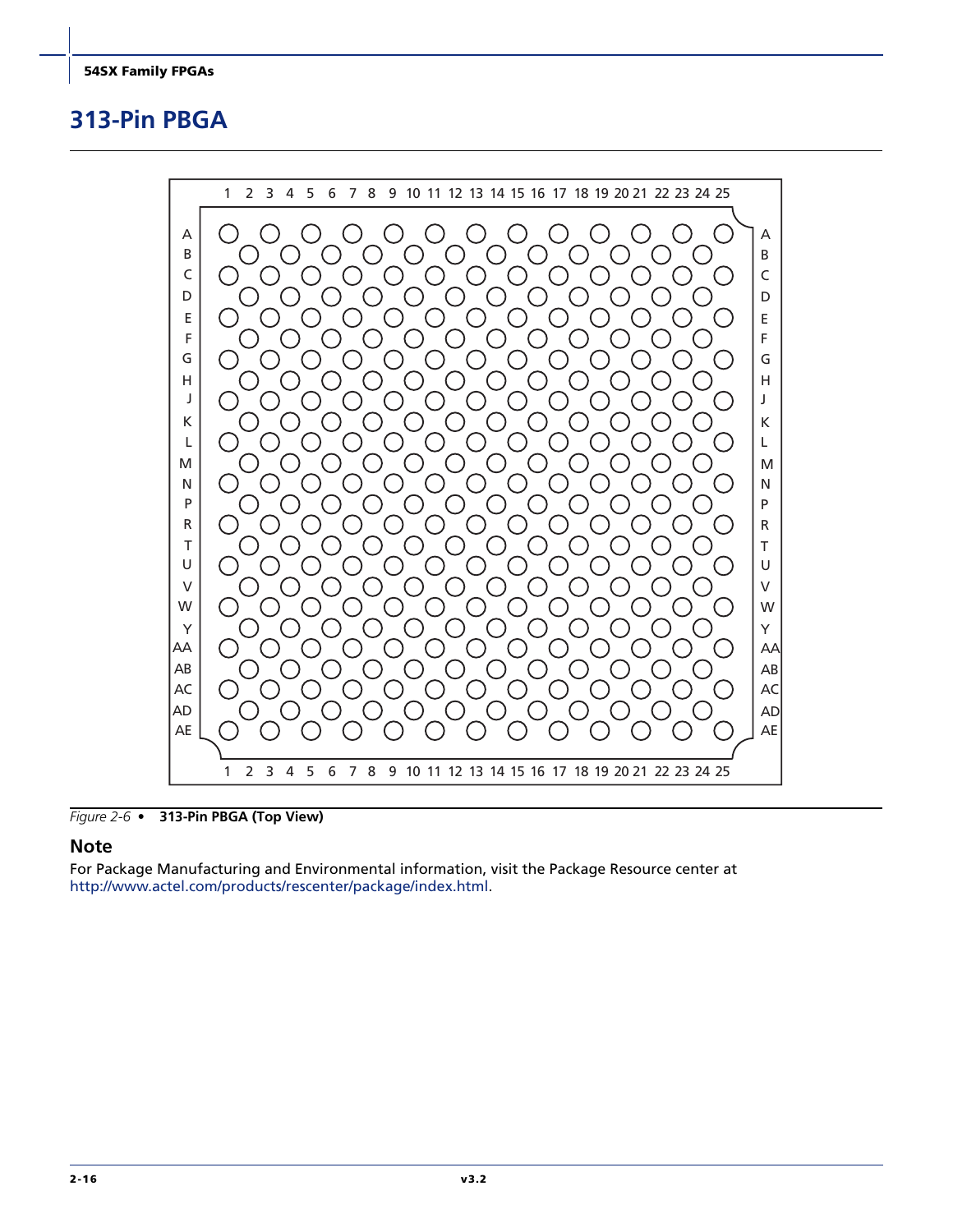## <span id="page-53-0"></span>**313-Pin PBGA**



*Figure 2-6 •* **313-Pin PBGA (Top View)**

#### **Note**

For Package Manufacturing and Environmental information, visit the Package Resource center at [http://www.actel.com/products/rescenter/package/index.html.](http://www.actel.com/products/rescenter/package/index.html)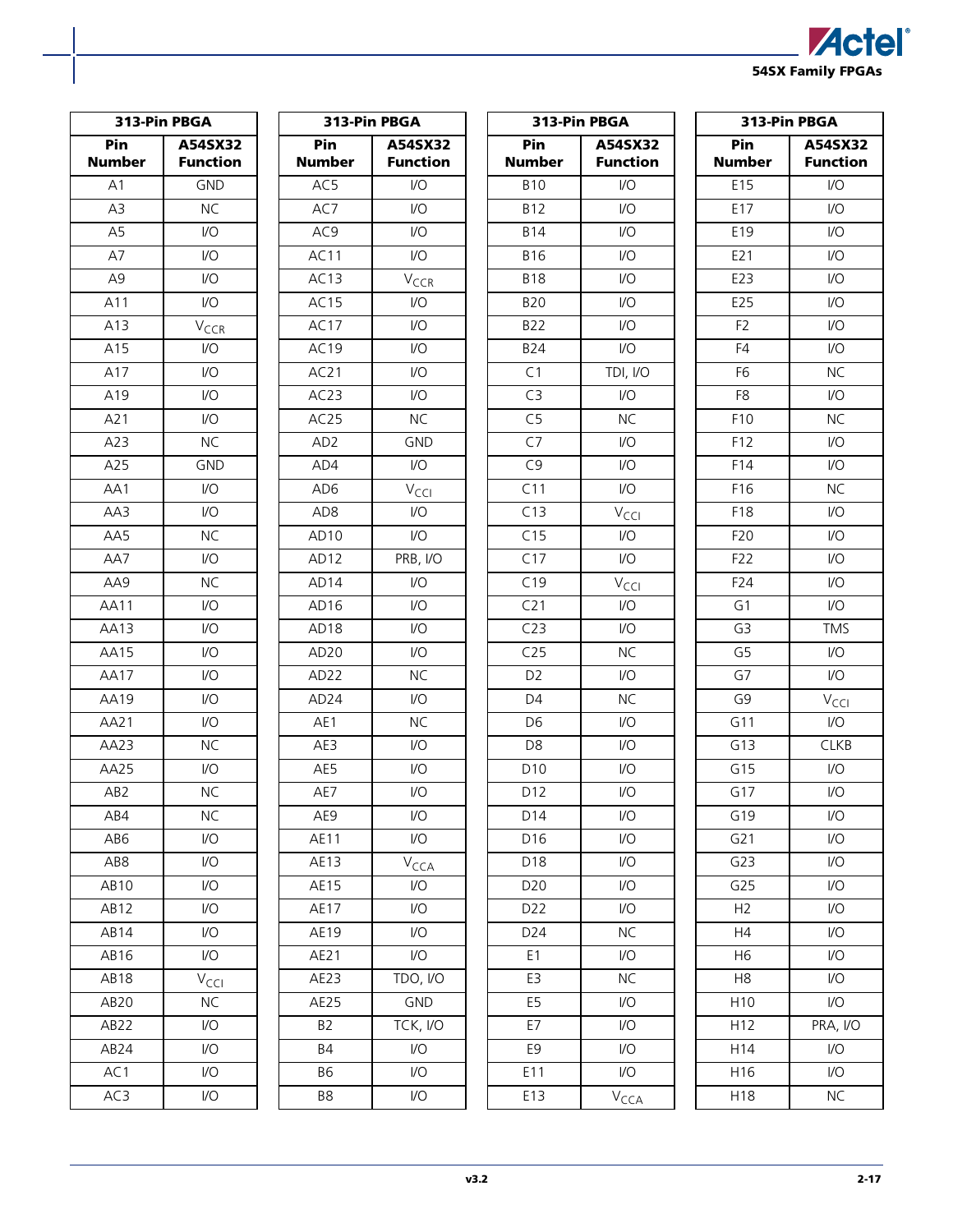

<span id="page-54-0"></span>

|                 | 313-Pin PBGA                | 313-Pin PBGA     |                         | 313-Pin PBGA     |                         |
|-----------------|-----------------------------|------------------|-------------------------|------------------|-------------------------|
| Pin             | A54SX32                     | Pin              | A54SX32                 | Pin              | A54SX32                 |
| <b>Number</b>   | <b>Function</b>             | <b>Number</b>    | <b>Function</b>         | <b>Number</b>    | <b>Function</b>         |
| A1              | <b>GND</b>                  | AC5              | I/O                     | <b>B10</b>       | I/O                     |
| A3              | <b>NC</b>                   | AC7              | I/O                     | <b>B12</b>       | VO                      |
| A <sub>5</sub>  | $\overline{1}/\overline{O}$ | AC9              | I/O                     | <b>B14</b>       | I/O                     |
| A7              | $\mathsf{U}\mathsf{O}$      | AC11             | VO                      | <b>B16</b>       | VO                      |
| A <sub>9</sub>  | $\mathsf{U}\mathsf{O}$      | AC13             | $V_{CCR}$               | <b>B18</b>       | I/O                     |
| A11             | $\mathsf{I}/\mathsf{O}$     | AC15             | VO                      | <b>B20</b>       | VO                      |
| A13             | $V_{CCR}$                   | AC17             | I/O                     | <b>B22</b>       | I/O                     |
| A15             | $\mathsf{U}\mathsf{O}$      | AC19             | VO                      | <b>B24</b>       | VO                      |
| A17             | $\mathsf{U}\mathsf{O}$      | AC21             | VO.                     | C1               | TDI, I/O                |
| A19             | $\mathsf{U}\mathsf{O}$      | AC23             | VO                      | $\overline{C}$   | $\mathsf{U}\mathsf{O}$  |
| A21             | $\mathsf{U}\mathsf{O}$      | AC25             | <b>NC</b>               | C <sub>5</sub>   | <b>NC</b>               |
| A23             | <b>NC</b>                   | AD <sub>2</sub>  | <b>GND</b>              | C7               | $\mathsf{U}\mathsf{O}$  |
| A25             | <b>GND</b>                  | AD4              | I/O                     | C9               | $\mathsf{U}\mathsf{O}$  |
| AA1             | $\mathsf{U}\mathsf{O}$      | AD <sub>6</sub>  | V <sub>CCI</sub>        | $\overline{C11}$ | VO                      |
| AA3             | $\mathsf{U}\mathsf{O}$      | AD <sub>8</sub>  | I/O                     | C13              | $V_{\text{CCI}}$        |
| AA5             | <b>NC</b>                   | AD <sub>10</sub> | I/O                     | C15              | VO                      |
| AA7             | $\mathsf{U}\mathsf{O}$      | AD <sub>12</sub> | PRB, I/O                | C17              | I/O                     |
| AA9             | <b>NC</b>                   | AD <sub>14</sub> | I/O                     | C19              | $V_{\text{CCI}}$        |
| <b>AA11</b>     | $\mathsf{U}\mathsf{O}$      | AD <sub>16</sub> | VO.                     | C21              | I/O                     |
| AA13            | $\mathsf{U}\mathsf{O}$      | AD <sub>18</sub> | VO                      | C23              | I/O                     |
| <b>AA15</b>     | $\mathsf{U}\mathsf{O}$      | AD <sub>20</sub> | VO.                     | C25              | <b>NC</b>               |
| AA17            | $\mathsf{U}\mathsf{O}$      | AD22             | <b>NC</b>               | D <sub>2</sub>   | $\mathsf{U}\mathsf{O}$  |
| AA19            | $\mathsf{U}\mathsf{O}$      | AD <sub>24</sub> | VO.                     | D <sub>4</sub>   | <b>NC</b>               |
| AA21            | $\mathsf{U}\mathsf{O}$      | AE1              | <b>NC</b>               | D <sub>6</sub>   | $\mathsf{U}\mathsf{O}$  |
| AA23            | <b>NC</b>                   | AE3              | I/O                     | D <sub>8</sub>   | $\mathsf{U}\mathsf{O}$  |
| AA25            | $\mathsf{U}\mathsf{O}$      | AE5              | I/O                     | D10              | VO                      |
| AB <sub>2</sub> | <b>NC</b>                   | AE7              | I/O                     | D12              | I/O                     |
| AB4             | <b>NC</b>                   | AE9              | $\mathsf{I}/\mathsf{O}$ | D14              | I/O                     |
| AB6             | $\mathsf{I}/\mathsf{O}$     | AE11             | I/O                     | D16              | I/O                     |
| AB8             | $\mathsf{I}/\mathsf{O}$     | <b>AE13</b>      | V <sub>CCA</sub>        | D18              | I/O                     |
| AB10            | I/O                         | <b>AE15</b>      | I/O                     | D20              | I/O                     |
| AB12            | $\mathsf{U}\mathsf{O}$      | <b>AE17</b>      | I/O                     | D22              | I/O                     |
| AB14            | I/O                         | AE19             | I/O                     | D24              | <b>NC</b>               |
| AB16            | $\mathsf{I}/\mathsf{O}$     | AE21             | I/O                     | E1               | $\mathsf{I}/\mathsf{O}$ |
| AB18            | $V_{\text{CCI}}$            | AE23             | TDO, I/O                | E3               | <b>NC</b>               |
| AB20            | <b>NC</b>                   | <b>AE25</b>      | <b>GND</b>              | E <sub>5</sub>   | $\mathsf{U}\mathsf{O}$  |
| AB22            | $\mathsf{I}/\mathsf{O}$     | B <sub>2</sub>   | TCK, I/O                | E7               | I/O                     |
| AB24            | $\mathsf{I}/\mathsf{O}$     | <b>B4</b>        | I/O                     | E9               | $\mathsf{U}\mathsf{O}$  |
| AC1             | I/O                         | <b>B6</b>        | I/O                     | E11              | I/O                     |
| AC3             | $\mathsf{I}/\mathsf{O}$     | B8               | I/O                     | E13              | $V_{\text{CCA}}$        |

| 313-Pin PBGA    |                             |  |  |  |  |  |  |  |
|-----------------|-----------------------------|--|--|--|--|--|--|--|
| Pin             | A54SX32                     |  |  |  |  |  |  |  |
| Number          | <b>Function</b>             |  |  |  |  |  |  |  |
| E15             | I/O                         |  |  |  |  |  |  |  |
| E17             | $\overline{1/O}$            |  |  |  |  |  |  |  |
| E19             | I/O                         |  |  |  |  |  |  |  |
| E21             | $\overline{VO}$             |  |  |  |  |  |  |  |
| E23             | $\overline{10}$             |  |  |  |  |  |  |  |
| E25             | $\overline{10}$             |  |  |  |  |  |  |  |
| F <sub>2</sub>  | I/O                         |  |  |  |  |  |  |  |
| F4              | $\overline{1/O}$            |  |  |  |  |  |  |  |
| F <sub>6</sub>  | <b>NC</b>                   |  |  |  |  |  |  |  |
| F <sub>8</sub>  | $\overline{10}$             |  |  |  |  |  |  |  |
| F10             | <b>NC</b>                   |  |  |  |  |  |  |  |
| F12             | $\overline{1}/\overline{O}$ |  |  |  |  |  |  |  |
| F14             | 1/O                         |  |  |  |  |  |  |  |
| F16             | <b>NC</b>                   |  |  |  |  |  |  |  |
| F18             | I/O                         |  |  |  |  |  |  |  |
| F20             | $\overline{10}$             |  |  |  |  |  |  |  |
| F22             | $\overline{1}/\overline{O}$ |  |  |  |  |  |  |  |
| F24             | $\overline{10}$             |  |  |  |  |  |  |  |
| G1              | I/O                         |  |  |  |  |  |  |  |
| $\overline{G}$  | <b>TMS</b>                  |  |  |  |  |  |  |  |
| G <sub>5</sub>  | 1/O                         |  |  |  |  |  |  |  |
| G <sub>7</sub>  | I/O                         |  |  |  |  |  |  |  |
| G9              | V <sub>CCI</sub>            |  |  |  |  |  |  |  |
| G11             | I/O                         |  |  |  |  |  |  |  |
| G13             | <b>CLKB</b>                 |  |  |  |  |  |  |  |
| G15             | $\overline{1}$              |  |  |  |  |  |  |  |
| G17             | I/O                         |  |  |  |  |  |  |  |
| G19             | I/O                         |  |  |  |  |  |  |  |
| G <sub>21</sub> | $\overline{1}/\overline{O}$ |  |  |  |  |  |  |  |
| G23             | I/O                         |  |  |  |  |  |  |  |
| G25             | I/O                         |  |  |  |  |  |  |  |
| H <sub>2</sub>  | I/O                         |  |  |  |  |  |  |  |
| H4              | I/O                         |  |  |  |  |  |  |  |
| H6              | I/O                         |  |  |  |  |  |  |  |
| H8              | I/O                         |  |  |  |  |  |  |  |
| H10             | I/O                         |  |  |  |  |  |  |  |
| H12             | PRA, I/O                    |  |  |  |  |  |  |  |
| H14             | I/O                         |  |  |  |  |  |  |  |
| H16             | I/O                         |  |  |  |  |  |  |  |
| H18             | NC                          |  |  |  |  |  |  |  |
|                 |                             |  |  |  |  |  |  |  |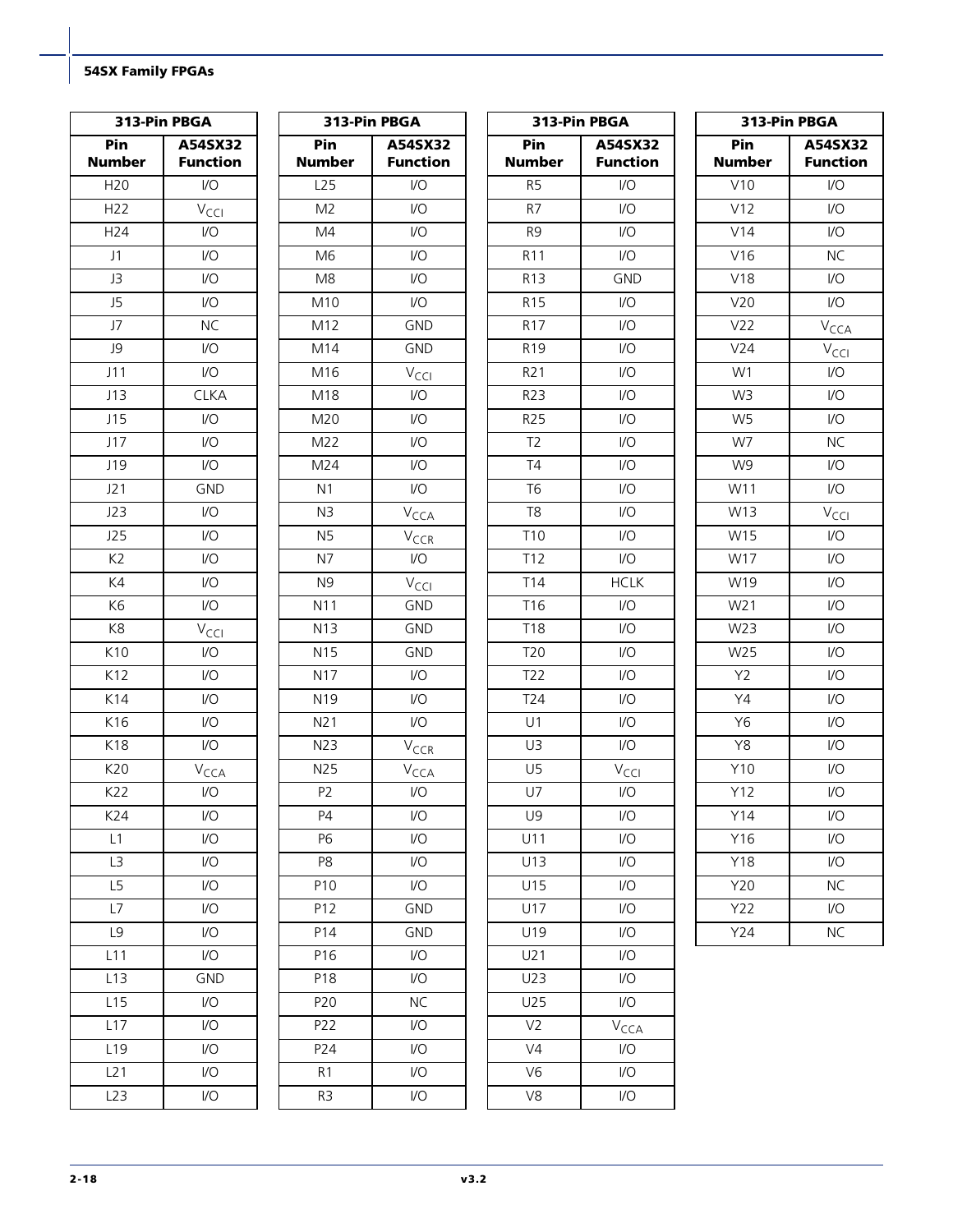|                      | 313-Pin PBGA               |                      | 313-Pin PBGA               |                      | 313-Pin PBGA               | 313-Pin PBGA         |                            |  |  |  |
|----------------------|----------------------------|----------------------|----------------------------|----------------------|----------------------------|----------------------|----------------------------|--|--|--|
| Pin<br><b>Number</b> | A54SX32<br><b>Function</b> | Pin<br><b>Number</b> | A54SX32<br><b>Function</b> | Pin<br><b>Number</b> | A54SX32<br><b>Function</b> | Pin<br><b>Number</b> | A54SX32<br><b>Function</b> |  |  |  |
| H <sub>20</sub>      | $\mathsf{U}\mathsf{O}$     | L25                  | I/O                        | R <sub>5</sub>       | $\mathsf{U}\mathsf{O}$     | V10                  | $\mathsf{I}/\mathsf{O}$    |  |  |  |
| H <sub>22</sub>      | $V_{\text{CCl}}$           | M <sub>2</sub>       | I/O                        | R7                   | $\mathsf{VO}$              | V12                  | $\mathsf{U}\mathsf{O}$     |  |  |  |
| H24                  | I/O                        | M4                   | $\mathsf{U}\mathsf{O}$     | R <sub>9</sub>       | $\sqrt{O}$                 | V14                  | I/O                        |  |  |  |
| J1                   | $\mathsf{U}\mathsf{O}$     | M <sub>6</sub>       | $U$                        | R <sub>11</sub>      | VO                         | V16                  | <b>NC</b>                  |  |  |  |
| J3                   | $\mathsf{U}\mathsf{O}$     | M8                   | $\mathsf{U}\mathsf{O}$     | R <sub>13</sub>      | <b>GND</b>                 | V18                  | I/O                        |  |  |  |
| J5                   | $\mathsf{U}\mathsf{O}$     | M10                  | $\mathsf{U}\mathsf{O}$     | R <sub>15</sub>      | I/O                        | V20                  | $\mathsf{I}/\mathsf{O}$    |  |  |  |
| J7                   | <b>NC</b>                  | M12                  | <b>GND</b>                 | R <sub>17</sub>      | I/O                        | V22                  | $V_{\text{CCA}}$           |  |  |  |
| J9                   | $\mathsf{U}\mathsf{O}$     | M14                  | <b>GND</b>                 | R <sub>19</sub>      | V <sub>O</sub>             | V24                  | $V_{\text{CCl}}$           |  |  |  |
| J11                  | I/O                        | M16                  | $V_{\text{CCI}}$           | R <sub>21</sub>      | V <sub>O</sub>             | W1                   | 1/O                        |  |  |  |
| J13                  | <b>CLKA</b>                | M18                  | $\mathsf{U}\mathsf{O}$     | R23                  | I/O                        | W <sub>3</sub>       | 1/O                        |  |  |  |
| J15                  | I/O                        | M20                  | $\mathsf{U}\mathsf{O}$     | R25                  | I/O                        | W <sub>5</sub>       | 1/O                        |  |  |  |
| J17                  | $\mathsf{U}\mathsf{O}$     | M22                  | $\mathsf{U}\mathsf{O}$     | T <sub>2</sub>       | $\sqrt{O}$                 | W7                   | <b>NC</b>                  |  |  |  |
| J19                  | $\mathsf{U}\mathsf{O}$     | M24                  | $\mathsf{U}\mathsf{O}$     | T4                   | $\mathsf{U}\mathsf{O}$     | W9                   | 1/O                        |  |  |  |
| J21                  | <b>GND</b>                 | N <sub>1</sub>       | $\mathsf{U}\mathsf{O}$     | <b>T6</b>            | I/O                        | W11                  | $\mathsf{U}\mathsf{O}$     |  |  |  |
| J23                  | $\mathsf{U}\mathsf{O}$     | N <sub>3</sub>       | $V_{\text{CCA}}$           | T <sub>8</sub>       | I/O                        | W13                  | $V_{\text{CCl}}$           |  |  |  |
| J25                  | $\mathsf{U}\mathsf{O}$     | N <sub>5</sub>       | V <sub>CCR</sub>           | T10                  | V <sub>O</sub>             | W15                  | I/O                        |  |  |  |
| K <sub>2</sub>       | I/O                        | N7                   | $\mathsf{U}\mathsf{O}$     | T <sub>12</sub>      | I/O                        | W17                  | I/O                        |  |  |  |
| K4                   | $\mathsf{U}\mathsf{O}$     | N <sub>9</sub>       | $V_{\text{CCI}}$           | T14                  | <b>HCLK</b>                | W19                  | $\mathsf{U}\mathsf{O}$     |  |  |  |
| K <sub>6</sub>       | $\mathsf{U}\mathsf{O}$     | N11                  | GND                        | T16                  | I/O                        | W21                  | I/O                        |  |  |  |
| K8                   | $V_{\text{CCl}}$           | N13                  | <b>GND</b>                 | <b>T18</b>           | I/O                        | W23                  | 1/O                        |  |  |  |
| K10                  | $\mathsf{U}\mathsf{O}$     | N <sub>15</sub>      | <b>GND</b>                 | T20                  | V <sub>O</sub>             | W25                  | I/O                        |  |  |  |
| K12                  | $\mathsf{U}\mathsf{O}$     | N17                  | V <sub>O</sub>             | T22                  | I/O                        | Y2                   | $U$                        |  |  |  |
| K14                  | I/O                        | N <sub>19</sub>      | I/O                        | T24                  | I/O                        | Y4                   | I/O                        |  |  |  |
| K16                  | $\mathsf{U}\mathsf{O}$     | N21                  | VO                         | U1                   | $\sqrt{O}$                 | Y6                   | $\mathsf{U}\mathsf{O}$     |  |  |  |
| K18                  | $\mathsf{U}\mathsf{O}$     | N23                  | V <sub>CCR</sub>           | U3                   | $\mathsf{U}\mathsf{O}$     | Y8                   | $\mathsf{I}/\mathsf{O}$    |  |  |  |
| K20                  | V <sub>CCA</sub>           | N25                  | $V_{\text{CCA}}$           | U <sub>5</sub>       | V <sub>CCI</sub>           | Y10                  | 1/O                        |  |  |  |
| K22                  | $\mathsf{U}\mathsf{O}$     | P <sub>2</sub>       | $\mathsf{U}\mathsf{O}$     | U7                   | $\mathsf{U}\mathsf{O}$     | Y12                  | 1/O                        |  |  |  |
| K24                  | $\mathsf{U}\mathsf{O}$     | P4                   | $\mathsf{I}/\mathsf{O}$    | U9                   | $\mathsf{U}\mathsf{O}$     | Y14                  | 1/O                        |  |  |  |
| L1                   | $\mathsf{U}\mathsf{O}$     | P6                   | $\mathsf{I}/\mathsf{O}$    | U11                  | I/O                        | Y16                  | I/O                        |  |  |  |
| L3                   | $\mathsf{U}\mathsf{O}$     | P8                   | $\mathsf{U}\mathsf{O}$     | U13                  | I/O                        | Y18                  | 1/O                        |  |  |  |
| L5                   | $\mathsf{U}\mathsf{O}$     | P10                  | $\mathsf{I}/\mathsf{O}$    | U15                  | I/O                        | <b>Y20</b>           | <b>NC</b>                  |  |  |  |
| L7                   | $\mathsf{U}\mathsf{O}$     | P12                  | <b>GND</b>                 | U17                  | I/O                        | Y22                  | 1/O                        |  |  |  |
| L9                   | I/O                        | P14                  | GND                        | U19                  | I/O                        | Y24                  | <b>NC</b>                  |  |  |  |
| L11                  | I/O                        | P16                  | I/O                        | U21                  | I/O                        |                      |                            |  |  |  |
| L13                  | GND                        | P18                  | I/O                        | U23                  | I/O                        |                      |                            |  |  |  |
| L15                  | $\mathsf{U}\mathsf{O}$     | P20                  | <b>NC</b>                  | U25                  | VO                         |                      |                            |  |  |  |
| L17                  | $\mathsf{U}\mathsf{O}$     | P22                  | $\mathsf{I}/\mathsf{O}$    | V <sub>2</sub>       | $V_{\text{CCA}}$           |                      |                            |  |  |  |
| L <sub>19</sub>      | $\mathsf{U}\mathsf{O}$     | P24                  | $\mathsf{U}\mathsf{O}$     | V <sub>4</sub>       | $\mathsf{U}\mathsf{O}$     |                      |                            |  |  |  |
| L21                  | I/O                        | R <sub>1</sub>       | I/O                        | V <sub>6</sub>       | I/O                        |                      |                            |  |  |  |
| L23                  | I/O                        | R <sub>3</sub>       | I/O                        | V8                   | I/O                        |                      |                            |  |  |  |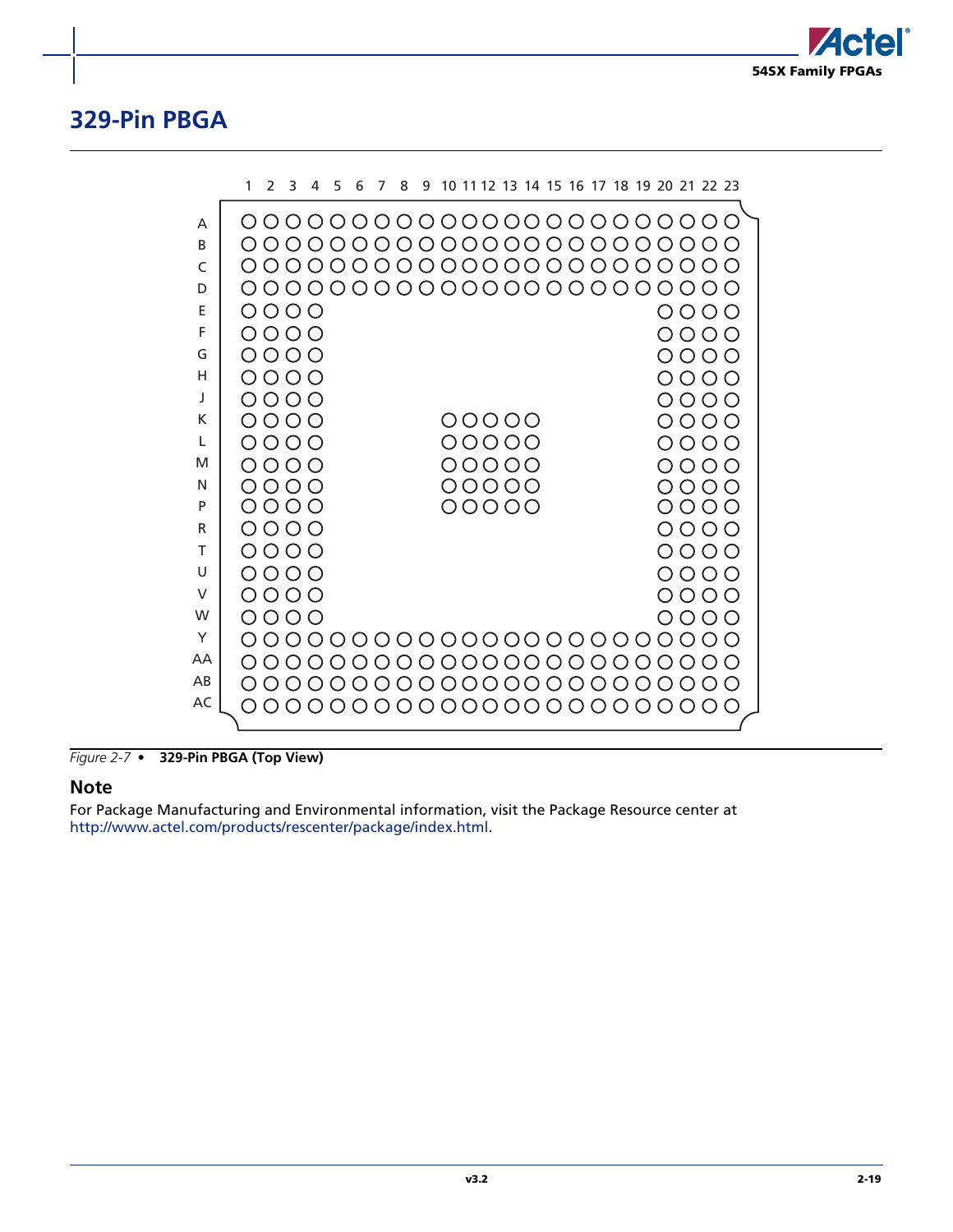

## <span id="page-56-0"></span>**329-Pin PBGA**

|          | 1                | $\mathcal{P}$           | 3                      | 4 | 5 | 6 | 7 | 8 | 9 |       |  |  |  |  | 10 11 12 13 14 15 16 17 18 19 20 21 22 23 |              |  |
|----------|------------------|-------------------------|------------------------|---|---|---|---|---|---|-------|--|--|--|--|-------------------------------------------|--------------|--|
| A        |                  | 0000000000000000000000  |                        |   |   |   |   |   |   |       |  |  |  |  |                                           |              |  |
| B.       |                  | OOOO                    |                        |   |   |   |   |   |   |       |  |  |  |  | 0000000000000000000                       |              |  |
| C        |                  | 0000000000000000000000  |                        |   |   |   |   |   |   |       |  |  |  |  |                                           |              |  |
| D        |                  |                         |                        |   |   |   |   |   |   |       |  |  |  |  |                                           |              |  |
| E        |                  | 0000                    |                        |   |   |   |   |   |   |       |  |  |  |  |                                           | 0000         |  |
| F        |                  | 0000                    |                        |   |   |   |   |   |   |       |  |  |  |  |                                           | OOOO         |  |
| G        |                  | 0000                    |                        |   |   |   |   |   |   |       |  |  |  |  |                                           | 0000         |  |
| н        |                  | 0000                    |                        |   |   |   |   |   |   |       |  |  |  |  |                                           | 0000         |  |
| J<br>K   |                  | 0000<br>0000            |                        |   |   |   |   |   |   | 00000 |  |  |  |  |                                           | 0000         |  |
| L        |                  | 0000                    |                        |   |   |   |   |   |   | 00000 |  |  |  |  |                                           | 0000<br>0000 |  |
| м        |                  | 0000                    |                        |   |   |   |   |   |   | 00000 |  |  |  |  |                                           | NNNN         |  |
| N        |                  | 0000                    |                        |   |   |   |   |   |   | 00000 |  |  |  |  |                                           | 0 0 0 C      |  |
| P        |                  | 0000                    |                        |   |   |   |   |   |   | 00000 |  |  |  |  |                                           | 0000         |  |
| R        |                  | 0000                    |                        |   |   |   |   |   |   |       |  |  |  |  |                                           | 0000         |  |
| т        |                  | 0000                    |                        |   |   |   |   |   |   |       |  |  |  |  |                                           | 0000         |  |
| U        |                  | 0000                    |                        |   |   |   |   |   |   |       |  |  |  |  |                                           | 0000         |  |
| $\vee$   |                  | 0000                    |                        |   |   |   |   |   |   |       |  |  |  |  |                                           | 0000         |  |
| W        |                  | 0000                    |                        |   |   |   |   |   |   |       |  |  |  |  |                                           | NUVU         |  |
| Y        |                  | 00000000000000000000000 |                        |   |   |   |   |   |   |       |  |  |  |  |                                           |              |  |
| AA<br>AB | $\left( \right)$ |                         | 0000000000000000000000 |   |   |   |   |   |   |       |  |  |  |  |                                           |              |  |
| AC       |                  |                         |                        |   |   |   |   |   |   |       |  |  |  |  |                                           |              |  |
|          |                  |                         | 000000000000000000000  |   |   |   |   |   |   |       |  |  |  |  |                                           |              |  |

*Figure 2-7 •* **329-Pin PBGA (Top View)**

#### **Note**

For Package Manufacturing and Environmental information, visit the Package Resource center at [http://www.actel.com/products/rescenter/package/index.html.](http://www.actel.com/products/rescenter/package/index.html)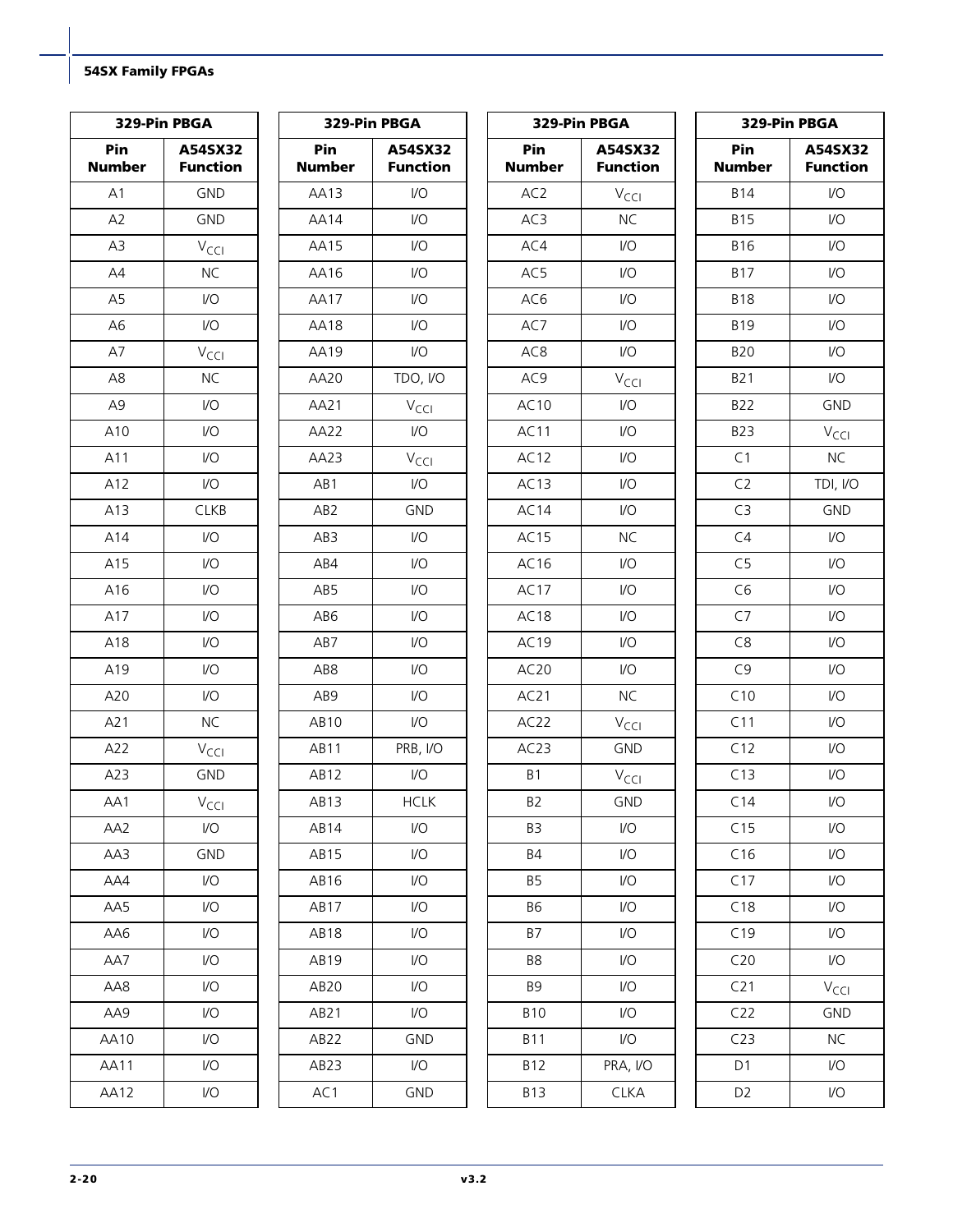| 329-Pin PBGA         |                            | 329-Pin PBGA         |                            | 329-Pin PBGA         |                            | 329-Pin PBGA         |                            |
|----------------------|----------------------------|----------------------|----------------------------|----------------------|----------------------------|----------------------|----------------------------|
| Pin<br><b>Number</b> | A54SX32<br><b>Function</b> | Pin<br><b>Number</b> | A54SX32<br><b>Function</b> | Pin<br><b>Number</b> | A54SX32<br><b>Function</b> | Pin<br><b>Number</b> | A54SX32<br><b>Function</b> |
| A1                   | <b>GND</b>                 | AA13                 | $\mathsf{U}\mathsf{O}$     | AC <sub>2</sub>      | $V_{\text{CCl}}$           | <b>B14</b>           | $\mathsf{U}\mathsf{O}$     |
| A2                   | <b>GND</b>                 | <b>AA14</b>          | $\mathsf{U}\mathsf{O}$     | AC3                  | NC                         | <b>B15</b>           | $\mathsf{U}\mathsf{O}$     |
| A3                   | $V_{\text{CCI}}$           | AA15                 | $\mathsf{U}\mathsf{O}$     | AC4                  | $\mathsf{U}\mathsf{O}$     | <b>B16</b>           | $\mathsf{U}\mathsf{O}$     |
| AA                   | <b>NC</b>                  | AA16                 | $\mathsf{U}\mathsf{O}$     | AC5                  | $\mathsf{U}\mathsf{O}$     | <b>B17</b>           | $\mathsf{I}/\mathsf{O}$    |
| A <sub>5</sub>       | $\mathsf{U}\mathsf{O}$     | AA17                 | $U$                        | AC6                  | $\mathsf{U}\mathsf{O}$     | <b>B18</b>           | $U$                        |
| A <sub>6</sub>       | $\mathsf{U}\mathsf{O}$     | AA18                 | $\mathsf{U}\mathsf{O}$     | AC7                  | $\mathsf{U}\mathsf{O}$     | <b>B19</b>           | $\mathsf{I}/\mathsf{O}$    |
| A7                   | $V_{\text{CCl}}$           | <b>AA19</b>          | $\mathsf{U}\mathsf{O}$     | AC <sub>8</sub>      | $\mathsf{U}\mathsf{O}$     | <b>B20</b>           | $\mathsf{U}\mathsf{O}$     |
| A8                   | <b>NC</b>                  | AA20                 | TDO, I/O                   | AC9                  | $V_{\text{CCI}}$           | <b>B21</b>           | $\mathsf{U}\mathsf{O}$     |
| A <sub>9</sub>       | $\mathsf{U}\mathsf{O}$     | AA21                 | $V_{\text{CCI}}$           | AC10                 | $\mathsf{I}/\mathsf{O}$    | <b>B22</b>           | <b>GND</b>                 |
| A10                  | $\mathsf{U}\mathsf{O}$     | AA22                 | $\mathsf{I}/\mathsf{O}$    | AC11                 | $\mathsf{U}\mathsf{O}$     | <b>B23</b>           | $V_{\text{CCI}}$           |
| A11                  | $\mathsf{U}\mathsf{O}$     | AA23                 | $V_{\text{CCI}}$           | AC12                 | $\mathsf{U}\mathsf{O}$     | C1                   | <b>NC</b>                  |
| A12                  | $\mathsf{U}\mathsf{O}$     | AB1                  | $\mathsf{U}\mathsf{O}$     | AC13                 | $\mathsf{U}\mathsf{O}$     | C <sub>2</sub>       | TDI, I/O                   |
| A13                  | <b>CLKB</b>                | AB <sub>2</sub>      | <b>GND</b>                 | AC14                 | $\mathsf{U}\mathsf{O}$     | C <sub>3</sub>       | <b>GND</b>                 |
| A14                  | $\mathsf{U}\mathsf{O}$     | AB3                  | $\mathsf{U}\mathsf{O}$     | AC15                 | <b>NC</b>                  | C4                   | $\mathsf{U}\mathsf{O}$     |
| A15                  | $\mathsf{U}\mathsf{O}$     | AB4                  | $\mathsf{I}/\mathsf{O}$    | AC16                 | $\mathsf{U}\mathsf{O}$     | C <sub>5</sub>       | $\mathsf{I}/\mathsf{O}$    |
| A16                  | $\mathsf{U}\mathsf{O}$     | AB5                  | $\mathsf{U}\mathsf{O}$     | AC17                 | $\mathsf{U}\mathsf{O}$     | C6                   | $\mathsf{U}\mathsf{O}$     |
| A17                  | $\mathsf{U}\mathsf{O}$     | AB6                  | $U$                        | AC <sub>18</sub>     | $\mathsf{U}\mathsf{O}$     | C7                   | $VO$                       |
| A18                  | $\mathsf{U}\mathsf{O}$     | AB7                  | $\mathsf{U}\mathsf{O}$     | AC19                 | $\mathsf{U}\mathsf{O}$     | C8                   | $\mathsf{U}\mathsf{O}$     |
| A19                  | $\mathsf{U}\mathsf{O}$     | AB8                  | $\mathsf{U}\mathsf{O}$     | AC20                 | $\mathsf{U}\mathsf{O}$     | C9                   | $\mathsf{U}\mathsf{O}$     |
| A20                  | $\mathsf{U}\mathsf{O}$     | AB9                  | $\mathsf{U}\mathsf{O}$     | AC21                 | <b>NC</b>                  | C10                  | $\mathsf{U}\mathsf{O}$     |
| A21                  | <b>NC</b>                  | AB10                 | $\mathsf{U}\mathsf{O}$     | AC22                 | $V_{\text{CCl}}$           | C11                  | $\mathsf{U}\mathsf{O}$     |
| A22                  | $V_{\text{CCl}}$           | AB11                 | PRB, I/O                   | AC23                 | <b>GND</b>                 | C12                  | $\mathsf{U}\mathsf{O}$     |
| A23                  | <b>GND</b>                 | AB12                 | $\mathsf{I}/\mathsf{O}$    | B1                   | $V_{\text{CC}}$            | C13                  | I/O                        |
| AA1                  | $V_{\text{CCI}}$           | AB13                 | <b>HCLK</b>                | B <sub>2</sub>       | GND                        | C14                  | $\mathsf{U}\mathsf{O}$     |
| AA2                  | $\mathsf{U}\mathsf{O}$     | AB14                 | $\mathsf{I}/\mathsf{O}$    | B <sub>3</sub>       | $\mathsf{U}\mathsf{O}$     | C15                  | I/O                        |
| AA3                  | <b>GND</b>                 | AB <sub>15</sub>     | 1/O                        | <b>B4</b>            | $\mathsf{U}\mathsf{O}$     | C16                  | I/O                        |
| AA4                  | $\mathsf{U}\mathsf{O}$     | AB16                 | $\mathsf{I}/\mathsf{O}$    | <b>B5</b>            | $\mathsf{U}\mathsf{O}$     | C17                  | I/O                        |
| AA5                  | I/O                        | AB17                 | I/O                        | <b>B6</b>            | $\mathsf{U}\mathsf{O}$     | C18                  | I/O                        |
| AA6                  | $\mathsf{U}\mathsf{O}$     | AB <sub>18</sub>     | I/O                        | <b>B7</b>            | $\mathsf{U}\mathsf{O}$     | C19                  | I/O                        |
| AA7                  | $\mathsf{U}\mathsf{O}$     | AB19                 | $\mathsf{U}\mathsf{O}$     | B8                   | $\mathsf{U}\mathsf{O}$     | C20                  | I/O                        |
| AA8                  | $\mathsf{U}\mathsf{O}$     | AB <sub>20</sub>     | $\mathsf{U}\mathsf{O}$     | <b>B9</b>            | $\mathsf{U}\mathsf{O}$     | C <sub>21</sub>      | $V_{\text{CCI}}$           |
| AA9                  | $\mathsf{U}\mathsf{O}$     | AB21                 | $\mathsf{U}\mathsf{O}$     | <b>B10</b>           | $\mathsf{U}\mathsf{O}$     | C22                  | <b>GND</b>                 |
| AA10                 | $\mathsf{U}\mathsf{O}$     | AB22                 | <b>GND</b>                 | <b>B11</b>           | $\mathsf{U}\mathsf{O}$     | C23                  | <b>NC</b>                  |
| AA11                 | I/O                        | AB23                 | I/O                        | <b>B12</b>           | PRA, I/O                   | D1                   | I/O                        |
| <b>AA12</b>          | I/O                        | AC1                  | GND                        | <b>B13</b>           | <b>CLKA</b>                | D <sub>2</sub>       | I/O                        |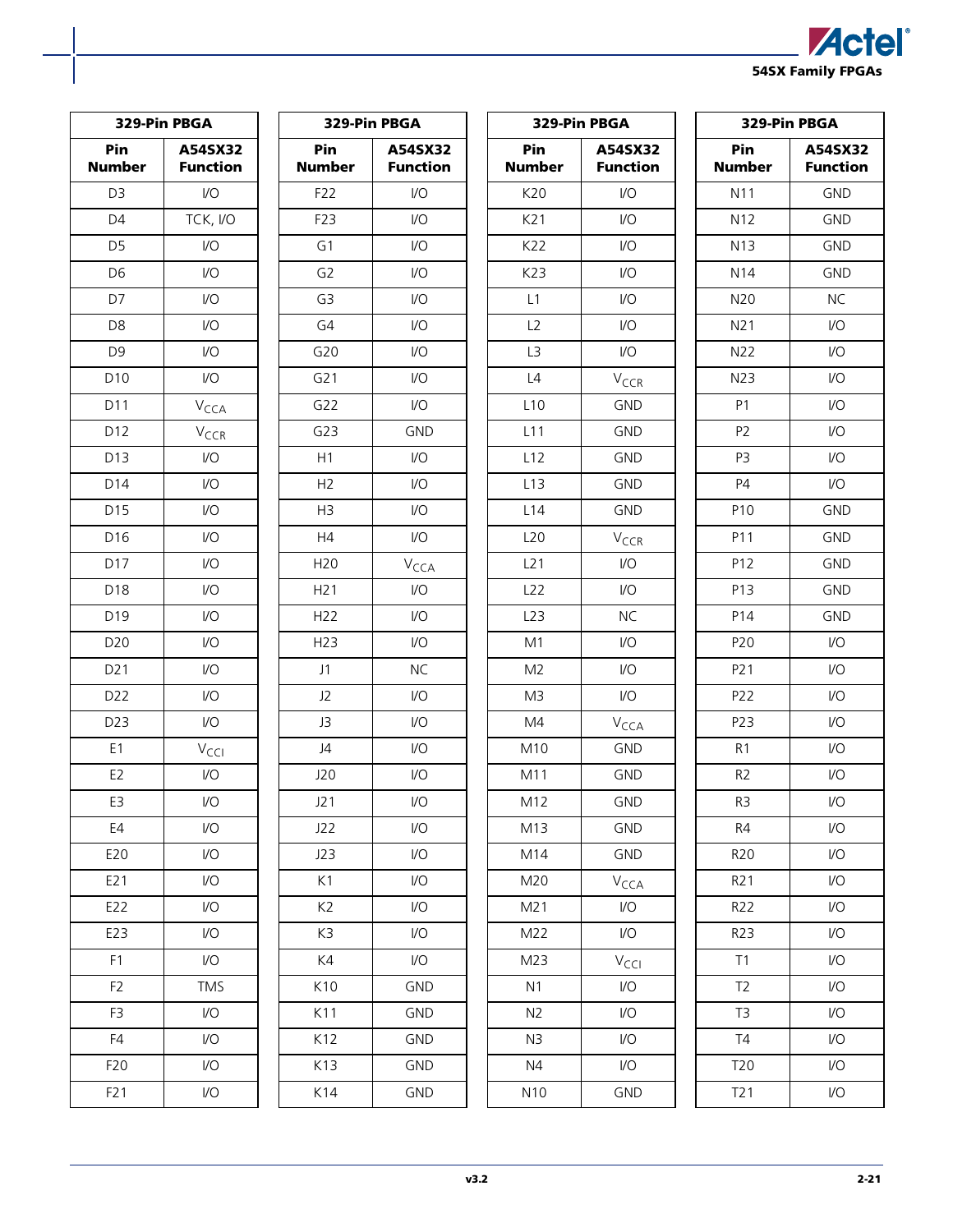

| 329-Pin PBGA         |                            | 329-Pin PBGA         |                            | 329-Pin PBGA         |                            | 329-Pin PBGA         |                            |
|----------------------|----------------------------|----------------------|----------------------------|----------------------|----------------------------|----------------------|----------------------------|
| Pin<br><b>Number</b> | A54SX32<br><b>Function</b> | Pin<br><b>Number</b> | A54SX32<br><b>Function</b> | Pin<br><b>Number</b> | A54SX32<br><b>Function</b> | Pin<br><b>Number</b> | A54SX32<br><b>Function</b> |
| D <sub>3</sub>       | $\mathsf{U}\mathsf{O}$     | F22                  | $\mathsf{I}/\mathsf{O}$    | K20                  | $\mathsf{I}/\mathsf{O}$    | N11                  | <b>GND</b>                 |
| D <sub>4</sub>       | TCK, I/O                   | F23                  | $\mathsf{U}\mathsf{O}$     | K21                  | $\mathsf{U}\mathsf{O}$     | N12                  | <b>GND</b>                 |
| D <sub>5</sub>       | $\mathsf{U}\mathsf{O}$     | G1                   | $\mathsf{U}\mathsf{O}$     | K22                  | $\mathsf{U}\mathsf{O}$     | N <sub>13</sub>      | <b>GND</b>                 |
| D <sub>6</sub>       | $\mathsf{U}\mathsf{O}$     | G <sub>2</sub>       | $\mathsf{U}\mathsf{O}$     | K23                  | $\mathsf{U}\mathsf{O}$     | N <sub>14</sub>      | <b>GND</b>                 |
| D7                   | $\mathsf{U}\mathsf{O}$     | G <sub>3</sub>       | $\mathsf{U}\mathsf{O}$     | L1                   | $\mathsf{U}\mathsf{O}$     | N20                  | <b>NC</b>                  |
| D8                   | $\mathsf{U}\mathsf{O}$     | G4                   | I/O                        | L2                   | I/O                        | N21                  | I/O                        |
| D <sub>9</sub>       | $\mathsf{I}/\mathsf{O}$    | G20                  | $\mathsf{U}\mathsf{O}$     | L <sub>3</sub>       | $\mathsf{U}\mathsf{O}$     | N22                  | $\mathsf{U}\mathsf{O}$     |
| D10                  | $\mathsf{U}\mathsf{O}$     | G21                  | $\mathsf{U}\mathsf{O}$     | L4                   | V <sub>CCR</sub>           | N23                  | I/O                        |
| D11                  | $V_{\text{CCA}}$           | G22                  | $\mathsf{U}\mathsf{O}$     | L <sub>10</sub>      | <b>GND</b>                 | P <sub>1</sub>       | I/O                        |
| D12                  | $V_{CCR}$                  | G23                  | <b>GND</b>                 | L11                  | <b>GND</b>                 | P <sub>2</sub>       | $\mathsf{U}\mathsf{O}$     |
| D13                  | $\mathsf{U}\mathsf{O}$     | H1                   | $\mathsf{U}\mathsf{O}$     | L12                  | <b>GND</b>                 | P <sub>3</sub>       | I/O                        |
| D14                  | $\mathsf{U}\mathsf{O}$     | H2                   | $\mathsf{U}\mathsf{O}$     | L13                  | <b>GND</b>                 | P4                   | I/O                        |
| D15                  | $\mathsf{U}\mathsf{O}$     | H <sub>3</sub>       | $\mathsf{U}\mathsf{O}$     | L14                  | <b>GND</b>                 | P10                  | <b>GND</b>                 |
| D16                  | $\mathsf{I}/\mathsf{O}$    | H4                   | $\mathsf{U}\mathsf{O}$     | L <sub>20</sub>      | $V_{CCR}$                  | P11                  | <b>GND</b>                 |
| D17                  | $\mathsf{U}\mathsf{O}$     | H <sub>20</sub>      | $V_{\text{CCA}}$           | L21                  | $\mathsf{U}\mathsf{O}$     | P12                  | <b>GND</b>                 |
| D18                  | $\mathsf{U}\mathsf{O}$     | H21                  | $\mathsf{U}\mathsf{O}$     | L22                  | $\mathsf{U}\mathsf{O}$     | P13                  | <b>GND</b>                 |
| D19                  | $\mathsf{U}\mathsf{O}$     | H <sub>22</sub>      | $\mathsf{U}\mathsf{O}$     | L23                  | <b>NC</b>                  | P14                  | <b>GND</b>                 |
| D20                  | $\mathsf{U}\mathsf{O}$     | H <sub>23</sub>      | I/O                        | M1                   | I/O                        | P20                  | V <sub>O</sub>             |
| D21                  | $\mathsf{I}/\mathsf{O}$    | J1                   | <b>NC</b>                  | M <sub>2</sub>       | $\mathsf{U}\mathsf{O}$     | P21                  | VO                         |
| D22                  | $\mathsf{U}\mathsf{O}$     | J2                   | $\mathsf{U}\mathsf{O}$     | M <sub>3</sub>       | $\mathsf{U}\mathsf{O}$     | P22                  | V <sub>O</sub>             |
| D23                  | $\mathsf{U}\mathsf{O}$     | J3                   | $VO$                       | M4                   | V <sub>CCA</sub>           | P23                  | V <sub>O</sub>             |
| E <sub>1</sub>       | $V_{\text{CCl}}$           | J4                   | $\mathsf{U}\mathsf{O}$     | M10                  | GND                        | R1                   | I/O                        |
| E <sub>2</sub>       | $\mathsf{U}\mathsf{O}$     | J20                  | I/O                        | M11                  | <b>GND</b>                 | R <sub>2</sub>       | $\sqrt{O}$                 |
| E3                   | I/O                        | J21                  | $\mathsf{IO}$              | M12                  | GND                        | R <sub>3</sub>       | $\mathsf{I}/\mathsf{O}$    |
| E4                   | $\mathsf{U}\mathsf{O}$     | J22                  | $\mathsf{U}\mathsf{O}$     | M13                  | GND                        | R4                   | $\mathsf{U}\mathsf{O}$     |
| E20                  | $\mathsf{U}\mathsf{O}$     | J23                  | $\mathsf{I}/\mathsf{O}$    | M14                  | <b>GND</b>                 | <b>R20</b>           | $\mathsf{VO}$              |
| E21                  | I/O                        | K1                   | $\mathsf{U}\mathsf{O}$     | M20                  | $V_{\text{CCA}}$           | R21                  | I/O                        |
| E22                  | I/O                        | K <sub>2</sub>       | $\mathsf{U}\mathsf{O}$     | M21                  | I/O                        | R22                  | $\mathsf{U}\mathsf{O}$     |
| E23                  | $\mathsf{U}\mathsf{O}$     | K3                   | I/O                        | M22                  | I/O                        | R23                  | I/O                        |
| F1                   | $\mathsf{U}\mathsf{O}$     | K4                   | I/O                        | M <sub>23</sub>      | $V_{\text{CCI}}$           | T1                   | $\mathsf{U}\mathsf{O}$     |
| F <sub>2</sub>       | TMS                        | K10                  | GND                        | N1                   | $\mathsf{I}/\mathsf{O}$    | T <sub>2</sub>       | $\mathsf{U}\mathsf{O}$     |
| F3                   | I/O                        | K11                  | <b>GND</b>                 | N2                   | $\mathsf{U}\mathsf{O}$     | T <sub>3</sub>       | I/O                        |
| F4                   | I/O                        | K12                  | <b>GND</b>                 | N3                   | $\mathsf{U}\mathsf{O}$     | T4                   | $\mathsf{U}\mathsf{O}$     |
| F20                  | $\mathsf{U}\mathsf{O}$     | K13                  | GND                        | N4                   | I/O                        | T20                  | VO                         |
| F21                  | $\mathsf{U}\mathsf{O}$     | K14                  | GND                        | N10                  | <b>GND</b>                 | T21                  | VO                         |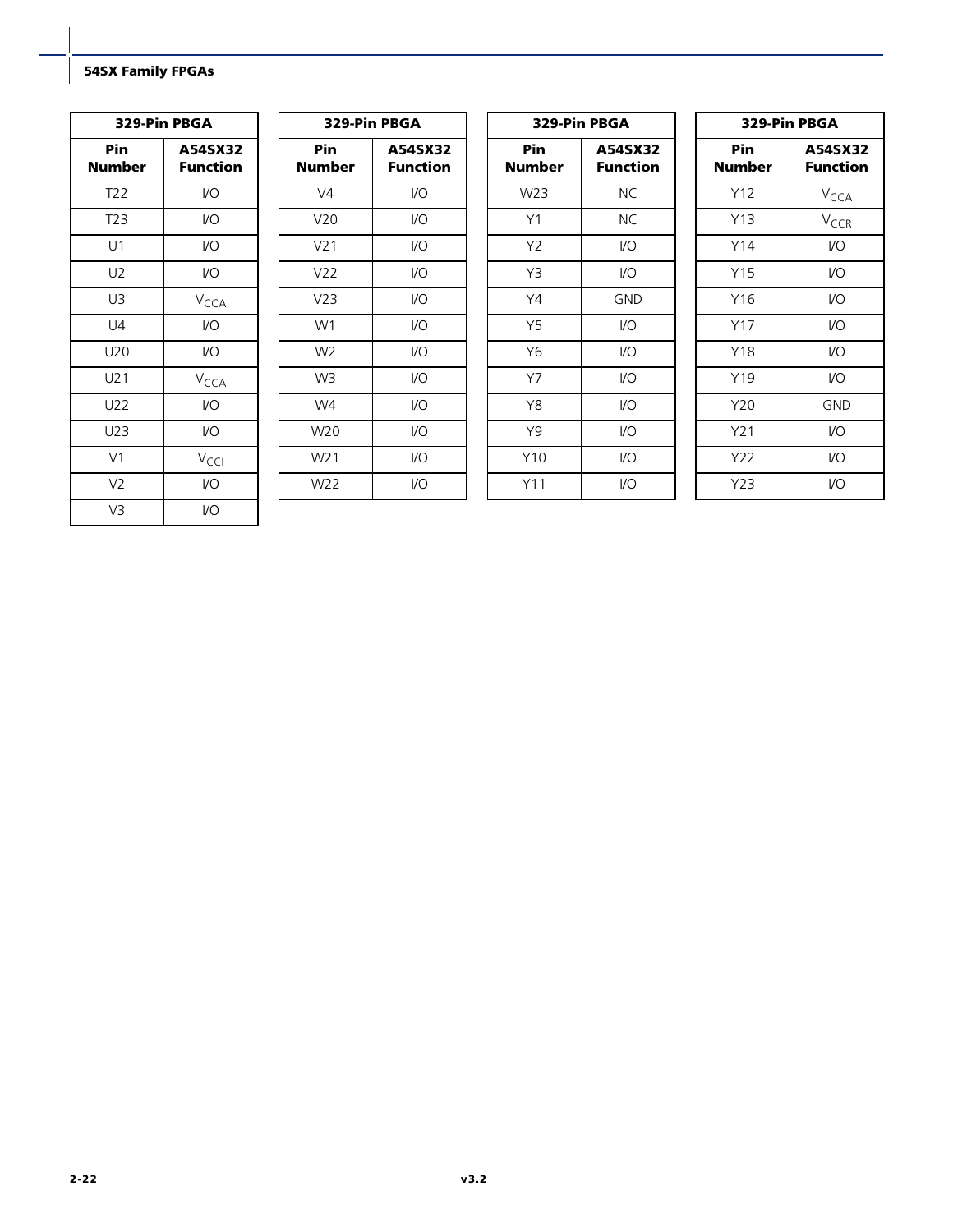| 329-Pin PBGA    |                     |  |  |  |
|-----------------|---------------------|--|--|--|
| Pin<br>Number   | A54SX32<br>Function |  |  |  |
| T <sub>22</sub> | VO                  |  |  |  |
| T23             | $IVO$               |  |  |  |
| U1              | $IVO$               |  |  |  |
| U2              | $IVO$               |  |  |  |
| U3              | V <sub>CCA</sub>    |  |  |  |
| U4              | $IVO$               |  |  |  |
| U20             | $IVO$               |  |  |  |
| U21             | V <sub>CCA</sub>    |  |  |  |
| U22             | I/O                 |  |  |  |
| U23             | $IVO$               |  |  |  |
| V <sub>1</sub>  | V <sub>CCI</sub>    |  |  |  |
| V <sub>2</sub>  | $IVO$               |  |  |  |
| V3              | I/O                 |  |  |  |

| 329-Pin PBGA         |                            |  |  |  |  |
|----------------------|----------------------------|--|--|--|--|
| Pin<br><b>Number</b> | A54SX32<br><b>Function</b> |  |  |  |  |
| V4                   | VO                         |  |  |  |  |
| V <sub>20</sub>      | I/O                        |  |  |  |  |
| V <sub>21</sub>      | I/O                        |  |  |  |  |
| V <sub>22</sub>      | I/O                        |  |  |  |  |
| V <sub>23</sub>      | I/O                        |  |  |  |  |
| W1                   | I/O                        |  |  |  |  |
| W <sub>2</sub>       | I/O                        |  |  |  |  |
| W <sub>3</sub>       | I/O                        |  |  |  |  |
| W4                   | I/O                        |  |  |  |  |
| W20                  | I/O                        |  |  |  |  |
| W <sub>21</sub>      | I/O                        |  |  |  |  |
| W22                  | I/O                        |  |  |  |  |

| 329-Pin PBGA   |                     |  |  |  |  |
|----------------|---------------------|--|--|--|--|
| Pin<br>Number  | A54SX32<br>Function |  |  |  |  |
| W23            | ΝC                  |  |  |  |  |
| Y1             | ΝC                  |  |  |  |  |
| Y <sub>2</sub> | I/O                 |  |  |  |  |
| Y3             | I/O                 |  |  |  |  |
| Y4             | <b>GND</b>          |  |  |  |  |
| <b>Y5</b>      | I/O                 |  |  |  |  |
| Y6             | VO                  |  |  |  |  |
| Y7             | I/O                 |  |  |  |  |
| Y8             | 1/O                 |  |  |  |  |
| Y9             | I/O                 |  |  |  |  |
| Y10            | I/O                 |  |  |  |  |
| Y11            | I/O                 |  |  |  |  |

| 329-Pin PBGA    |                            |  |  |  |  |
|-----------------|----------------------------|--|--|--|--|
| Pin<br>Number   | A54SX32<br><b>Function</b> |  |  |  |  |
| Y12             | V <sub>CCA</sub>           |  |  |  |  |
| Y13             | V <sub>CCR</sub>           |  |  |  |  |
| Y14             | I/O                        |  |  |  |  |
| Y15             | I/O                        |  |  |  |  |
| Y16             | I/O                        |  |  |  |  |
| Y17             | I/O                        |  |  |  |  |
| Y18             | I/O                        |  |  |  |  |
| Y19             | I/O                        |  |  |  |  |
| Y20             | GND                        |  |  |  |  |
| Y <sub>21</sub> | I/O                        |  |  |  |  |
| Y22             | I/O                        |  |  |  |  |
| Y23             | I/O                        |  |  |  |  |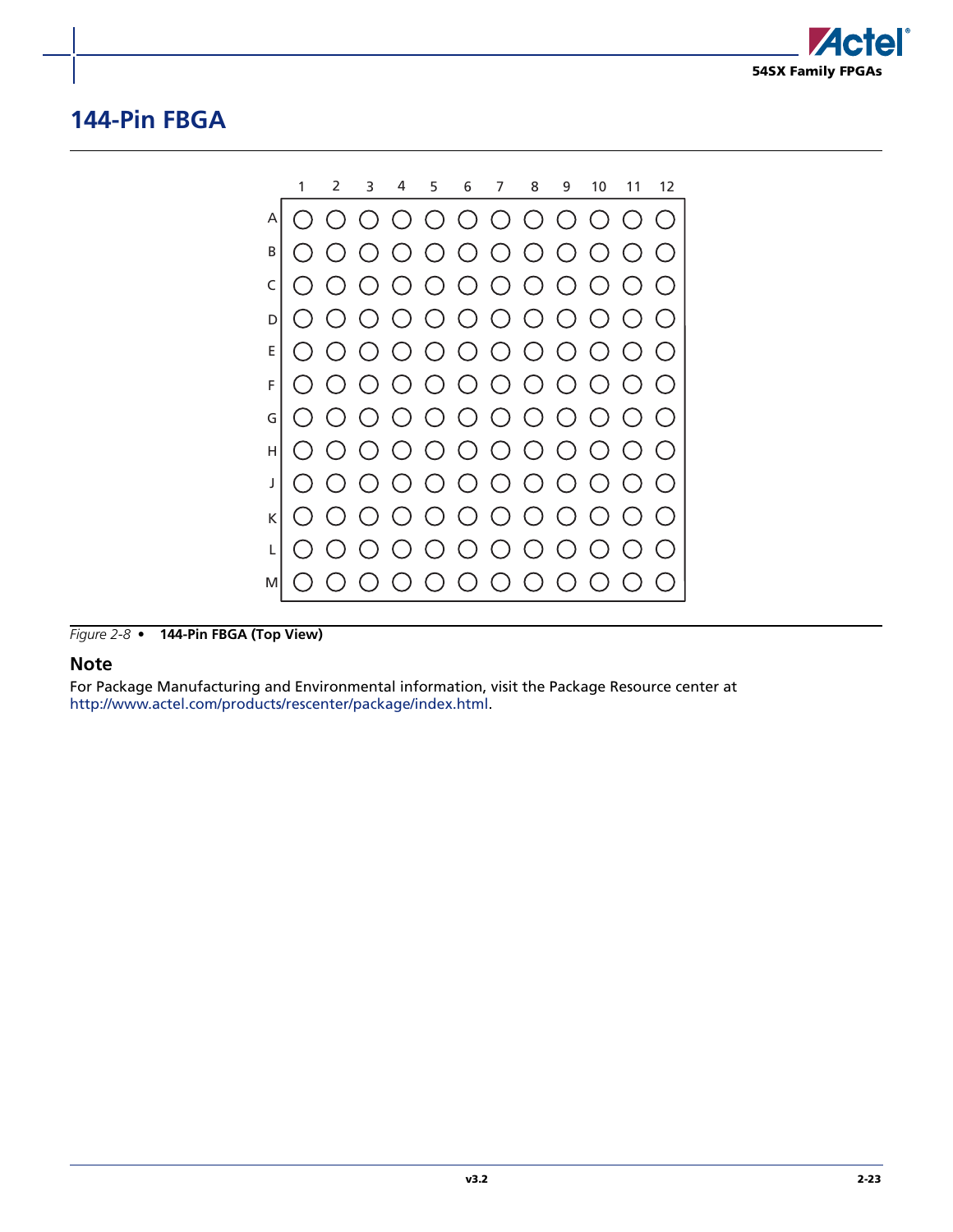

## <span id="page-60-0"></span>**144-Pin FBGA**



*Figure 2-8 •* **144-Pin FBGA (Top View)**

#### **Note**

For Package Manufacturing and Environmental information, visit the Package Resource center at [http://www.actel.com/products/rescenter/package/index.html.](http://www.actel.com/products/rescenter/package/index.html)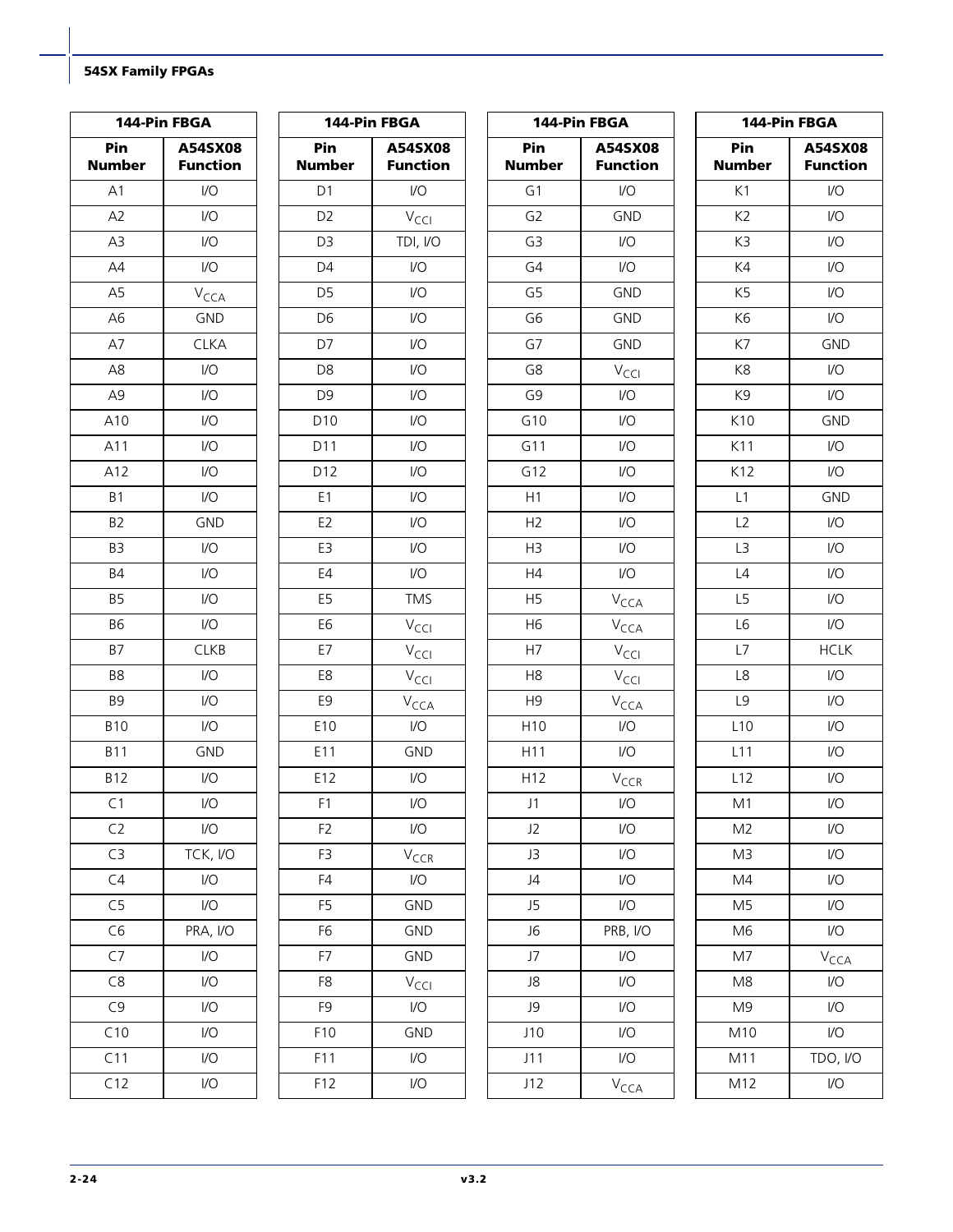| 144-Pin FBGA         |                             | 144-Pin FBGA         |                            | 144-Pin FBGA         |                            | 144-Pin FBGA         |                            |
|----------------------|-----------------------------|----------------------|----------------------------|----------------------|----------------------------|----------------------|----------------------------|
| Pin<br><b>Number</b> | A54SX08<br><b>Function</b>  | Pin<br><b>Number</b> | A54SX08<br><b>Function</b> | Pin<br><b>Number</b> | A54SX08<br><b>Function</b> | Pin<br><b>Number</b> | A54SX08<br><b>Function</b> |
| A1                   | $\mathsf{VO}$               | D <sub>1</sub>       | $\mathsf{I}/\mathsf{O}$    | G1                   | $\mathsf{I}/\mathsf{O}$    | K1                   | $\mathsf{U}\mathsf{O}$     |
| A <sub>2</sub>       | $\mathsf{VO}$               | D <sub>2</sub>       | $V_{\text{CCI}}$           | G <sub>2</sub>       | <b>GND</b>                 | K2                   | $\mathsf{U}\mathsf{O}$     |
| A3                   | $\mathsf{U}\mathsf{O}$      | D <sub>3</sub>       | TDI, I/O                   | G3                   | $\mathsf{I}/\mathsf{O}$    | K3                   | $\mathsf{I}/\mathsf{O}$    |
| AA                   | $\mathsf{VO}$               | D4                   | $\mathsf{I}/\mathsf{O}$    | G4                   | $\mathsf{I}/\mathsf{O}$    | K4                   | $\mathsf{U}\mathsf{O}$     |
| A <sub>5</sub>       | $V_{\text{CCA}}$            | D <sub>5</sub>       | $\mathsf{I}/\mathsf{O}$    | G <sub>5</sub>       | <b>GND</b>                 | K5                   | $\mathsf{U}\mathsf{O}$     |
| A <sub>6</sub>       | <b>GND</b>                  | D <sub>6</sub>       | $\mathsf{I}/\mathsf{O}$    | G <sub>6</sub>       | <b>GND</b>                 | K6                   | $\mathsf{U}\mathsf{O}$     |
| A7                   | <b>CLKA</b>                 | D7                   | $\mathsf{I}/\mathsf{O}$    | G7                   | <b>GND</b>                 | K7                   | <b>GND</b>                 |
| A8                   | $\mathsf{U}\mathsf{O}$      | D <sub>8</sub>       | $\mathsf{I}/\mathsf{O}$    | G8                   | $V_{\text{CCI}}$           | K8                   | $\sqrt{O}$                 |
| A <sub>9</sub>       | $\mathsf{VO}$               | D <sub>9</sub>       | $\mathsf{I}/\mathsf{O}$    | G9                   | 1/O                        | K9                   | I/O                        |
| A10                  | $\mathsf{I}/\mathsf{O}$     | D10                  | $\mathsf{I}/\mathsf{O}$    | G10                  | $\mathsf{I}/\mathsf{O}$    | K10                  | <b>GND</b>                 |
| A11                  | $\mathsf{I}/\mathsf{O}$     | D <sub>11</sub>      | I/O                        | G11                  | 1/O                        | K11                  | $U$                        |
| A12                  | $\mathsf{I}/\mathsf{O}$     | D12                  | $\mathsf{I}/\mathsf{O}$    | G12                  | 1/O                        | K12                  | $\mathsf{U}\mathsf{O}$     |
| <b>B1</b>            | $\mathsf{I}/\mathsf{O}$     | E1                   | $\mathsf{I}/\mathsf{O}$    | H1                   | $\mathsf{U}\mathsf{O}$     | L1                   | <b>GND</b>                 |
| B <sub>2</sub>       | <b>GND</b>                  | E <sub>2</sub>       | $\mathsf{I}/\mathsf{O}$    | H2                   | $\mathsf{U}\mathsf{O}$     | L2                   | $\mathsf{I}/\mathsf{O}$    |
| B <sub>3</sub>       | 1/O                         | E3                   | $\mathsf{I}/\mathsf{O}$    | H <sub>3</sub>       | $\mathsf{U}\mathsf{O}$     | L3                   | $\mathsf{U}\mathsf{O}$     |
| <b>B4</b>            | $\mathsf{I}/\mathsf{O}$     | E4                   | $\mathsf{I}/\mathsf{O}$    | H4                   | $\mathsf{U}\mathsf{O}$     | L4                   | $\mathsf{U}\mathsf{O}$     |
| <b>B5</b>            | $\mathsf{I}/\mathsf{O}$     | E <sub>5</sub>       | <b>TMS</b>                 | H <sub>5</sub>       | $V_{\text{CCA}}$           | L5                   | $\mathsf{U}\mathsf{O}$     |
| <b>B6</b>            | $\mathsf{I}/\mathsf{O}$     | E <sub>6</sub>       | $V_{\text{CCI}}$           | H <sub>6</sub>       | $V_{\text{CCA}}$           | L6                   | $\mathsf{U}\mathsf{O}$     |
| <b>B7</b>            | CLKB                        | E7                   | $V_{\text{CCl}}$           | H7                   | $V_{\text{CCI}}$           | L7                   | <b>HCLK</b>                |
| B8                   | $\mathsf{I}/\mathsf{O}$     | E8                   | $V_{\text{CCI}}$           | H <sub>8</sub>       | $V_{\text{CCI}}$           | L8                   | $\mathsf{U}\mathsf{O}$     |
| B <sub>9</sub>       | $\mathsf{I}/\mathsf{O}$     | E9                   | $V_{\text{CCA}}$           | H <sub>9</sub>       | $V_{\text{CCA}}$           | L9                   | $\mathsf{U}\mathsf{O}$     |
| <b>B10</b>           | 1/O                         | E10                  | $\mathsf{I}/\mathsf{O}$    | H10                  | $\mathsf{I}/\mathsf{O}$    | L10                  | $\mathsf{U}\mathsf{O}$     |
| <b>B11</b>           | <b>GND</b>                  | E11                  | <b>GND</b>                 | H11                  | $\mathsf{I}/\mathsf{O}$    | L11                  | $\mathsf{U}\mathsf{O}$     |
| <b>B12</b>           | $\mathsf{I}/\mathsf{O}$     | E12                  | $\mathsf{I}/\mathsf{O}$    | H12                  | $V_{CCR}$                  | L12                  | $\mathsf{U}\mathsf{O}$     |
| C1                   | $\mathsf{IO}$               | F1                   | $\mathsf{I}/\mathsf{O}$    | J1                   | $\mathsf{IO}$              | M1                   | $\mathsf{I}/\mathsf{O}$    |
| C <sub>2</sub>       | $\mathsf{U}\mathsf{O}$      | F <sub>2</sub>       | $\mathsf{U}\mathsf{O}$     | J2                   | $\mathsf{U}\mathsf{O}$     | M <sub>2</sub>       | I/O                        |
| C3                   | TCK, I/O                    | F3                   | $V_{CCR}$                  | J3                   | $\mathsf{U}\mathsf{O}$     | M <sub>3</sub>       | $\mathsf{U}\mathsf{O}$     |
| C4                   | $\mathsf{U}\mathsf{O}$      | F4                   | I/O                        | J4                   | $\mathsf{U}\mathsf{O}$     | M4                   | $\mathsf{U}\mathsf{O}$     |
| C <sub>5</sub>       | $\mathsf{U}\mathsf{O}$      | F <sub>5</sub>       | GND                        | J5                   | $\mathsf{U}\mathsf{O}$     | M <sub>5</sub>       | $\mathsf{U}\mathsf{O}$     |
| C6                   | PRA, I/O                    | F6                   | GND                        | J6                   | PRB, I/O                   | M <sub>6</sub>       | $\sqrt{O}$                 |
| C7                   | $\mathsf{U}\mathsf{O}$      | F7                   | GND                        | J7                   | $\mathsf{U}\mathsf{O}$     | M7                   | $V_{\text{CCA}}$           |
| C8                   | $\mathsf{U}\mathsf{O}$      | F8                   | $V_{\text{CCI}}$           | J8                   | $\mathsf{U}\mathsf{O}$     | M <sub>8</sub>       | $\mathsf{VO}$              |
| C9                   | $\mathsf{U}\mathsf{O}$      | F9                   | I/O                        | J9                   | $\mathsf{U}\mathsf{O}$     | M <sub>9</sub>       | $\mathsf{IO}$              |
| C10                  | $\overline{1}/\overline{O}$ | F10                  | GND                        | J10                  | $\mathsf{U}\mathsf{O}$     | M10                  | $\mathsf{U}\mathsf{O}$     |
| C11                  | $\mathsf{I}/\mathsf{O}$     | F11                  | $\mathsf{U}\mathsf{O}$     | J11                  | $\mathsf{U}\mathsf{O}$     | M11                  | TDO, I/O                   |
| C12                  | $\mathsf{I}/\mathsf{O}$     | F12                  | $\mathsf{U}\mathsf{O}$     | J12                  | V <sub>CCA</sub>           | M12                  | $\mathsf{U}\mathsf{O}$     |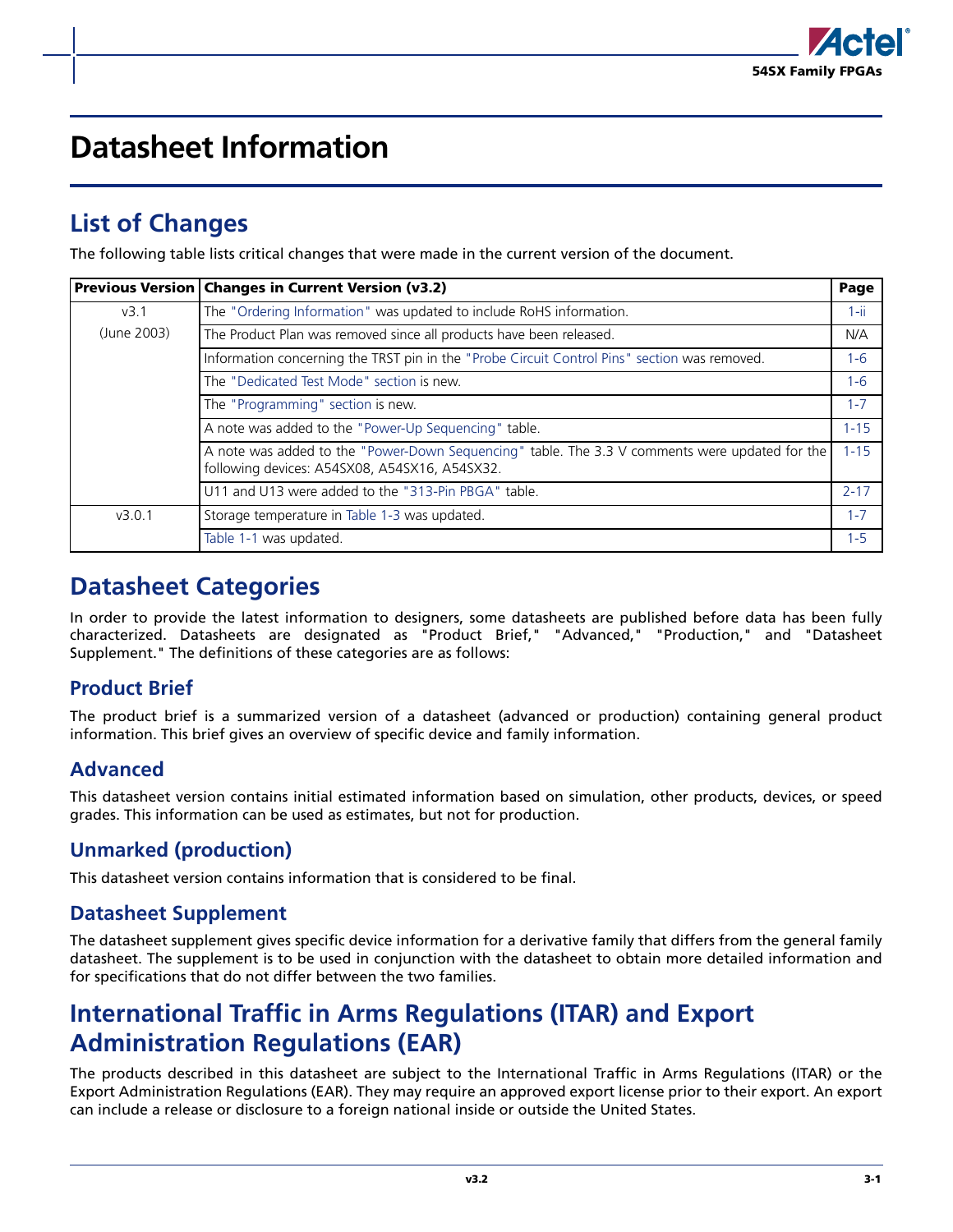

# <span id="page-62-0"></span>**Datasheet Information**

## <span id="page-62-1"></span>**List of Changes**

The following table lists critical changes that were made in the current version of the document.

|             | Previous Version   Changes in Current Version (v3.2)                                                                                            | Page     |  |  |  |  |
|-------------|-------------------------------------------------------------------------------------------------------------------------------------------------|----------|--|--|--|--|
| v3.1        | The "Ordering Information" was updated to include RoHS information.                                                                             |          |  |  |  |  |
| (June 2003) | The Product Plan was removed since all products have been released.                                                                             | N/A      |  |  |  |  |
|             | Information concerning the TRST pin in the "Probe Circuit Control Pins" section was removed.                                                    | $1 - 6$  |  |  |  |  |
|             | The "Dedicated Test Mode" section is new.                                                                                                       | $1 - 6$  |  |  |  |  |
|             | The "Programming" section is new.                                                                                                               | $1 - 7$  |  |  |  |  |
|             | A note was added to the "Power-Up Sequencing" table.                                                                                            | $1 - 15$ |  |  |  |  |
|             | A note was added to the "Power-Down Sequencing" table. The 3.3 V comments were updated for the<br>following devices: A54SX08, A54SX16, A54SX32. | $1 - 15$ |  |  |  |  |
|             | U11 and U13 were added to the "313-Pin PBGA" table.                                                                                             | $2 - 17$ |  |  |  |  |
| v3.0.1      | Storage temperature in Table 1-3 was updated.                                                                                                   | $1 - 7$  |  |  |  |  |
|             | Table 1-1 was updated.                                                                                                                          | $1 - 5$  |  |  |  |  |

## <span id="page-62-2"></span>**Datasheet Categories**

In order to provide the latest information to designers, some datasheets are published before data has been fully characterized. Datasheets are designated as "Product Brief," "Advanced," "Production," and "Datasheet Supplement." The definitions of these categories are as follows:

### **Product Brief**

The product brief is a summarized version of a datasheet (advanced or production) containing general product information. This brief gives an overview of specific device and family information.

### **Advanced**

This datasheet version contains initial estimated information based on simulation, other products, devices, or speed grades. This information can be used as estimates, but not for production.

### **Unmarked (production)**

This datasheet version contains information that is considered to be final.

### **Datasheet Supplement**

The datasheet supplement gives specific device information for a derivative family that differs from the general family datasheet. The supplement is to be used in conjunction with the datasheet to obtain more detailed information and for specifications that do not differ between the two families.

## <span id="page-62-3"></span>**International Traffic in Arms Regulations (ITAR) and Export Administration Regulations (EAR)**

The products described in this datasheet are subject to the International Traffic in Arms Regulations (ITAR) or the Export Administration Regulations (EAR). They may require an approved export license prior to their export. An export can include a release or disclosure to a foreign national inside or outside the United States.